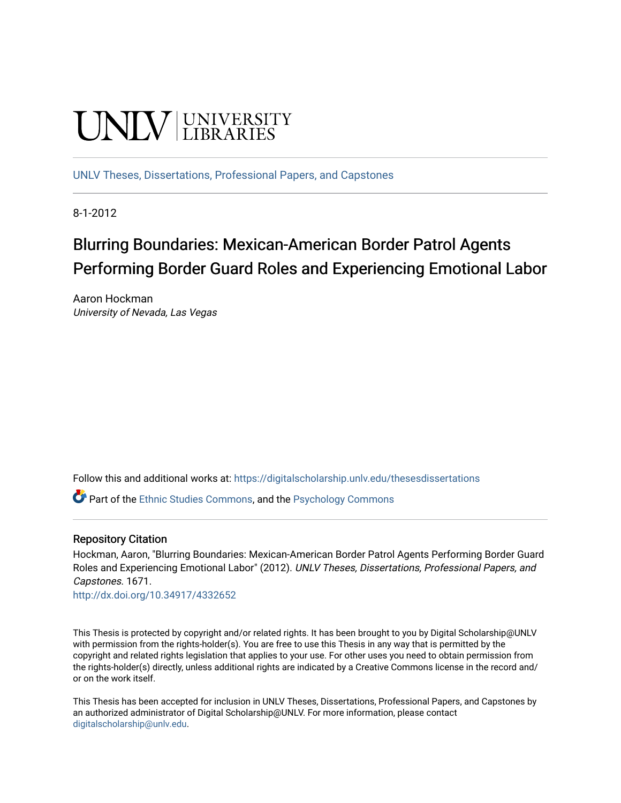# **UNIVERSITY**

[UNLV Theses, Dissertations, Professional Papers, and Capstones](https://digitalscholarship.unlv.edu/thesesdissertations)

8-1-2012

# Blurring Boundaries: Mexican-American Border Patrol Agents Performing Border Guard Roles and Experiencing Emotional Labor

Aaron Hockman University of Nevada, Las Vegas

Follow this and additional works at: [https://digitalscholarship.unlv.edu/thesesdissertations](https://digitalscholarship.unlv.edu/thesesdissertations?utm_source=digitalscholarship.unlv.edu%2Fthesesdissertations%2F1671&utm_medium=PDF&utm_campaign=PDFCoverPages)

**P** Part of the [Ethnic Studies Commons](http://network.bepress.com/hgg/discipline/570?utm_source=digitalscholarship.unlv.edu%2Fthesesdissertations%2F1671&utm_medium=PDF&utm_campaign=PDFCoverPages), and the Psychology Commons

# Repository Citation

Hockman, Aaron, "Blurring Boundaries: Mexican-American Border Patrol Agents Performing Border Guard Roles and Experiencing Emotional Labor" (2012). UNLV Theses, Dissertations, Professional Papers, and Capstones. 1671.

<http://dx.doi.org/10.34917/4332652>

This Thesis is protected by copyright and/or related rights. It has been brought to you by Digital Scholarship@UNLV with permission from the rights-holder(s). You are free to use this Thesis in any way that is permitted by the copyright and related rights legislation that applies to your use. For other uses you need to obtain permission from the rights-holder(s) directly, unless additional rights are indicated by a Creative Commons license in the record and/ or on the work itself.

This Thesis has been accepted for inclusion in UNLV Theses, Dissertations, Professional Papers, and Capstones by an authorized administrator of Digital Scholarship@UNLV. For more information, please contact [digitalscholarship@unlv.edu](mailto:digitalscholarship@unlv.edu).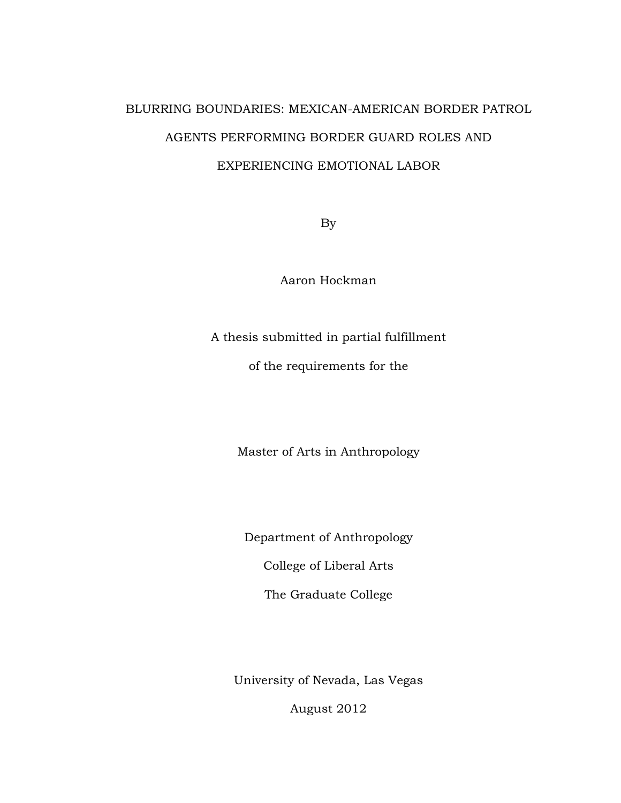# BLURRING BOUNDARIES: MEXICAN-AMERICAN BORDER PATROL AGENTS PERFORMING BORDER GUARD ROLES AND EXPERIENCING EMOTIONAL LABOR

By

Aaron Hockman

A thesis submitted in partial fulfillment

of the requirements for the

Master of Arts in Anthropology

Department of Anthropology

College of Liberal Arts

The Graduate College

University of Nevada, Las Vegas

August 2012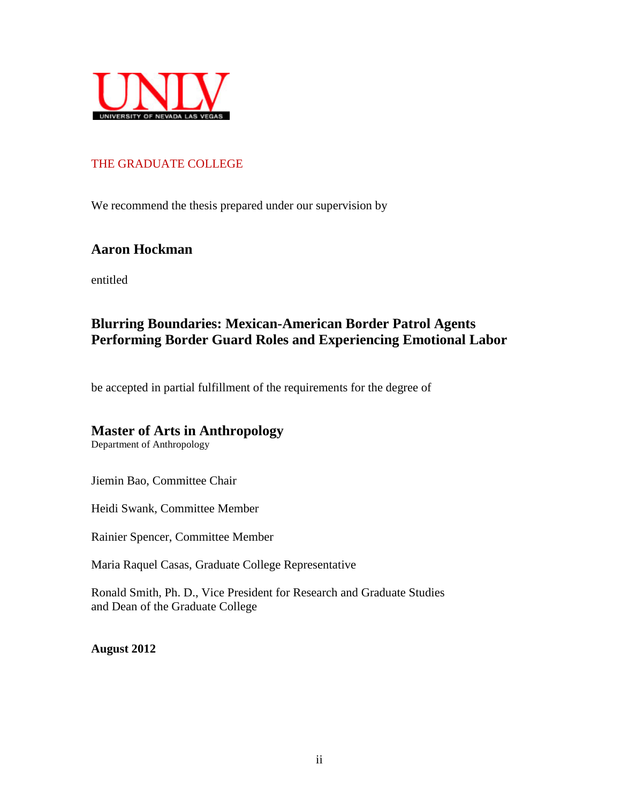

# THE GRADUATE COLLEGE

We recommend the thesis prepared under our supervision by

# **Aaron Hockman**

entitled

# **Blurring Boundaries: Mexican-American Border Patrol Agents Performing Border Guard Roles and Experiencing Emotional Labor**

be accepted in partial fulfillment of the requirements for the degree of

# **Master of Arts in Anthropology**

Department of Anthropology

Jiemin Bao, Committee Chair

Heidi Swank, Committee Member

Rainier Spencer, Committee Member

Maria Raquel Casas, Graduate College Representative

Ronald Smith, Ph. D., Vice President for Research and Graduate Studies and Dean of the Graduate College

**August 2012**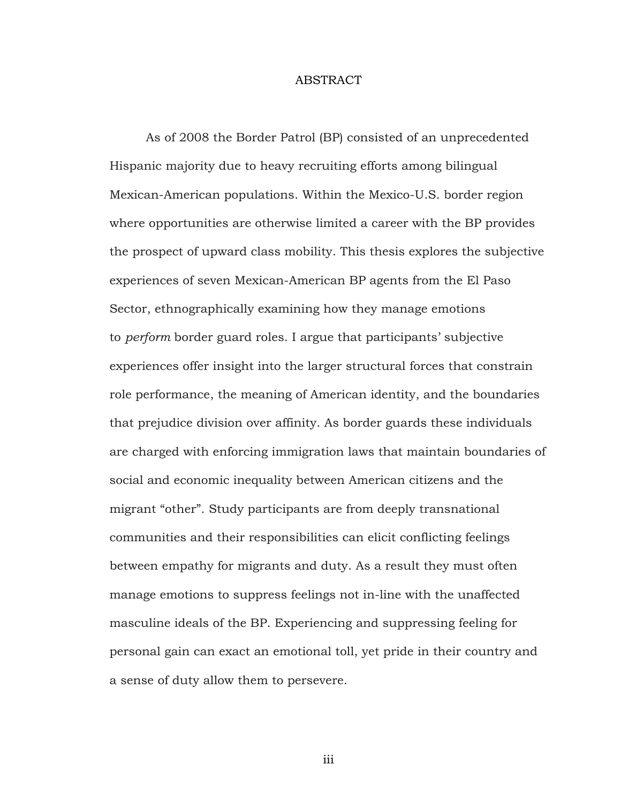#### ABSTRACT

As of 2008 the Border Patrol (BP) consisted of an unprecedented Hispanic majority due to heavy recruiting efforts among bilingual Mexican-American populations. Within the Mexico-U.S. border region where opportunities are otherwise limited a career with the BP provides the prospect of upward class mobility. This thesis explores the subjective experiences of seven Mexican-American BP agents from the El Paso Sector, ethnographically examining how they manage emotions to *perform* border guard roles. I argue that participants' subjective experiences offer insight into the larger structural forces that constrain role performance, the meaning of American identity, and the boundaries that prejudice division over affinity. As border guards these individuals are charged with enforcing immigration laws that maintain boundaries of social and economic inequality between American citizens and the migrant "other". Study participants are from deeply transnational communities and their responsibilities can elicit conflicting feelings between empathy for migrants and duty. As a result they must often manage emotions to suppress feelings not in-line with the unaffected masculine ideals of the BP. Experiencing and suppressing feeling for personal gain can exact an emotional toll, yet pride in their country and a sense of duty allow them to persevere.

iii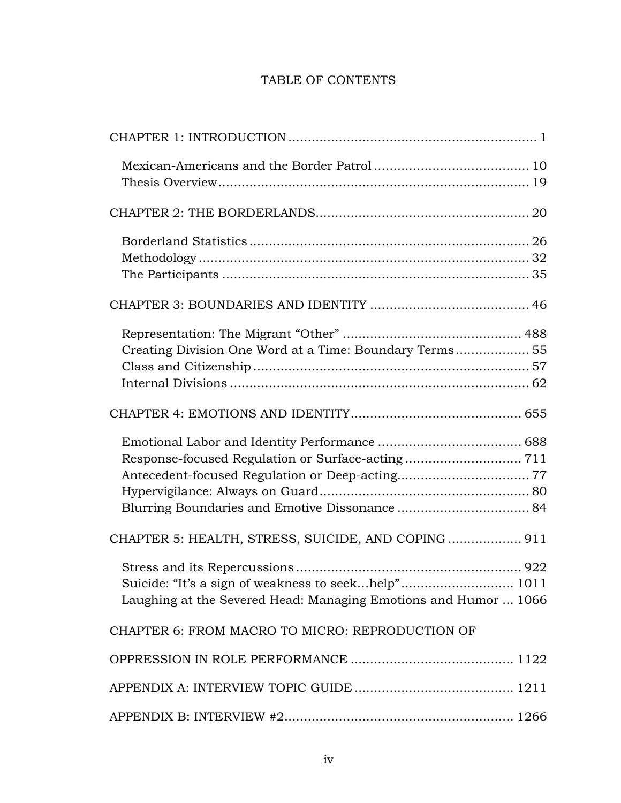# TABLE OF CONTENTS

| Creating Division One Word at a Time: Boundary Terms 55                                                                |
|------------------------------------------------------------------------------------------------------------------------|
|                                                                                                                        |
|                                                                                                                        |
| CHAPTER 5: HEALTH, STRESS, SUICIDE, AND COPING 911                                                                     |
| Suicide: "It's a sign of weakness to seekhelp" 1011<br>Laughing at the Severed Head: Managing Emotions and Humor  1066 |
| CHAPTER 6: FROM MACRO TO MICRO: REPRODUCTION OF                                                                        |
|                                                                                                                        |
|                                                                                                                        |
|                                                                                                                        |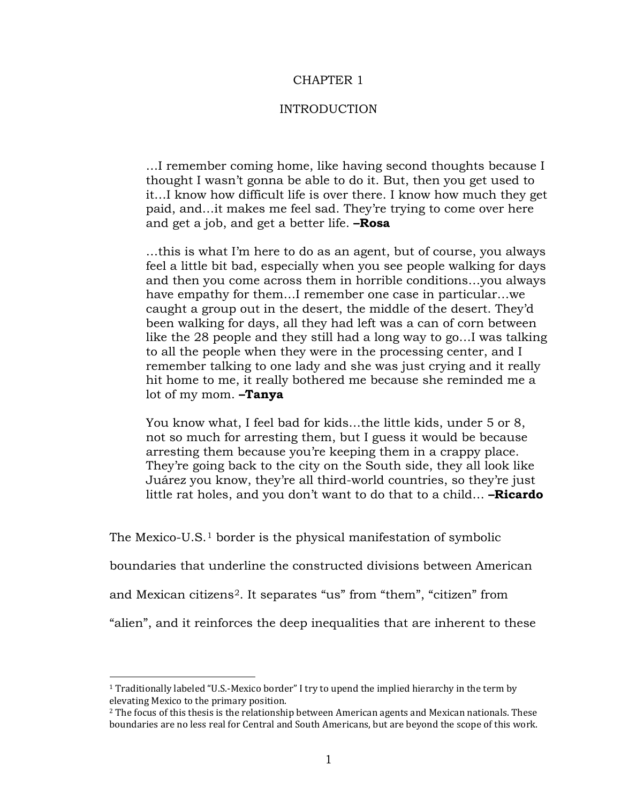## CHAPTER 1

#### INTRODUCTION

…I remember coming home, like having second thoughts because I thought I wasn't gonna be able to do it. But, then you get used to it…I know how difficult life is over there. I know how much they get paid, and…it makes me feel sad. They're trying to come over here and get a job, and get a better life. **–Rosa**

…this is what I'm here to do as an agent, but of course, you always feel a little bit bad, especially when you see people walking for days and then you come across them in horrible conditions…you always have empathy for them…I remember one case in particular…we caught a group out in the desert, the middle of the desert. They'd been walking for days, all they had left was a can of corn between like the 28 people and they still had a long way to go…I was talking to all the people when they were in the processing center, and I remember talking to one lady and she was just crying and it really hit home to me, it really bothered me because she reminded me a lot of my mom. **–Tanya**

You know what, I feel bad for kids…the little kids, under 5 or 8, not so much for arresting them, but I guess it would be because arresting them because you're keeping them in a crappy place. They're going back to the city on the South side, they all look like Juárez you know, they're all third-world countries, so they're just little rat holes, and you don't want to do that to a child… **–Ricardo**

The Mexico-U.S.<sup>[1](#page-6-0)</sup> border is the physical manifestation of symbolic

boundaries that underline the constructed divisions between American

and Mexican citizens<sup>[2](#page-6-1)</sup>. It separates "us" from "them", "citizen" from

"alien", and it reinforces the deep inequalities that are inherent to these

<span id="page-6-0"></span><sup>1</sup> Traditionally labeled "U.S.-Mexico border" I try to upend the implied hierarchy in the term by elevating Mexico to the primary position.

<span id="page-6-1"></span> $<sup>2</sup>$  The focus of this thesis is the relationship between American agents and Mexican nationals. These</sup> boundaries are no less real for Central and South Americans, but are beyond the scope of this work.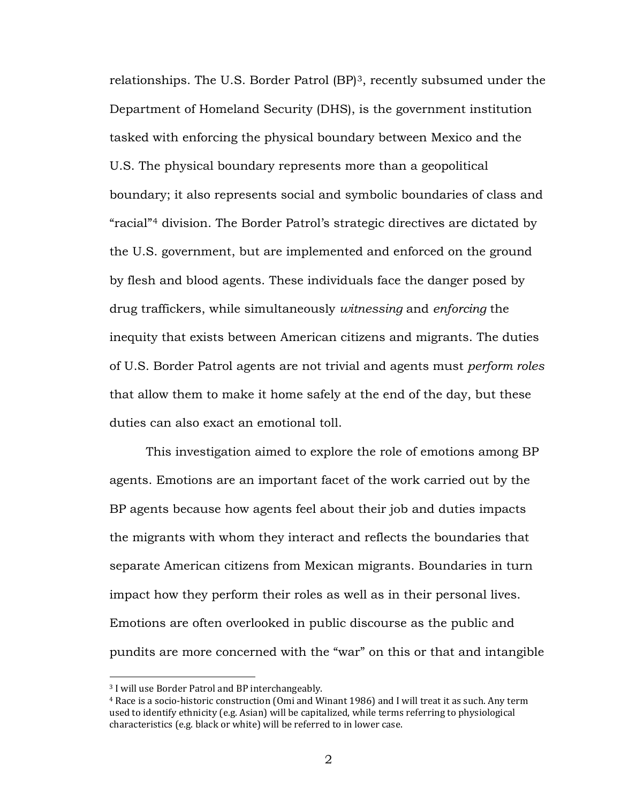relationships. The U.S. Border Patrol (BP)<sup>[3](#page-7-0)</sup>, recently subsumed under the Department of Homeland Security (DHS), is the government institution tasked with enforcing the physical boundary between Mexico and the U.S. The physical boundary represents more than a geopolitical boundary; it also represents social and symbolic boundaries of class and "racial"[4](#page-7-1) division. The Border Patrol's strategic directives are dictated by the U.S. government, but are implemented and enforced on the ground by flesh and blood agents. These individuals face the danger posed by drug traffickers, while simultaneously *witnessing* and *enforcing* the inequity that exists between American citizens and migrants. The duties of U.S. Border Patrol agents are not trivial and agents must *perform roles* that allow them to make it home safely at the end of the day, but these duties can also exact an emotional toll.

This investigation aimed to explore the role of emotions among BP agents. Emotions are an important facet of the work carried out by the BP agents because how agents feel about their job and duties impacts the migrants with whom they interact and reflects the boundaries that separate American citizens from Mexican migrants. Boundaries in turn impact how they perform their roles as well as in their personal lives. Emotions are often overlooked in public discourse as the public and pundits are more concerned with the "war" on this or that and intangible

<span id="page-7-1"></span><span id="page-7-0"></span><sup>3</sup> I will use Border Patrol and BP interchangeably.

<sup>4</sup> Race is a socio-historic construction (Omi and Winant 1986) and I will treat it as such. Any term used to identify ethnicity (e.g. Asian) will be capitalized, while terms referring to physiological characteristics (e.g. black or white) will be referred to in lower case.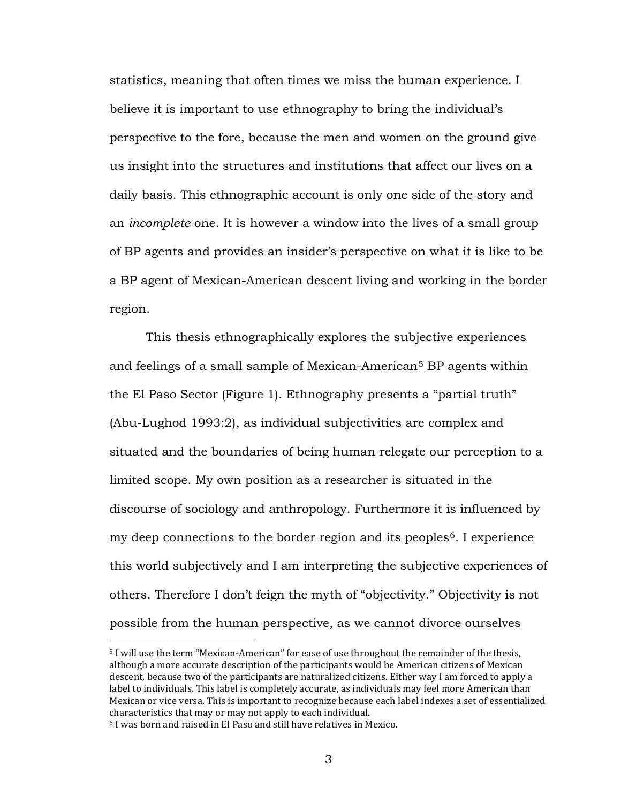statistics, meaning that often times we miss the human experience. I believe it is important to use ethnography to bring the individual's perspective to the fore, because the men and women on the ground give us insight into the structures and institutions that affect our lives on a daily basis. This ethnographic account is only one side of the story and an *incomplete* one. It is however a window into the lives of a small group of BP agents and provides an insider's perspective on what it is like to be a BP agent of Mexican-American descent living and working in the border region.

This thesis ethnographically explores the subjective experiences and feelings of a small sample of Mexican-American<sup>[5](#page-8-0)</sup> BP agents within the El Paso Sector (Figure 1). Ethnography presents a "partial truth" (Abu-Lughod 1993:2), as individual subjectivities are complex and situated and the boundaries of being human relegate our perception to a limited scope. My own position as a researcher is situated in the discourse of sociology and anthropology. Furthermore it is influenced by my deep connections to the border region and its peoples<sup>[6](#page-8-1)</sup>. I experience this world subjectively and I am interpreting the subjective experiences of others. Therefore I don't feign the myth of "objectivity." Objectivity is not possible from the human perspective, as we cannot divorce ourselves

<span id="page-8-0"></span><sup>5</sup> I will use the term "Mexican-American" for ease of use throughout the remainder of the thesis, although a more accurate description of the participants would be American citizens of Mexican descent, because two of the participants are naturalized citizens. Either way I am forced to apply a label to individuals. This label is completely accurate, as individuals may feel more American than Mexican or vice versa. This is important to recognize because each label indexes a set of essentialized characteristics that may or may not apply to each individual.

<span id="page-8-1"></span><sup>6</sup> I was born and raised in El Paso and still have relatives in Mexico.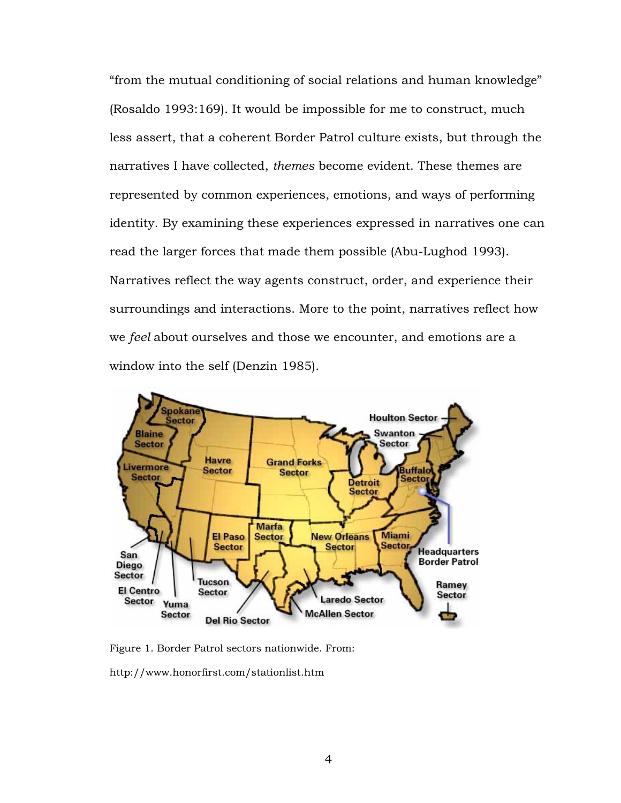"from the mutual conditioning of social relations and human knowledge" (Rosaldo 1993:169). It would be impossible for me to construct, much less assert, that a coherent Border Patrol culture exists, but through the narratives I have collected, *themes* become evident. These themes are represented by common experiences, emotions, and ways of performing identity. By examining these experiences expressed in narratives one can read the larger forces that made them possible (Abu-Lughod 1993). Narratives reflect the way agents construct, order, and experience their surroundings and interactions. More to the point, narratives reflect how we *feel* about ourselves and those we encounter, and emotions are a window into the self (Denzin 1985).



Figure 1. Border Patrol sectors nationwide. From:

http://www.honorfirst.com/stationlist.htm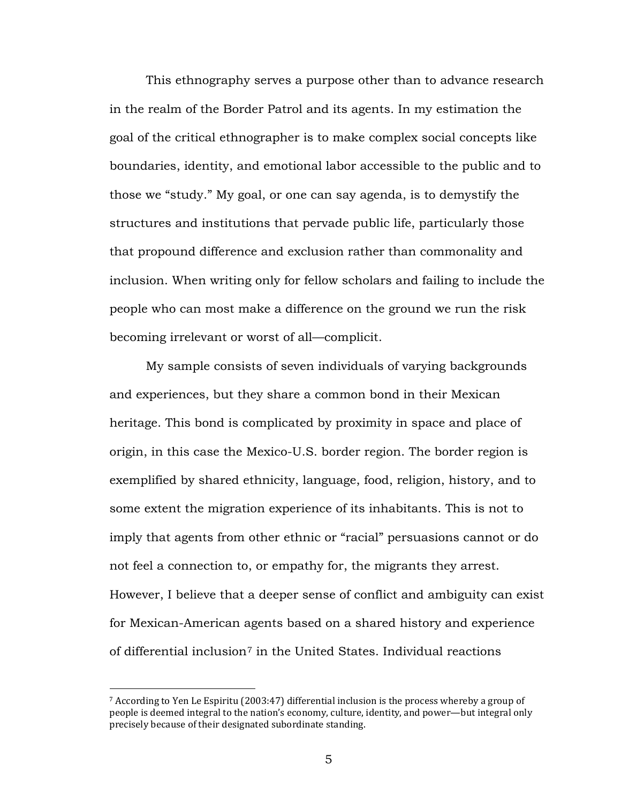This ethnography serves a purpose other than to advance research in the realm of the Border Patrol and its agents. In my estimation the goal of the critical ethnographer is to make complex social concepts like boundaries, identity, and emotional labor accessible to the public and to those we "study." My goal, or one can say agenda, is to demystify the structures and institutions that pervade public life, particularly those that propound difference and exclusion rather than commonality and inclusion. When writing only for fellow scholars and failing to include the people who can most make a difference on the ground we run the risk becoming irrelevant or worst of all—complicit.

My sample consists of seven individuals of varying backgrounds and experiences, but they share a common bond in their Mexican heritage. This bond is complicated by proximity in space and place of origin, in this case the Mexico-U.S. border region. The border region is exemplified by shared ethnicity, language, food, religion, history, and to some extent the migration experience of its inhabitants. This is not to imply that agents from other ethnic or "racial" persuasions cannot or do not feel a connection to, or empathy for, the migrants they arrest. However, I believe that a deeper sense of conflict and ambiguity can exist for Mexican-American agents based on a shared history and experience of differential inclusion $^7$  $^7$  in the United States. Individual reactions

<span id="page-10-0"></span><sup>7</sup> According to Yen Le Espiritu (2003:47) differential inclusion is the process whereby a group of people is deemed integral to the nation's economy, culture, identity, and power—but integral only precisely because of their designated subordinate standing.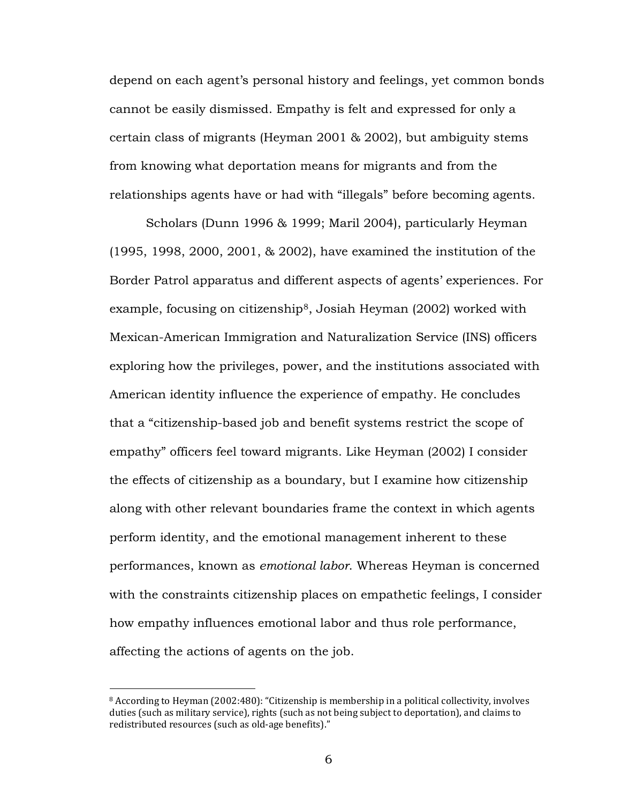depend on each agent's personal history and feelings, yet common bonds cannot be easily dismissed. Empathy is felt and expressed for only a certain class of migrants (Heyman 2001 & 2002), but ambiguity stems from knowing what deportation means for migrants and from the relationships agents have or had with "illegals" before becoming agents.

Scholars (Dunn 1996 & 1999; Maril 2004), particularly Heyman (1995, 1998, 2000, 2001, & 2002), have examined the institution of the Border Patrol apparatus and different aspects of agents' experiences. For example, focusing on citizenship<sup>[8](#page-11-0)</sup>, Josiah Heyman (2002) worked with Mexican-American Immigration and Naturalization Service (INS) officers exploring how the privileges, power, and the institutions associated with American identity influence the experience of empathy. He concludes that a "citizenship-based job and benefit systems restrict the scope of empathy" officers feel toward migrants. Like Heyman (2002) I consider the effects of citizenship as a boundary, but I examine how citizenship along with other relevant boundaries frame the context in which agents perform identity, and the emotional management inherent to these performances, known as *emotional labor*. Whereas Heyman is concerned with the constraints citizenship places on empathetic feelings, I consider how empathy influences emotional labor and thus role performance, affecting the actions of agents on the job.

<span id="page-11-0"></span><sup>8</sup> According to Heyman (2002:480): "Citizenship is membership in a political collectivity, involves duties (such as military service), rights (such as not being subject to deportation), and claims to redistributed resources (such as old-age benefits)."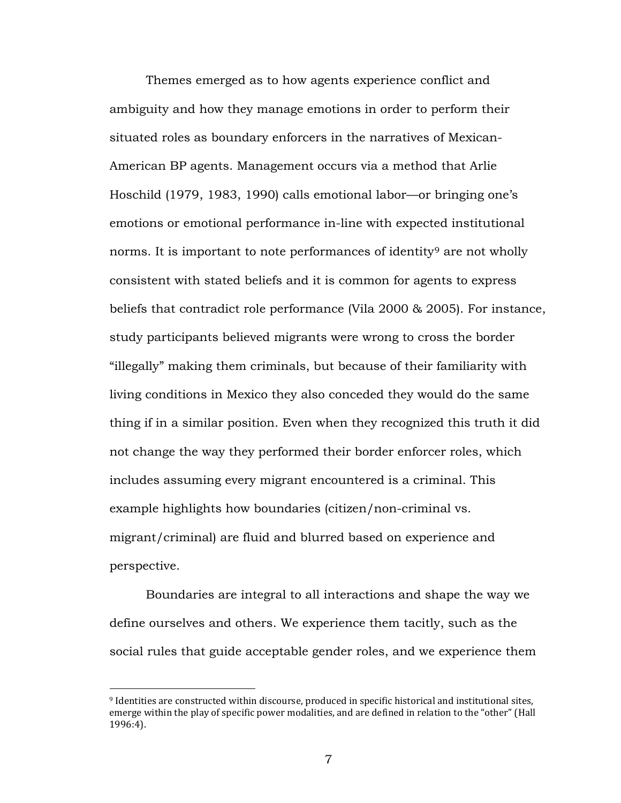Themes emerged as to how agents experience conflict and ambiguity and how they manage emotions in order to perform their situated roles as boundary enforcers in the narratives of Mexican-American BP agents. Management occurs via a method that Arlie Hoschild (1979, 1983, 1990) calls emotional labor—or bringing one's emotions or emotional performance in-line with expected institutional norms. It is important to note performances of identity<sup>[9](#page-12-0)</sup> are not wholly consistent with stated beliefs and it is common for agents to express beliefs that contradict role performance (Vila 2000 & 2005). For instance, study participants believed migrants were wrong to cross the border "illegally" making them criminals, but because of their familiarity with living conditions in Mexico they also conceded they would do the same thing if in a similar position. Even when they recognized this truth it did not change the way they performed their border enforcer roles, which includes assuming every migrant encountered is a criminal. This example highlights how boundaries (citizen/non-criminal vs. migrant/criminal) are fluid and blurred based on experience and perspective.

Boundaries are integral to all interactions and shape the way we define ourselves and others. We experience them tacitly, such as the social rules that guide acceptable gender roles, and we experience them

<span id="page-12-0"></span><sup>9</sup> Identities are constructed within discourse, produced in specific historical and institutional sites, emerge within the play of specific power modalities, and are defined in relation to the "other" (Hall 1996:4).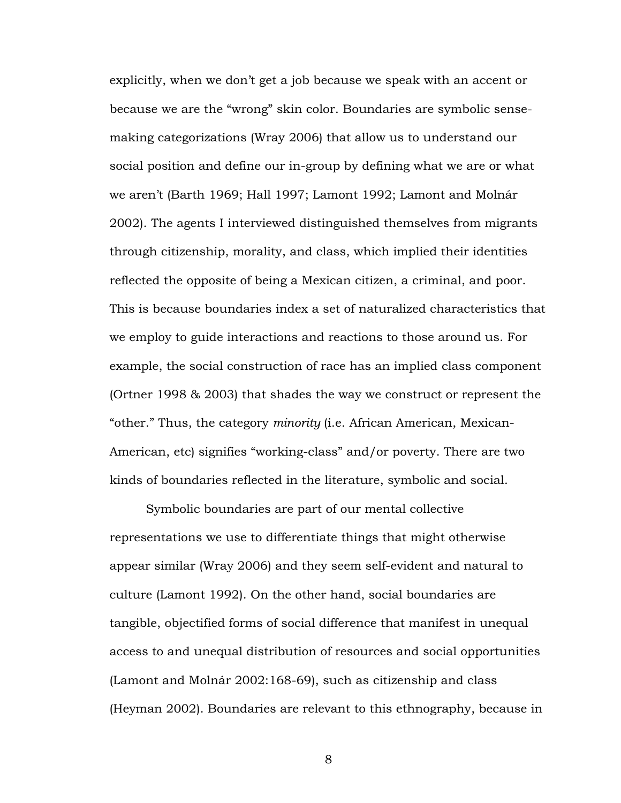explicitly, when we don't get a job because we speak with an accent or because we are the "wrong" skin color. Boundaries are symbolic sensemaking categorizations (Wray 2006) that allow us to understand our social position and define our in-group by defining what we are or what we aren't (Barth 1969; Hall 1997; Lamont 1992; Lamont and Molnár 2002). The agents I interviewed distinguished themselves from migrants through citizenship, morality, and class, which implied their identities reflected the opposite of being a Mexican citizen, a criminal, and poor. This is because boundaries index a set of naturalized characteristics that we employ to guide interactions and reactions to those around us. For example, the social construction of race has an implied class component (Ortner 1998 & 2003) that shades the way we construct or represent the "other." Thus, the category *minority* (i.e. African American, Mexican-American, etc) signifies "working-class" and/or poverty. There are two kinds of boundaries reflected in the literature, symbolic and social.

Symbolic boundaries are part of our mental collective representations we use to differentiate things that might otherwise appear similar (Wray 2006) and they seem self-evident and natural to culture (Lamont 1992). On the other hand, social boundaries are tangible, objectified forms of social difference that manifest in unequal access to and unequal distribution of resources and social opportunities (Lamont and Molnár 2002:168-69), such as citizenship and class (Heyman 2002). Boundaries are relevant to this ethnography, because in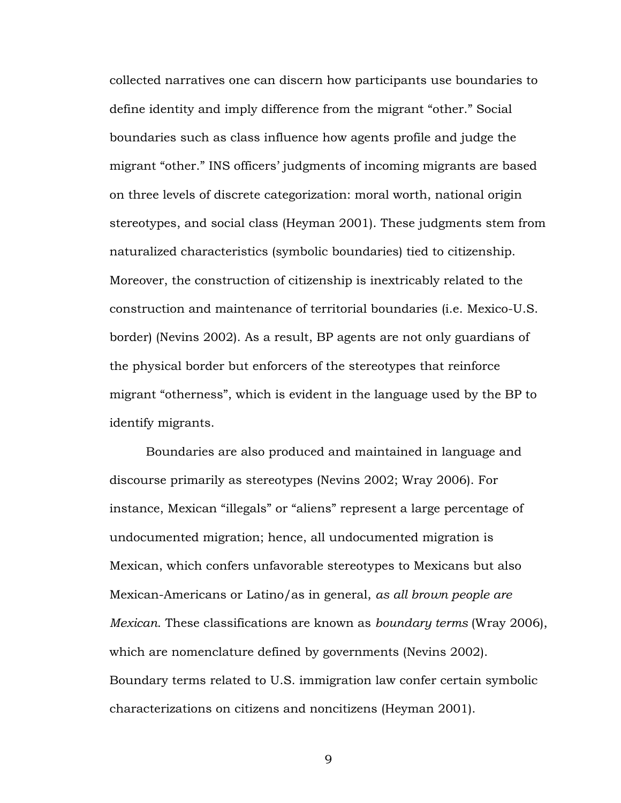collected narratives one can discern how participants use boundaries to define identity and imply difference from the migrant "other." Social boundaries such as class influence how agents profile and judge the migrant "other." INS officers' judgments of incoming migrants are based on three levels of discrete categorization: moral worth, national origin stereotypes, and social class (Heyman 2001). These judgments stem from naturalized characteristics (symbolic boundaries) tied to citizenship. Moreover, the construction of citizenship is inextricably related to the construction and maintenance of territorial boundaries (i.e. Mexico-U.S. border) (Nevins 2002). As a result, BP agents are not only guardians of the physical border but enforcers of the stereotypes that reinforce migrant "otherness", which is evident in the language used by the BP to identify migrants.

Boundaries are also produced and maintained in language and discourse primarily as stereotypes (Nevins 2002; Wray 2006). For instance, Mexican "illegals" or "aliens" represent a large percentage of undocumented migration; hence, all undocumented migration is Mexican, which confers unfavorable stereotypes to Mexicans but also Mexican-Americans or Latino/as in general, *as all brown people are Mexican*. These classifications are known as *boundary terms* (Wray 2006), which are nomenclature defined by governments (Nevins 2002). Boundary terms related to U.S. immigration law confer certain symbolic characterizations on citizens and noncitizens (Heyman 2001).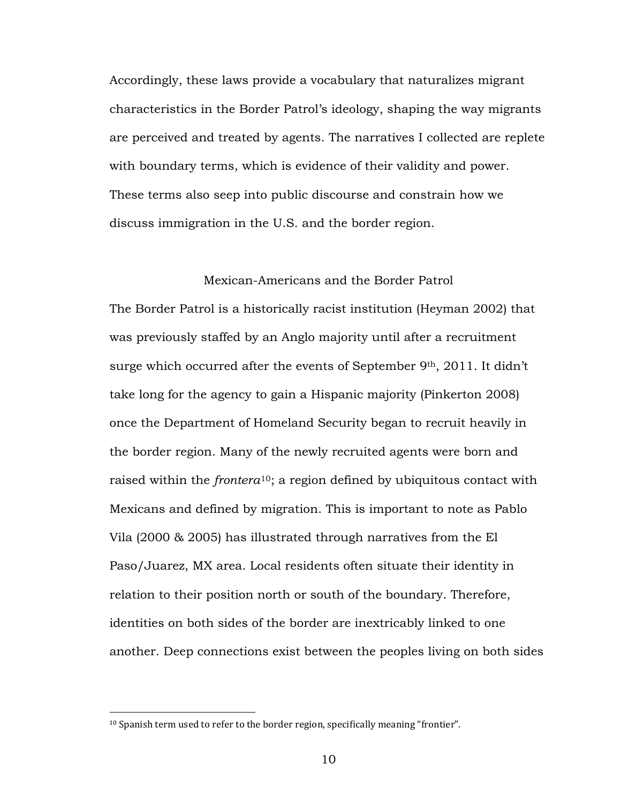Accordingly, these laws provide a vocabulary that naturalizes migrant characteristics in the Border Patrol's ideology, shaping the way migrants are perceived and treated by agents. The narratives I collected are replete with boundary terms, which is evidence of their validity and power. These terms also seep into public discourse and constrain how we discuss immigration in the U.S. and the border region.

# Mexican-Americans and the Border Patrol

The Border Patrol is a historically racist institution (Heyman 2002) that was previously staffed by an Anglo majority until after a recruitment surge which occurred after the events of September 9<sup>th</sup>, 2011. It didn't take long for the agency to gain a Hispanic majority (Pinkerton 2008) once the Department of Homeland Security began to recruit heavily in the border region. Many of the newly recruited agents were born and raised within the *frontera*[10](#page-15-0) ; a region defined by ubiquitous contact with Mexicans and defined by migration. This is important to note as Pablo Vila (2000 & 2005) has illustrated through narratives from the El Paso/Juarez, MX area. Local residents often situate their identity in relation to their position north or south of the boundary. Therefore, identities on both sides of the border are inextricably linked to one another. Deep connections exist between the peoples living on both sides

<span id="page-15-0"></span><sup>&</sup>lt;sup>10</sup> Spanish term used to refer to the border region, specifically meaning "frontier".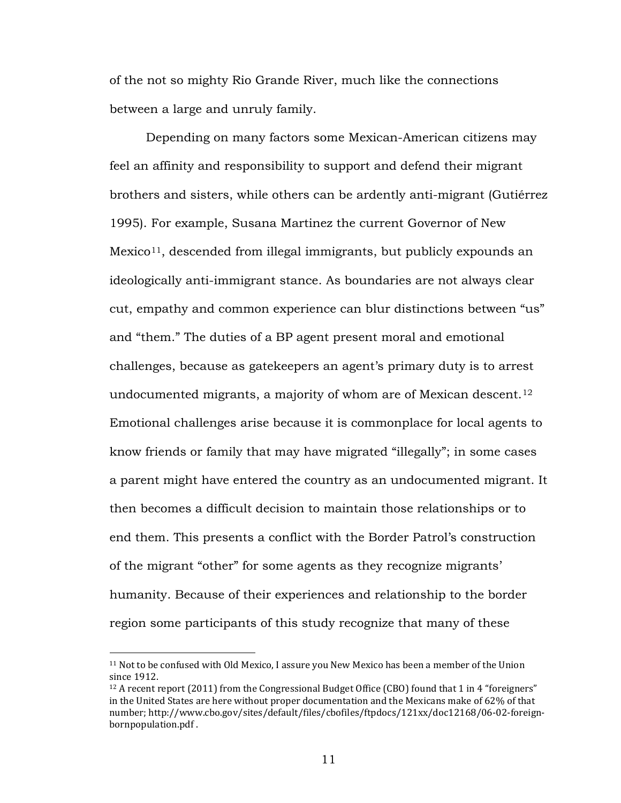of the not so mighty Rio Grande River, much like the connections between a large and unruly family.

Depending on many factors some Mexican-American citizens may feel an affinity and responsibility to support and defend their migrant brothers and sisters, while others can be ardently anti-migrant (Gutiérrez 1995). For example, Susana Martinez the current Governor of New Mexico<sup>[11](#page-16-0)</sup>, descended from illegal immigrants, but publicly expounds an ideologically anti-immigrant stance. As boundaries are not always clear cut, empathy and common experience can blur distinctions between "us" and "them." The duties of a BP agent present moral and emotional challenges, because as gatekeepers an agent's primary duty is to arrest undocumented migrants, a majority of whom are of Mexican descent.<sup>[12](#page-16-1)</sup> Emotional challenges arise because it is commonplace for local agents to know friends or family that may have migrated "illegally"; in some cases a parent might have entered the country as an undocumented migrant. It then becomes a difficult decision to maintain those relationships or to end them. This presents a conflict with the Border Patrol's construction of the migrant "other" for some agents as they recognize migrants' humanity. Because of their experiences and relationship to the border region some participants of this study recognize that many of these

<span id="page-16-0"></span><sup>11</sup> Not to be confused with Old Mexico, I assure you New Mexico has been a member of the Union since 1912.

<span id="page-16-1"></span> $12$  A recent report (2011) from the Congressional Budget Office (CBO) found that 1 in 4 "foreigners" in the United States are here without proper documentation and the Mexicans make of 62% of that number; http://www.cbo.gov/sites/default/files/cbofiles/ftpdocs/121xx/doc12168/06-02-foreignbornpopulation.pdf .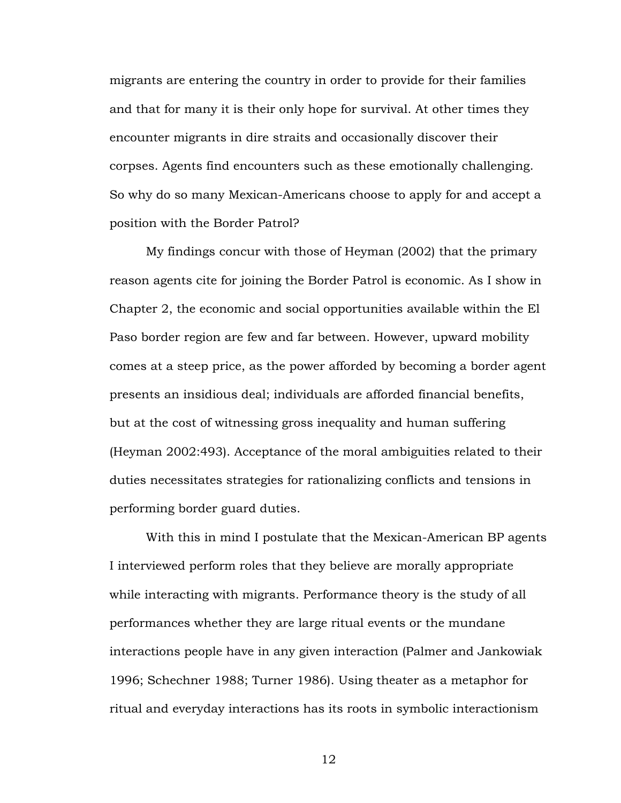migrants are entering the country in order to provide for their families and that for many it is their only hope for survival. At other times they encounter migrants in dire straits and occasionally discover their corpses. Agents find encounters such as these emotionally challenging. So why do so many Mexican-Americans choose to apply for and accept a position with the Border Patrol?

My findings concur with those of Heyman (2002) that the primary reason agents cite for joining the Border Patrol is economic. As I show in Chapter 2, the economic and social opportunities available within the El Paso border region are few and far between. However, upward mobility comes at a steep price, as the power afforded by becoming a border agent presents an insidious deal; individuals are afforded financial benefits, but at the cost of witnessing gross inequality and human suffering (Heyman 2002:493). Acceptance of the moral ambiguities related to their duties necessitates strategies for rationalizing conflicts and tensions in performing border guard duties.

With this in mind I postulate that the Mexican-American BP agents I interviewed perform roles that they believe are morally appropriate while interacting with migrants. Performance theory is the study of all performances whether they are large ritual events or the mundane interactions people have in any given interaction (Palmer and Jankowiak 1996; Schechner 1988; Turner 1986). Using theater as a metaphor for ritual and everyday interactions has its roots in symbolic interactionism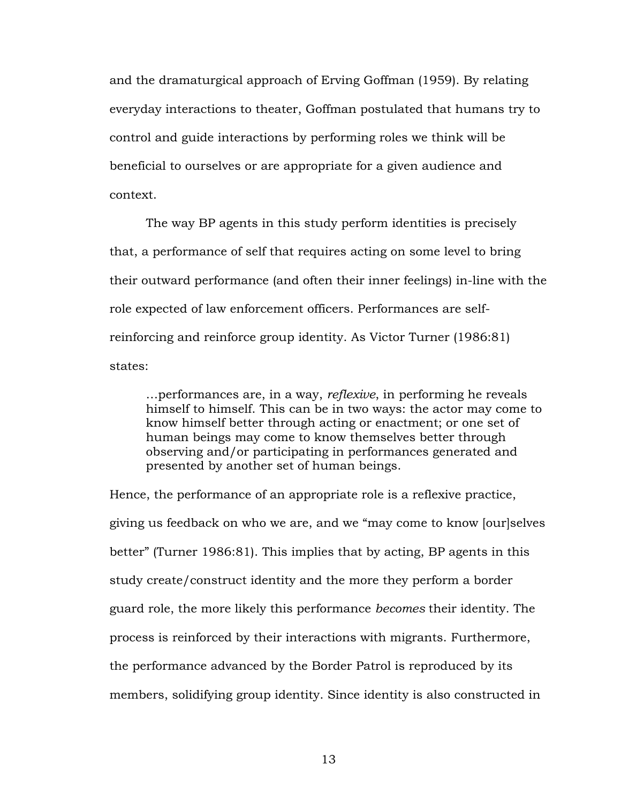and the dramaturgical approach of Erving Goffman (1959). By relating everyday interactions to theater, Goffman postulated that humans try to control and guide interactions by performing roles we think will be beneficial to ourselves or are appropriate for a given audience and context.

The way BP agents in this study perform identities is precisely that, a performance of self that requires acting on some level to bring their outward performance (and often their inner feelings) in-line with the role expected of law enforcement officers. Performances are selfreinforcing and reinforce group identity. As Victor Turner (1986:81) states:

…performances are, in a way, *reflexive*, in performing he reveals himself to himself. This can be in two ways: the actor may come to know himself better through acting or enactment; or one set of human beings may come to know themselves better through observing and/or participating in performances generated and presented by another set of human beings.

Hence, the performance of an appropriate role is a reflexive practice, giving us feedback on who we are, and we "may come to know [our]selves better" (Turner 1986:81). This implies that by acting, BP agents in this study create/construct identity and the more they perform a border guard role, the more likely this performance *becomes* their identity. The process is reinforced by their interactions with migrants. Furthermore, the performance advanced by the Border Patrol is reproduced by its members, solidifying group identity. Since identity is also constructed in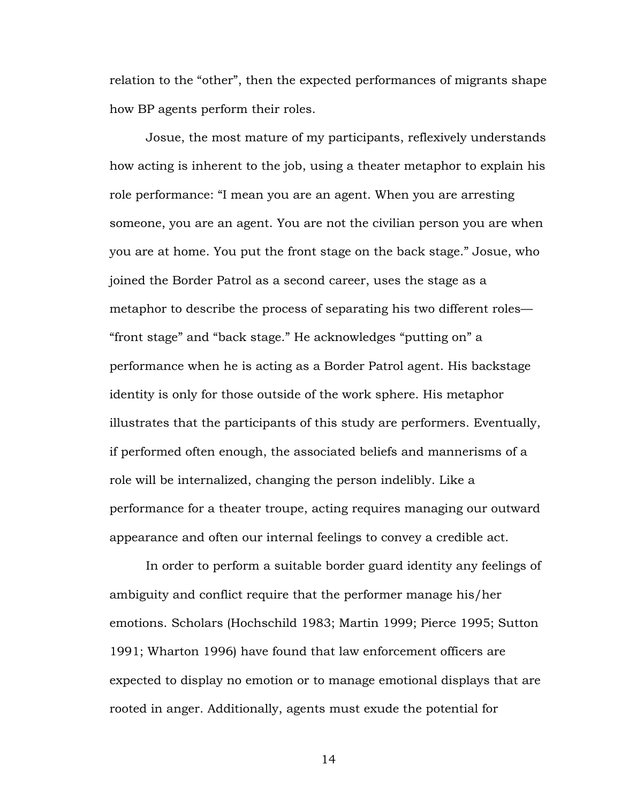relation to the "other", then the expected performances of migrants shape how BP agents perform their roles.

Josue, the most mature of my participants, reflexively understands how acting is inherent to the job, using a theater metaphor to explain his role performance: "I mean you are an agent. When you are arresting someone, you are an agent. You are not the civilian person you are when you are at home. You put the front stage on the back stage." Josue, who joined the Border Patrol as a second career, uses the stage as a metaphor to describe the process of separating his two different roles— "front stage" and "back stage." He acknowledges "putting on" a performance when he is acting as a Border Patrol agent. His backstage identity is only for those outside of the work sphere. His metaphor illustrates that the participants of this study are performers. Eventually, if performed often enough, the associated beliefs and mannerisms of a role will be internalized, changing the person indelibly. Like a performance for a theater troupe, acting requires managing our outward appearance and often our internal feelings to convey a credible act.

In order to perform a suitable border guard identity any feelings of ambiguity and conflict require that the performer manage his/her emotions. Scholars (Hochschild 1983; Martin 1999; Pierce 1995; Sutton 1991; Wharton 1996) have found that law enforcement officers are expected to display no emotion or to manage emotional displays that are rooted in anger. Additionally, agents must exude the potential for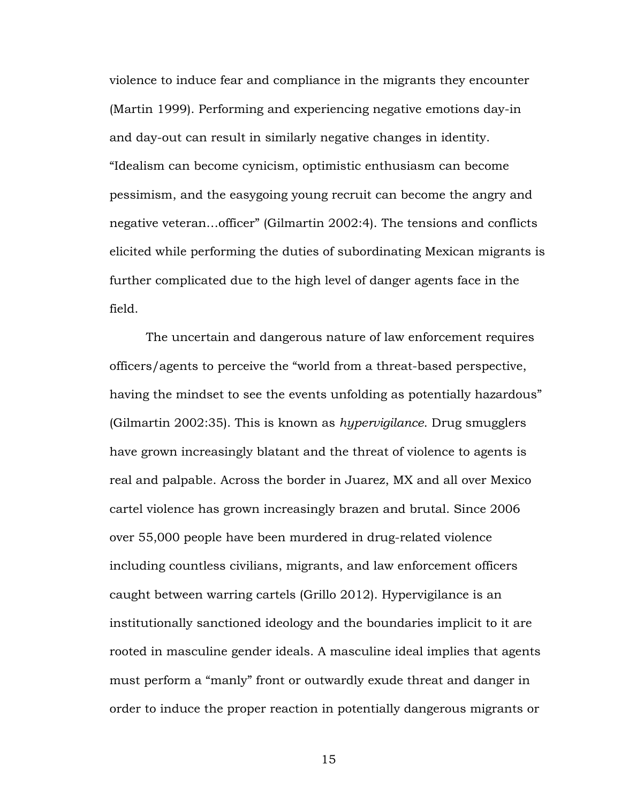violence to induce fear and compliance in the migrants they encounter (Martin 1999). Performing and experiencing negative emotions day-in and day-out can result in similarly negative changes in identity. "Idealism can become cynicism, optimistic enthusiasm can become pessimism, and the easygoing young recruit can become the angry and negative veteran…officer" (Gilmartin 2002:4). The tensions and conflicts elicited while performing the duties of subordinating Mexican migrants is further complicated due to the high level of danger agents face in the field.

The uncertain and dangerous nature of law enforcement requires officers/agents to perceive the "world from a threat-based perspective, having the mindset to see the events unfolding as potentially hazardous" (Gilmartin 2002:35). This is known as *hypervigilance*. Drug smugglers have grown increasingly blatant and the threat of violence to agents is real and palpable. Across the border in Juarez, MX and all over Mexico cartel violence has grown increasingly brazen and brutal. Since 2006 over 55,000 people have been murdered in drug-related violence including countless civilians, migrants, and law enforcement officers caught between warring cartels (Grillo 2012). Hypervigilance is an institutionally sanctioned ideology and the boundaries implicit to it are rooted in masculine gender ideals. A masculine ideal implies that agents must perform a "manly" front or outwardly exude threat and danger in order to induce the proper reaction in potentially dangerous migrants or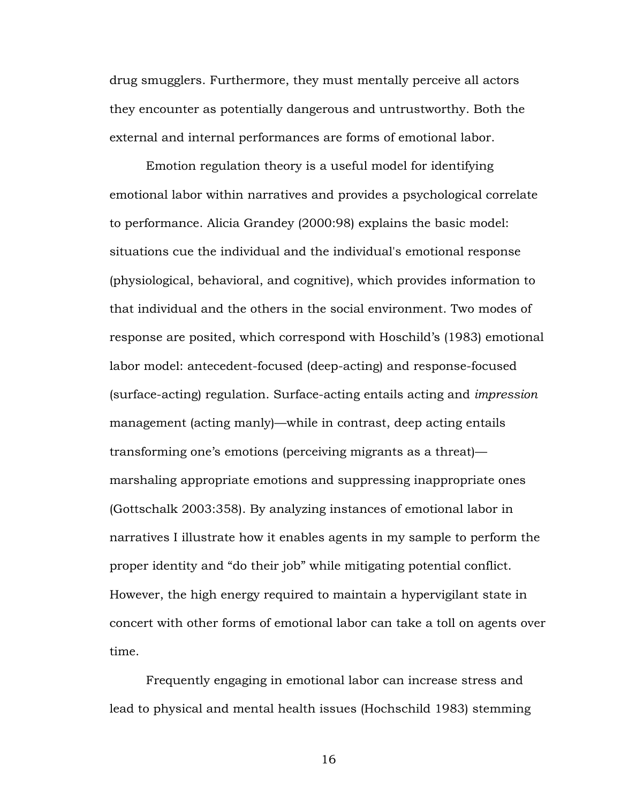drug smugglers. Furthermore, they must mentally perceive all actors they encounter as potentially dangerous and untrustworthy. Both the external and internal performances are forms of emotional labor.

Emotion regulation theory is a useful model for identifying emotional labor within narratives and provides a psychological correlate to performance. Alicia Grandey (2000:98) explains the basic model: situations cue the individual and the individual's emotional response (physiological, behavioral, and cognitive), which provides information to that individual and the others in the social environment. Two modes of response are posited, which correspond with Hoschild's (1983) emotional labor model: antecedent-focused (deep-acting) and response-focused (surface-acting) regulation. Surface-acting entails acting and *impression*  management (acting manly)—while in contrast, deep acting entails transforming one's emotions (perceiving migrants as a threat) marshaling appropriate emotions and suppressing inappropriate ones (Gottschalk 2003:358). By analyzing instances of emotional labor in narratives I illustrate how it enables agents in my sample to perform the proper identity and "do their job" while mitigating potential conflict. However, the high energy required to maintain a hypervigilant state in concert with other forms of emotional labor can take a toll on agents over time.

Frequently engaging in emotional labor can increase stress and lead to physical and mental health issues (Hochschild 1983) stemming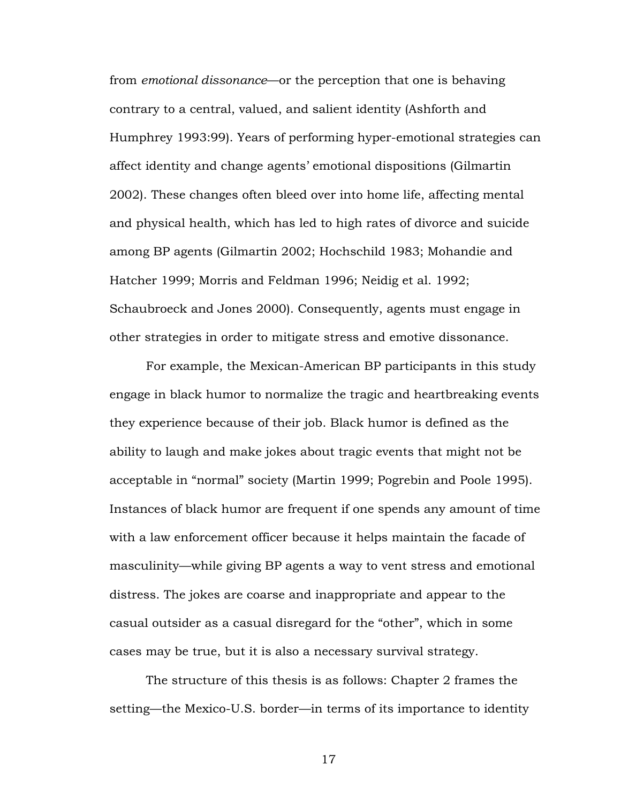from *emotional dissonance*—or the perception that one is behaving contrary to a central, valued, and salient identity (Ashforth and Humphrey 1993:99). Years of performing hyper-emotional strategies can affect identity and change agents' emotional dispositions (Gilmartin 2002). These changes often bleed over into home life, affecting mental and physical health, which has led to high rates of divorce and suicide among BP agents (Gilmartin 2002; Hochschild 1983; Mohandie and Hatcher 1999; Morris and Feldman 1996; Neidig et al. 1992; Schaubroeck and Jones 2000). Consequently, agents must engage in other strategies in order to mitigate stress and emotive dissonance.

For example, the Mexican-American BP participants in this study engage in black humor to normalize the tragic and heartbreaking events they experience because of their job. Black humor is defined as the ability to laugh and make jokes about tragic events that might not be acceptable in "normal" society (Martin 1999; Pogrebin and Poole 1995). Instances of black humor are frequent if one spends any amount of time with a law enforcement officer because it helps maintain the facade of masculinity—while giving BP agents a way to vent stress and emotional distress. The jokes are coarse and inappropriate and appear to the casual outsider as a casual disregard for the "other", which in some cases may be true, but it is also a necessary survival strategy.

The structure of this thesis is as follows: Chapter 2 frames the setting—the Mexico-U.S. border—in terms of its importance to identity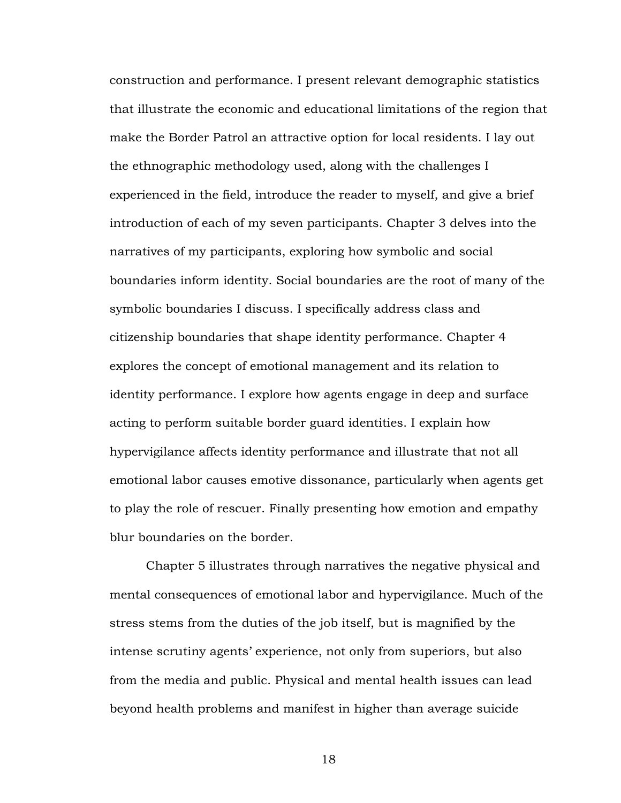construction and performance. I present relevant demographic statistics that illustrate the economic and educational limitations of the region that make the Border Patrol an attractive option for local residents. I lay out the ethnographic methodology used, along with the challenges I experienced in the field, introduce the reader to myself, and give a brief introduction of each of my seven participants. Chapter 3 delves into the narratives of my participants, exploring how symbolic and social boundaries inform identity. Social boundaries are the root of many of the symbolic boundaries I discuss. I specifically address class and citizenship boundaries that shape identity performance. Chapter 4 explores the concept of emotional management and its relation to identity performance. I explore how agents engage in deep and surface acting to perform suitable border guard identities. I explain how hypervigilance affects identity performance and illustrate that not all emotional labor causes emotive dissonance, particularly when agents get to play the role of rescuer. Finally presenting how emotion and empathy blur boundaries on the border.

Chapter 5 illustrates through narratives the negative physical and mental consequences of emotional labor and hypervigilance. Much of the stress stems from the duties of the job itself, but is magnified by the intense scrutiny agents' experience, not only from superiors, but also from the media and public. Physical and mental health issues can lead beyond health problems and manifest in higher than average suicide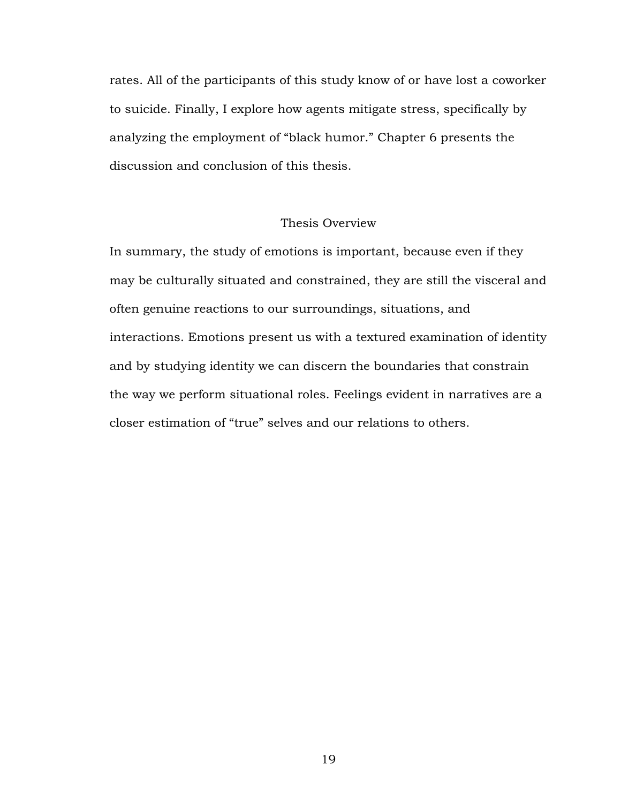rates. All of the participants of this study know of or have lost a coworker to suicide. Finally, I explore how agents mitigate stress, specifically by analyzing the employment of "black humor." Chapter 6 presents the discussion and conclusion of this thesis.

# Thesis Overview

In summary, the study of emotions is important, because even if they may be culturally situated and constrained, they are still the visceral and often genuine reactions to our surroundings, situations, and interactions. Emotions present us with a textured examination of identity and by studying identity we can discern the boundaries that constrain the way we perform situational roles. Feelings evident in narratives are a closer estimation of "true" selves and our relations to others.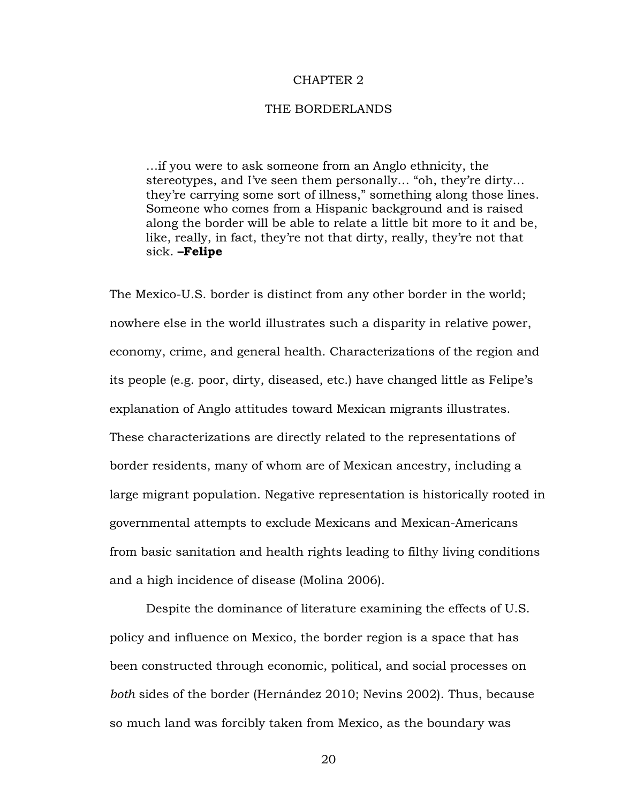#### CHAPTER 2

#### THE BORDERLANDS

…if you were to ask someone from an Anglo ethnicity, the stereotypes, and I've seen them personally… "oh, they're dirty… they're carrying some sort of illness," something along those lines. Someone who comes from a Hispanic background and is raised along the border will be able to relate a little bit more to it and be, like, really, in fact, they're not that dirty, really, they're not that sick. **–Felipe**

The Mexico-U.S. border is distinct from any other border in the world; nowhere else in the world illustrates such a disparity in relative power, economy, crime, and general health. Characterizations of the region and its people (e.g. poor, dirty, diseased, etc.) have changed little as Felipe's explanation of Anglo attitudes toward Mexican migrants illustrates. These characterizations are directly related to the representations of border residents, many of whom are of Mexican ancestry, including a large migrant population. Negative representation is historically rooted in governmental attempts to exclude Mexicans and Mexican-Americans from basic sanitation and health rights leading to filthy living conditions and a high incidence of disease (Molina 2006).

Despite the dominance of literature examining the effects of U.S. policy and influence on Mexico, the border region is a space that has been constructed through economic, political, and social processes on *both* sides of the border (Hernández 2010; Nevins 2002). Thus, because so much land was forcibly taken from Mexico, as the boundary was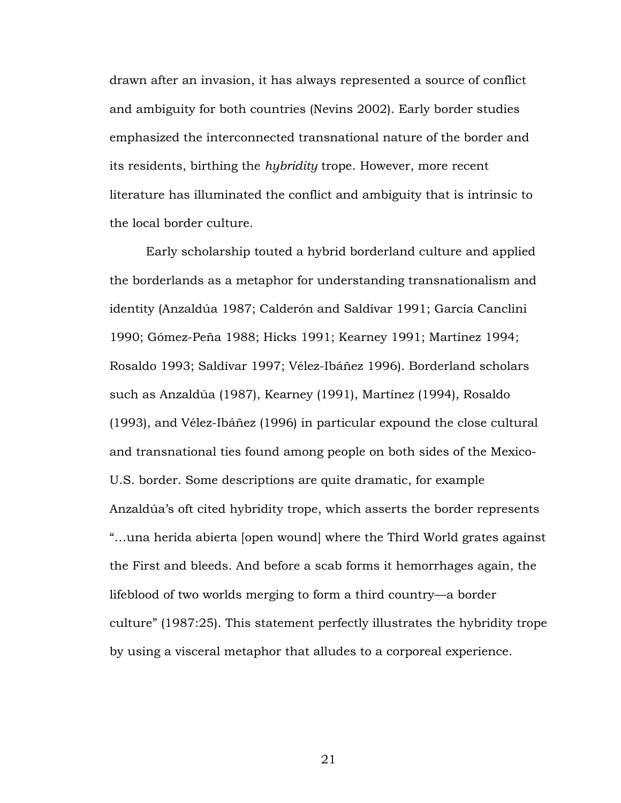drawn after an invasion, it has always represented a source of conflict and ambiguity for both countries (Nevins 2002). Early border studies emphasized the interconnected transnational nature of the border and its residents, birthing the *hybridity* trope. However, more recent literature has illuminated the conflict and ambiguity that is intrinsic to the local border culture.

Early scholarship touted a hybrid borderland culture and applied the borderlands as a metaphor for understanding transnationalism and identity (Anzaldúa 1987; Calderón and Saldívar 1991; García Canclini 1990; Gómez-Peña 1988; Hicks 1991; Kearney 1991; Martínez 1994; Rosaldo 1993; Saldívar 1997; Vélez-Ibáñez 1996). Borderland scholars such as Anzaldúa (1987), Kearney (1991), Martínez (1994), Rosaldo (1993), and Vélez-Ibáñez (1996) in particular expound the close cultural and transnational ties found among people on both sides of the Mexico-U.S. border. Some descriptions are quite dramatic, for example Anzaldúa's oft cited hybridity trope, which asserts the border represents "…una herida abierta [open wound] where the Third World grates against the First and bleeds. And before a scab forms it hemorrhages again, the lifeblood of two worlds merging to form a third country—a border culture" (1987:25). This statement perfectly illustrates the hybridity trope by using a visceral metaphor that alludes to a corporeal experience.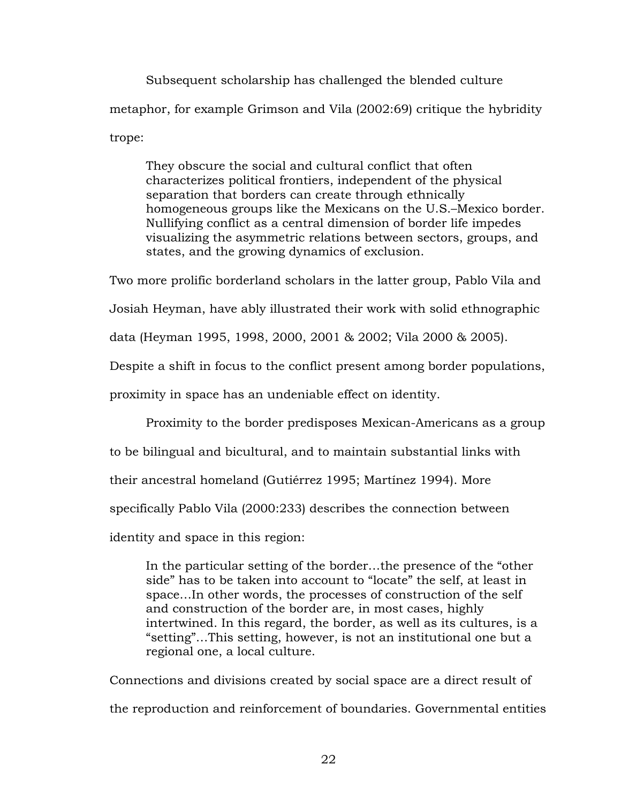Subsequent scholarship has challenged the blended culture metaphor, for example Grimson and Vila (2002:69) critique the hybridity trope:

They obscure the social and cultural conflict that often characterizes political frontiers, independent of the physical separation that borders can create through ethnically homogeneous groups like the Mexicans on the U.S.–Mexico border. Nullifying conflict as a central dimension of border life impedes visualizing the asymmetric relations between sectors, groups, and states, and the growing dynamics of exclusion.

Two more prolific borderland scholars in the latter group, Pablo Vila and

Josiah Heyman, have ably illustrated their work with solid ethnographic

data (Heyman 1995, 1998, 2000, 2001 & 2002; Vila 2000 & 2005).

Despite a shift in focus to the conflict present among border populations,

proximity in space has an undeniable effect on identity.

Proximity to the border predisposes Mexican-Americans as a group

to be bilingual and bicultural, and to maintain substantial links with

their ancestral homeland (Gutiérrez 1995; Martínez 1994). More

specifically Pablo Vila (2000:233) describes the connection between

identity and space in this region:

In the particular setting of the border…the presence of the "other side" has to be taken into account to "locate" the self, at least in space…In other words, the processes of construction of the self and construction of the border are, in most cases, highly intertwined. In this regard, the border, as well as its cultures, is a "setting"…This setting, however, is not an institutional one but a regional one, a local culture.

Connections and divisions created by social space are a direct result of the reproduction and reinforcement of boundaries. Governmental entities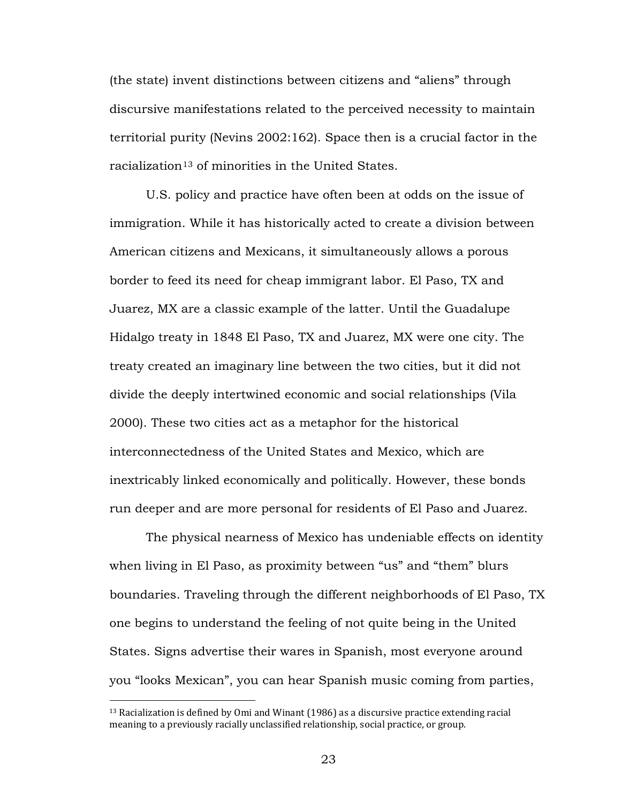(the state) invent distinctions between citizens and "aliens" through discursive manifestations related to the perceived necessity to maintain territorial purity (Nevins 2002:162). Space then is a crucial factor in the  $r$ acialization $^{13}$  $^{13}$  $^{13}$  of minorities in the United States.

U.S. policy and practice have often been at odds on the issue of immigration. While it has historically acted to create a division between American citizens and Mexicans, it simultaneously allows a porous border to feed its need for cheap immigrant labor. El Paso, TX and Juarez, MX are a classic example of the latter. Until the Guadalupe Hidalgo treaty in 1848 El Paso, TX and Juarez, MX were one city. The treaty created an imaginary line between the two cities, but it did not divide the deeply intertwined economic and social relationships (Vila 2000). These two cities act as a metaphor for the historical interconnectedness of the United States and Mexico, which are inextricably linked economically and politically. However, these bonds run deeper and are more personal for residents of El Paso and Juarez.

The physical nearness of Mexico has undeniable effects on identity when living in El Paso, as proximity between "us" and "them" blurs boundaries. Traveling through the different neighborhoods of El Paso, TX one begins to understand the feeling of not quite being in the United States. Signs advertise their wares in Spanish, most everyone around you "looks Mexican", you can hear Spanish music coming from parties,

<span id="page-28-0"></span> $13$  Racialization is defined by Omi and Winant (1986) as a discursive practice extending racial meaning to a previously racially unclassified relationship, social practice, or group.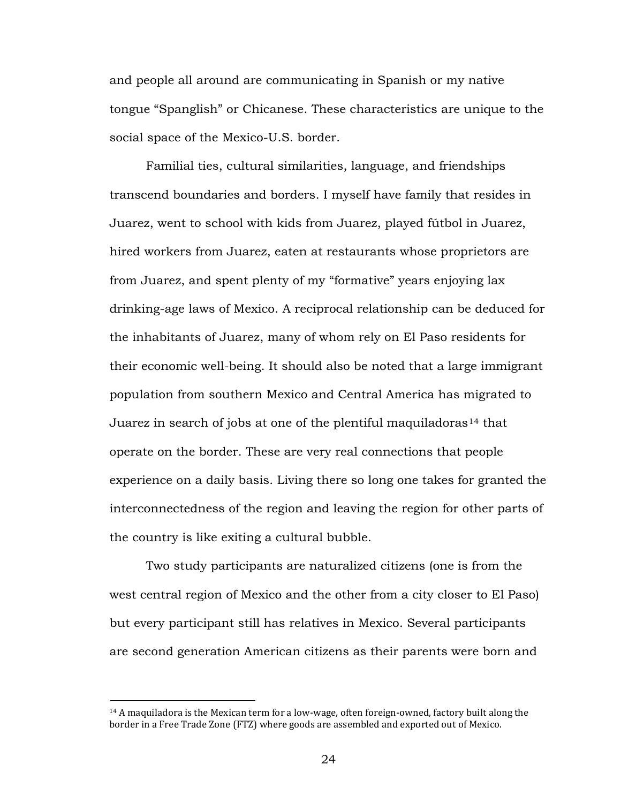and people all around are communicating in Spanish or my native tongue "Spanglish" or Chicanese. These characteristics are unique to the social space of the Mexico-U.S. border.

Familial ties, cultural similarities, language, and friendships transcend boundaries and borders. I myself have family that resides in Juarez, went to school with kids from Juarez, played fútbol in Juarez, hired workers from Juarez, eaten at restaurants whose proprietors are from Juarez, and spent plenty of my "formative" years enjoying lax drinking-age laws of Mexico. A reciprocal relationship can be deduced for the inhabitants of Juarez, many of whom rely on El Paso residents for their economic well-being. It should also be noted that a large immigrant population from southern Mexico and Central America has migrated to Juarez in search of jobs at one of the plentiful maquiladoras<sup>[14](#page-29-0)</sup> that operate on the border. These are very real connections that people experience on a daily basis. Living there so long one takes for granted the interconnectedness of the region and leaving the region for other parts of the country is like exiting a cultural bubble.

Two study participants are naturalized citizens (one is from the west central region of Mexico and the other from a city closer to El Paso) but every participant still has relatives in Mexico. Several participants are second generation American citizens as their parents were born and

<span id="page-29-0"></span> $14$  A maquiladora is the Mexican term for a low-wage, often foreign-owned, factory built along the border in a Free Trade Zone (FTZ) where goods are assembled and exported out of Mexico.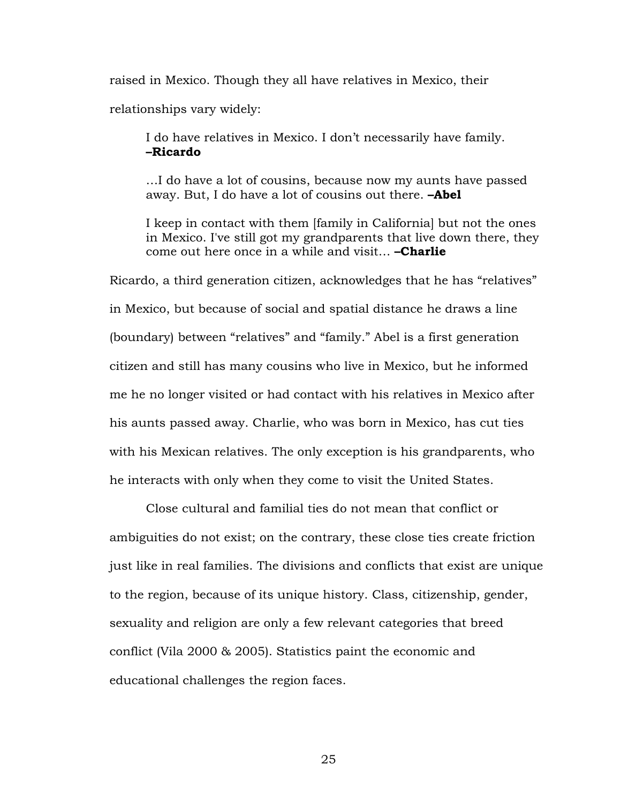raised in Mexico. Though they all have relatives in Mexico, their

relationships vary widely:

I do have relatives in Mexico. I don't necessarily have family. **–Ricardo**

…I do have a lot of cousins, because now my aunts have passed away. But, I do have a lot of cousins out there. **–Abel**

I keep in contact with them [family in California] but not the ones in Mexico. I've still got my grandparents that live down there, they come out here once in a while and visit… **–Charlie**

Ricardo, a third generation citizen, acknowledges that he has "relatives" in Mexico, but because of social and spatial distance he draws a line (boundary) between "relatives" and "family." Abel is a first generation citizen and still has many cousins who live in Mexico, but he informed me he no longer visited or had contact with his relatives in Mexico after his aunts passed away. Charlie, who was born in Mexico, has cut ties with his Mexican relatives. The only exception is his grandparents, who he interacts with only when they come to visit the United States.

Close cultural and familial ties do not mean that conflict or ambiguities do not exist; on the contrary, these close ties create friction just like in real families. The divisions and conflicts that exist are unique to the region, because of its unique history. Class, citizenship, gender, sexuality and religion are only a few relevant categories that breed conflict (Vila 2000 & 2005). Statistics paint the economic and educational challenges the region faces.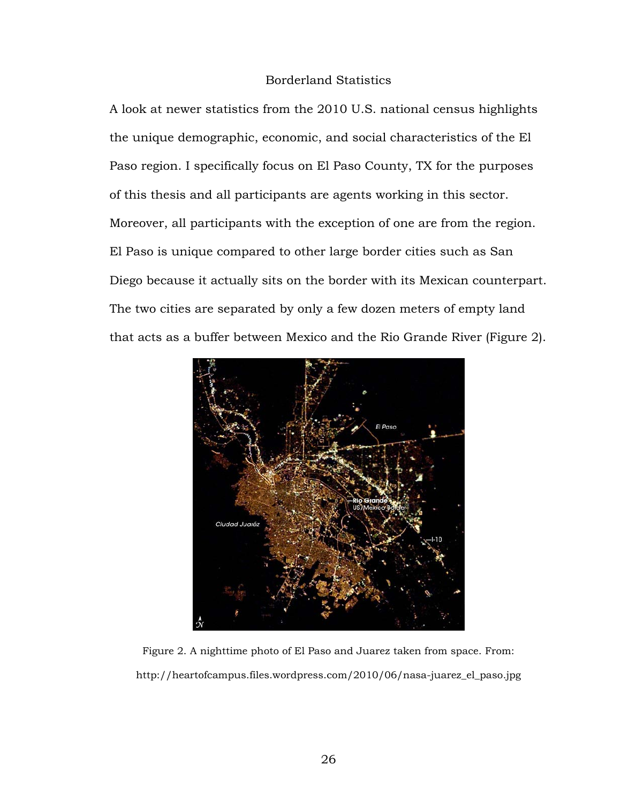# Borderland Statistics

A look at newer statistics from the 2010 U.S. national census highlights the unique demographic, economic, and social characteristics of the El Paso region. I specifically focus on El Paso County, TX for the purposes of this thesis and all participants are agents working in this sector. Moreover, all participants with the exception of one are from the region. El Paso is unique compared to other large border cities such as San Diego because it actually sits on the border with its Mexican counterpart. The two cities are separated by only a few dozen meters of empty land that acts as a buffer between Mexico and the Rio Grande River (Figure 2).



Figure 2. A nighttime photo of El Paso and Juarez taken from space. From: http://heartofcampus.files.wordpress.com/2010/06/nasa-juarez\_el\_paso.jpg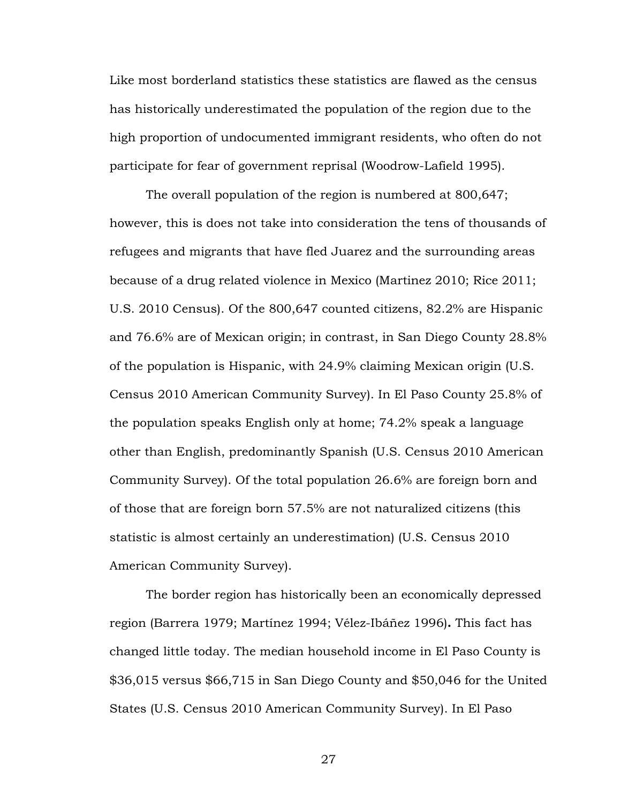Like most borderland statistics these statistics are flawed as the census has historically underestimated the population of the region due to the high proportion of undocumented immigrant residents, who often do not participate for fear of government reprisal (Woodrow-Lafield 1995).

The overall population of the region is numbered at 800,647; however, this is does not take into consideration the tens of thousands of refugees and migrants that have fled Juarez and the surrounding areas because of a drug related violence in Mexico (Martinez 2010; Rice 2011; U.S. 2010 Census). Of the 800,647 counted citizens, 82.2% are Hispanic and 76.6% are of Mexican origin; in contrast, in San Diego County 28.8% of the population is Hispanic, with 24.9% claiming Mexican origin (U.S. Census 2010 American Community Survey). In El Paso County 25.8% of the population speaks English only at home; 74.2% speak a language other than English, predominantly Spanish (U.S. Census 2010 American Community Survey). Of the total population 26.6% are foreign born and of those that are foreign born 57.5% are not naturalized citizens (this statistic is almost certainly an underestimation) (U.S. Census 2010 American Community Survey).

The border region has historically been an economically depressed region (Barrera 1979; Martínez 1994; Vélez-Ibáñez 1996)**.** This fact has changed little today. The median household income in El Paso County is \$36,015 versus \$66,715 in San Diego County and \$50,046 for the United States (U.S. Census 2010 American Community Survey). In El Paso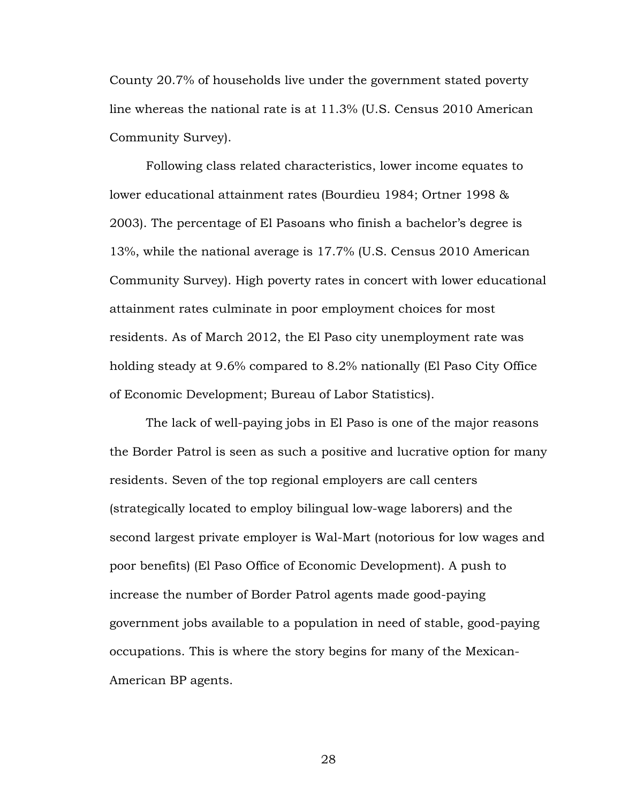County 20.7% of households live under the government stated poverty line whereas the national rate is at 11.3% (U.S. Census 2010 American Community Survey).

Following class related characteristics, lower income equates to lower educational attainment rates (Bourdieu 1984; Ortner 1998 & 2003). The percentage of El Pasoans who finish a bachelor's degree is 13%, while the national average is 17.7% (U.S. Census 2010 American Community Survey). High poverty rates in concert with lower educational attainment rates culminate in poor employment choices for most residents. As of March 2012, the El Paso city unemployment rate was holding steady at 9.6% compared to 8.2% nationally (El Paso City Office of Economic Development; Bureau of Labor Statistics).

The lack of well-paying jobs in El Paso is one of the major reasons the Border Patrol is seen as such a positive and lucrative option for many residents. Seven of the top regional employers are call centers (strategically located to employ bilingual low-wage laborers) and the second largest private employer is Wal-Mart (notorious for low wages and poor benefits) (El Paso Office of Economic Development). A push to increase the number of Border Patrol agents made good-paying government jobs available to a population in need of stable, good-paying occupations. This is where the story begins for many of the Mexican-American BP agents.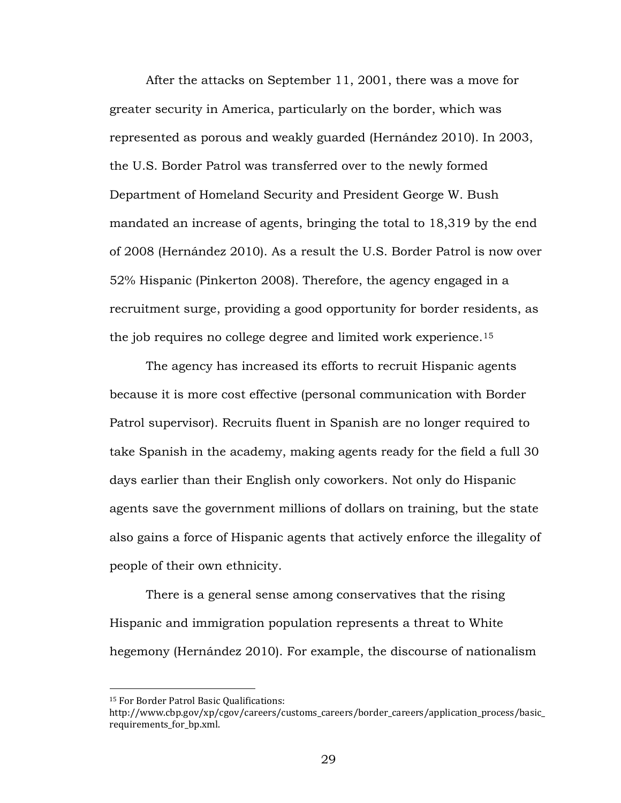After the attacks on September 11, 2001, there was a move for greater security in America, particularly on the border, which was represented as porous and weakly guarded (Hernández 2010). In 2003, the U.S. Border Patrol was transferred over to the newly formed Department of Homeland Security and President George W. Bush mandated an increase of agents, bringing the total to 18,319 by the end of 2008 (Hernández 2010). As a result the U.S. Border Patrol is now over 52% Hispanic (Pinkerton 2008). Therefore, the agency engaged in a recruitment surge, providing a good opportunity for border residents, as the job requires no college degree and limited work experience.[15](#page-34-0)

The agency has increased its efforts to recruit Hispanic agents because it is more cost effective (personal communication with Border Patrol supervisor). Recruits fluent in Spanish are no longer required to take Spanish in the academy, making agents ready for the field a full 30 days earlier than their English only coworkers. Not only do Hispanic agents save the government millions of dollars on training, but the state also gains a force of Hispanic agents that actively enforce the illegality of people of their own ethnicity.

There is a general sense among conservatives that the rising Hispanic and immigration population represents a threat to White hegemony (Hernández 2010). For example, the discourse of nationalism

<span id="page-34-0"></span><sup>15</sup> For Border Patrol Basic Qualifications:

http://www.cbp.gov/xp/cgov/careers/customs\_careers/border\_careers/application\_process/basic\_ requirements\_for\_bp.xml.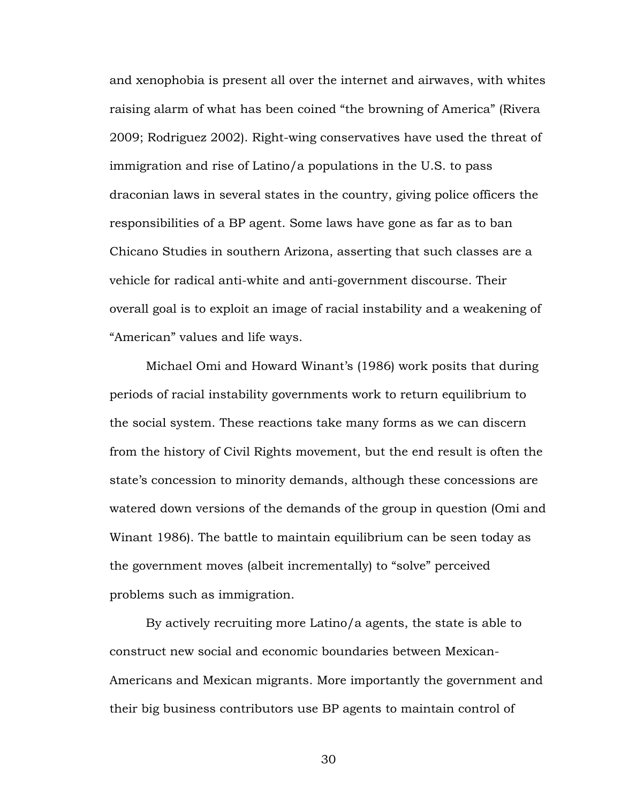and xenophobia is present all over the internet and airwaves, with whites raising alarm of what has been coined "the browning of America" (Rivera 2009; Rodriguez 2002). Right-wing conservatives have used the threat of immigration and rise of Latino/a populations in the U.S. to pass draconian laws in several states in the country, giving police officers the responsibilities of a BP agent. Some laws have gone as far as to ban Chicano Studies in southern Arizona, asserting that such classes are a vehicle for radical anti-white and anti-government discourse. Their overall goal is to exploit an image of racial instability and a weakening of "American" values and life ways.

Michael Omi and Howard Winant's (1986) work posits that during periods of racial instability governments work to return equilibrium to the social system. These reactions take many forms as we can discern from the history of Civil Rights movement, but the end result is often the state's concession to minority demands, although these concessions are watered down versions of the demands of the group in question (Omi and Winant 1986). The battle to maintain equilibrium can be seen today as the government moves (albeit incrementally) to "solve" perceived problems such as immigration.

By actively recruiting more Latino/a agents, the state is able to construct new social and economic boundaries between Mexican-Americans and Mexican migrants. More importantly the government and their big business contributors use BP agents to maintain control of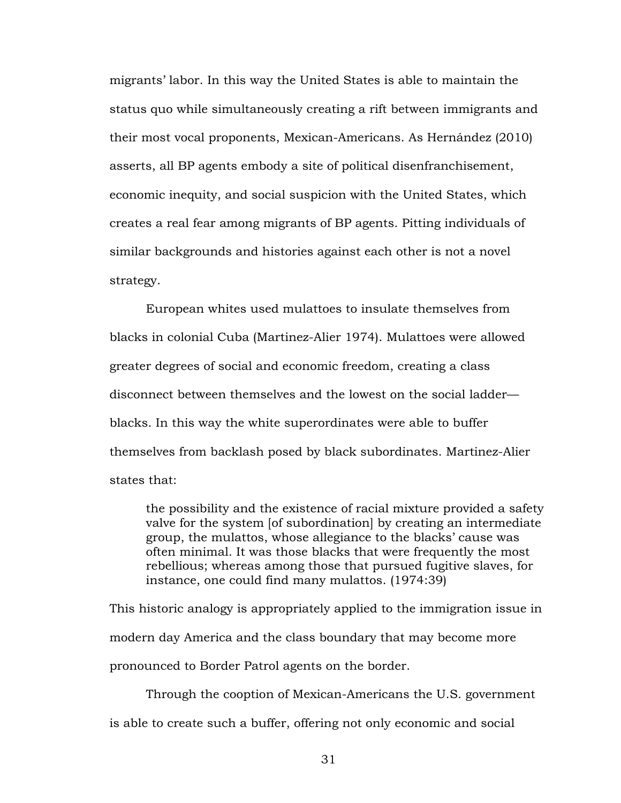migrants' labor. In this way the United States is able to maintain the status quo while simultaneously creating a rift between immigrants and their most vocal proponents, Mexican-Americans. As Hernández (2010) asserts, all BP agents embody a site of political disenfranchisement, economic inequity, and social suspicion with the United States, which creates a real fear among migrants of BP agents. Pitting individuals of similar backgrounds and histories against each other is not a novel strategy.

European whites used mulattoes to insulate themselves from blacks in colonial Cuba (Martinez-Alier 1974). Mulattoes were allowed greater degrees of social and economic freedom, creating a class disconnect between themselves and the lowest on the social ladder blacks. In this way the white superordinates were able to buffer themselves from backlash posed by black subordinates. Martinez-Alier states that:

the possibility and the existence of racial mixture provided a safety valve for the system [of subordination] by creating an intermediate group, the mulattos, whose allegiance to the blacks' cause was often minimal. It was those blacks that were frequently the most rebellious; whereas among those that pursued fugitive slaves, for instance, one could find many mulattos. (1974:39)

This historic analogy is appropriately applied to the immigration issue in modern day America and the class boundary that may become more pronounced to Border Patrol agents on the border.

Through the cooption of Mexican-Americans the U.S. government is able to create such a buffer, offering not only economic and social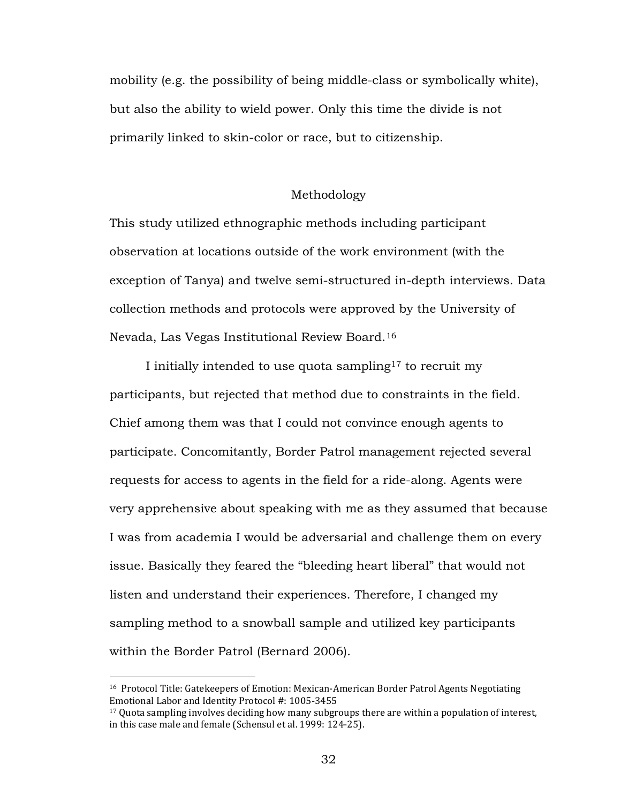mobility (e.g. the possibility of being middle-class or symbolically white), but also the ability to wield power. Only this time the divide is not primarily linked to skin-color or race, but to citizenship.

# Methodology

This study utilized ethnographic methods including participant observation at locations outside of the work environment (with the exception of Tanya) and twelve semi-structured in-depth interviews. Data collection methods and protocols were approved by the University of Nevada, Las Vegas Institutional Review Board.[16](#page-37-0)

I initially intended to use quota sampling<sup>[17](#page-37-1)</sup> to recruit my participants, but rejected that method due to constraints in the field. Chief among them was that I could not convince enough agents to participate. Concomitantly, Border Patrol management rejected several requests for access to agents in the field for a ride-along. Agents were very apprehensive about speaking with me as they assumed that because I was from academia I would be adversarial and challenge them on every issue. Basically they feared the "bleeding heart liberal" that would not listen and understand their experiences. Therefore, I changed my sampling method to a snowball sample and utilized key participants within the Border Patrol (Bernard 2006).

 $\overline{a}$ 

<span id="page-37-0"></span><sup>16</sup> Protocol Title: Gatekeepers of Emotion: Mexican-American Border Patrol Agents Negotiating Emotional Labor and Identity Protocol #: 1005-3455

<span id="page-37-1"></span><sup>&</sup>lt;sup>17</sup> Quota sampling involves deciding how many subgroups there are within a population of interest, in this case male and female (Schensul et al. 1999: 124-25).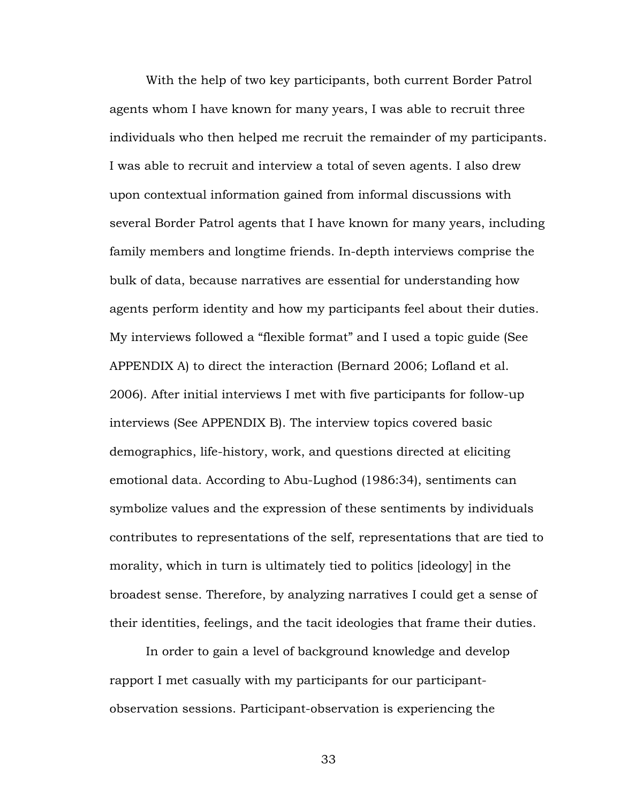With the help of two key participants, both current Border Patrol agents whom I have known for many years, I was able to recruit three individuals who then helped me recruit the remainder of my participants. I was able to recruit and interview a total of seven agents. I also drew upon contextual information gained from informal discussions with several Border Patrol agents that I have known for many years, including family members and longtime friends. In-depth interviews comprise the bulk of data, because narratives are essential for understanding how agents perform identity and how my participants feel about their duties. My interviews followed a "flexible format" and I used a topic guide (See APPENDIX A) to direct the interaction (Bernard 2006; Lofland et al. 2006). After initial interviews I met with five participants for follow-up interviews (See APPENDIX B). The interview topics covered basic demographics, life-history, work, and questions directed at eliciting emotional data. According to Abu-Lughod (1986:34), sentiments can symbolize values and the expression of these sentiments by individuals contributes to representations of the self, representations that are tied to morality, which in turn is ultimately tied to politics [ideology] in the broadest sense. Therefore, by analyzing narratives I could get a sense of their identities, feelings, and the tacit ideologies that frame their duties.

In order to gain a level of background knowledge and develop rapport I met casually with my participants for our participantobservation sessions. Participant-observation is experiencing the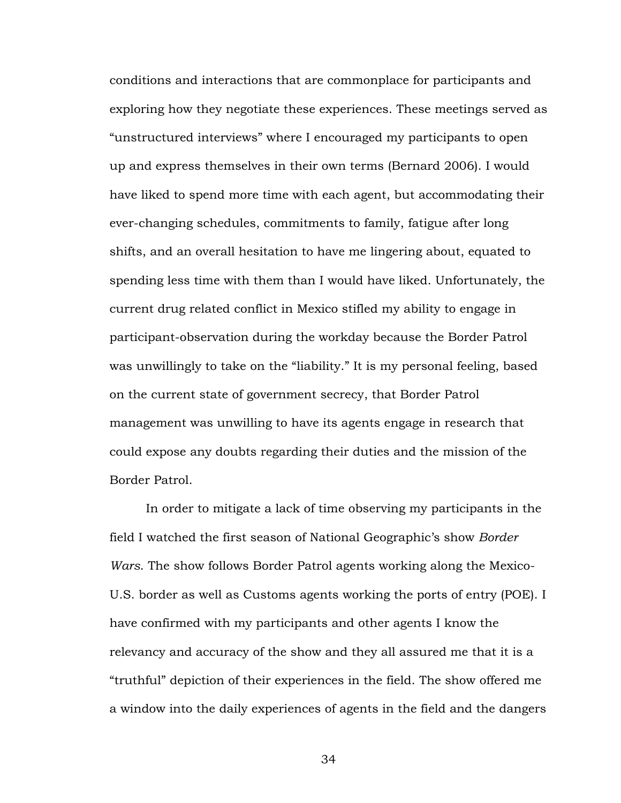conditions and interactions that are commonplace for participants and exploring how they negotiate these experiences. These meetings served as "unstructured interviews" where I encouraged my participants to open up and express themselves in their own terms (Bernard 2006). I would have liked to spend more time with each agent, but accommodating their ever-changing schedules, commitments to family, fatigue after long shifts, and an overall hesitation to have me lingering about, equated to spending less time with them than I would have liked. Unfortunately, the current drug related conflict in Mexico stifled my ability to engage in participant-observation during the workday because the Border Patrol was unwillingly to take on the "liability." It is my personal feeling, based on the current state of government secrecy, that Border Patrol management was unwilling to have its agents engage in research that could expose any doubts regarding their duties and the mission of the Border Patrol.

In order to mitigate a lack of time observing my participants in the field I watched the first season of National Geographic's show *Border Wars*. The show follows Border Patrol agents working along the Mexico-U.S. border as well as Customs agents working the ports of entry (POE). I have confirmed with my participants and other agents I know the relevancy and accuracy of the show and they all assured me that it is a "truthful" depiction of their experiences in the field. The show offered me a window into the daily experiences of agents in the field and the dangers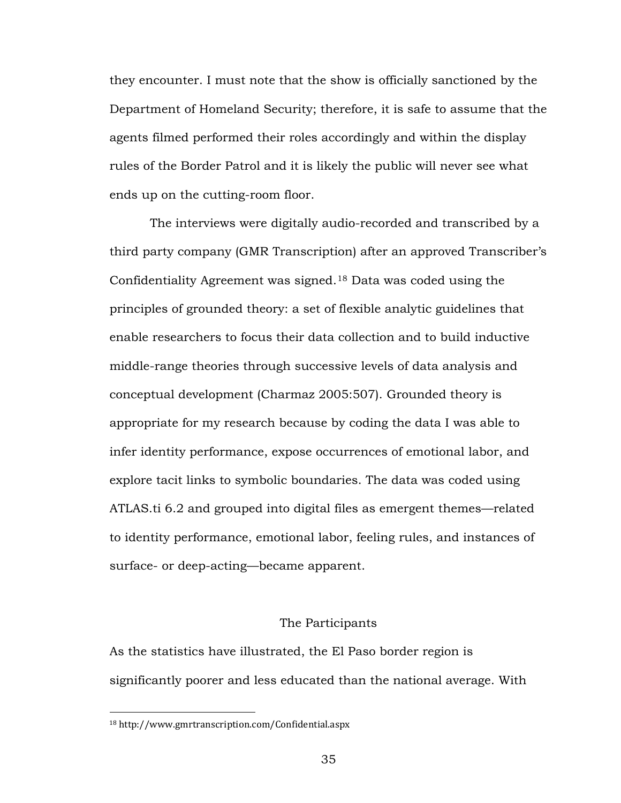they encounter. I must note that the show is officially sanctioned by the Department of Homeland Security; therefore, it is safe to assume that the agents filmed performed their roles accordingly and within the display rules of the Border Patrol and it is likely the public will never see what ends up on the cutting-room floor.

The interviews were digitally audio-recorded and transcribed by a third party company (GMR Transcription) after an approved Transcriber's Confidentiality Agreement was signed.[18](#page-40-0) Data was coded using the principles of grounded theory: a set of flexible analytic guidelines that enable researchers to focus their data collection and to build inductive middle-range theories through successive levels of data analysis and conceptual development (Charmaz 2005:507). Grounded theory is appropriate for my research because by coding the data I was able to infer identity performance, expose occurrences of emotional labor, and explore tacit links to symbolic boundaries. The data was coded using ATLAS.ti 6.2 and grouped into digital files as emergent themes—related to identity performance, emotional labor, feeling rules, and instances of surface- or deep-acting—became apparent.

### The Participants

As the statistics have illustrated, the El Paso border region is significantly poorer and less educated than the national average. With

 $\overline{a}$ 

<span id="page-40-0"></span><sup>18</sup> http://www.gmrtranscription.com/Confidential.aspx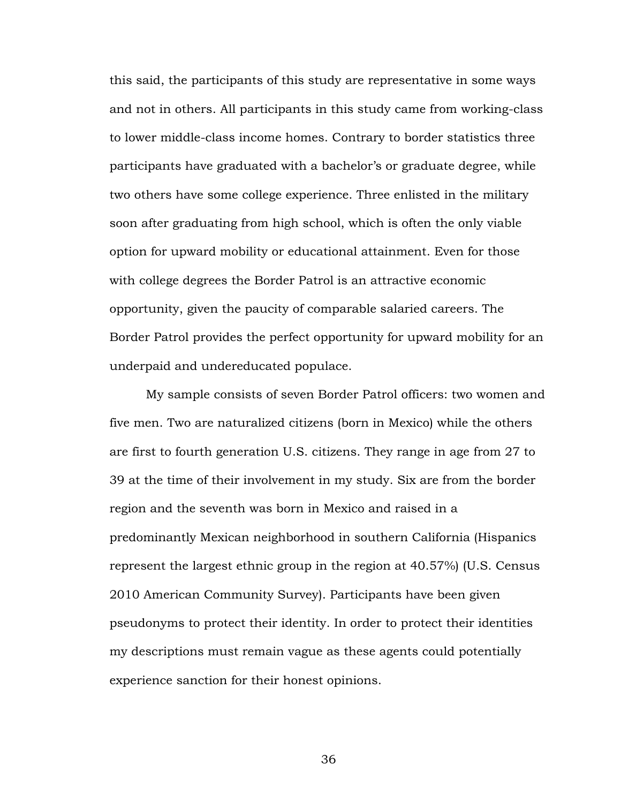this said, the participants of this study are representative in some ways and not in others. All participants in this study came from working-class to lower middle-class income homes. Contrary to border statistics three participants have graduated with a bachelor's or graduate degree, while two others have some college experience. Three enlisted in the military soon after graduating from high school, which is often the only viable option for upward mobility or educational attainment. Even for those with college degrees the Border Patrol is an attractive economic opportunity, given the paucity of comparable salaried careers. The Border Patrol provides the perfect opportunity for upward mobility for an underpaid and undereducated populace.

My sample consists of seven Border Patrol officers: two women and five men. Two are naturalized citizens (born in Mexico) while the others are first to fourth generation U.S. citizens. They range in age from 27 to 39 at the time of their involvement in my study. Six are from the border region and the seventh was born in Mexico and raised in a predominantly Mexican neighborhood in southern California (Hispanics represent the largest ethnic group in the region at 40.57%) (U.S. Census 2010 American Community Survey). Participants have been given pseudonyms to protect their identity. In order to protect their identities my descriptions must remain vague as these agents could potentially experience sanction for their honest opinions.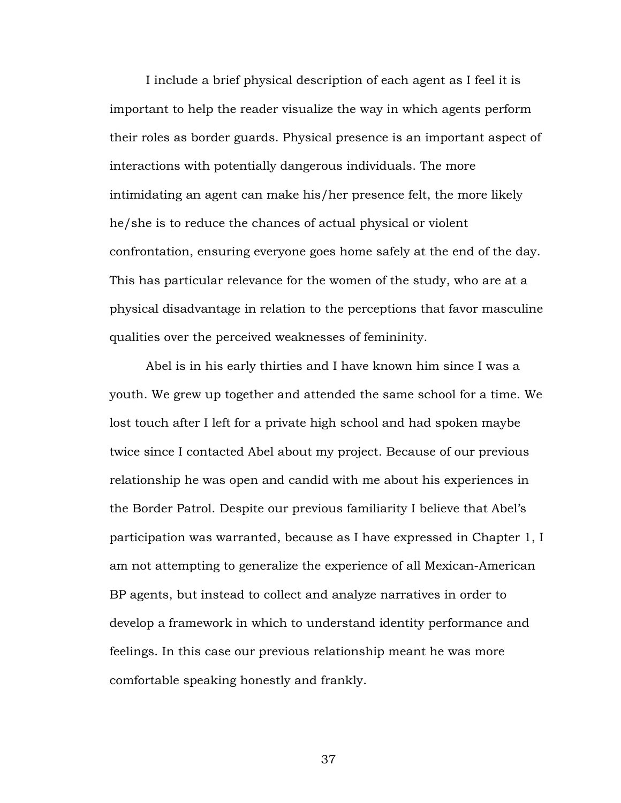I include a brief physical description of each agent as I feel it is important to help the reader visualize the way in which agents perform their roles as border guards. Physical presence is an important aspect of interactions with potentially dangerous individuals. The more intimidating an agent can make his/her presence felt, the more likely he/she is to reduce the chances of actual physical or violent confrontation, ensuring everyone goes home safely at the end of the day. This has particular relevance for the women of the study, who are at a physical disadvantage in relation to the perceptions that favor masculine qualities over the perceived weaknesses of femininity.

Abel is in his early thirties and I have known him since I was a youth. We grew up together and attended the same school for a time. We lost touch after I left for a private high school and had spoken maybe twice since I contacted Abel about my project. Because of our previous relationship he was open and candid with me about his experiences in the Border Patrol. Despite our previous familiarity I believe that Abel's participation was warranted, because as I have expressed in Chapter 1, I am not attempting to generalize the experience of all Mexican-American BP agents, but instead to collect and analyze narratives in order to develop a framework in which to understand identity performance and feelings. In this case our previous relationship meant he was more comfortable speaking honestly and frankly.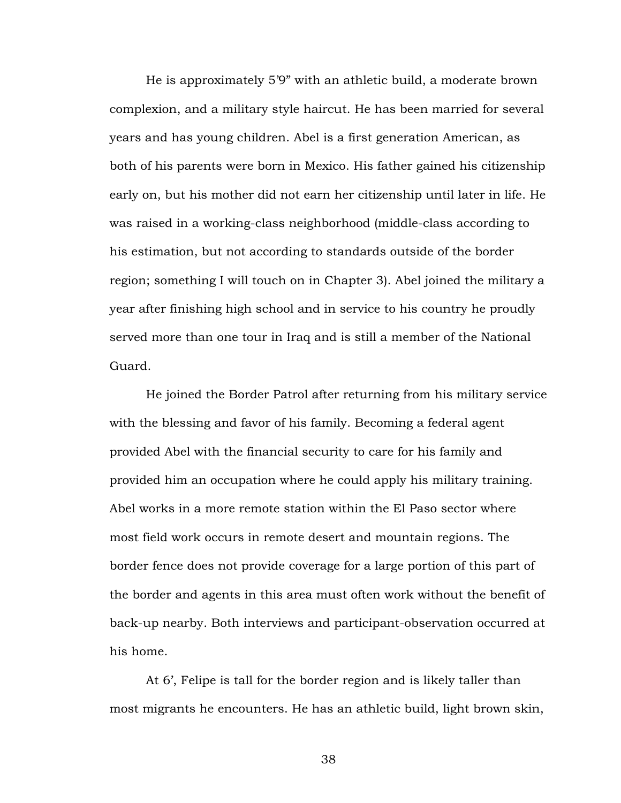He is approximately 5'9" with an athletic build, a moderate brown complexion, and a military style haircut. He has been married for several years and has young children. Abel is a first generation American, as both of his parents were born in Mexico. His father gained his citizenship early on, but his mother did not earn her citizenship until later in life. He was raised in a working-class neighborhood (middle-class according to his estimation, but not according to standards outside of the border region; something I will touch on in Chapter 3). Abel joined the military a year after finishing high school and in service to his country he proudly served more than one tour in Iraq and is still a member of the National Guard.

He joined the Border Patrol after returning from his military service with the blessing and favor of his family. Becoming a federal agent provided Abel with the financial security to care for his family and provided him an occupation where he could apply his military training. Abel works in a more remote station within the El Paso sector where most field work occurs in remote desert and mountain regions. The border fence does not provide coverage for a large portion of this part of the border and agents in this area must often work without the benefit of back-up nearby. Both interviews and participant-observation occurred at his home.

At 6', Felipe is tall for the border region and is likely taller than most migrants he encounters. He has an athletic build, light brown skin,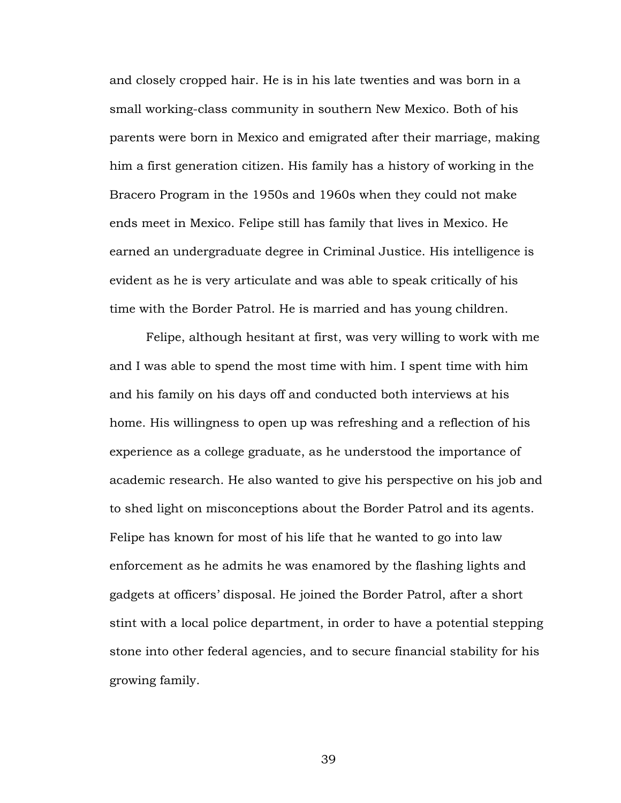and closely cropped hair. He is in his late twenties and was born in a small working-class community in southern New Mexico. Both of his parents were born in Mexico and emigrated after their marriage, making him a first generation citizen. His family has a history of working in the Bracero Program in the 1950s and 1960s when they could not make ends meet in Mexico. Felipe still has family that lives in Mexico. He earned an undergraduate degree in Criminal Justice. His intelligence is evident as he is very articulate and was able to speak critically of his time with the Border Patrol. He is married and has young children.

Felipe, although hesitant at first, was very willing to work with me and I was able to spend the most time with him. I spent time with him and his family on his days off and conducted both interviews at his home. His willingness to open up was refreshing and a reflection of his experience as a college graduate, as he understood the importance of academic research. He also wanted to give his perspective on his job and to shed light on misconceptions about the Border Patrol and its agents. Felipe has known for most of his life that he wanted to go into law enforcement as he admits he was enamored by the flashing lights and gadgets at officers' disposal. He joined the Border Patrol, after a short stint with a local police department, in order to have a potential stepping stone into other federal agencies, and to secure financial stability for his growing family.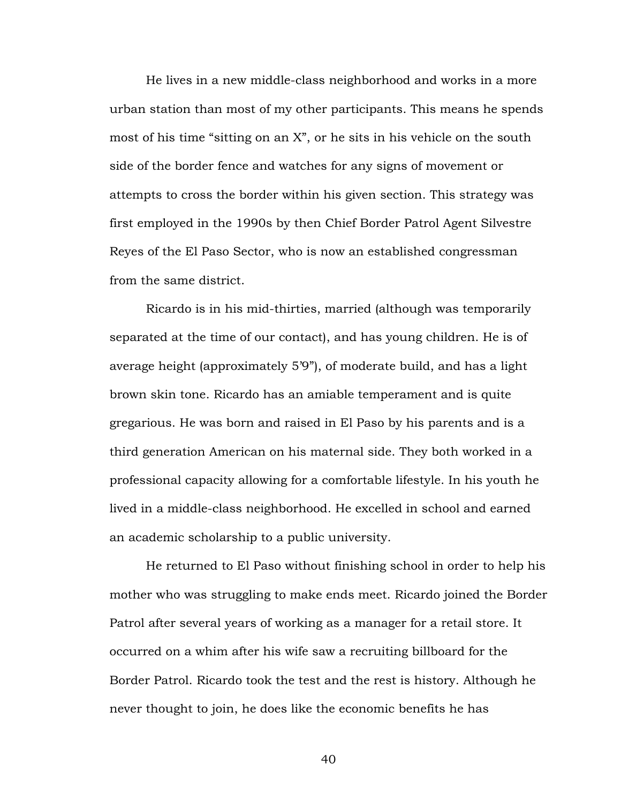He lives in a new middle-class neighborhood and works in a more urban station than most of my other participants. This means he spends most of his time "sitting on an X", or he sits in his vehicle on the south side of the border fence and watches for any signs of movement or attempts to cross the border within his given section. This strategy was first employed in the 1990s by then Chief Border Patrol Agent Silvestre Reyes of the El Paso Sector, who is now an established congressman from the same district.

Ricardo is in his mid-thirties, married (although was temporarily separated at the time of our contact), and has young children. He is of average height (approximately 5'9"), of moderate build, and has a light brown skin tone. Ricardo has an amiable temperament and is quite gregarious. He was born and raised in El Paso by his parents and is a third generation American on his maternal side. They both worked in a professional capacity allowing for a comfortable lifestyle. In his youth he lived in a middle-class neighborhood. He excelled in school and earned an academic scholarship to a public university.

He returned to El Paso without finishing school in order to help his mother who was struggling to make ends meet. Ricardo joined the Border Patrol after several years of working as a manager for a retail store. It occurred on a whim after his wife saw a recruiting billboard for the Border Patrol. Ricardo took the test and the rest is history. Although he never thought to join, he does like the economic benefits he has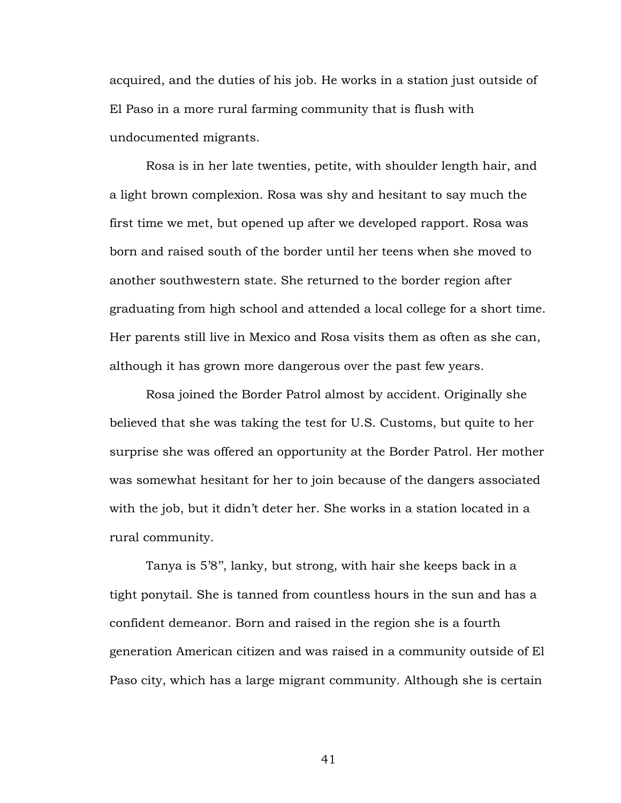acquired, and the duties of his job. He works in a station just outside of El Paso in a more rural farming community that is flush with undocumented migrants.

Rosa is in her late twenties, petite, with shoulder length hair, and a light brown complexion. Rosa was shy and hesitant to say much the first time we met, but opened up after we developed rapport. Rosa was born and raised south of the border until her teens when she moved to another southwestern state. She returned to the border region after graduating from high school and attended a local college for a short time. Her parents still live in Mexico and Rosa visits them as often as she can, although it has grown more dangerous over the past few years.

Rosa joined the Border Patrol almost by accident. Originally she believed that she was taking the test for U.S. Customs, but quite to her surprise she was offered an opportunity at the Border Patrol. Her mother was somewhat hesitant for her to join because of the dangers associated with the job, but it didn't deter her. She works in a station located in a rural community.

Tanya is 5'8'', lanky, but strong, with hair she keeps back in a tight ponytail. She is tanned from countless hours in the sun and has a confident demeanor. Born and raised in the region she is a fourth generation American citizen and was raised in a community outside of El Paso city, which has a large migrant community. Although she is certain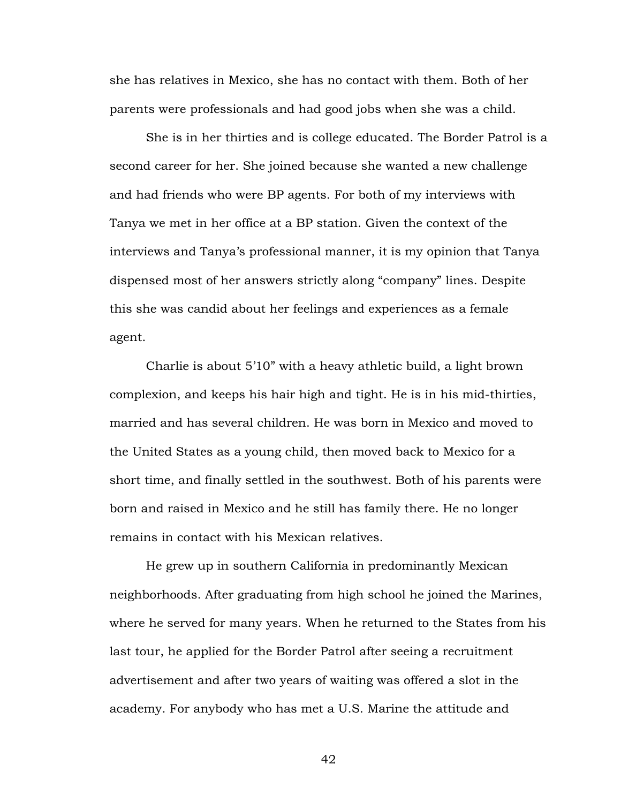she has relatives in Mexico, she has no contact with them. Both of her parents were professionals and had good jobs when she was a child.

She is in her thirties and is college educated. The Border Patrol is a second career for her. She joined because she wanted a new challenge and had friends who were BP agents. For both of my interviews with Tanya we met in her office at a BP station. Given the context of the interviews and Tanya's professional manner, it is my opinion that Tanya dispensed most of her answers strictly along "company" lines. Despite this she was candid about her feelings and experiences as a female agent.

Charlie is about 5'10" with a heavy athletic build, a light brown complexion, and keeps his hair high and tight. He is in his mid-thirties, married and has several children. He was born in Mexico and moved to the United States as a young child, then moved back to Mexico for a short time, and finally settled in the southwest. Both of his parents were born and raised in Mexico and he still has family there. He no longer remains in contact with his Mexican relatives.

He grew up in southern California in predominantly Mexican neighborhoods. After graduating from high school he joined the Marines, where he served for many years. When he returned to the States from his last tour, he applied for the Border Patrol after seeing a recruitment advertisement and after two years of waiting was offered a slot in the academy. For anybody who has met a U.S. Marine the attitude and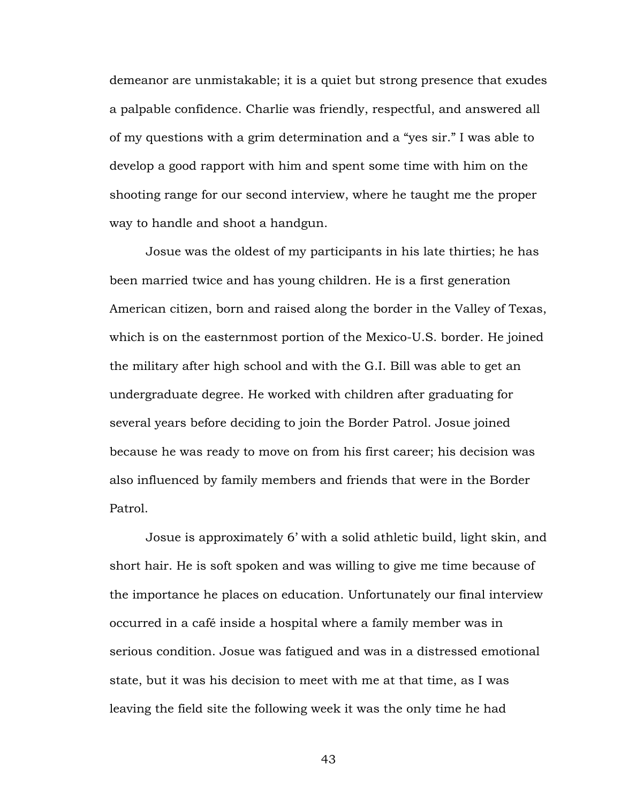demeanor are unmistakable; it is a quiet but strong presence that exudes a palpable confidence. Charlie was friendly, respectful, and answered all of my questions with a grim determination and a "yes sir." I was able to develop a good rapport with him and spent some time with him on the shooting range for our second interview, where he taught me the proper way to handle and shoot a handgun.

Josue was the oldest of my participants in his late thirties; he has been married twice and has young children. He is a first generation American citizen, born and raised along the border in the Valley of Texas, which is on the easternmost portion of the Mexico-U.S. border. He joined the military after high school and with the G.I. Bill was able to get an undergraduate degree. He worked with children after graduating for several years before deciding to join the Border Patrol. Josue joined because he was ready to move on from his first career; his decision was also influenced by family members and friends that were in the Border Patrol.

Josue is approximately 6' with a solid athletic build, light skin, and short hair. He is soft spoken and was willing to give me time because of the importance he places on education. Unfortunately our final interview occurred in a café inside a hospital where a family member was in serious condition. Josue was fatigued and was in a distressed emotional state, but it was his decision to meet with me at that time, as I was leaving the field site the following week it was the only time he had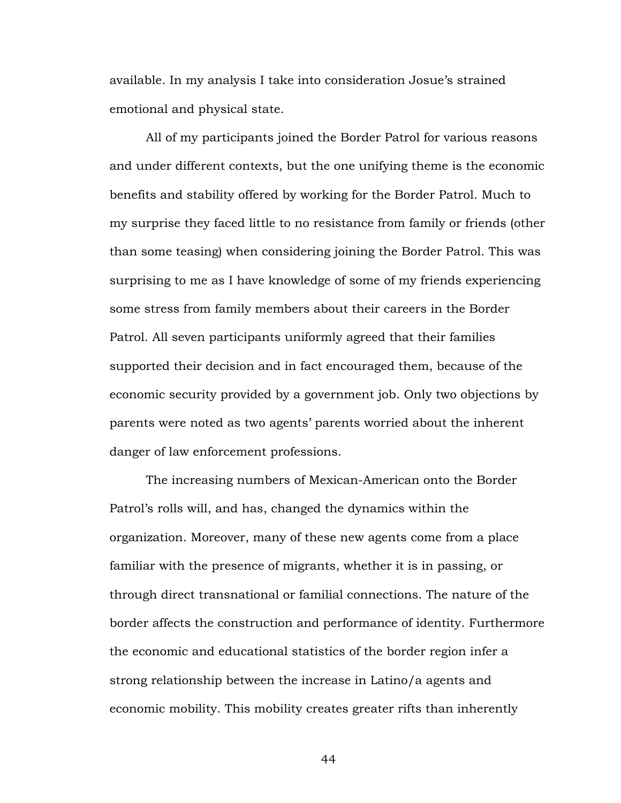available. In my analysis I take into consideration Josue's strained emotional and physical state.

All of my participants joined the Border Patrol for various reasons and under different contexts, but the one unifying theme is the economic benefits and stability offered by working for the Border Patrol. Much to my surprise they faced little to no resistance from family or friends (other than some teasing) when considering joining the Border Patrol. This was surprising to me as I have knowledge of some of my friends experiencing some stress from family members about their careers in the Border Patrol. All seven participants uniformly agreed that their families supported their decision and in fact encouraged them, because of the economic security provided by a government job. Only two objections by parents were noted as two agents' parents worried about the inherent danger of law enforcement professions.

The increasing numbers of Mexican-American onto the Border Patrol's rolls will, and has, changed the dynamics within the organization. Moreover, many of these new agents come from a place familiar with the presence of migrants, whether it is in passing, or through direct transnational or familial connections. The nature of the border affects the construction and performance of identity. Furthermore the economic and educational statistics of the border region infer a strong relationship between the increase in Latino/a agents and economic mobility. This mobility creates greater rifts than inherently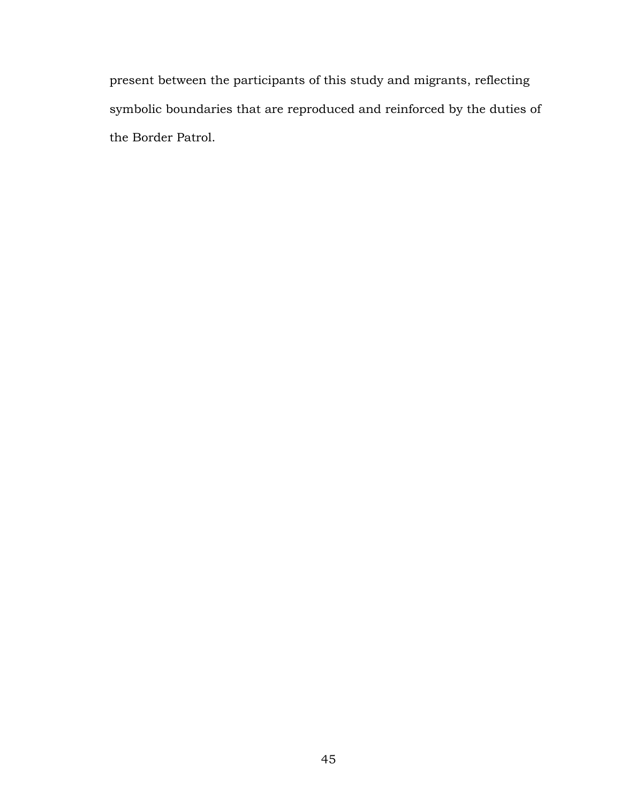present between the participants of this study and migrants, reflecting symbolic boundaries that are reproduced and reinforced by the duties of the Border Patrol.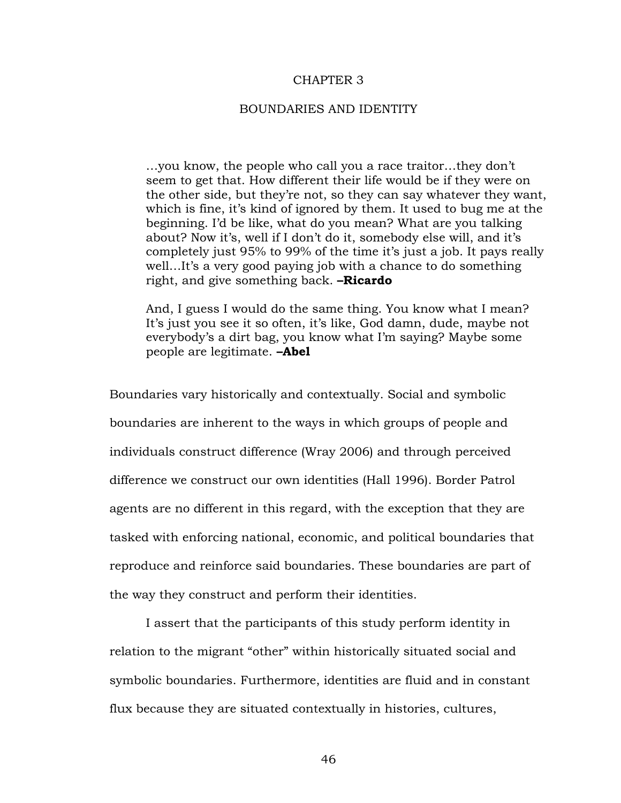### CHAPTER 3

# BOUNDARIES AND IDENTITY

…you know, the people who call you a race traitor…they don't seem to get that. How different their life would be if they were on the other side, but they're not, so they can say whatever they want, which is fine, it's kind of ignored by them. It used to bug me at the beginning. I'd be like, what do you mean? What are you talking about? Now it's, well if I don't do it, somebody else will, and it's completely just 95% to 99% of the time it's just a job. It pays really well…It's a very good paying job with a chance to do something right, and give something back. **–Ricardo**

And, I guess I would do the same thing. You know what I mean? It's just you see it so often, it's like, God damn, dude, maybe not everybody's a dirt bag, you know what I'm saying? Maybe some people are legitimate. **–Abel**

Boundaries vary historically and contextually. Social and symbolic boundaries are inherent to the ways in which groups of people and individuals construct difference (Wray 2006) and through perceived difference we construct our own identities (Hall 1996). Border Patrol agents are no different in this regard, with the exception that they are tasked with enforcing national, economic, and political boundaries that reproduce and reinforce said boundaries. These boundaries are part of the way they construct and perform their identities.

I assert that the participants of this study perform identity in relation to the migrant "other" within historically situated social and symbolic boundaries. Furthermore, identities are fluid and in constant flux because they are situated contextually in histories, cultures,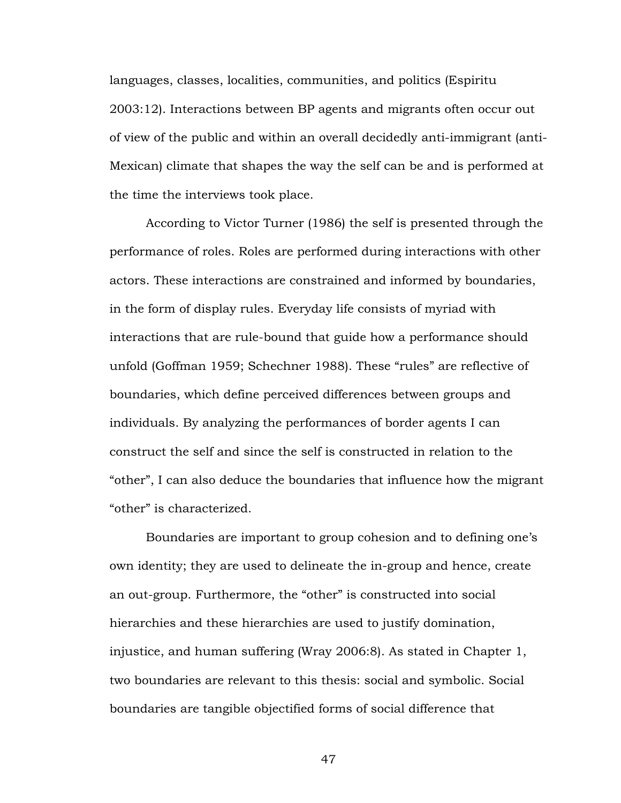languages, classes, localities, communities, and politics (Espiritu 2003:12). Interactions between BP agents and migrants often occur out of view of the public and within an overall decidedly anti-immigrant (anti-Mexican) climate that shapes the way the self can be and is performed at the time the interviews took place.

According to Victor Turner (1986) the self is presented through the performance of roles. Roles are performed during interactions with other actors. These interactions are constrained and informed by boundaries, in the form of display rules. Everyday life consists of myriad with interactions that are rule-bound that guide how a performance should unfold (Goffman 1959; Schechner 1988). These "rules" are reflective of boundaries, which define perceived differences between groups and individuals. By analyzing the performances of border agents I can construct the self and since the self is constructed in relation to the "other", I can also deduce the boundaries that influence how the migrant "other" is characterized.

Boundaries are important to group cohesion and to defining one's own identity; they are used to delineate the in-group and hence, create an out-group. Furthermore, the "other" is constructed into social hierarchies and these hierarchies are used to justify domination, injustice, and human suffering (Wray 2006:8). As stated in Chapter 1, two boundaries are relevant to this thesis: social and symbolic. Social boundaries are tangible objectified forms of social difference that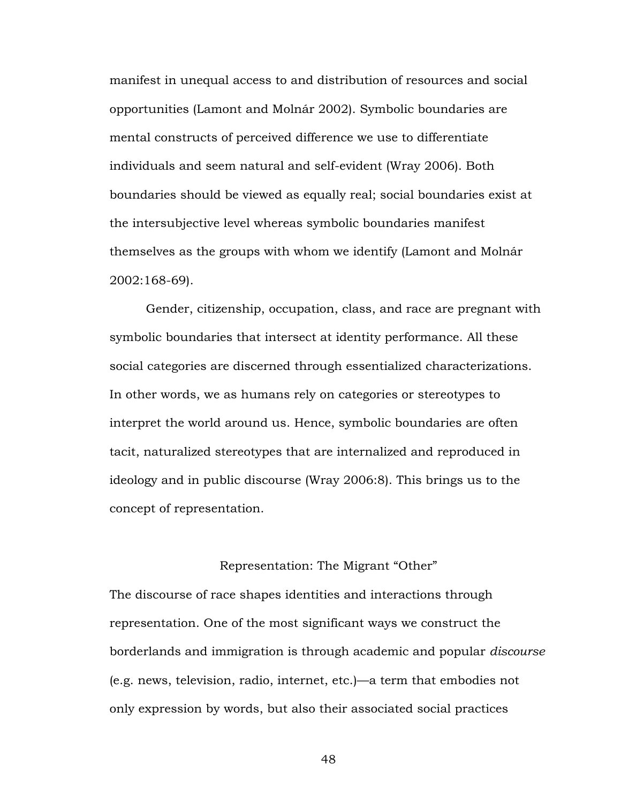manifest in unequal access to and distribution of resources and social opportunities (Lamont and Molnár 2002). Symbolic boundaries are mental constructs of perceived difference we use to differentiate individuals and seem natural and self-evident (Wray 2006). Both boundaries should be viewed as equally real; social boundaries exist at the intersubjective level whereas symbolic boundaries manifest themselves as the groups with whom we identify (Lamont and Molnár 2002:168-69).

Gender, citizenship, occupation, class, and race are pregnant with symbolic boundaries that intersect at identity performance. All these social categories are discerned through essentialized characterizations. In other words, we as humans rely on categories or stereotypes to interpret the world around us. Hence, symbolic boundaries are often tacit, naturalized stereotypes that are internalized and reproduced in ideology and in public discourse (Wray 2006:8). This brings us to the concept of representation.

# Representation: The Migrant "Other"

The discourse of race shapes identities and interactions through representation. One of the most significant ways we construct the borderlands and immigration is through academic and popular *discourse*  (e.g. news, television, radio, internet, etc.)—a term that embodies not only expression by words, but also their associated social practices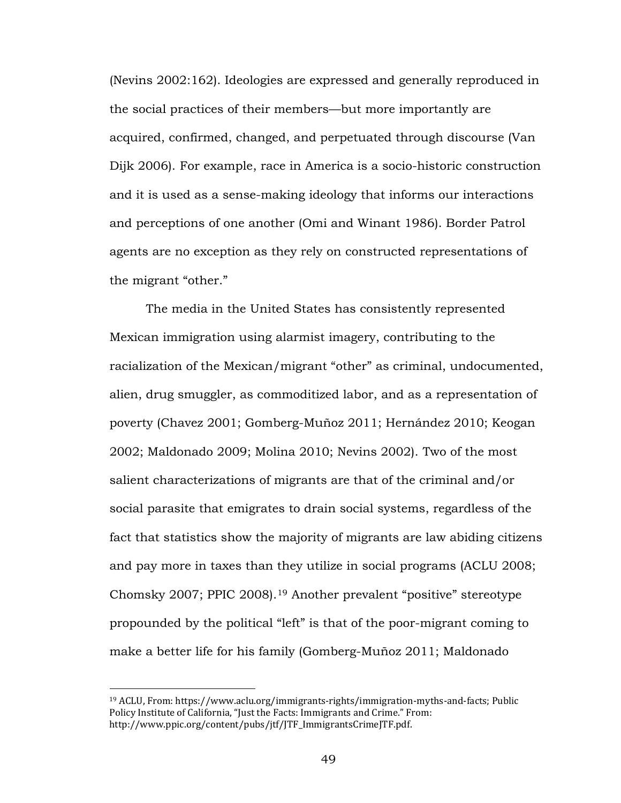(Nevins 2002:162). Ideologies are expressed and generally reproduced in the social practices of their members—but more importantly are acquired, confirmed, changed, and perpetuated through discourse (Van Dijk 2006). For example, race in America is a socio-historic construction and it is used as a sense-making ideology that informs our interactions and perceptions of one another (Omi and Winant 1986). Border Patrol agents are no exception as they rely on constructed representations of the migrant "other."

The media in the United States has consistently represented Mexican immigration using alarmist imagery, contributing to the racialization of the Mexican/migrant "other" as criminal, undocumented, alien, drug smuggler, as commoditized labor, and as a representation of poverty (Chavez 2001; Gomberg-Muñoz 2011; Hernández 2010; Keogan 2002; Maldonado 2009; Molina 2010; Nevins 2002). Two of the most salient characterizations of migrants are that of the criminal and/or social parasite that emigrates to drain social systems, regardless of the fact that statistics show the majority of migrants are law abiding citizens and pay more in taxes than they utilize in social programs (ACLU 2008; Chomsky 2007; PPIC 2008).[19](#page-54-0) Another prevalent "positive" stereotype propounded by the political "left" is that of the poor-migrant coming to make a better life for his family (Gomberg-Muñoz 2011; Maldonado

 $\overline{a}$ 

<span id="page-54-0"></span><sup>19</sup> ACLU, From: https://www.aclu.org/immigrants-rights/immigration-myths-and-facts; Public Policy Institute of California, "Just the Facts: Immigrants and Crime." From: http://www.ppic.org/content/pubs/jtf/JTF\_ImmigrantsCrimeJTF.pdf.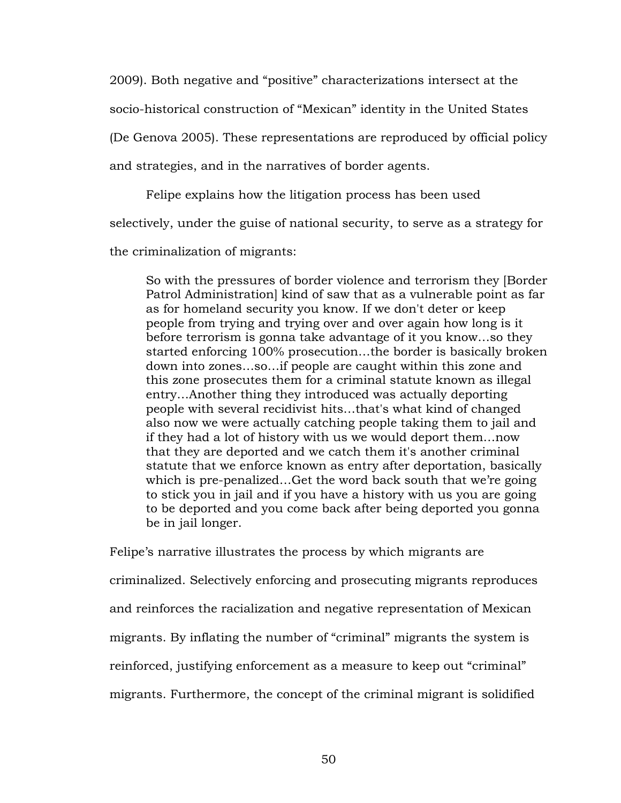2009). Both negative and "positive" characterizations intersect at the socio-historical construction of "Mexican" identity in the United States (De Genova 2005). These representations are reproduced by official policy and strategies, and in the narratives of border agents.

Felipe explains how the litigation process has been used

selectively, under the guise of national security, to serve as a strategy for

the criminalization of migrants:

So with the pressures of border violence and terrorism they [Border Patrol Administration] kind of saw that as a vulnerable point as far as for homeland security you know. If we don't deter or keep people from trying and trying over and over again how long is it before terrorism is gonna take advantage of it you know…so they started enforcing 100% prosecution…the border is basically broken down into zones…so…if people are caught within this zone and this zone prosecutes them for a criminal statute known as illegal entry…Another thing they introduced was actually deporting people with several recidivist hits…that's what kind of changed also now we were actually catching people taking them to jail and if they had a lot of history with us we would deport them…now that they are deported and we catch them it's another criminal statute that we enforce known as entry after deportation, basically which is pre-penalized…Get the word back south that we're going to stick you in jail and if you have a history with us you are going to be deported and you come back after being deported you gonna be in jail longer.

Felipe's narrative illustrates the process by which migrants are criminalized. Selectively enforcing and prosecuting migrants reproduces and reinforces the racialization and negative representation of Mexican migrants. By inflating the number of "criminal" migrants the system is reinforced, justifying enforcement as a measure to keep out "criminal" migrants. Furthermore, the concept of the criminal migrant is solidified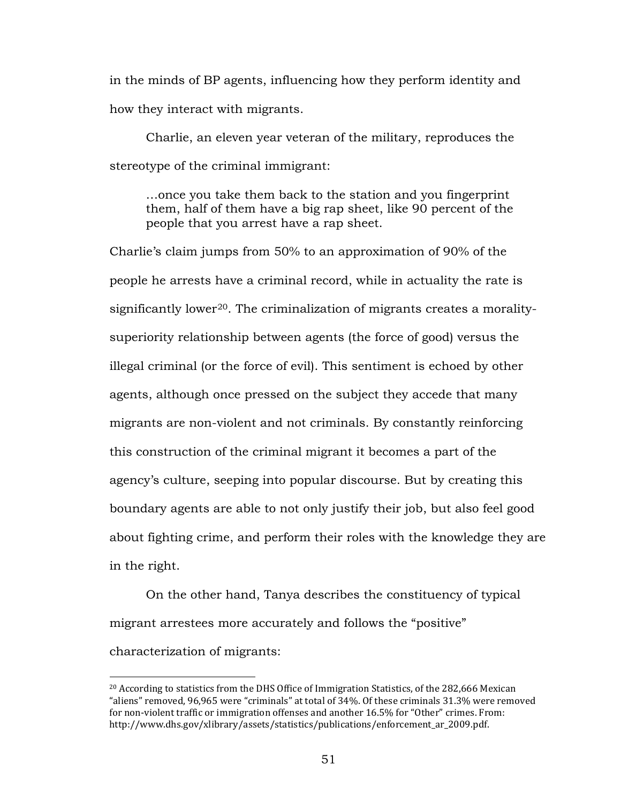in the minds of BP agents, influencing how they perform identity and how they interact with migrants.

Charlie, an eleven year veteran of the military, reproduces the stereotype of the criminal immigrant:

…once you take them back to the station and you fingerprint them, half of them have a big rap sheet, like 90 percent of the people that you arrest have a rap sheet.

Charlie's claim jumps from 50% to an approximation of 90% of the people he arrests have a criminal record, while in actuality the rate is significantly lower<sup>[20](#page-56-0)</sup>. The criminalization of migrants creates a moralitysuperiority relationship between agents (the force of good) versus the illegal criminal (or the force of evil). This sentiment is echoed by other agents, although once pressed on the subject they accede that many migrants are non-violent and not criminals. By constantly reinforcing this construction of the criminal migrant it becomes a part of the agency's culture, seeping into popular discourse. But by creating this boundary agents are able to not only justify their job, but also feel good about fighting crime, and perform their roles with the knowledge they are in the right.

On the other hand, Tanya describes the constituency of typical migrant arrestees more accurately and follows the "positive" characterization of migrants:

 $\overline{a}$ 

<span id="page-56-0"></span> $20$  According to statistics from the DHS Office of Immigration Statistics, of the 282,666 Mexican "aliens" removed, 96,965 were "criminals" at total of 34%. Of these criminals 31.3% were removed for non-violent traffic or immigration offenses and another 16.5% for "Other" crimes. From: http://www.dhs.gov/xlibrary/assets/statistics/publications/enforcement\_ar\_2009.pdf.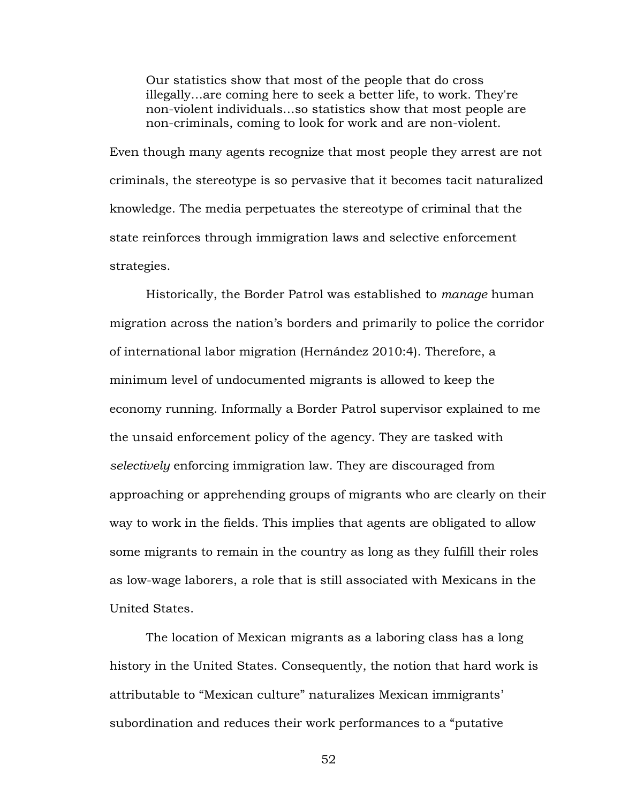Our statistics show that most of the people that do cross illegally…are coming here to seek a better life, to work. They're non-violent individuals…so statistics show that most people are non-criminals, coming to look for work and are non-violent.

Even though many agents recognize that most people they arrest are not criminals, the stereotype is so pervasive that it becomes tacit naturalized knowledge. The media perpetuates the stereotype of criminal that the state reinforces through immigration laws and selective enforcement strategies.

Historically, the Border Patrol was established to *manage* human migration across the nation's borders and primarily to police the corridor of international labor migration (Hernández 2010:4). Therefore, a minimum level of undocumented migrants is allowed to keep the economy running. Informally a Border Patrol supervisor explained to me the unsaid enforcement policy of the agency. They are tasked with *selectively* enforcing immigration law. They are discouraged from approaching or apprehending groups of migrants who are clearly on their way to work in the fields. This implies that agents are obligated to allow some migrants to remain in the country as long as they fulfill their roles as low-wage laborers, a role that is still associated with Mexicans in the United States.

The location of Mexican migrants as a laboring class has a long history in the United States. Consequently, the notion that hard work is attributable to "Mexican culture" naturalizes Mexican immigrants' subordination and reduces their work performances to a "putative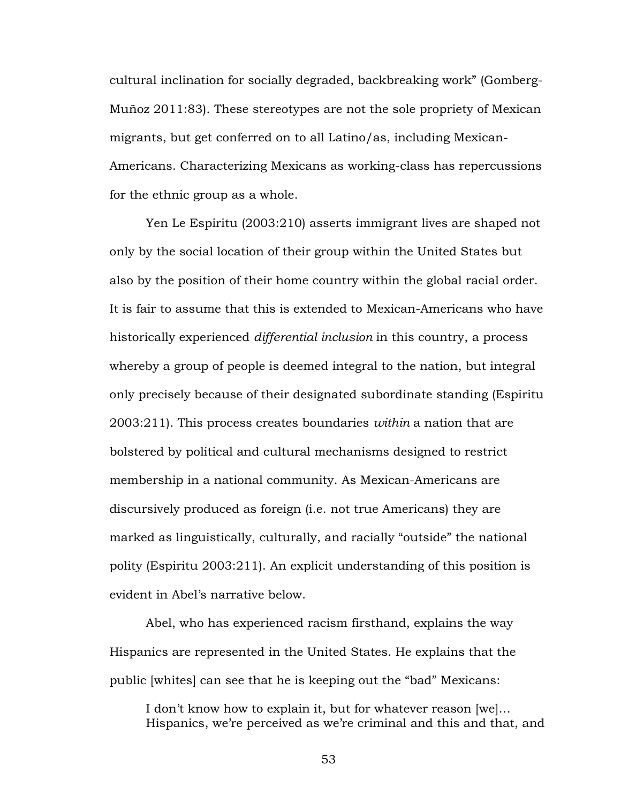cultural inclination for socially degraded, backbreaking work" (Gomberg-Muñoz 2011:83). These stereotypes are not the sole propriety of Mexican migrants, but get conferred on to all Latino/as, including Mexican-Americans. Characterizing Mexicans as working-class has repercussions for the ethnic group as a whole.

Yen Le Espiritu (2003:210) asserts immigrant lives are shaped not only by the social location of their group within the United States but also by the position of their home country within the global racial order. It is fair to assume that this is extended to Mexican-Americans who have historically experienced *differential inclusion* in this country, a process whereby a group of people is deemed integral to the nation, but integral only precisely because of their designated subordinate standing (Espiritu 2003:211). This process creates boundaries *within* a nation that are bolstered by political and cultural mechanisms designed to restrict membership in a national community. As Mexican-Americans are discursively produced as foreign (i.e. not true Americans) they are marked as linguistically, culturally, and racially "outside" the national polity (Espiritu 2003:211). An explicit understanding of this position is evident in Abel's narrative below.

Abel, who has experienced racism firsthand, explains the way Hispanics are represented in the United States. He explains that the public [whites] can see that he is keeping out the "bad" Mexicans:

I don't know how to explain it, but for whatever reason [we]… Hispanics, we're perceived as we're criminal and this and that, and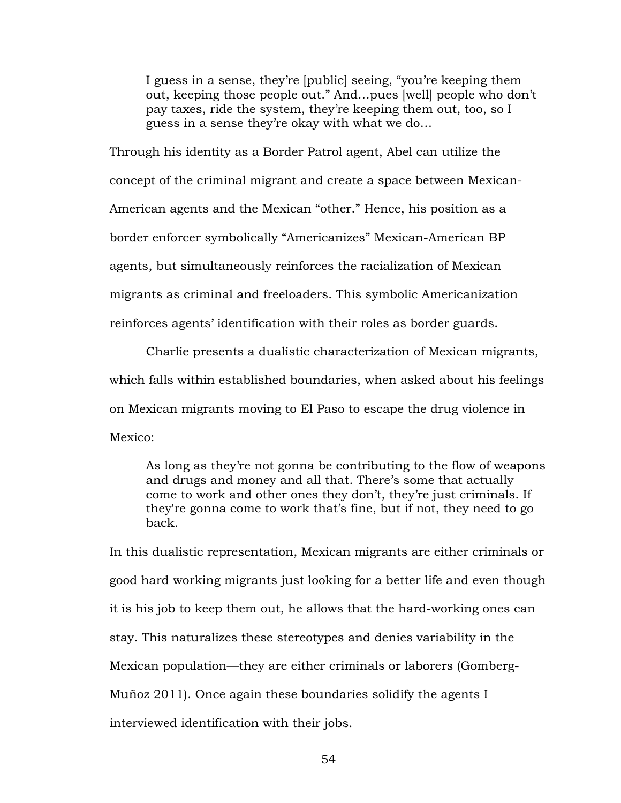I guess in a sense, they're [public] seeing, "you're keeping them out, keeping those people out." And…pues [well] people who don't pay taxes, ride the system, they're keeping them out, too, so I guess in a sense they're okay with what we do…

Through his identity as a Border Patrol agent, Abel can utilize the concept of the criminal migrant and create a space between Mexican-American agents and the Mexican "other." Hence, his position as a border enforcer symbolically "Americanizes" Mexican-American BP agents, but simultaneously reinforces the racialization of Mexican migrants as criminal and freeloaders. This symbolic Americanization reinforces agents' identification with their roles as border guards.

Charlie presents a dualistic characterization of Mexican migrants, which falls within established boundaries, when asked about his feelings on Mexican migrants moving to El Paso to escape the drug violence in Mexico:

As long as they're not gonna be contributing to the flow of weapons and drugs and money and all that. There's some that actually come to work and other ones they don't, they're just criminals. If they're gonna come to work that's fine, but if not, they need to go back.

In this dualistic representation, Mexican migrants are either criminals or good hard working migrants just looking for a better life and even though it is his job to keep them out, he allows that the hard-working ones can stay. This naturalizes these stereotypes and denies variability in the Mexican population—they are either criminals or laborers (Gomberg-Muñoz 2011). Once again these boundaries solidify the agents I interviewed identification with their jobs.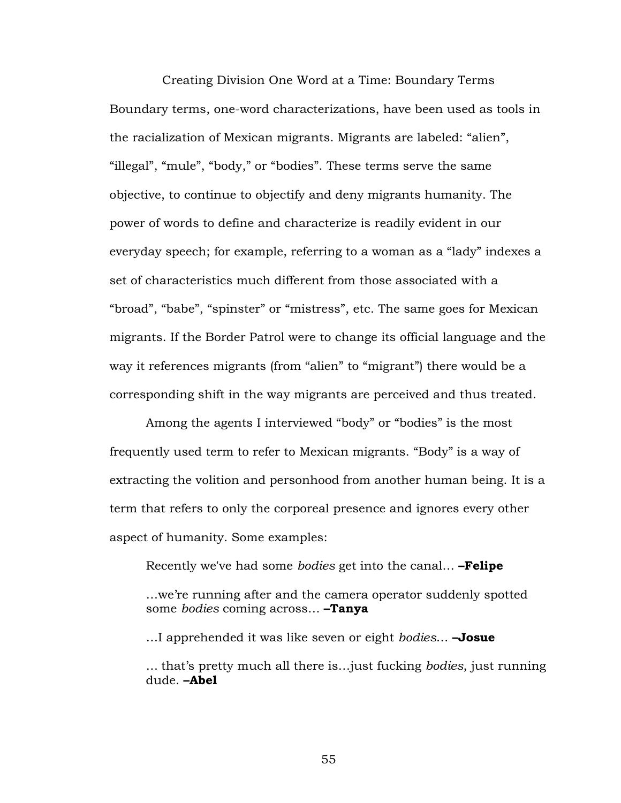Creating Division One Word at a Time: Boundary Terms Boundary terms, one-word characterizations, have been used as tools in the racialization of Mexican migrants. Migrants are labeled: "alien", "illegal", "mule", "body," or "bodies". These terms serve the same objective, to continue to objectify and deny migrants humanity. The power of words to define and characterize is readily evident in our everyday speech; for example, referring to a woman as a "lady" indexes a set of characteristics much different from those associated with a "broad", "babe", "spinster" or "mistress", etc. The same goes for Mexican migrants. If the Border Patrol were to change its official language and the way it references migrants (from "alien" to "migrant") there would be a corresponding shift in the way migrants are perceived and thus treated.

Among the agents I interviewed "body" or "bodies" is the most frequently used term to refer to Mexican migrants. "Body" is a way of extracting the volition and personhood from another human being. It is a term that refers to only the corporeal presence and ignores every other aspect of humanity. Some examples:

Recently we've had some *bodies* get into the canal… **–Felipe**

…we're running after and the camera operator suddenly spotted some *bodies* coming across… **–Tanya**

…I apprehended it was like seven or eight *bodies*… **–Josue**

… that's pretty much all there is…just fucking *bodies*, just running dude. **–Abel**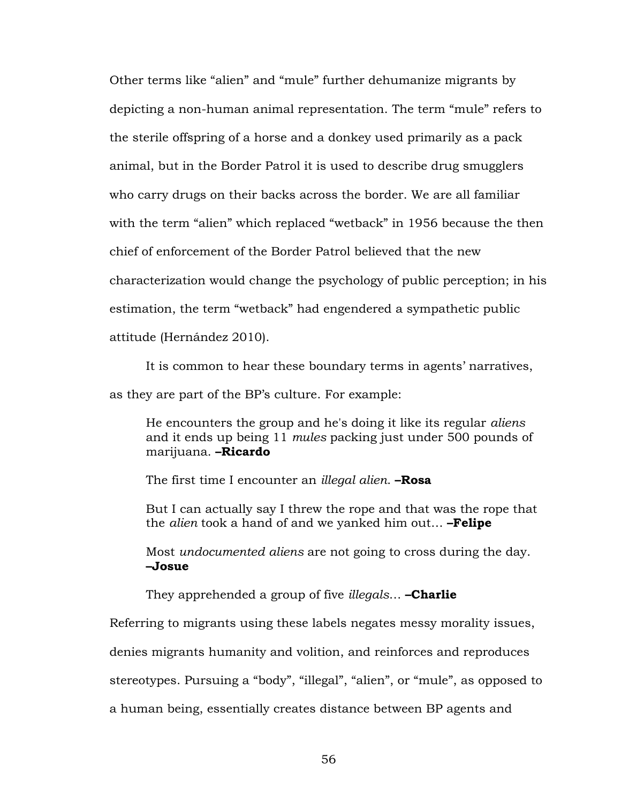Other terms like "alien" and "mule" further dehumanize migrants by depicting a non-human animal representation. The term "mule" refers to the sterile offspring of a horse and a donkey used primarily as a pack animal, but in the Border Patrol it is used to describe drug smugglers who carry drugs on their backs across the border. We are all familiar with the term "alien" which replaced "wetback" in 1956 because the then chief of enforcement of the Border Patrol believed that the new characterization would change the psychology of public perception; in his estimation, the term "wetback" had engendered a sympathetic public attitude (Hernández 2010).

It is common to hear these boundary terms in agents' narratives,

as they are part of the BP's culture. For example:

He encounters the group and he's doing it like its regular *aliens* and it ends up being 11 *mules* packing just under 500 pounds of marijuana. **–Ricardo**

The first time I encounter an *illegal alien*. **–Rosa**

But I can actually say I threw the rope and that was the rope that the *alien* took a hand of and we yanked him out… **–Felipe**

Most *undocumented aliens* are not going to cross during the day. **–Josue**

They apprehended a group of five *illegals*… **–Charlie**

Referring to migrants using these labels negates messy morality issues,

denies migrants humanity and volition, and reinforces and reproduces

stereotypes. Pursuing a "body", "illegal", "alien", or "mule", as opposed to

a human being, essentially creates distance between BP agents and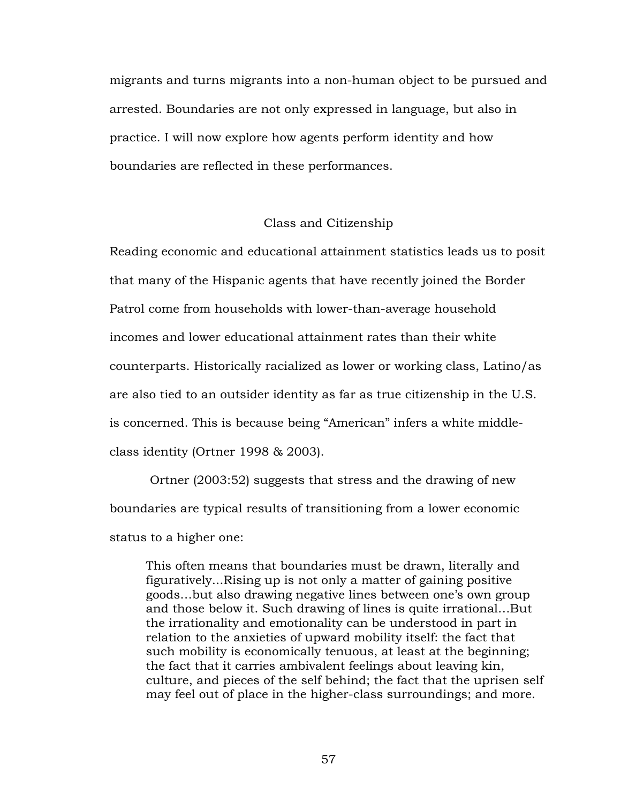migrants and turns migrants into a non-human object to be pursued and arrested. Boundaries are not only expressed in language, but also in practice. I will now explore how agents perform identity and how boundaries are reflected in these performances.

# Class and Citizenship

Reading economic and educational attainment statistics leads us to posit that many of the Hispanic agents that have recently joined the Border Patrol come from households with lower-than-average household incomes and lower educational attainment rates than their white counterparts. Historically racialized as lower or working class, Latino/as are also tied to an outsider identity as far as true citizenship in the U.S. is concerned. This is because being "American" infers a white middleclass identity (Ortner 1998 & 2003).

Ortner (2003:52) suggests that stress and the drawing of new boundaries are typical results of transitioning from a lower economic status to a higher one:

This often means that boundaries must be drawn, literally and figuratively...Rising up is not only a matter of gaining positive goods…but also drawing negative lines between one's own group and those below it. Such drawing of lines is quite irrational…But the irrationality and emotionality can be understood in part in relation to the anxieties of upward mobility itself: the fact that such mobility is economically tenuous, at least at the beginning; the fact that it carries ambivalent feelings about leaving kin, culture, and pieces of the self behind; the fact that the uprisen self may feel out of place in the higher-class surroundings; and more.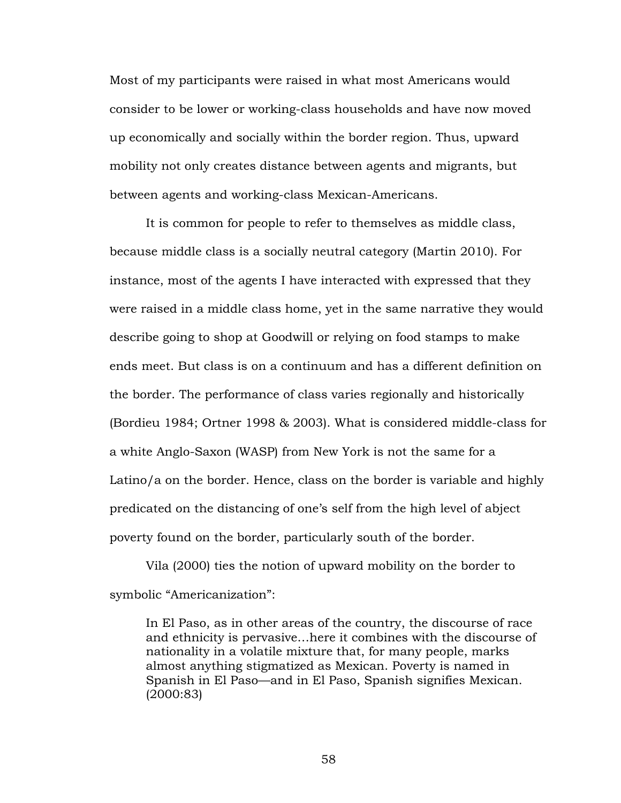Most of my participants were raised in what most Americans would consider to be lower or working-class households and have now moved up economically and socially within the border region. Thus, upward mobility not only creates distance between agents and migrants, but between agents and working-class Mexican-Americans.

It is common for people to refer to themselves as middle class, because middle class is a socially neutral category (Martin 2010). For instance, most of the agents I have interacted with expressed that they were raised in a middle class home, yet in the same narrative they would describe going to shop at Goodwill or relying on food stamps to make ends meet. But class is on a continuum and has a different definition on the border. The performance of class varies regionally and historically (Bordieu 1984; Ortner 1998 & 2003). What is considered middle-class for a white Anglo-Saxon (WASP) from New York is not the same for a Latino/a on the border. Hence, class on the border is variable and highly predicated on the distancing of one's self from the high level of abject poverty found on the border, particularly south of the border.

Vila (2000) ties the notion of upward mobility on the border to symbolic "Americanization":

In El Paso, as in other areas of the country, the discourse of race and ethnicity is pervasive…here it combines with the discourse of nationality in a volatile mixture that, for many people, marks almost anything stigmatized as Mexican. Poverty is named in Spanish in El Paso—and in El Paso, Spanish signifies Mexican. (2000:83)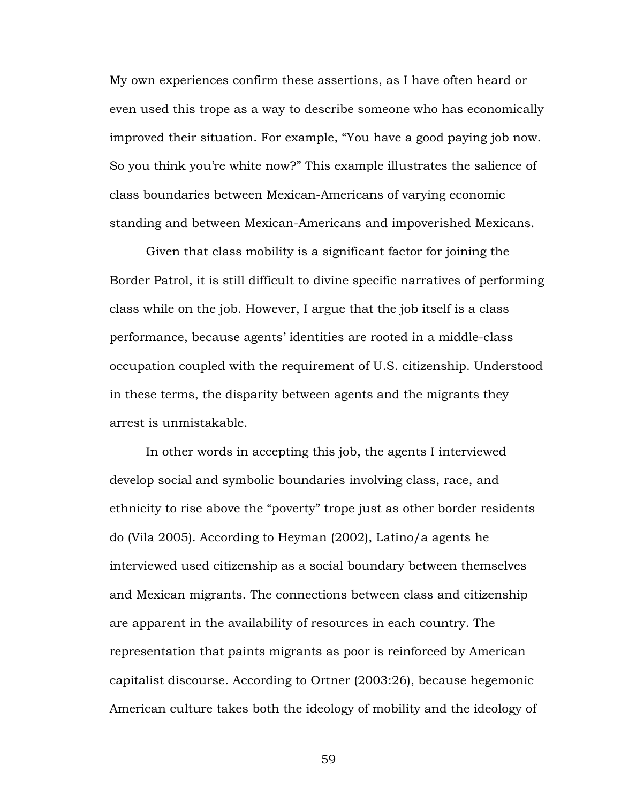My own experiences confirm these assertions, as I have often heard or even used this trope as a way to describe someone who has economically improved their situation. For example, "You have a good paying job now. So you think you're white now?" This example illustrates the salience of class boundaries between Mexican-Americans of varying economic standing and between Mexican-Americans and impoverished Mexicans.

Given that class mobility is a significant factor for joining the Border Patrol, it is still difficult to divine specific narratives of performing class while on the job. However, I argue that the job itself is a class performance, because agents' identities are rooted in a middle-class occupation coupled with the requirement of U.S. citizenship. Understood in these terms, the disparity between agents and the migrants they arrest is unmistakable.

In other words in accepting this job, the agents I interviewed develop social and symbolic boundaries involving class, race, and ethnicity to rise above the "poverty" trope just as other border residents do (Vila 2005). According to Heyman (2002), Latino/a agents he interviewed used citizenship as a social boundary between themselves and Mexican migrants. The connections between class and citizenship are apparent in the availability of resources in each country. The representation that paints migrants as poor is reinforced by American capitalist discourse. According to Ortner (2003:26), because hegemonic American culture takes both the ideology of mobility and the ideology of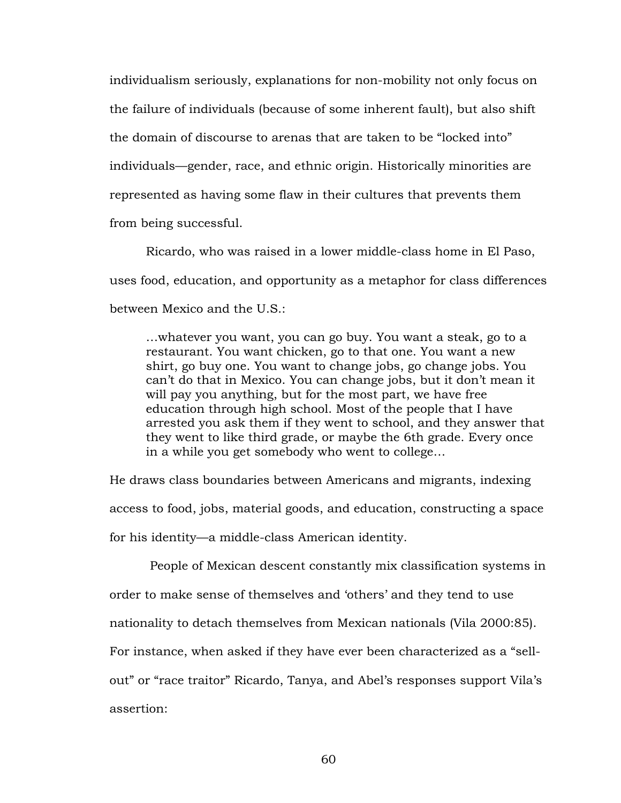individualism seriously, explanations for non-mobility not only focus on the failure of individuals (because of some inherent fault), but also shift the domain of discourse to arenas that are taken to be "locked into" individuals—gender, race, and ethnic origin. Historically minorities are represented as having some flaw in their cultures that prevents them from being successful.

Ricardo, who was raised in a lower middle-class home in El Paso, uses food, education, and opportunity as a metaphor for class differences between Mexico and the U.S.:

…whatever you want, you can go buy. You want a steak, go to a restaurant. You want chicken, go to that one. You want a new shirt, go buy one. You want to change jobs, go change jobs. You can't do that in Mexico. You can change jobs, but it don't mean it will pay you anything, but for the most part, we have free education through high school. Most of the people that I have arrested you ask them if they went to school, and they answer that they went to like third grade, or maybe the 6th grade. Every once in a while you get somebody who went to college…

He draws class boundaries between Americans and migrants, indexing access to food, jobs, material goods, and education, constructing a space for his identity—a middle-class American identity.

People of Mexican descent constantly mix classification systems in order to make sense of themselves and 'others' and they tend to use nationality to detach themselves from Mexican nationals (Vila 2000:85). For instance, when asked if they have ever been characterized as a "sellout" or "race traitor" Ricardo, Tanya, and Abel's responses support Vila's assertion: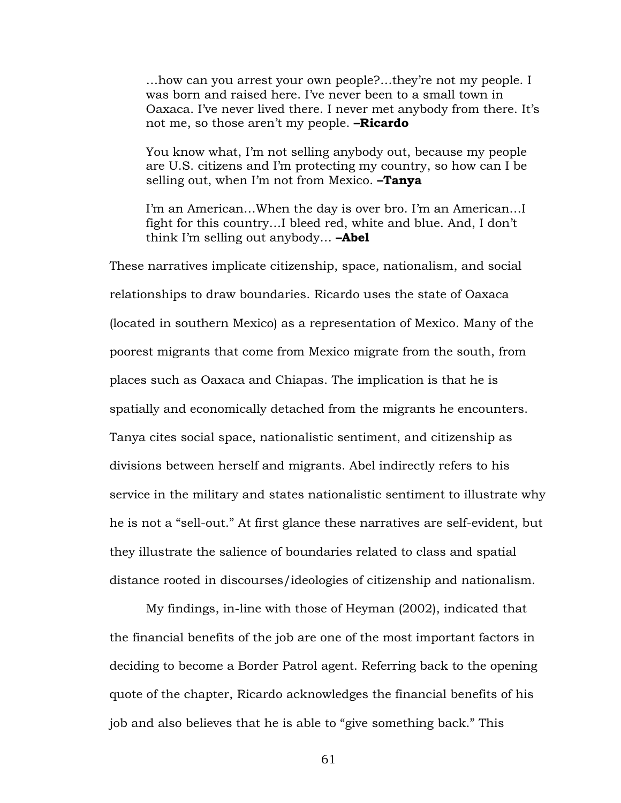…how can you arrest your own people?…they're not my people. I was born and raised here. I've never been to a small town in Oaxaca. I've never lived there. I never met anybody from there. It's not me, so those aren't my people. **–Ricardo**

You know what, I'm not selling anybody out, because my people are U.S. citizens and I'm protecting my country, so how can I be selling out, when I'm not from Mexico. **–Tanya**

I'm an American…When the day is over bro. I'm an American…I fight for this country…I bleed red, white and blue. And, I don't think I'm selling out anybody… **–Abel**

These narratives implicate citizenship, space, nationalism, and social relationships to draw boundaries. Ricardo uses the state of Oaxaca (located in southern Mexico) as a representation of Mexico. Many of the poorest migrants that come from Mexico migrate from the south, from places such as Oaxaca and Chiapas. The implication is that he is spatially and economically detached from the migrants he encounters. Tanya cites social space, nationalistic sentiment, and citizenship as divisions between herself and migrants. Abel indirectly refers to his service in the military and states nationalistic sentiment to illustrate why he is not a "sell-out." At first glance these narratives are self-evident, but they illustrate the salience of boundaries related to class and spatial distance rooted in discourses/ideologies of citizenship and nationalism.

My findings, in-line with those of Heyman (2002), indicated that the financial benefits of the job are one of the most important factors in deciding to become a Border Patrol agent. Referring back to the opening quote of the chapter, Ricardo acknowledges the financial benefits of his job and also believes that he is able to "give something back." This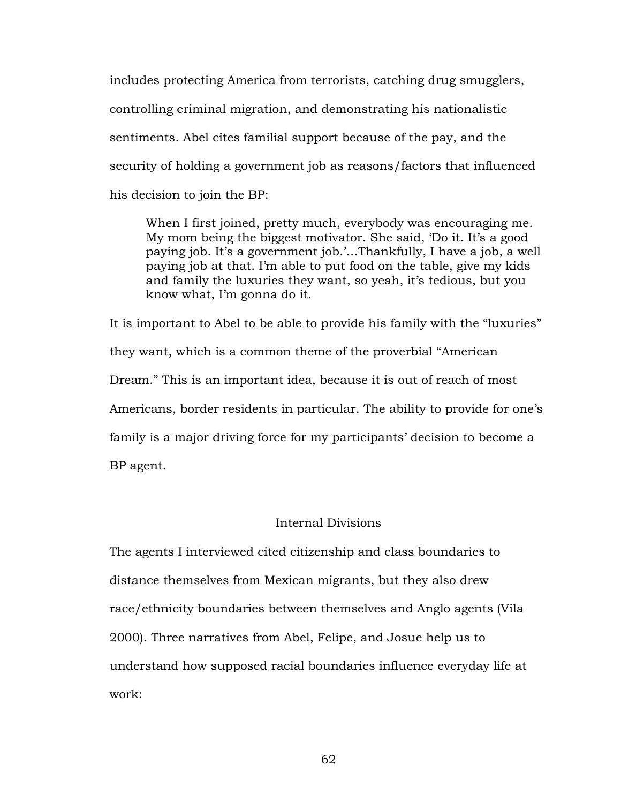includes protecting America from terrorists, catching drug smugglers, controlling criminal migration, and demonstrating his nationalistic sentiments. Abel cites familial support because of the pay, and the security of holding a government job as reasons/factors that influenced his decision to join the BP:

When I first joined, pretty much, everybody was encouraging me. My mom being the biggest motivator. She said, 'Do it. It's a good paying job. It's a government job.'…Thankfully, I have a job, a well paying job at that. I'm able to put food on the table, give my kids and family the luxuries they want, so yeah, it's tedious, but you know what, I'm gonna do it.

It is important to Abel to be able to provide his family with the "luxuries" they want, which is a common theme of the proverbial "American Dream." This is an important idea, because it is out of reach of most Americans, border residents in particular. The ability to provide for one's family is a major driving force for my participants' decision to become a BP agent.

# Internal Divisions

The agents I interviewed cited citizenship and class boundaries to distance themselves from Mexican migrants, but they also drew race/ethnicity boundaries between themselves and Anglo agents (Vila 2000). Three narratives from Abel, Felipe, and Josue help us to understand how supposed racial boundaries influence everyday life at work: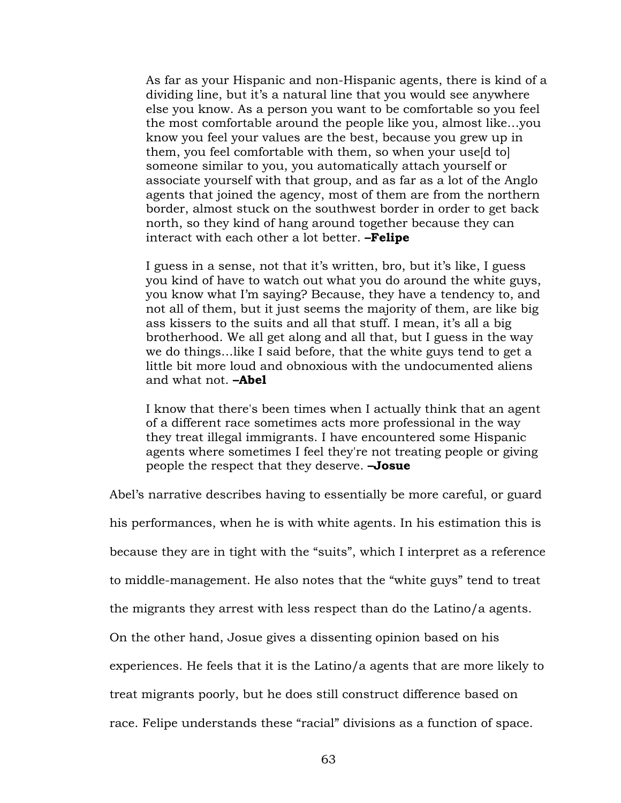As far as your Hispanic and non-Hispanic agents, there is kind of a dividing line, but it's a natural line that you would see anywhere else you know. As a person you want to be comfortable so you feel the most comfortable around the people like you, almost like…you know you feel your values are the best, because you grew up in them, you feel comfortable with them, so when your use[d to] someone similar to you, you automatically attach yourself or associate yourself with that group, and as far as a lot of the Anglo agents that joined the agency, most of them are from the northern border, almost stuck on the southwest border in order to get back north, so they kind of hang around together because they can interact with each other a lot better. **–Felipe**

I guess in a sense, not that it's written, bro, but it's like, I guess you kind of have to watch out what you do around the white guys, you know what I'm saying? Because, they have a tendency to, and not all of them, but it just seems the majority of them, are like big ass kissers to the suits and all that stuff. I mean, it's all a big brotherhood. We all get along and all that, but I guess in the way we do things…like I said before, that the white guys tend to get a little bit more loud and obnoxious with the undocumented aliens and what not. **–Abel**

I know that there's been times when I actually think that an agent of a different race sometimes acts more professional in the way they treat illegal immigrants. I have encountered some Hispanic agents where sometimes I feel they're not treating people or giving people the respect that they deserve. **–Josue**

Abel's narrative describes having to essentially be more careful, or guard

his performances, when he is with white agents. In his estimation this is

because they are in tight with the "suits", which I interpret as a reference

to middle-management. He also notes that the "white guys" tend to treat

the migrants they arrest with less respect than do the Latino/a agents.

On the other hand, Josue gives a dissenting opinion based on his

experiences. He feels that it is the Latino/a agents that are more likely to

treat migrants poorly, but he does still construct difference based on

race. Felipe understands these "racial" divisions as a function of space.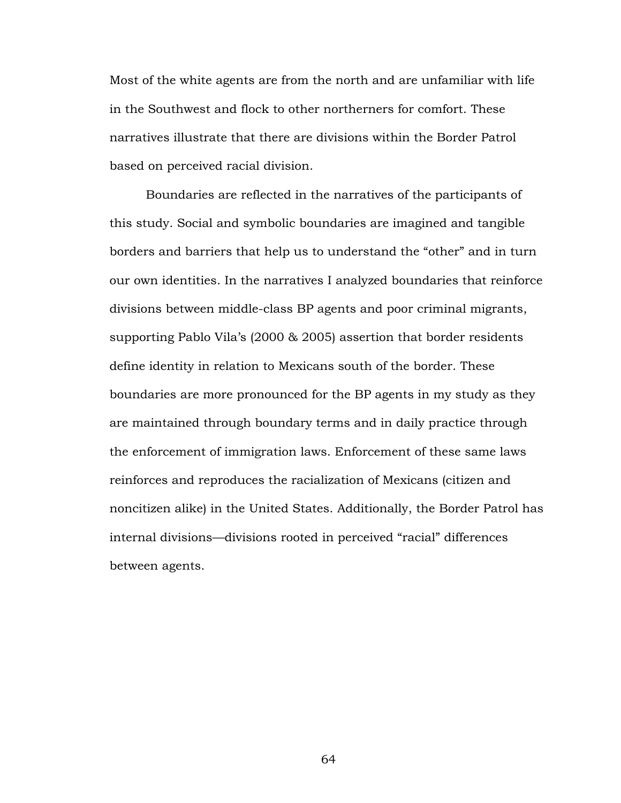Most of the white agents are from the north and are unfamiliar with life in the Southwest and flock to other northerners for comfort. These narratives illustrate that there are divisions within the Border Patrol based on perceived racial division.

Boundaries are reflected in the narratives of the participants of this study. Social and symbolic boundaries are imagined and tangible borders and barriers that help us to understand the "other" and in turn our own identities. In the narratives I analyzed boundaries that reinforce divisions between middle-class BP agents and poor criminal migrants, supporting Pablo Vila's (2000 & 2005) assertion that border residents define identity in relation to Mexicans south of the border. These boundaries are more pronounced for the BP agents in my study as they are maintained through boundary terms and in daily practice through the enforcement of immigration laws. Enforcement of these same laws reinforces and reproduces the racialization of Mexicans (citizen and noncitizen alike) in the United States. Additionally, the Border Patrol has internal divisions—divisions rooted in perceived "racial" differences between agents.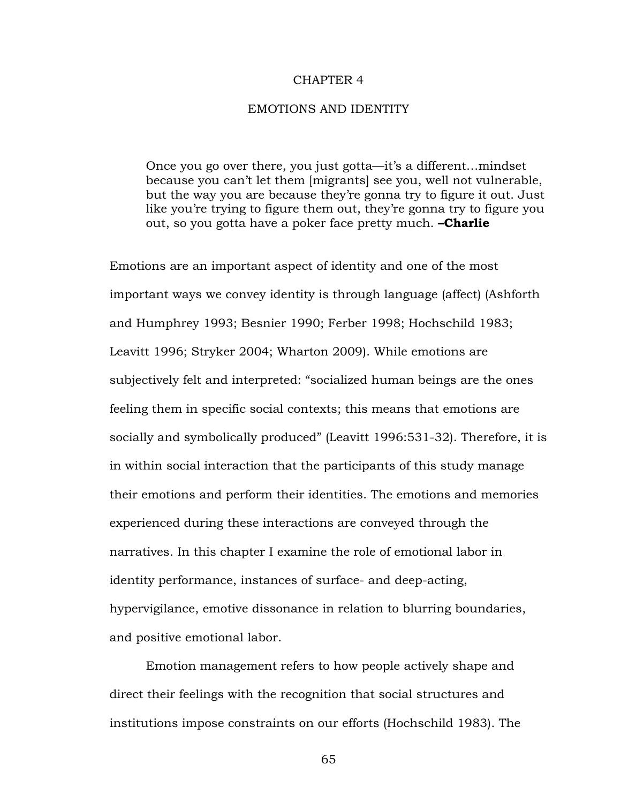### CHAPTER 4

### EMOTIONS AND IDENTITY

Once you go over there, you just gotta—it's a different…mindset because you can't let them [migrants] see you, well not vulnerable, but the way you are because they're gonna try to figure it out. Just like you're trying to figure them out, they're gonna try to figure you out, so you gotta have a poker face pretty much. **–Charlie**

Emotions are an important aspect of identity and one of the most important ways we convey identity is through language (affect) (Ashforth and Humphrey 1993; Besnier 1990; Ferber 1998; Hochschild 1983; Leavitt 1996; Stryker 2004; Wharton 2009). While emotions are subjectively felt and interpreted: "socialized human beings are the ones feeling them in specific social contexts; this means that emotions are socially and symbolically produced" (Leavitt 1996:531-32). Therefore, it is in within social interaction that the participants of this study manage their emotions and perform their identities. The emotions and memories experienced during these interactions are conveyed through the narratives. In this chapter I examine the role of emotional labor in identity performance, instances of surface- and deep-acting, hypervigilance, emotive dissonance in relation to blurring boundaries, and positive emotional labor.

Emotion management refers to how people actively shape and direct their feelings with the recognition that social structures and institutions impose constraints on our efforts (Hochschild 1983). The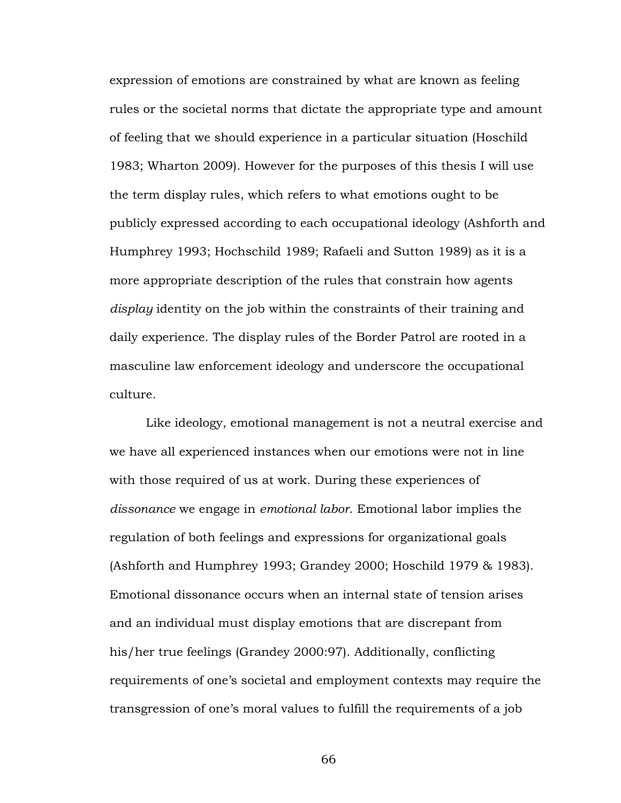expression of emotions are constrained by what are known as feeling rules or the societal norms that dictate the appropriate type and amount of feeling that we should experience in a particular situation (Hoschild 1983; Wharton 2009). However for the purposes of this thesis I will use the term display rules, which refers to what emotions ought to be publicly expressed according to each occupational ideology (Ashforth and Humphrey 1993; Hochschild 1989; Rafaeli and Sutton 1989) as it is a more appropriate description of the rules that constrain how agents *display* identity on the job within the constraints of their training and daily experience. The display rules of the Border Patrol are rooted in a masculine law enforcement ideology and underscore the occupational culture.

Like ideology, emotional management is not a neutral exercise and we have all experienced instances when our emotions were not in line with those required of us at work. During these experiences of *dissonance* we engage in *emotional labor*. Emotional labor implies the regulation of both feelings and expressions for organizational goals (Ashforth and Humphrey 1993; Grandey 2000; Hoschild 1979 & 1983). Emotional dissonance occurs when an internal state of tension arises and an individual must display emotions that are discrepant from his/her true feelings (Grandey 2000:97). Additionally, conflicting requirements of one's societal and employment contexts may require the transgression of one's moral values to fulfill the requirements of a job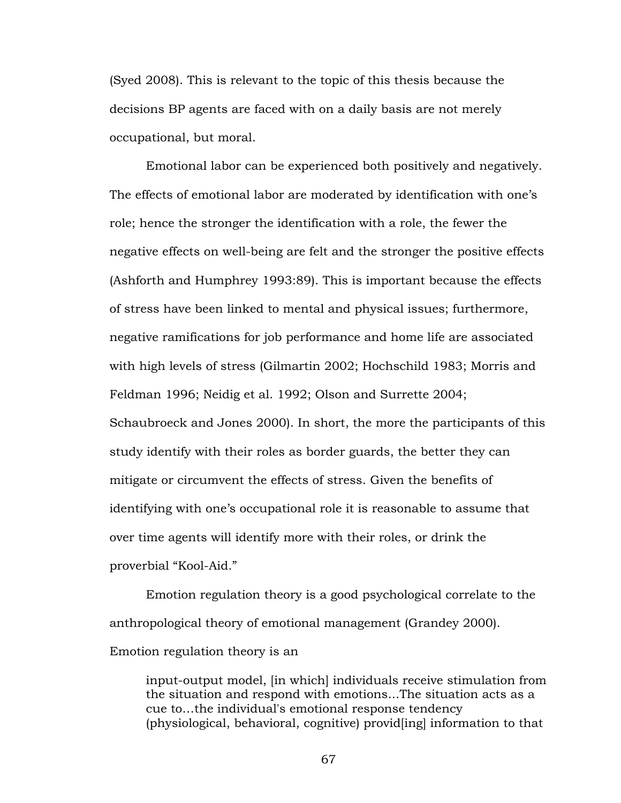(Syed 2008). This is relevant to the topic of this thesis because the decisions BP agents are faced with on a daily basis are not merely occupational, but moral.

Emotional labor can be experienced both positively and negatively. The effects of emotional labor are moderated by identification with one's role; hence the stronger the identification with a role, the fewer the negative effects on well-being are felt and the stronger the positive effects (Ashforth and Humphrey 1993:89). This is important because the effects of stress have been linked to mental and physical issues; furthermore, negative ramifications for job performance and home life are associated with high levels of stress (Gilmartin 2002; Hochschild 1983; Morris and Feldman 1996; Neidig et al. 1992; Olson and Surrette 2004; Schaubroeck and Jones 2000). In short, the more the participants of this study identify with their roles as border guards, the better they can mitigate or circumvent the effects of stress. Given the benefits of identifying with one's occupational role it is reasonable to assume that over time agents will identify more with their roles, or drink the proverbial "Kool-Aid."

Emotion regulation theory is a good psychological correlate to the anthropological theory of emotional management (Grandey 2000). Emotion regulation theory is an

input-output model, [in which] individuals receive stimulation from the situation and respond with emotions...The situation acts as a cue to…the individual's emotional response tendency (physiological, behavioral, cognitive) provid[ing] information to that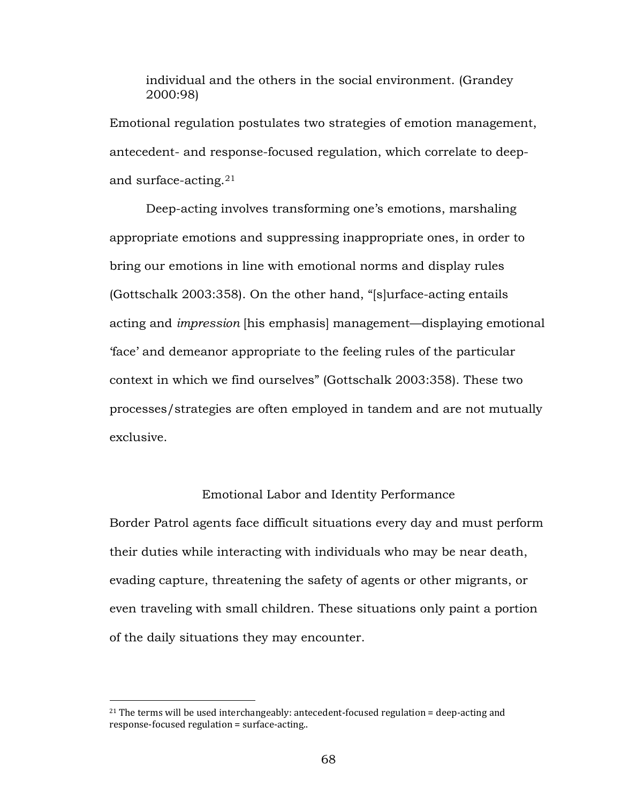individual and the others in the social environment. (Grandey 2000:98)

Emotional regulation postulates two strategies of emotion management, antecedent- and response-focused regulation, which correlate to deepand surface-acting.[21](#page-73-0)

Deep-acting involves transforming one's emotions, marshaling appropriate emotions and suppressing inappropriate ones, in order to bring our emotions in line with emotional norms and display rules (Gottschalk 2003:358). On the other hand, "[s]urface-acting entails acting and *impression* [his emphasis] management—displaying emotional 'face' and demeanor appropriate to the feeling rules of the particular context in which we find ourselves" (Gottschalk 2003:358). These two processes/strategies are often employed in tandem and are not mutually exclusive.

## Emotional Labor and Identity Performance

Border Patrol agents face difficult situations every day and must perform their duties while interacting with individuals who may be near death, evading capture, threatening the safety of agents or other migrants, or even traveling with small children. These situations only paint a portion of the daily situations they may encounter.

 $\overline{a}$ 

<span id="page-73-0"></span> $^{21}$  The terms will be used interchangeably: antecedent-focused regulation = deep-acting and response-focused regulation = surface-acting..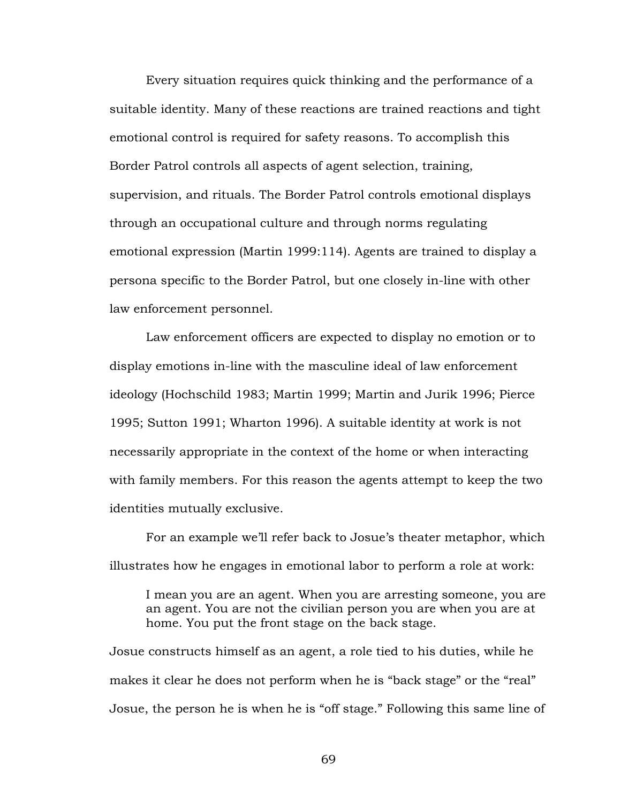Every situation requires quick thinking and the performance of a suitable identity. Many of these reactions are trained reactions and tight emotional control is required for safety reasons. To accomplish this Border Patrol controls all aspects of agent selection, training, supervision, and rituals. The Border Patrol controls emotional displays through an occupational culture and through norms regulating emotional expression (Martin 1999:114). Agents are trained to display a persona specific to the Border Patrol, but one closely in-line with other law enforcement personnel.

Law enforcement officers are expected to display no emotion or to display emotions in-line with the masculine ideal of law enforcement ideology (Hochschild 1983; Martin 1999; Martin and Jurik 1996; Pierce 1995; Sutton 1991; Wharton 1996). A suitable identity at work is not necessarily appropriate in the context of the home or when interacting with family members. For this reason the agents attempt to keep the two identities mutually exclusive.

For an example we'll refer back to Josue's theater metaphor, which illustrates how he engages in emotional labor to perform a role at work:

I mean you are an agent. When you are arresting someone, you are an agent. You are not the civilian person you are when you are at home. You put the front stage on the back stage.

Josue constructs himself as an agent, a role tied to his duties, while he makes it clear he does not perform when he is "back stage" or the "real" Josue, the person he is when he is "off stage." Following this same line of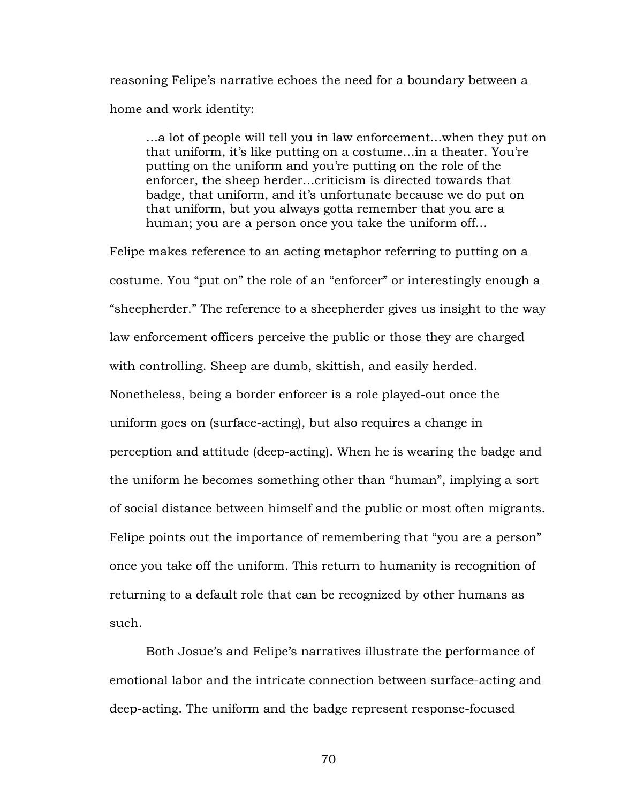reasoning Felipe's narrative echoes the need for a boundary between a home and work identity:

…a lot of people will tell you in law enforcement…when they put on that uniform, it's like putting on a costume…in a theater. You're putting on the uniform and you're putting on the role of the enforcer, the sheep herder…criticism is directed towards that badge, that uniform, and it's unfortunate because we do put on that uniform, but you always gotta remember that you are a human; you are a person once you take the uniform off…

Felipe makes reference to an acting metaphor referring to putting on a costume. You "put on" the role of an "enforcer" or interestingly enough a "sheepherder." The reference to a sheepherder gives us insight to the way law enforcement officers perceive the public or those they are charged with controlling. Sheep are dumb, skittish, and easily herded. Nonetheless, being a border enforcer is a role played-out once the uniform goes on (surface-acting), but also requires a change in perception and attitude (deep-acting). When he is wearing the badge and the uniform he becomes something other than "human", implying a sort of social distance between himself and the public or most often migrants. Felipe points out the importance of remembering that "you are a person" once you take off the uniform. This return to humanity is recognition of returning to a default role that can be recognized by other humans as such.

Both Josue's and Felipe's narratives illustrate the performance of emotional labor and the intricate connection between surface-acting and deep-acting. The uniform and the badge represent response-focused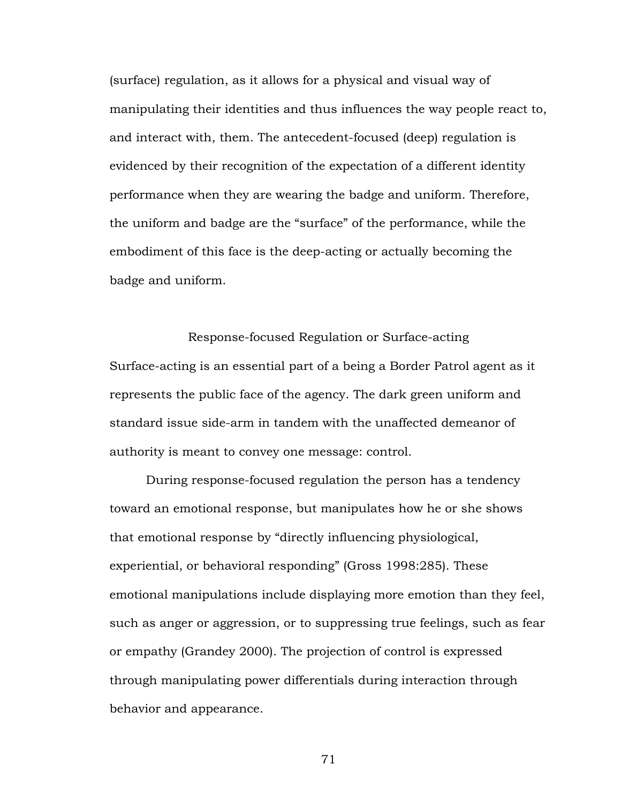(surface) regulation, as it allows for a physical and visual way of manipulating their identities and thus influences the way people react to, and interact with, them. The antecedent-focused (deep) regulation is evidenced by their recognition of the expectation of a different identity performance when they are wearing the badge and uniform. Therefore, the uniform and badge are the "surface" of the performance, while the embodiment of this face is the deep-acting or actually becoming the badge and uniform.

Response-focused Regulation or Surface-acting Surface-acting is an essential part of a being a Border Patrol agent as it represents the public face of the agency. The dark green uniform and standard issue side-arm in tandem with the unaffected demeanor of authority is meant to convey one message: control.

During response-focused regulation the person has a tendency toward an emotional response, but manipulates how he or she shows that emotional response by "directly influencing physiological, experiential, or behavioral responding" (Gross 1998:285). These emotional manipulations include displaying more emotion than they feel, such as anger or aggression, or to suppressing true feelings, such as fear or empathy (Grandey 2000). The projection of control is expressed through manipulating power differentials during interaction through behavior and appearance.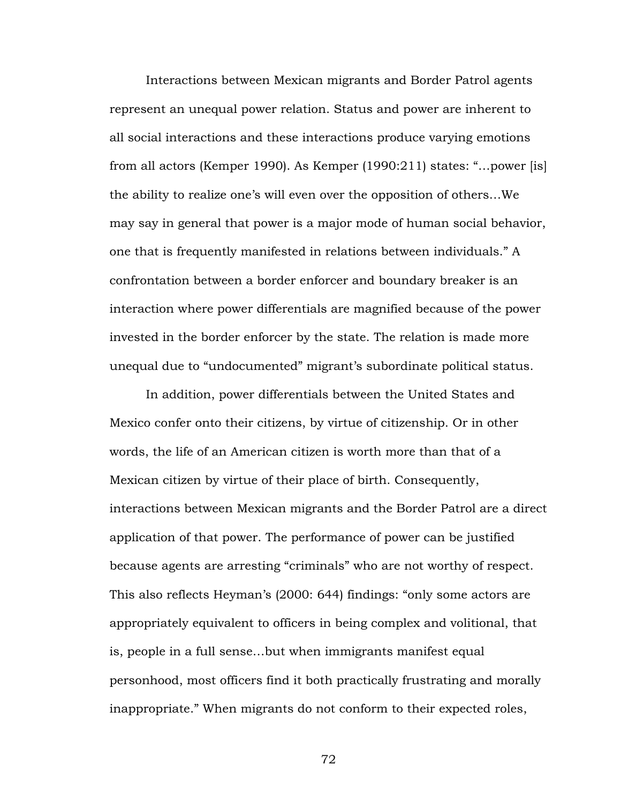Interactions between Mexican migrants and Border Patrol agents represent an unequal power relation. Status and power are inherent to all social interactions and these interactions produce varying emotions from all actors (Kemper 1990). As Kemper (1990:211) states: "…power [is] the ability to realize one's will even over the opposition of others…We may say in general that power is a major mode of human social behavior, one that is frequently manifested in relations between individuals." A confrontation between a border enforcer and boundary breaker is an interaction where power differentials are magnified because of the power invested in the border enforcer by the state. The relation is made more unequal due to "undocumented" migrant's subordinate political status.

In addition, power differentials between the United States and Mexico confer onto their citizens, by virtue of citizenship. Or in other words, the life of an American citizen is worth more than that of a Mexican citizen by virtue of their place of birth. Consequently, interactions between Mexican migrants and the Border Patrol are a direct application of that power. The performance of power can be justified because agents are arresting "criminals" who are not worthy of respect. This also reflects Heyman's (2000: 644) findings: "only some actors are appropriately equivalent to officers in being complex and volitional, that is, people in a full sense…but when immigrants manifest equal personhood, most officers find it both practically frustrating and morally inappropriate." When migrants do not conform to their expected roles,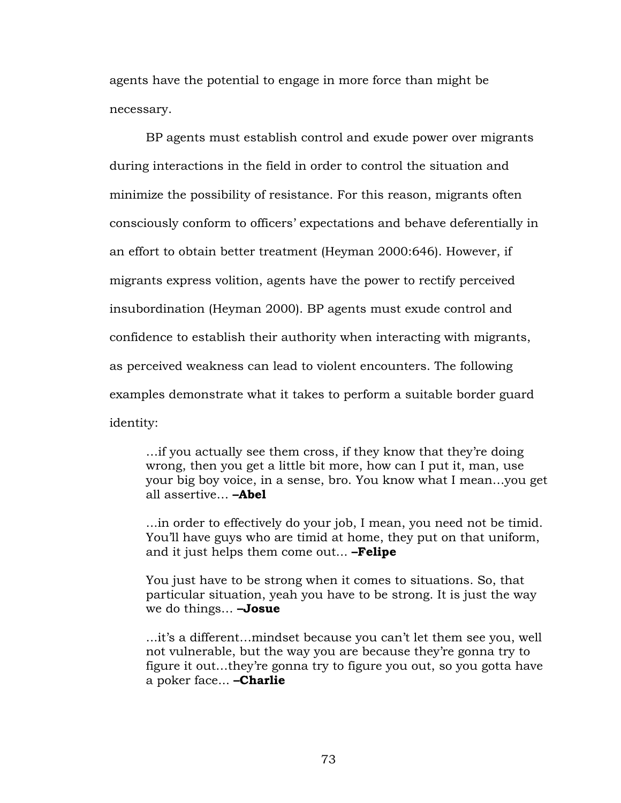agents have the potential to engage in more force than might be necessary.

BP agents must establish control and exude power over migrants during interactions in the field in order to control the situation and minimize the possibility of resistance. For this reason, migrants often consciously conform to officers' expectations and behave deferentially in an effort to obtain better treatment (Heyman 2000:646). However, if migrants express volition, agents have the power to rectify perceived insubordination (Heyman 2000). BP agents must exude control and confidence to establish their authority when interacting with migrants, as perceived weakness can lead to violent encounters. The following examples demonstrate what it takes to perform a suitable border guard identity:

…if you actually see them cross, if they know that they're doing wrong, then you get a little bit more, how can I put it, man, use your big boy voice, in a sense, bro. You know what I mean…you get all assertive… **–Abel**

...in order to effectively do your job, I mean, you need not be timid. You'll have guys who are timid at home, they put on that uniform, and it just helps them come out... **–Felipe**

You just have to be strong when it comes to situations. So, that particular situation, yeah you have to be strong. It is just the way we do things… **–Josue**

...it's a different…mindset because you can't let them see you, well not vulnerable, but the way you are because they're gonna try to figure it out…they're gonna try to figure you out, so you gotta have a poker face... **–Charlie**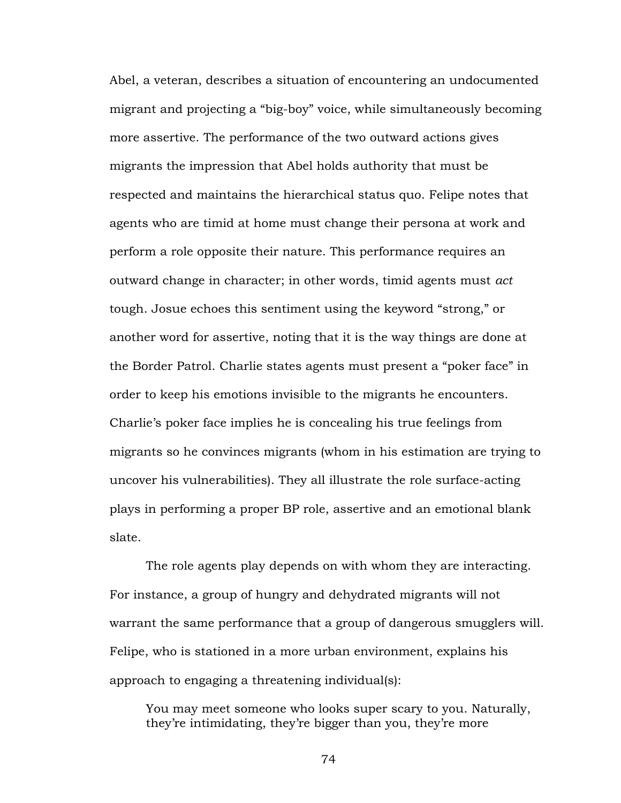Abel, a veteran, describes a situation of encountering an undocumented migrant and projecting a "big-boy" voice, while simultaneously becoming more assertive. The performance of the two outward actions gives migrants the impression that Abel holds authority that must be respected and maintains the hierarchical status quo. Felipe notes that agents who are timid at home must change their persona at work and perform a role opposite their nature. This performance requires an outward change in character; in other words, timid agents must *act*  tough. Josue echoes this sentiment using the keyword "strong," or another word for assertive, noting that it is the way things are done at the Border Patrol. Charlie states agents must present a "poker face" in order to keep his emotions invisible to the migrants he encounters. Charlie's poker face implies he is concealing his true feelings from migrants so he convinces migrants (whom in his estimation are trying to uncover his vulnerabilities). They all illustrate the role surface-acting plays in performing a proper BP role, assertive and an emotional blank slate.

The role agents play depends on with whom they are interacting. For instance, a group of hungry and dehydrated migrants will not warrant the same performance that a group of dangerous smugglers will. Felipe, who is stationed in a more urban environment, explains his approach to engaging a threatening individual(s):

You may meet someone who looks super scary to you. Naturally, they're intimidating, they're bigger than you, they're more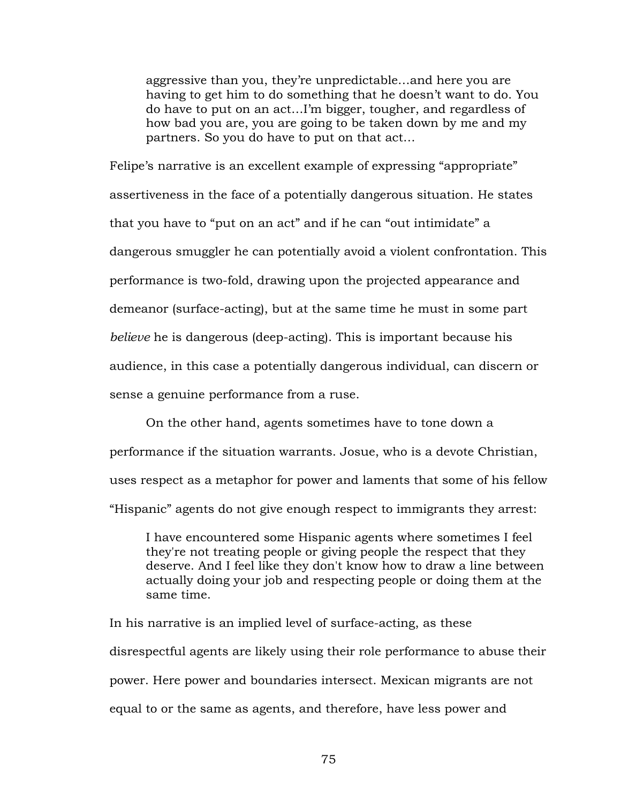aggressive than you, they're unpredictable…and here you are having to get him to do something that he doesn't want to do. You do have to put on an act…I'm bigger, tougher, and regardless of how bad you are, you are going to be taken down by me and my partners. So you do have to put on that act…

Felipe's narrative is an excellent example of expressing "appropriate" assertiveness in the face of a potentially dangerous situation. He states that you have to "put on an act" and if he can "out intimidate" a dangerous smuggler he can potentially avoid a violent confrontation. This performance is two-fold, drawing upon the projected appearance and demeanor (surface-acting), but at the same time he must in some part *believe* he is dangerous (deep-acting). This is important because his audience, in this case a potentially dangerous individual, can discern or sense a genuine performance from a ruse.

On the other hand, agents sometimes have to tone down a performance if the situation warrants. Josue, who is a devote Christian, uses respect as a metaphor for power and laments that some of his fellow "Hispanic" agents do not give enough respect to immigrants they arrest:

I have encountered some Hispanic agents where sometimes I feel they're not treating people or giving people the respect that they deserve. And I feel like they don't know how to draw a line between actually doing your job and respecting people or doing them at the same time.

In his narrative is an implied level of surface-acting, as these disrespectful agents are likely using their role performance to abuse their power. Here power and boundaries intersect. Mexican migrants are not equal to or the same as agents, and therefore, have less power and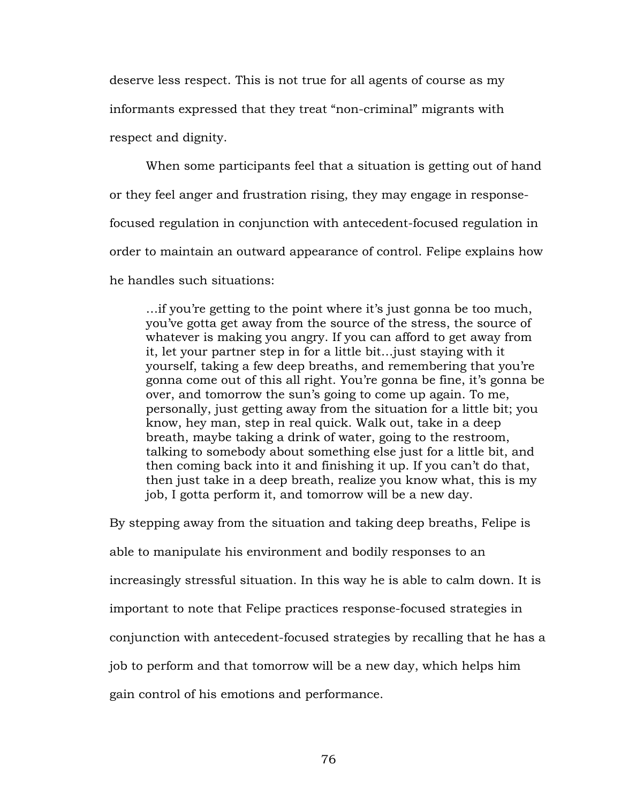deserve less respect. This is not true for all agents of course as my informants expressed that they treat "non-criminal" migrants with respect and dignity.

When some participants feel that a situation is getting out of hand or they feel anger and frustration rising, they may engage in responsefocused regulation in conjunction with antecedent-focused regulation in order to maintain an outward appearance of control. Felipe explains how he handles such situations:

…if you're getting to the point where it's just gonna be too much, you've gotta get away from the source of the stress, the source of whatever is making you angry. If you can afford to get away from it, let your partner step in for a little bit…just staying with it yourself, taking a few deep breaths, and remembering that you're gonna come out of this all right. You're gonna be fine, it's gonna be over, and tomorrow the sun's going to come up again. To me, personally, just getting away from the situation for a little bit; you know, hey man, step in real quick. Walk out, take in a deep breath, maybe taking a drink of water, going to the restroom, talking to somebody about something else just for a little bit, and then coming back into it and finishing it up. If you can't do that, then just take in a deep breath, realize you know what, this is my job, I gotta perform it, and tomorrow will be a new day.

By stepping away from the situation and taking deep breaths, Felipe is able to manipulate his environment and bodily responses to an increasingly stressful situation. In this way he is able to calm down. It is important to note that Felipe practices response-focused strategies in conjunction with antecedent-focused strategies by recalling that he has a job to perform and that tomorrow will be a new day, which helps him gain control of his emotions and performance.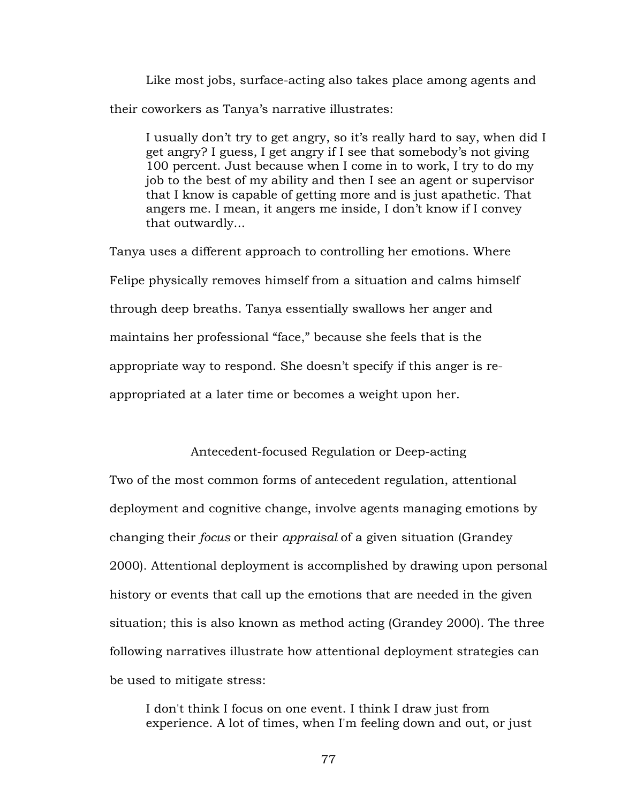Like most jobs, surface-acting also takes place among agents and their coworkers as Tanya's narrative illustrates:

I usually don't try to get angry, so it's really hard to say, when did I get angry? I guess, I get angry if I see that somebody's not giving 100 percent. Just because when I come in to work, I try to do my job to the best of my ability and then I see an agent or supervisor that I know is capable of getting more and is just apathetic. That angers me. I mean, it angers me inside, I don't know if I convey that outwardly...

Tanya uses a different approach to controlling her emotions. Where Felipe physically removes himself from a situation and calms himself through deep breaths. Tanya essentially swallows her anger and maintains her professional "face," because she feels that is the appropriate way to respond. She doesn't specify if this anger is reappropriated at a later time or becomes a weight upon her.

# Antecedent-focused Regulation or Deep-acting

Two of the most common forms of antecedent regulation, attentional deployment and cognitive change, involve agents managing emotions by changing their *focus* or their *appraisal* of a given situation (Grandey 2000). Attentional deployment is accomplished by drawing upon personal history or events that call up the emotions that are needed in the given situation; this is also known as method acting (Grandey 2000). The three following narratives illustrate how attentional deployment strategies can be used to mitigate stress:

I don't think I focus on one event. I think I draw just from experience. A lot of times, when I'm feeling down and out, or just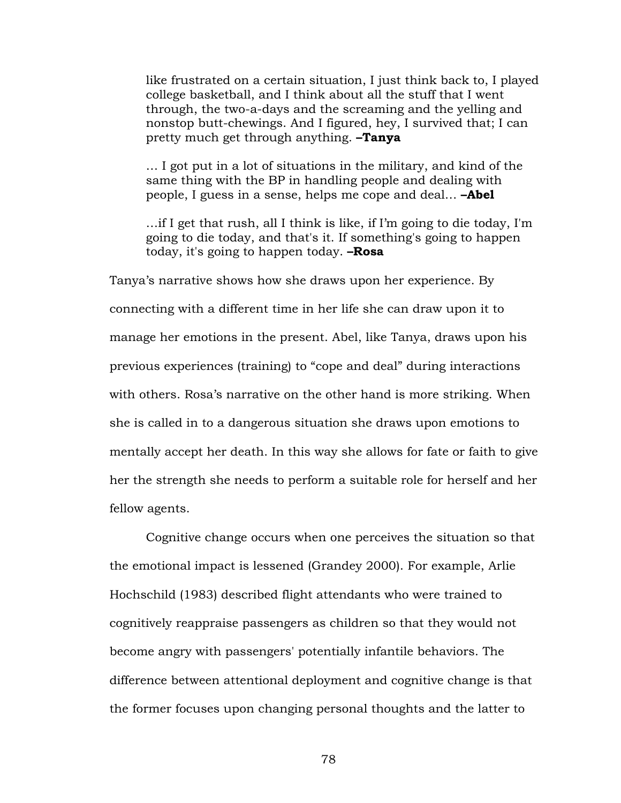like frustrated on a certain situation, I just think back to, I played college basketball, and I think about all the stuff that I went through, the two-a-days and the screaming and the yelling and nonstop butt-chewings. And I figured, hey, I survived that; I can pretty much get through anything. **–Tanya**

… I got put in a lot of situations in the military, and kind of the same thing with the BP in handling people and dealing with people, I guess in a sense, helps me cope and deal… **–Abel**

…if I get that rush, all I think is like, if I'm going to die today, I'm going to die today, and that's it. If something's going to happen today, it's going to happen today. **–Rosa**

Tanya's narrative shows how she draws upon her experience. By connecting with a different time in her life she can draw upon it to manage her emotions in the present. Abel, like Tanya, draws upon his previous experiences (training) to "cope and deal" during interactions with others. Rosa's narrative on the other hand is more striking. When she is called in to a dangerous situation she draws upon emotions to mentally accept her death. In this way she allows for fate or faith to give her the strength she needs to perform a suitable role for herself and her fellow agents.

Cognitive change occurs when one perceives the situation so that the emotional impact is lessened (Grandey 2000). For example, Arlie Hochschild (1983) described flight attendants who were trained to cognitively reappraise passengers as children so that they would not become angry with passengers' potentially infantile behaviors. The difference between attentional deployment and cognitive change is that the former focuses upon changing personal thoughts and the latter to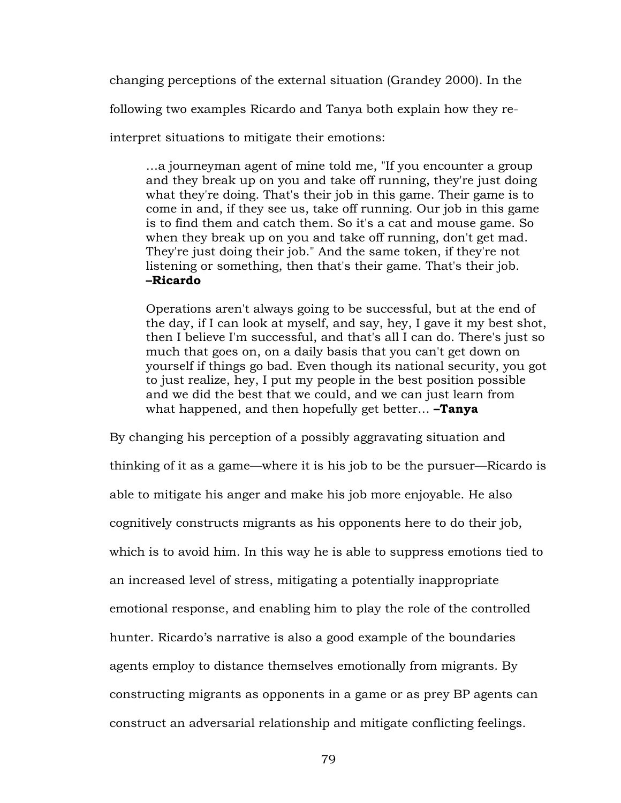changing perceptions of the external situation (Grandey 2000). In the

following two examples Ricardo and Tanya both explain how they re-

interpret situations to mitigate their emotions:

…a journeyman agent of mine told me, "If you encounter a group and they break up on you and take off running, they're just doing what they're doing. That's their job in this game. Their game is to come in and, if they see us, take off running. Our job in this game is to find them and catch them. So it's a cat and mouse game. So when they break up on you and take off running, don't get mad. They're just doing their job." And the same token, if they're not listening or something, then that's their game. That's their job. **–Ricardo**

Operations aren't always going to be successful, but at the end of the day, if I can look at myself, and say, hey, I gave it my best shot, then I believe I'm successful, and that's all I can do. There's just so much that goes on, on a daily basis that you can't get down on yourself if things go bad. Even though its national security, you got to just realize, hey, I put my people in the best position possible and we did the best that we could, and we can just learn from what happened, and then hopefully get better… **–Tanya**

By changing his perception of a possibly aggravating situation and thinking of it as a game—where it is his job to be the pursuer—Ricardo is able to mitigate his anger and make his job more enjoyable. He also cognitively constructs migrants as his opponents here to do their job, which is to avoid him. In this way he is able to suppress emotions tied to an increased level of stress, mitigating a potentially inappropriate emotional response, and enabling him to play the role of the controlled hunter. Ricardo's narrative is also a good example of the boundaries agents employ to distance themselves emotionally from migrants. By constructing migrants as opponents in a game or as prey BP agents can construct an adversarial relationship and mitigate conflicting feelings.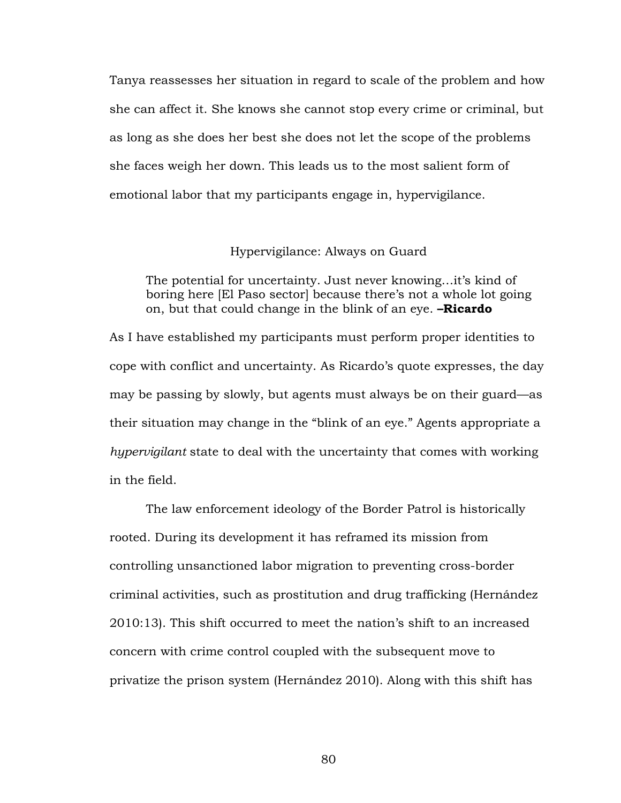Tanya reassesses her situation in regard to scale of the problem and how she can affect it. She knows she cannot stop every crime or criminal, but as long as she does her best she does not let the scope of the problems she faces weigh her down. This leads us to the most salient form of emotional labor that my participants engage in, hypervigilance.

## Hypervigilance: Always on Guard

The potential for uncertainty. Just never knowing…it's kind of boring here [El Paso sector] because there's not a whole lot going on, but that could change in the blink of an eye. **–Ricardo**

As I have established my participants must perform proper identities to cope with conflict and uncertainty. As Ricardo's quote expresses, the day may be passing by slowly, but agents must always be on their guard—as their situation may change in the "blink of an eye." Agents appropriate a *hypervigilant* state to deal with the uncertainty that comes with working in the field.

The law enforcement ideology of the Border Patrol is historically rooted. During its development it has reframed its mission from controlling unsanctioned labor migration to preventing cross-border criminal activities, such as prostitution and drug trafficking (Hernández 2010:13). This shift occurred to meet the nation's shift to an increased concern with crime control coupled with the subsequent move to privatize the prison system (Hernández 2010). Along with this shift has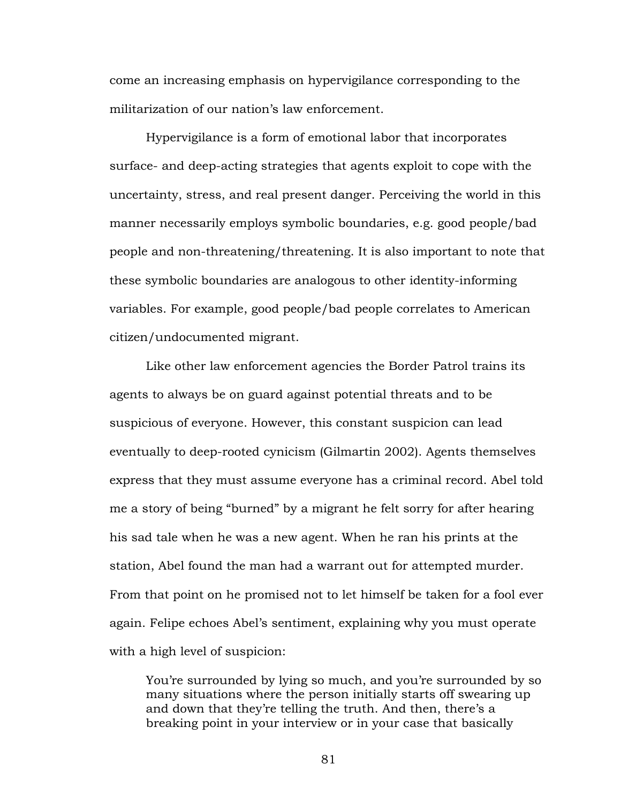come an increasing emphasis on hypervigilance corresponding to the militarization of our nation's law enforcement.

Hypervigilance is a form of emotional labor that incorporates surface- and deep-acting strategies that agents exploit to cope with the uncertainty, stress, and real present danger. Perceiving the world in this manner necessarily employs symbolic boundaries, e.g. good people/bad people and non-threatening/threatening. It is also important to note that these symbolic boundaries are analogous to other identity-informing variables. For example, good people/bad people correlates to American citizen/undocumented migrant.

Like other law enforcement agencies the Border Patrol trains its agents to always be on guard against potential threats and to be suspicious of everyone. However, this constant suspicion can lead eventually to deep-rooted cynicism (Gilmartin 2002). Agents themselves express that they must assume everyone has a criminal record. Abel told me a story of being "burned" by a migrant he felt sorry for after hearing his sad tale when he was a new agent. When he ran his prints at the station, Abel found the man had a warrant out for attempted murder. From that point on he promised not to let himself be taken for a fool ever again. Felipe echoes Abel's sentiment, explaining why you must operate with a high level of suspicion:

You're surrounded by lying so much, and you're surrounded by so many situations where the person initially starts off swearing up and down that they're telling the truth. And then, there's a breaking point in your interview or in your case that basically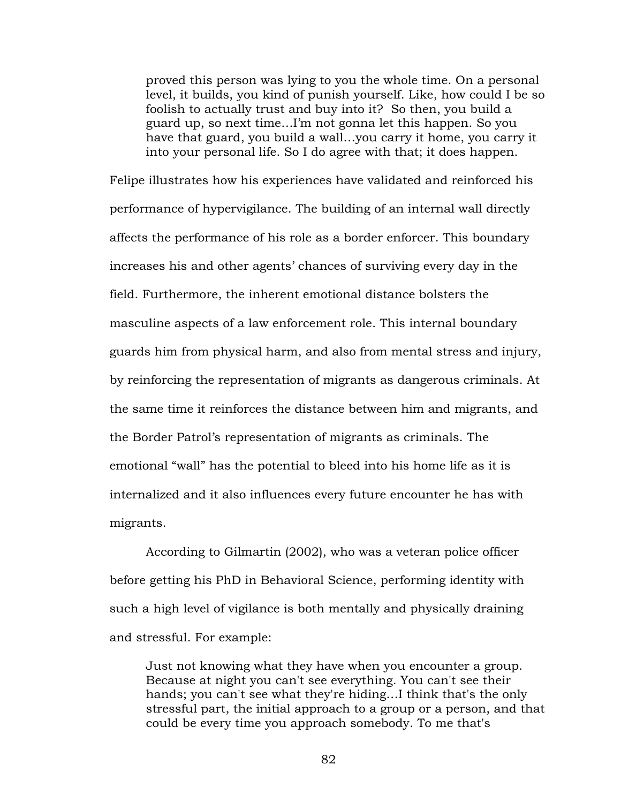proved this person was lying to you the whole time. On a personal level, it builds, you kind of punish yourself. Like, how could I be so foolish to actually trust and buy into it? So then, you build a guard up, so next time…I'm not gonna let this happen. So you have that guard, you build a wall…you carry it home, you carry it into your personal life. So I do agree with that; it does happen.

Felipe illustrates how his experiences have validated and reinforced his performance of hypervigilance. The building of an internal wall directly affects the performance of his role as a border enforcer. This boundary increases his and other agents' chances of surviving every day in the field. Furthermore, the inherent emotional distance bolsters the masculine aspects of a law enforcement role. This internal boundary guards him from physical harm, and also from mental stress and injury, by reinforcing the representation of migrants as dangerous criminals. At the same time it reinforces the distance between him and migrants, and the Border Patrol's representation of migrants as criminals. The emotional "wall" has the potential to bleed into his home life as it is internalized and it also influences every future encounter he has with migrants.

According to Gilmartin (2002), who was a veteran police officer before getting his PhD in Behavioral Science, performing identity with such a high level of vigilance is both mentally and physically draining and stressful. For example:

Just not knowing what they have when you encounter a group. Because at night you can't see everything. You can't see their hands; you can't see what they're hiding…I think that's the only stressful part, the initial approach to a group or a person, and that could be every time you approach somebody. To me that's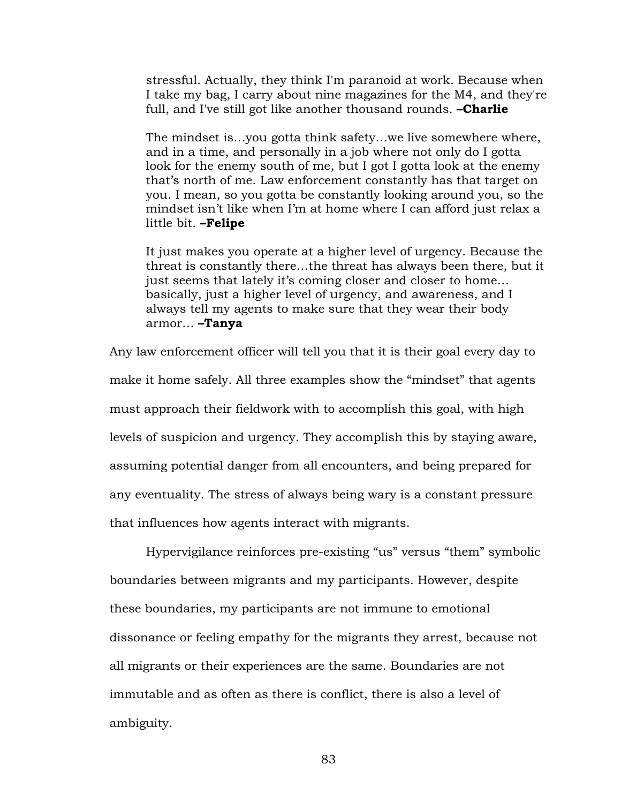stressful. Actually, they think I'm paranoid at work. Because when I take my bag, I carry about nine magazines for the M4, and they're full, and I've still got like another thousand rounds. **–Charlie**

The mindset is…you gotta think safety…we live somewhere where, and in a time, and personally in a job where not only do I gotta look for the enemy south of me, but I got I gotta look at the enemy that's north of me. Law enforcement constantly has that target on you. I mean, so you gotta be constantly looking around you, so the mindset isn't like when I'm at home where I can afford just relax a little bit. **–Felipe**

It just makes you operate at a higher level of urgency. Because the threat is constantly there…the threat has always been there, but it just seems that lately it's coming closer and closer to home… basically, just a higher level of urgency, and awareness, and I always tell my agents to make sure that they wear their body armor… **–Tanya**

Any law enforcement officer will tell you that it is their goal every day to make it home safely. All three examples show the "mindset" that agents must approach their fieldwork with to accomplish this goal, with high levels of suspicion and urgency. They accomplish this by staying aware, assuming potential danger from all encounters, and being prepared for any eventuality. The stress of always being wary is a constant pressure that influences how agents interact with migrants.

Hypervigilance reinforces pre-existing "us" versus "them" symbolic boundaries between migrants and my participants. However, despite these boundaries, my participants are not immune to emotional dissonance or feeling empathy for the migrants they arrest, because not all migrants or their experiences are the same. Boundaries are not immutable and as often as there is conflict, there is also a level of ambiguity.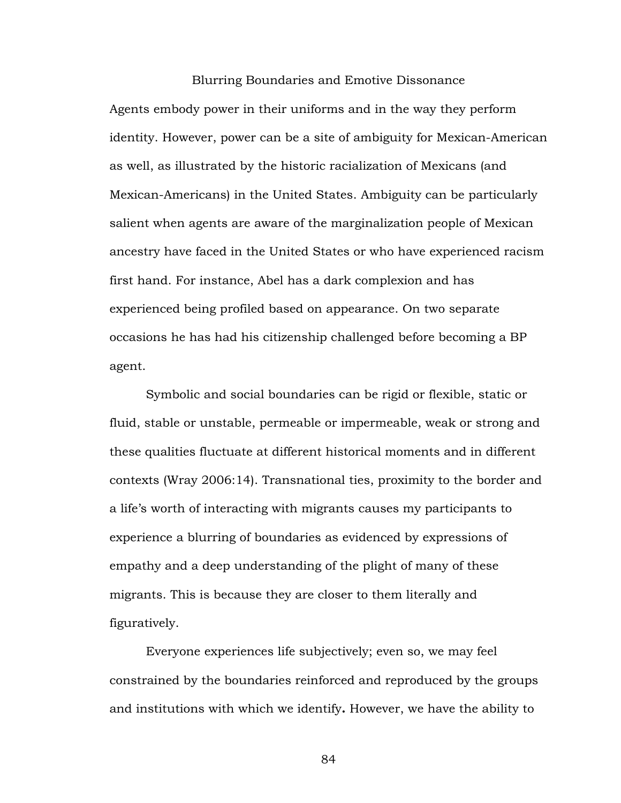### Blurring Boundaries and Emotive Dissonance

Agents embody power in their uniforms and in the way they perform identity. However, power can be a site of ambiguity for Mexican-American as well, as illustrated by the historic racialization of Mexicans (and Mexican-Americans) in the United States. Ambiguity can be particularly salient when agents are aware of the marginalization people of Mexican ancestry have faced in the United States or who have experienced racism first hand. For instance, Abel has a dark complexion and has experienced being profiled based on appearance. On two separate occasions he has had his citizenship challenged before becoming a BP agent.

Symbolic and social boundaries can be rigid or flexible, static or fluid, stable or unstable, permeable or impermeable, weak or strong and these qualities fluctuate at different historical moments and in different contexts (Wray 2006:14). Transnational ties, proximity to the border and a life's worth of interacting with migrants causes my participants to experience a blurring of boundaries as evidenced by expressions of empathy and a deep understanding of the plight of many of these migrants. This is because they are closer to them literally and figuratively.

Everyone experiences life subjectively; even so, we may feel constrained by the boundaries reinforced and reproduced by the groups and institutions with which we identify**.** However, we have the ability to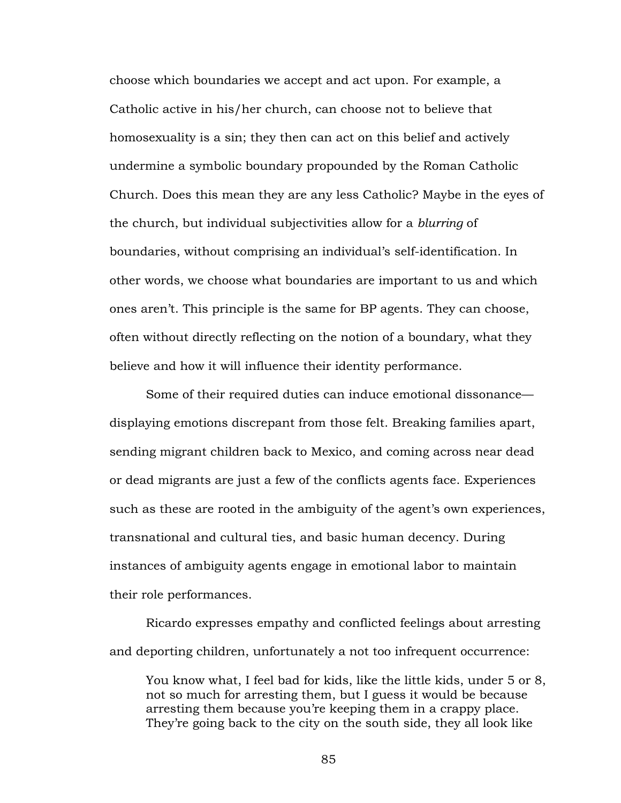choose which boundaries we accept and act upon. For example, a Catholic active in his/her church, can choose not to believe that homosexuality is a sin; they then can act on this belief and actively undermine a symbolic boundary propounded by the Roman Catholic Church. Does this mean they are any less Catholic? Maybe in the eyes of the church, but individual subjectivities allow for a *blurring* of boundaries, without comprising an individual's self-identification. In other words, we choose what boundaries are important to us and which ones aren't. This principle is the same for BP agents. They can choose, often without directly reflecting on the notion of a boundary, what they believe and how it will influence their identity performance.

Some of their required duties can induce emotional dissonance displaying emotions discrepant from those felt. Breaking families apart, sending migrant children back to Mexico, and coming across near dead or dead migrants are just a few of the conflicts agents face. Experiences such as these are rooted in the ambiguity of the agent's own experiences, transnational and cultural ties, and basic human decency. During instances of ambiguity agents engage in emotional labor to maintain their role performances.

Ricardo expresses empathy and conflicted feelings about arresting and deporting children, unfortunately a not too infrequent occurrence:

You know what, I feel bad for kids, like the little kids, under 5 or 8, not so much for arresting them, but I guess it would be because arresting them because you're keeping them in a crappy place. They're going back to the city on the south side, they all look like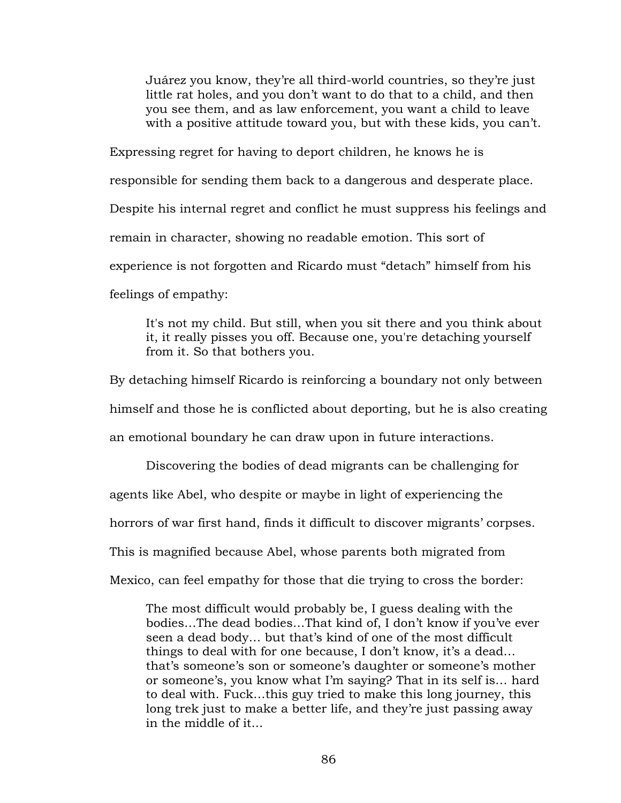Juárez you know, they're all third-world countries, so they're just little rat holes, and you don't want to do that to a child, and then you see them, and as law enforcement, you want a child to leave with a positive attitude toward you, but with these kids, you can't.

Expressing regret for having to deport children, he knows he is responsible for sending them back to a dangerous and desperate place. Despite his internal regret and conflict he must suppress his feelings and remain in character, showing no readable emotion. This sort of experience is not forgotten and Ricardo must "detach" himself from his feelings of empathy:

It's not my child. But still, when you sit there and you think about it, it really pisses you off. Because one, you're detaching yourself from it. So that bothers you.

By detaching himself Ricardo is reinforcing a boundary not only between himself and those he is conflicted about deporting, but he is also creating an emotional boundary he can draw upon in future interactions.

Discovering the bodies of dead migrants can be challenging for agents like Abel, who despite or maybe in light of experiencing the horrors of war first hand, finds it difficult to discover migrants' corpses. This is magnified because Abel, whose parents both migrated from Mexico, can feel empathy for those that die trying to cross the border:

The most difficult would probably be, I guess dealing with the bodies…The dead bodies…That kind of, I don't know if you've ever seen a dead body… but that's kind of one of the most difficult things to deal with for one because, I don't know, it's a dead… that's someone's son or someone's daughter or someone's mother or someone's, you know what I'm saying? That in its self is… hard to deal with. Fuck…this guy tried to make this long journey, this long trek just to make a better life, and they're just passing away in the middle of it...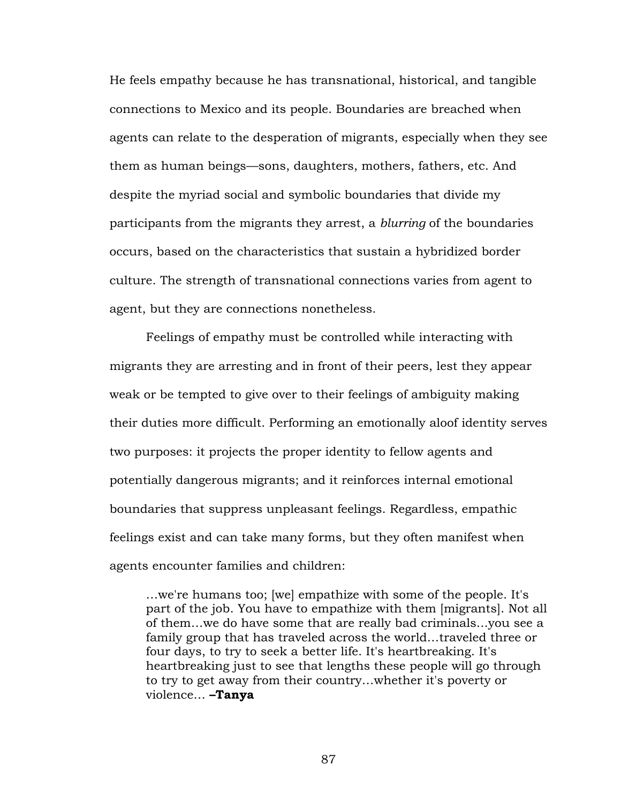He feels empathy because he has transnational, historical, and tangible connections to Mexico and its people. Boundaries are breached when agents can relate to the desperation of migrants, especially when they see them as human beings—sons, daughters, mothers, fathers, etc. And despite the myriad social and symbolic boundaries that divide my participants from the migrants they arrest, a *blurring* of the boundaries occurs, based on the characteristics that sustain a hybridized border culture. The strength of transnational connections varies from agent to agent, but they are connections nonetheless.

Feelings of empathy must be controlled while interacting with migrants they are arresting and in front of their peers, lest they appear weak or be tempted to give over to their feelings of ambiguity making their duties more difficult. Performing an emotionally aloof identity serves two purposes: it projects the proper identity to fellow agents and potentially dangerous migrants; and it reinforces internal emotional boundaries that suppress unpleasant feelings. Regardless, empathic feelings exist and can take many forms, but they often manifest when agents encounter families and children:

…we're humans too; [we] empathize with some of the people. It's part of the job. You have to empathize with them [migrants]. Not all of them…we do have some that are really bad criminals...you see a family group that has traveled across the world…traveled three or four days, to try to seek a better life. It's heartbreaking. It's heartbreaking just to see that lengths these people will go through to try to get away from their country…whether it's poverty or violence… **–Tanya**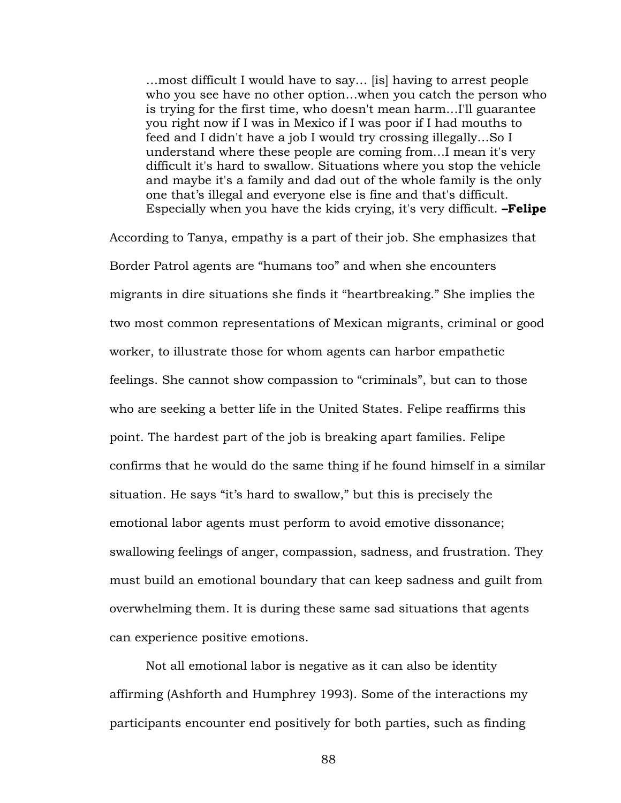…most difficult I would have to say… [is] having to arrest people who you see have no other option…when you catch the person who is trying for the first time, who doesn't mean harm…I'll guarantee you right now if I was in Mexico if I was poor if I had mouths to feed and I didn't have a job I would try crossing illegally…So I understand where these people are coming from…I mean it's very difficult it's hard to swallow. Situations where you stop the vehicle and maybe it's a family and dad out of the whole family is the only one that's illegal and everyone else is fine and that's difficult. Especially when you have the kids crying, it's very difficult. **–Felipe**

According to Tanya, empathy is a part of their job. She emphasizes that Border Patrol agents are "humans too" and when she encounters migrants in dire situations she finds it "heartbreaking." She implies the two most common representations of Mexican migrants, criminal or good worker, to illustrate those for whom agents can harbor empathetic feelings. She cannot show compassion to "criminals", but can to those who are seeking a better life in the United States. Felipe reaffirms this point. The hardest part of the job is breaking apart families. Felipe confirms that he would do the same thing if he found himself in a similar situation. He says "it's hard to swallow," but this is precisely the emotional labor agents must perform to avoid emotive dissonance; swallowing feelings of anger, compassion, sadness, and frustration. They must build an emotional boundary that can keep sadness and guilt from overwhelming them. It is during these same sad situations that agents can experience positive emotions.

Not all emotional labor is negative as it can also be identity affirming (Ashforth and Humphrey 1993). Some of the interactions my participants encounter end positively for both parties, such as finding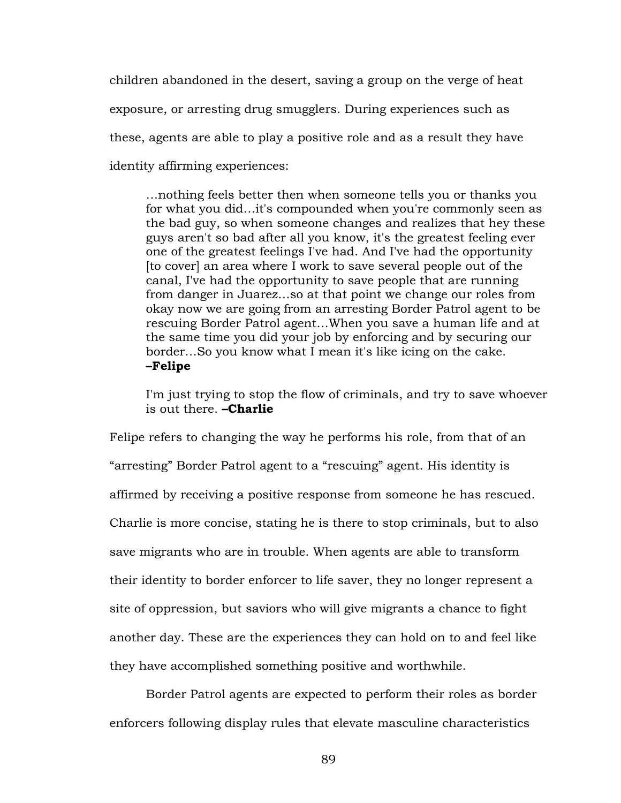children abandoned in the desert, saving a group on the verge of heat exposure, or arresting drug smugglers. During experiences such as these, agents are able to play a positive role and as a result they have identity affirming experiences:

…nothing feels better then when someone tells you or thanks you for what you did…it's compounded when you're commonly seen as the bad guy, so when someone changes and realizes that hey these guys aren't so bad after all you know, it's the greatest feeling ever one of the greatest feelings I've had. And I've had the opportunity [to cover] an area where I work to save several people out of the canal, I've had the opportunity to save people that are running from danger in Juarez…so at that point we change our roles from okay now we are going from an arresting Border Patrol agent to be rescuing Border Patrol agent…When you save a human life and at the same time you did your job by enforcing and by securing our border…So you know what I mean it's like icing on the cake. **–Felipe**

I'm just trying to stop the flow of criminals, and try to save whoever is out there. **–Charlie**

Felipe refers to changing the way he performs his role, from that of an "arresting" Border Patrol agent to a "rescuing" agent. His identity is affirmed by receiving a positive response from someone he has rescued. Charlie is more concise, stating he is there to stop criminals, but to also save migrants who are in trouble. When agents are able to transform their identity to border enforcer to life saver, they no longer represent a site of oppression, but saviors who will give migrants a chance to fight another day. These are the experiences they can hold on to and feel like they have accomplished something positive and worthwhile.

Border Patrol agents are expected to perform their roles as border enforcers following display rules that elevate masculine characteristics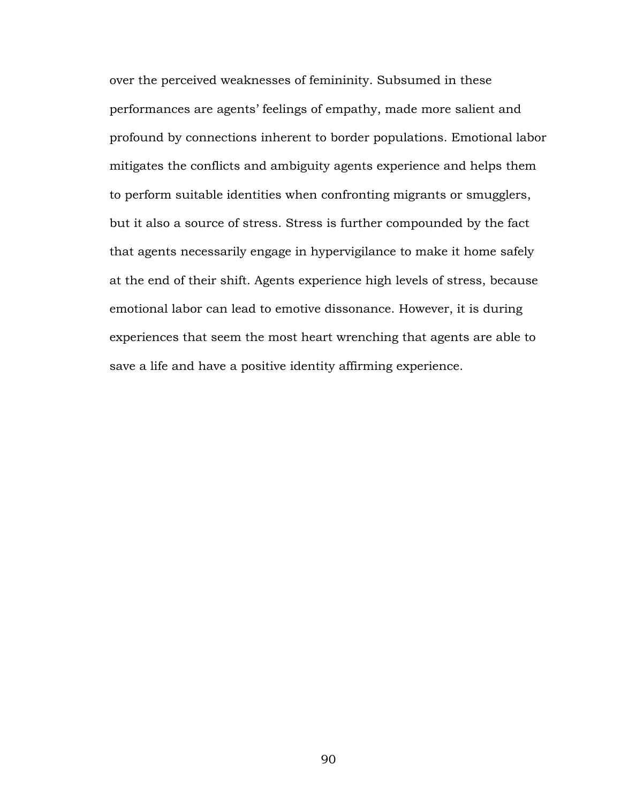over the perceived weaknesses of femininity. Subsumed in these performances are agents' feelings of empathy, made more salient and profound by connections inherent to border populations. Emotional labor mitigates the conflicts and ambiguity agents experience and helps them to perform suitable identities when confronting migrants or smugglers, but it also a source of stress. Stress is further compounded by the fact that agents necessarily engage in hypervigilance to make it home safely at the end of their shift. Agents experience high levels of stress, because emotional labor can lead to emotive dissonance. However, it is during experiences that seem the most heart wrenching that agents are able to save a life and have a positive identity affirming experience.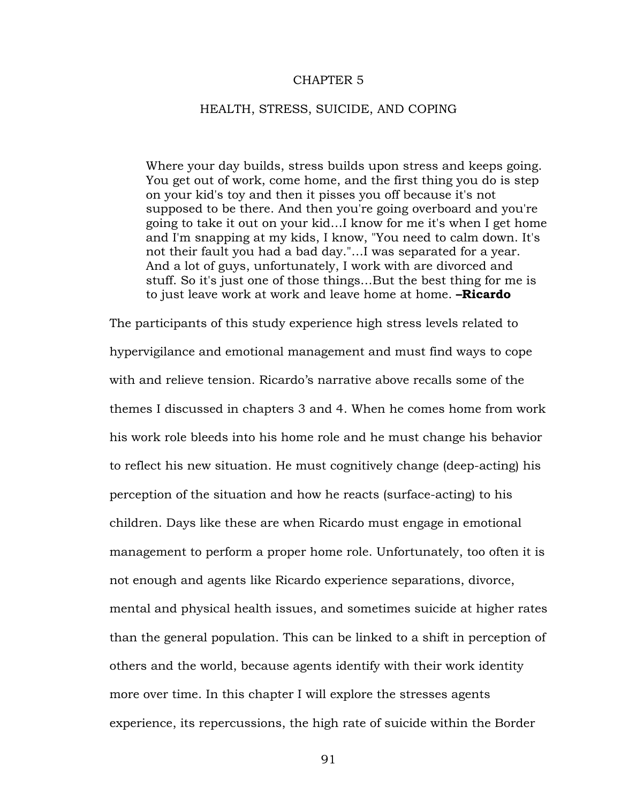#### CHAPTER 5

#### HEALTH, STRESS, SUICIDE, AND COPING

Where your day builds, stress builds upon stress and keeps going. You get out of work, come home, and the first thing you do is step on your kid's toy and then it pisses you off because it's not supposed to be there. And then you're going overboard and you're going to take it out on your kid…I know for me it's when I get home and I'm snapping at my kids, I know, "You need to calm down. It's not their fault you had a bad day."…I was separated for a year. And a lot of guys, unfortunately, I work with are divorced and stuff. So it's just one of those things…But the best thing for me is to just leave work at work and leave home at home. **–Ricardo**

The participants of this study experience high stress levels related to hypervigilance and emotional management and must find ways to cope with and relieve tension. Ricardo's narrative above recalls some of the themes I discussed in chapters 3 and 4. When he comes home from work his work role bleeds into his home role and he must change his behavior to reflect his new situation. He must cognitively change (deep-acting) his perception of the situation and how he reacts (surface-acting) to his children. Days like these are when Ricardo must engage in emotional management to perform a proper home role. Unfortunately, too often it is not enough and agents like Ricardo experience separations, divorce, mental and physical health issues, and sometimes suicide at higher rates than the general population. This can be linked to a shift in perception of others and the world, because agents identify with their work identity more over time. In this chapter I will explore the stresses agents experience, its repercussions, the high rate of suicide within the Border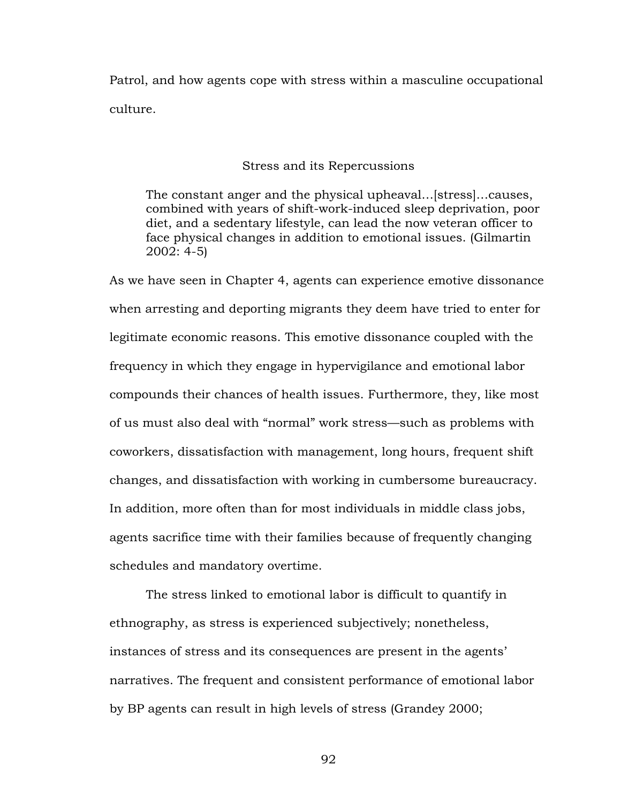Patrol, and how agents cope with stress within a masculine occupational culture.

Stress and its Repercussions

The constant anger and the physical upheaval…[stress]…causes, combined with years of shift-work-induced sleep deprivation, poor diet, and a sedentary lifestyle, can lead the now veteran officer to face physical changes in addition to emotional issues. (Gilmartin 2002: 4-5)

As we have seen in Chapter 4, agents can experience emotive dissonance when arresting and deporting migrants they deem have tried to enter for legitimate economic reasons. This emotive dissonance coupled with the frequency in which they engage in hypervigilance and emotional labor compounds their chances of health issues. Furthermore, they, like most of us must also deal with "normal" work stress—such as problems with coworkers, dissatisfaction with management, long hours, frequent shift changes, and dissatisfaction with working in cumbersome bureaucracy. In addition, more often than for most individuals in middle class jobs, agents sacrifice time with their families because of frequently changing schedules and mandatory overtime.

The stress linked to emotional labor is difficult to quantify in ethnography, as stress is experienced subjectively; nonetheless, instances of stress and its consequences are present in the agents' narratives. The frequent and consistent performance of emotional labor by BP agents can result in high levels of stress (Grandey 2000;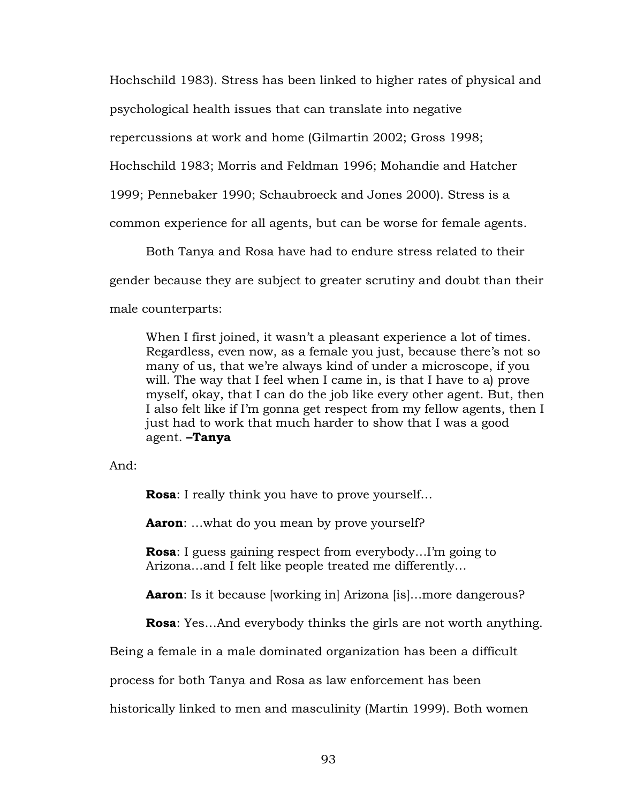Hochschild 1983). Stress has been linked to higher rates of physical and

psychological health issues that can translate into negative

repercussions at work and home (Gilmartin 2002; Gross 1998;

Hochschild 1983; Morris and Feldman 1996; Mohandie and Hatcher

1999; Pennebaker 1990; Schaubroeck and Jones 2000). Stress is a

common experience for all agents, but can be worse for female agents.

Both Tanya and Rosa have had to endure stress related to their

gender because they are subject to greater scrutiny and doubt than their

male counterparts:

When I first joined, it wasn't a pleasant experience a lot of times. Regardless, even now, as a female you just, because there's not so many of us, that we're always kind of under a microscope, if you will. The way that I feel when I came in, is that I have to a) prove myself, okay, that I can do the job like every other agent. But, then I also felt like if I'm gonna get respect from my fellow agents, then I just had to work that much harder to show that I was a good agent. **–Tanya**

And:

**Rosa**: I really think you have to prove yourself…

**Aaron**: …what do you mean by prove yourself?

**Rosa**: I guess gaining respect from everybody…I'm going to Arizona…and I felt like people treated me differently…

**Aaron**: Is it because [working in] Arizona [is]...more dangerous?

**Rosa**: Yes…And everybody thinks the girls are not worth anything.

Being a female in a male dominated organization has been a difficult

process for both Tanya and Rosa as law enforcement has been

historically linked to men and masculinity (Martin 1999). Both women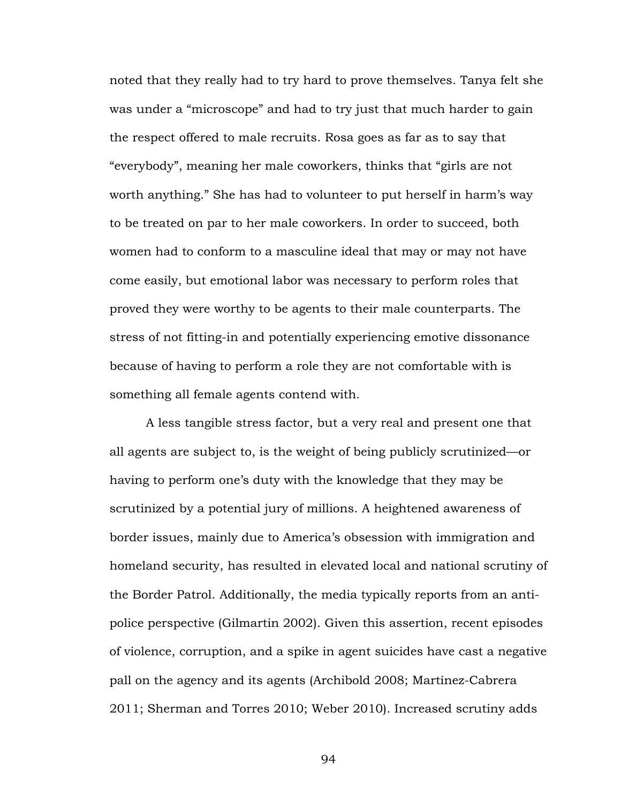noted that they really had to try hard to prove themselves. Tanya felt she was under a "microscope" and had to try just that much harder to gain the respect offered to male recruits. Rosa goes as far as to say that "everybody", meaning her male coworkers, thinks that "girls are not worth anything." She has had to volunteer to put herself in harm's way to be treated on par to her male coworkers. In order to succeed, both women had to conform to a masculine ideal that may or may not have come easily, but emotional labor was necessary to perform roles that proved they were worthy to be agents to their male counterparts. The stress of not fitting-in and potentially experiencing emotive dissonance because of having to perform a role they are not comfortable with is something all female agents contend with.

A less tangible stress factor, but a very real and present one that all agents are subject to, is the weight of being publicly scrutinized—or having to perform one's duty with the knowledge that they may be scrutinized by a potential jury of millions. A heightened awareness of border issues, mainly due to America's obsession with immigration and homeland security, has resulted in elevated local and national scrutiny of the Border Patrol. Additionally, the media typically reports from an antipolice perspective (Gilmartin 2002). Given this assertion, recent episodes of violence, corruption, and a spike in agent suicides have cast a negative pall on the agency and its agents (Archibold 2008; Martínez-Cabrera 2011; Sherman and Torres 2010; Weber 2010). Increased scrutiny adds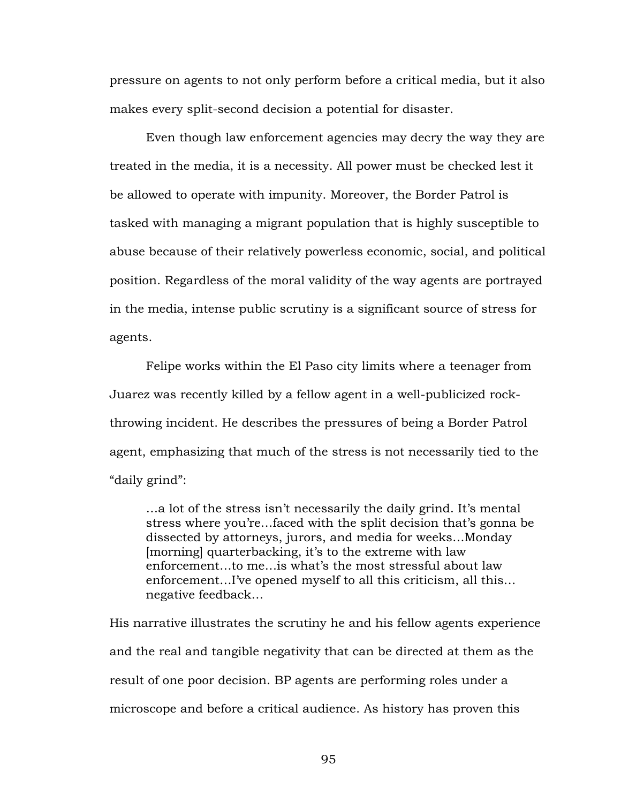pressure on agents to not only perform before a critical media, but it also makes every split-second decision a potential for disaster.

Even though law enforcement agencies may decry the way they are treated in the media, it is a necessity. All power must be checked lest it be allowed to operate with impunity. Moreover, the Border Patrol is tasked with managing a migrant population that is highly susceptible to abuse because of their relatively powerless economic, social, and political position. Regardless of the moral validity of the way agents are portrayed in the media, intense public scrutiny is a significant source of stress for agents.

Felipe works within the El Paso city limits where a teenager from Juarez was recently killed by a fellow agent in a well-publicized rockthrowing incident. He describes the pressures of being a Border Patrol agent, emphasizing that much of the stress is not necessarily tied to the "daily grind":

…a lot of the stress isn't necessarily the daily grind. It's mental stress where you're…faced with the split decision that's gonna be dissected by attorneys, jurors, and media for weeks…Monday [morning] quarterbacking, it's to the extreme with law enforcement…to me…is what's the most stressful about law enforcement…I've opened myself to all this criticism, all this… negative feedback…

His narrative illustrates the scrutiny he and his fellow agents experience and the real and tangible negativity that can be directed at them as the result of one poor decision. BP agents are performing roles under a microscope and before a critical audience. As history has proven this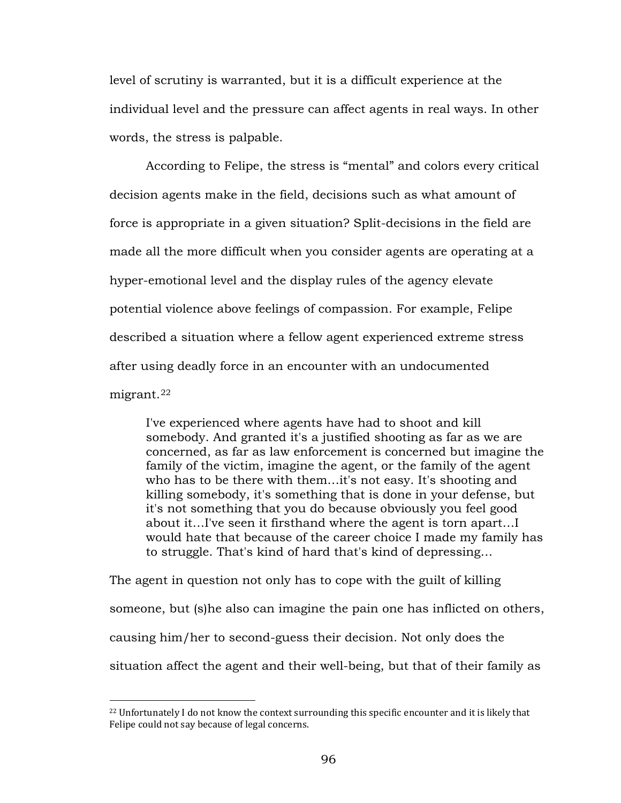level of scrutiny is warranted, but it is a difficult experience at the individual level and the pressure can affect agents in real ways. In other words, the stress is palpable.

According to Felipe, the stress is "mental" and colors every critical decision agents make in the field, decisions such as what amount of force is appropriate in a given situation? Split-decisions in the field are made all the more difficult when you consider agents are operating at a hyper-emotional level and the display rules of the agency elevate potential violence above feelings of compassion. For example, Felipe described a situation where a fellow agent experienced extreme stress after using deadly force in an encounter with an undocumented migrant.[22](#page-101-0)

I've experienced where agents have had to shoot and kill somebody. And granted it's a justified shooting as far as we are concerned, as far as law enforcement is concerned but imagine the family of the victim, imagine the agent, or the family of the agent who has to be there with them…it's not easy. It's shooting and killing somebody, it's something that is done in your defense, but it's not something that you do because obviously you feel good about it…I've seen it firsthand where the agent is torn apart…I would hate that because of the career choice I made my family has to struggle. That's kind of hard that's kind of depressing…

The agent in question not only has to cope with the guilt of killing someone, but (s)he also can imagine the pain one has inflicted on others, causing him/her to second-guess their decision. Not only does the situation affect the agent and their well-being, but that of their family as

 $\overline{a}$ 

<span id="page-101-0"></span> $^{22}$  Unfortunately I do not know the context surrounding this specific encounter and it is likely that Felipe could not say because of legal concerns.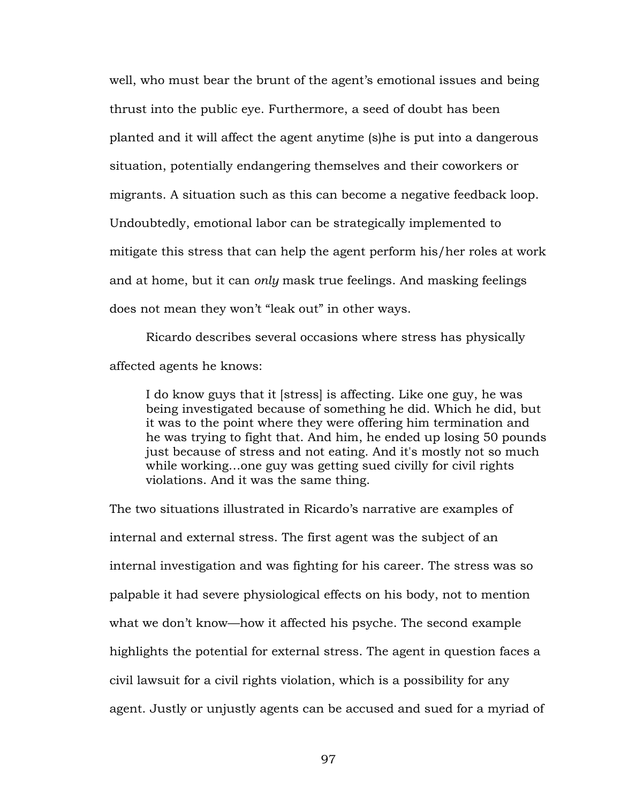well, who must bear the brunt of the agent's emotional issues and being thrust into the public eye. Furthermore, a seed of doubt has been planted and it will affect the agent anytime (s)he is put into a dangerous situation, potentially endangering themselves and their coworkers or migrants. A situation such as this can become a negative feedback loop. Undoubtedly, emotional labor can be strategically implemented to mitigate this stress that can help the agent perform his/her roles at work and at home, but it can *only* mask true feelings. And masking feelings does not mean they won't "leak out" in other ways.

Ricardo describes several occasions where stress has physically affected agents he knows:

I do know guys that it [stress] is affecting. Like one guy, he was being investigated because of something he did. Which he did, but it was to the point where they were offering him termination and he was trying to fight that. And him, he ended up losing 50 pounds just because of stress and not eating. And it's mostly not so much while working…one guy was getting sued civilly for civil rights violations. And it was the same thing.

The two situations illustrated in Ricardo's narrative are examples of internal and external stress. The first agent was the subject of an internal investigation and was fighting for his career. The stress was so palpable it had severe physiological effects on his body, not to mention what we don't know—how it affected his psyche. The second example highlights the potential for external stress. The agent in question faces a civil lawsuit for a civil rights violation, which is a possibility for any agent. Justly or unjustly agents can be accused and sued for a myriad of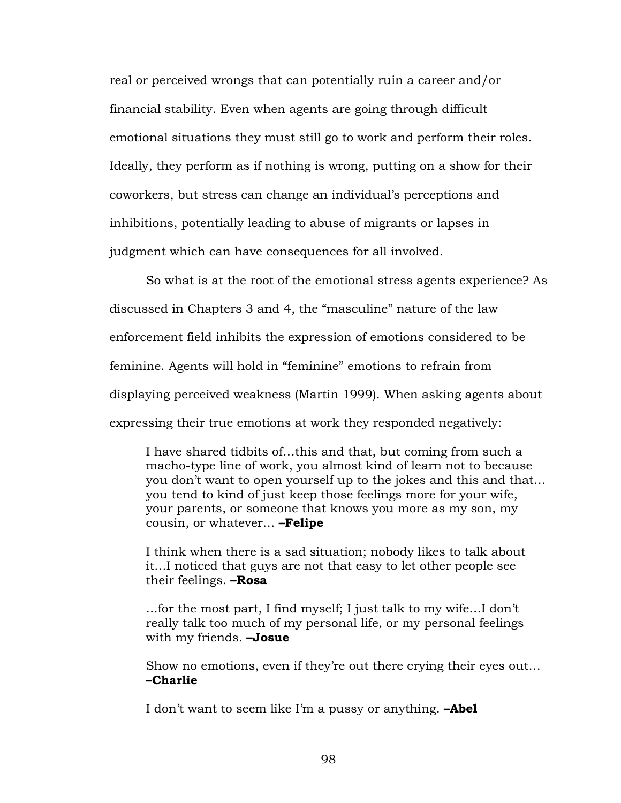real or perceived wrongs that can potentially ruin a career and/or financial stability. Even when agents are going through difficult emotional situations they must still go to work and perform their roles. Ideally, they perform as if nothing is wrong, putting on a show for their coworkers, but stress can change an individual's perceptions and inhibitions, potentially leading to abuse of migrants or lapses in judgment which can have consequences for all involved.

So what is at the root of the emotional stress agents experience? As discussed in Chapters 3 and 4, the "masculine" nature of the law enforcement field inhibits the expression of emotions considered to be feminine. Agents will hold in "feminine" emotions to refrain from displaying perceived weakness (Martin 1999). When asking agents about expressing their true emotions at work they responded negatively:

I have shared tidbits of…this and that, but coming from such a macho-type line of work, you almost kind of learn not to because you don't want to open yourself up to the jokes and this and that… you tend to kind of just keep those feelings more for your wife, your parents, or someone that knows you more as my son, my cousin, or whatever… **–Felipe**

I think when there is a sad situation; nobody likes to talk about it…I noticed that guys are not that easy to let other people see their feelings. **–Rosa**

...for the most part, I find myself; I just talk to my wife…I don't really talk too much of my personal life, or my personal feelings with my friends. **–Josue**

Show no emotions, even if they're out there crying their eyes out… **–Charlie**

I don't want to seem like I'm a pussy or anything. **–Abel**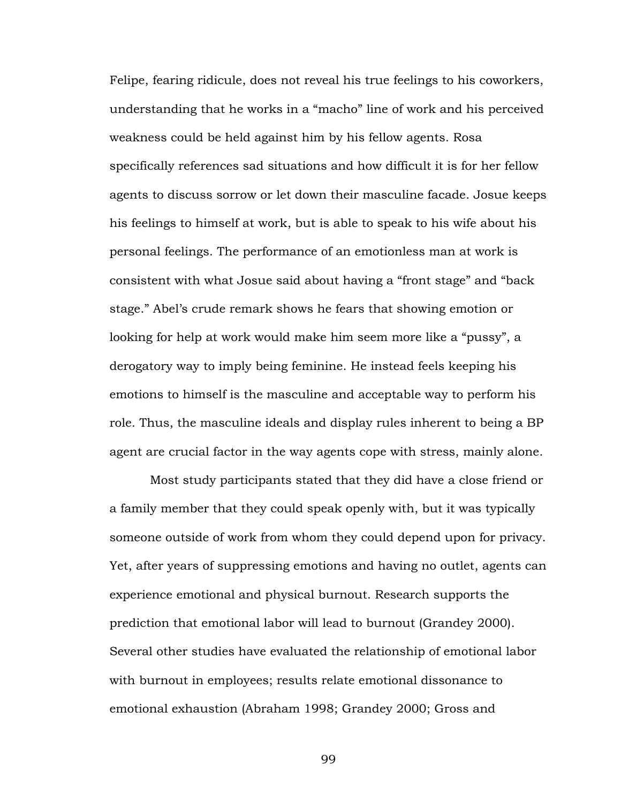Felipe, fearing ridicule, does not reveal his true feelings to his coworkers, understanding that he works in a "macho" line of work and his perceived weakness could be held against him by his fellow agents. Rosa specifically references sad situations and how difficult it is for her fellow agents to discuss sorrow or let down their masculine facade. Josue keeps his feelings to himself at work, but is able to speak to his wife about his personal feelings. The performance of an emotionless man at work is consistent with what Josue said about having a "front stage" and "back stage." Abel's crude remark shows he fears that showing emotion or looking for help at work would make him seem more like a "pussy", a derogatory way to imply being feminine. He instead feels keeping his emotions to himself is the masculine and acceptable way to perform his role. Thus, the masculine ideals and display rules inherent to being a BP agent are crucial factor in the way agents cope with stress, mainly alone.

Most study participants stated that they did have a close friend or a family member that they could speak openly with, but it was typically someone outside of work from whom they could depend upon for privacy. Yet, after years of suppressing emotions and having no outlet, agents can experience emotional and physical burnout. Research supports the prediction that emotional labor will lead to burnout (Grandey 2000). Several other studies have evaluated the relationship of emotional labor with burnout in employees; results relate emotional dissonance to emotional exhaustion (Abraham 1998; Grandey 2000; Gross and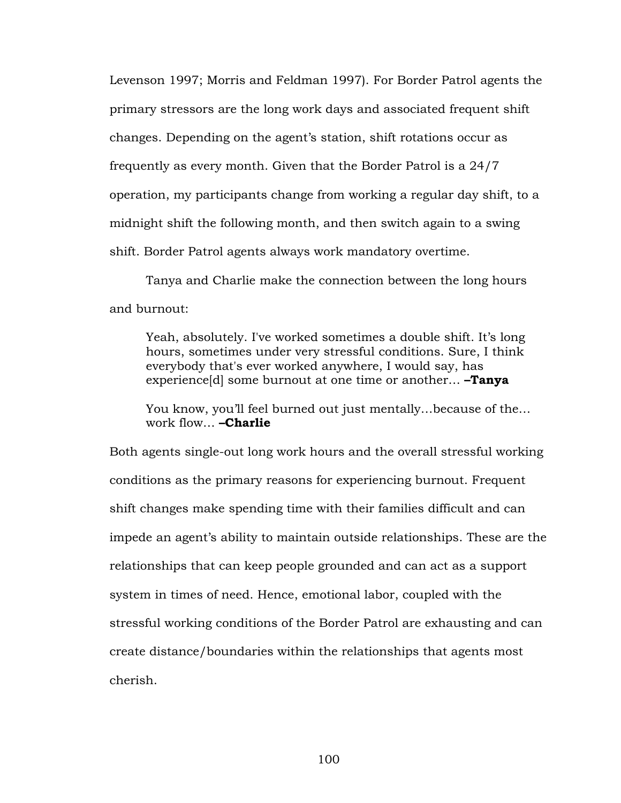Levenson 1997; Morris and Feldman 1997). For Border Patrol agents the primary stressors are the long work days and associated frequent shift changes. Depending on the agent's station, shift rotations occur as frequently as every month. Given that the Border Patrol is a 24/7 operation, my participants change from working a regular day shift, to a midnight shift the following month, and then switch again to a swing shift. Border Patrol agents always work mandatory overtime.

Tanya and Charlie make the connection between the long hours and burnout:

Yeah, absolutely. I've worked sometimes a double shift. It's long hours, sometimes under very stressful conditions. Sure, I think everybody that's ever worked anywhere, I would say, has experience[d] some burnout at one time or another… **–Tanya**

You know, you'll feel burned out just mentally…because of the… work flow… **–Charlie**

Both agents single-out long work hours and the overall stressful working conditions as the primary reasons for experiencing burnout. Frequent shift changes make spending time with their families difficult and can impede an agent's ability to maintain outside relationships. These are the relationships that can keep people grounded and can act as a support system in times of need. Hence, emotional labor, coupled with the stressful working conditions of the Border Patrol are exhausting and can create distance/boundaries within the relationships that agents most cherish.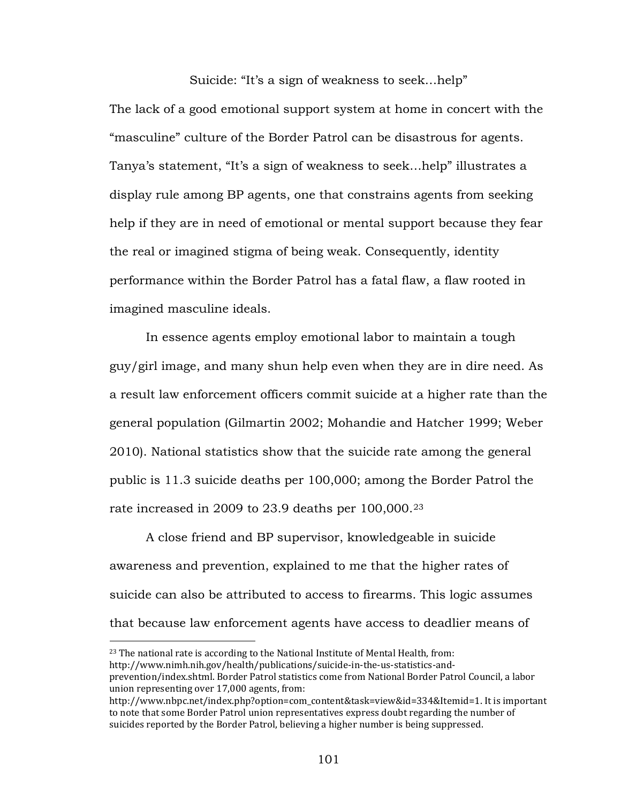Suicide: "It's a sign of weakness to seek…help"

The lack of a good emotional support system at home in concert with the "masculine" culture of the Border Patrol can be disastrous for agents. Tanya's statement, "It's a sign of weakness to seek…help" illustrates a display rule among BP agents, one that constrains agents from seeking help if they are in need of emotional or mental support because they fear the real or imagined stigma of being weak. Consequently, identity performance within the Border Patrol has a fatal flaw, a flaw rooted in imagined masculine ideals.

In essence agents employ emotional labor to maintain a tough guy/girl image, and many shun help even when they are in dire need. As a result law enforcement officers commit suicide at a higher rate than the general population (Gilmartin 2002; Mohandie and Hatcher 1999; Weber 2010). National statistics show that the suicide rate among the general public is 11.3 suicide deaths per 100,000; among the Border Patrol the rate increased in 2009 to [23](#page-106-0).9 deaths per 100,000.<sup>23</sup>

A close friend and BP supervisor, knowledgeable in suicide awareness and prevention, explained to me that the higher rates of suicide can also be attributed to access to firearms. This logic assumes that because law enforcement agents have access to deadlier means of

 $\overline{a}$ 

<span id="page-106-0"></span><sup>&</sup>lt;sup>23</sup> The national rate is according to the National Institute of Mental Health, from: http://www.nimh.nih.gov/health/publications/suicide-in-the-us-statistics-andprevention/index.shtml. Border Patrol statistics come from National Border Patrol Council, a labor union representing over 17,000 agents, from:

http://www.nbpc.net/index.php?option=com\_content&task=view&id=334&Itemid=1. It is important to note that some Border Patrol union representatives express doubt regarding the number of suicides reported by the Border Patrol, believing a higher number is being suppressed.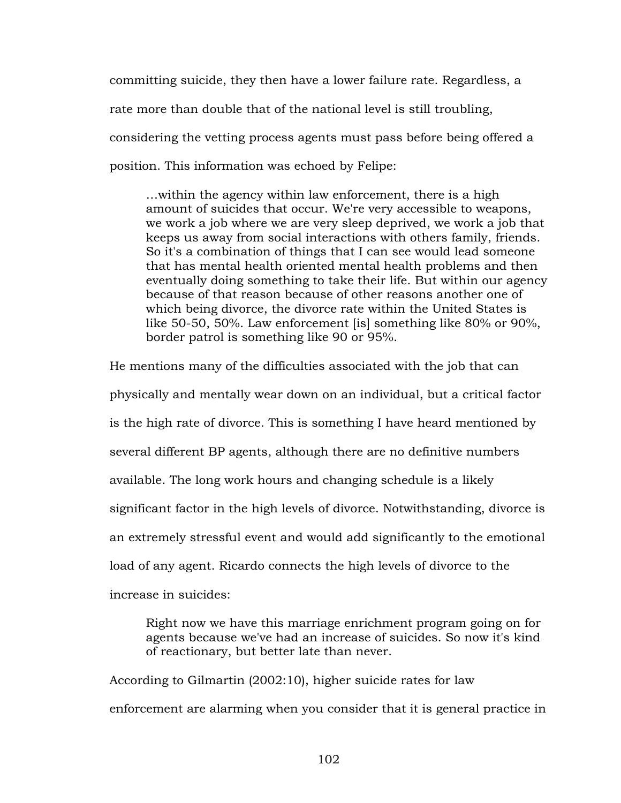committing suicide, they then have a lower failure rate. Regardless, a rate more than double that of the national level is still troubling, considering the vetting process agents must pass before being offered a position. This information was echoed by Felipe:

…within the agency within law enforcement, there is a high amount of suicides that occur. We're very accessible to weapons, we work a job where we are very sleep deprived, we work a job that keeps us away from social interactions with others family, friends. So it's a combination of things that I can see would lead someone that has mental health oriented mental health problems and then eventually doing something to take their life. But within our agency because of that reason because of other reasons another one of which being divorce, the divorce rate within the United States is like 50-50, 50%. Law enforcement [is] something like 80% or 90%, border patrol is something like 90 or 95%.

He mentions many of the difficulties associated with the job that can physically and mentally wear down on an individual, but a critical factor is the high rate of divorce. This is something I have heard mentioned by several different BP agents, although there are no definitive numbers available. The long work hours and changing schedule is a likely significant factor in the high levels of divorce. Notwithstanding, divorce is an extremely stressful event and would add significantly to the emotional load of any agent. Ricardo connects the high levels of divorce to the increase in suicides:

Right now we have this marriage enrichment program going on for agents because we've had an increase of suicides. So now it's kind of reactionary, but better late than never.

According to Gilmartin (2002:10), higher suicide rates for law enforcement are alarming when you consider that it is general practice in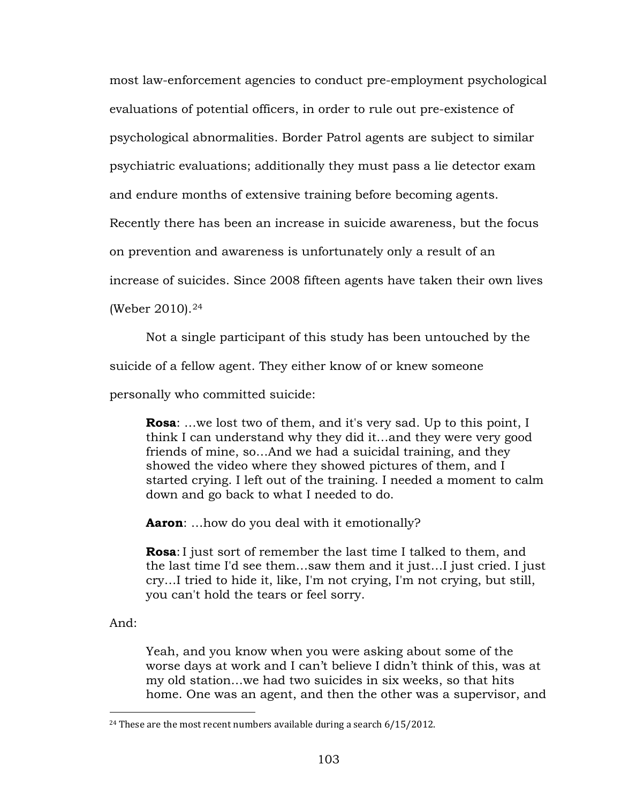most law-enforcement agencies to conduct pre-employment psychological evaluations of potential officers, in order to rule out pre-existence of psychological abnormalities. Border Patrol agents are subject to similar psychiatric evaluations; additionally they must pass a lie detector exam

and endure months of extensive training before becoming agents.

Recently there has been an increase in suicide awareness, but the focus

on prevention and awareness is unfortunately only a result of an

increase of suicides. Since 2008 fifteen agents have taken their own lives

(Weber 2010).[24](#page-108-0)

Not a single participant of this study has been untouched by the

suicide of a fellow agent. They either know of or knew someone

personally who committed suicide:

**Rosa**: …we lost two of them, and it's very sad. Up to this point, I think I can understand why they did it…and they were very good friends of mine, so…And we had a suicidal training, and they showed the video where they showed pictures of them, and I started crying. I left out of the training. I needed a moment to calm down and go back to what I needed to do.

**Aaron**: …how do you deal with it emotionally?

**Rosa**: I just sort of remember the last time I talked to them, and the last time I'd see them…saw them and it just…I just cried. I just cry…I tried to hide it, like, I'm not crying, I'm not crying, but still, you can't hold the tears or feel sorry.

And:

 $\overline{a}$ 

Yeah, and you know when you were asking about some of the worse days at work and I can't believe I didn't think of this, was at my old station…we had two suicides in six weeks, so that hits home. One was an agent, and then the other was a supervisor, and

<span id="page-108-0"></span><sup>&</sup>lt;sup>24</sup> These are the most recent numbers available during a search  $6/15/2012$ .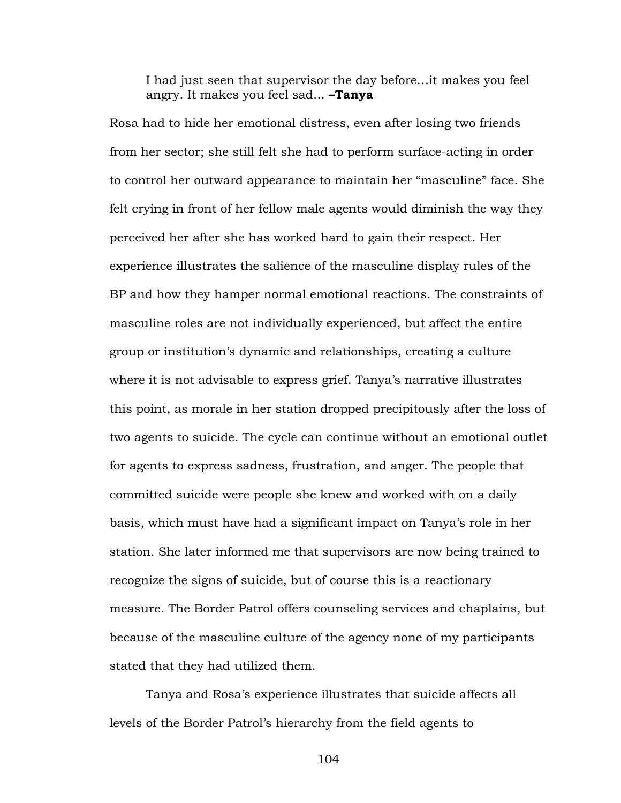I had just seen that supervisor the day before…it makes you feel angry. It makes you feel sad... **–Tanya**

Rosa had to hide her emotional distress, even after losing two friends from her sector; she still felt she had to perform surface-acting in order to control her outward appearance to maintain her "masculine" face. She felt crying in front of her fellow male agents would diminish the way they perceived her after she has worked hard to gain their respect. Her experience illustrates the salience of the masculine display rules of the BP and how they hamper normal emotional reactions. The constraints of masculine roles are not individually experienced, but affect the entire group or institution's dynamic and relationships, creating a culture where it is not advisable to express grief. Tanya's narrative illustrates this point, as morale in her station dropped precipitously after the loss of two agents to suicide. The cycle can continue without an emotional outlet for agents to express sadness, frustration, and anger. The people that committed suicide were people she knew and worked with on a daily basis, which must have had a significant impact on Tanya's role in her station. She later informed me that supervisors are now being trained to recognize the signs of suicide, but of course this is a reactionary measure. The Border Patrol offers counseling services and chaplains, but because of the masculine culture of the agency none of my participants stated that they had utilized them.

Tanya and Rosa's experience illustrates that suicide affects all levels of the Border Patrol's hierarchy from the field agents to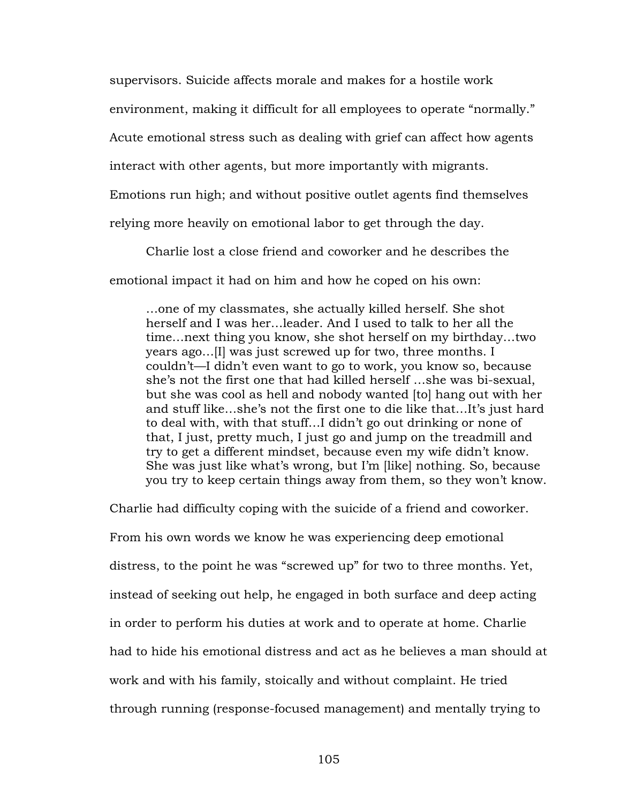supervisors. Suicide affects morale and makes for a hostile work

environment, making it difficult for all employees to operate "normally."

Acute emotional stress such as dealing with grief can affect how agents

interact with other agents, but more importantly with migrants.

Emotions run high; and without positive outlet agents find themselves

relying more heavily on emotional labor to get through the day.

Charlie lost a close friend and coworker and he describes the

emotional impact it had on him and how he coped on his own:

…one of my classmates, she actually killed herself. She shot herself and I was her…leader. And I used to talk to her all the time…next thing you know, she shot herself on my birthday…two years ago…[I] was just screwed up for two, three months. I couldn't—I didn't even want to go to work, you know so, because she's not the first one that had killed herself …she was bi-sexual, but she was cool as hell and nobody wanted [to] hang out with her and stuff like…she's not the first one to die like that…It's just hard to deal with, with that stuff…I didn't go out drinking or none of that, I just, pretty much, I just go and jump on the treadmill and try to get a different mindset, because even my wife didn't know. She was just like what's wrong, but I'm [like] nothing. So, because you try to keep certain things away from them, so they won't know.

Charlie had difficulty coping with the suicide of a friend and coworker.

From his own words we know he was experiencing deep emotional distress, to the point he was "screwed up" for two to three months. Yet, instead of seeking out help, he engaged in both surface and deep acting in order to perform his duties at work and to operate at home. Charlie had to hide his emotional distress and act as he believes a man should at work and with his family, stoically and without complaint. He tried through running (response-focused management) and mentally trying to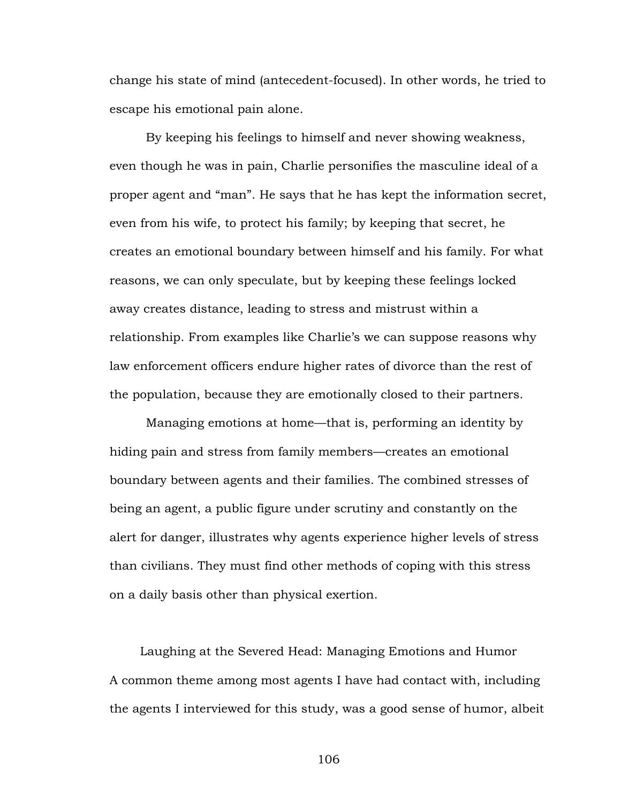change his state of mind (antecedent-focused). In other words, he tried to escape his emotional pain alone.

By keeping his feelings to himself and never showing weakness, even though he was in pain, Charlie personifies the masculine ideal of a proper agent and "man". He says that he has kept the information secret, even from his wife, to protect his family; by keeping that secret, he creates an emotional boundary between himself and his family. For what reasons, we can only speculate, but by keeping these feelings locked away creates distance, leading to stress and mistrust within a relationship. From examples like Charlie's we can suppose reasons why law enforcement officers endure higher rates of divorce than the rest of the population, because they are emotionally closed to their partners.

Managing emotions at home—that is, performing an identity by hiding pain and stress from family members—creates an emotional boundary between agents and their families. The combined stresses of being an agent, a public figure under scrutiny and constantly on the alert for danger, illustrates why agents experience higher levels of stress than civilians. They must find other methods of coping with this stress on a daily basis other than physical exertion.

Laughing at the Severed Head: Managing Emotions and Humor A common theme among most agents I have had contact with, including the agents I interviewed for this study, was a good sense of humor, albeit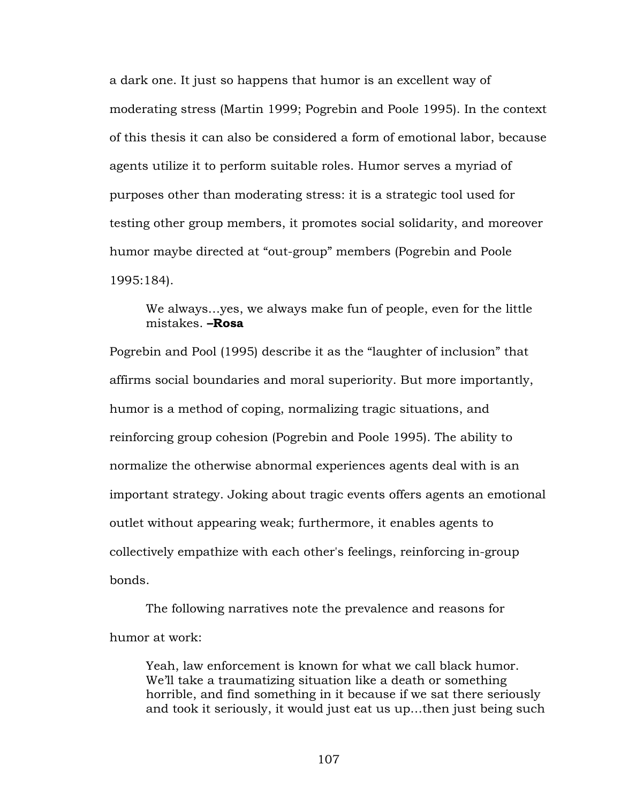a dark one. It just so happens that humor is an excellent way of moderating stress (Martin 1999; Pogrebin and Poole 1995). In the context of this thesis it can also be considered a form of emotional labor, because agents utilize it to perform suitable roles. Humor serves a myriad of purposes other than moderating stress: it is a strategic tool used for testing other group members, it promotes social solidarity, and moreover humor maybe directed at "out-group" members (Pogrebin and Poole 1995:184).

# We always…yes, we always make fun of people, even for the little mistakes. **–Rosa**

Pogrebin and Pool (1995) describe it as the "laughter of inclusion" that affirms social boundaries and moral superiority. But more importantly, humor is a method of coping, normalizing tragic situations, and reinforcing group cohesion (Pogrebin and Poole 1995). The ability to normalize the otherwise abnormal experiences agents deal with is an important strategy. Joking about tragic events offers agents an emotional outlet without appearing weak; furthermore, it enables agents to collectively empathize with each other's feelings, reinforcing in-group bonds.

The following narratives note the prevalence and reasons for humor at work:

Yeah, law enforcement is known for what we call black humor. We'll take a traumatizing situation like a death or something horrible, and find something in it because if we sat there seriously and took it seriously, it would just eat us up…then just being such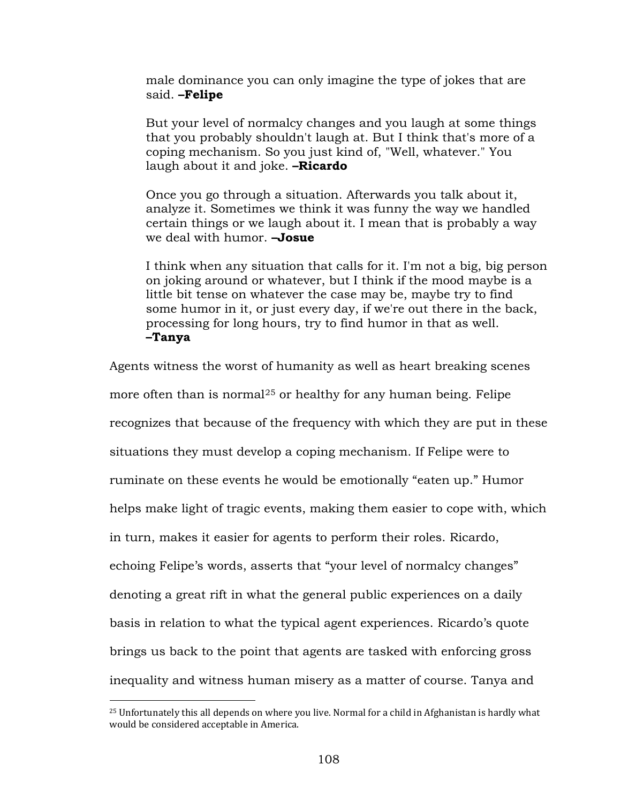male dominance you can only imagine the type of jokes that are said. **–Felipe**

But your level of normalcy changes and you laugh at some things that you probably shouldn't laugh at. But I think that's more of a coping mechanism. So you just kind of, "Well, whatever." You laugh about it and joke. **–Ricardo**

Once you go through a situation. Afterwards you talk about it, analyze it. Sometimes we think it was funny the way we handled certain things or we laugh about it. I mean that is probably a way we deal with humor. **–Josue**

I think when any situation that calls for it. I'm not a big, big person on joking around or whatever, but I think if the mood maybe is a little bit tense on whatever the case may be, maybe try to find some humor in it, or just every day, if we're out there in the back, processing for long hours, try to find humor in that as well. **–Tanya**

Agents witness the worst of humanity as well as heart breaking scenes more often than is normal $^{25}$  $^{25}$  $^{25}$  or healthy for any human being. Felipe recognizes that because of the frequency with which they are put in these situations they must develop a coping mechanism. If Felipe were to ruminate on these events he would be emotionally "eaten up." Humor helps make light of tragic events, making them easier to cope with, which in turn, makes it easier for agents to perform their roles. Ricardo, echoing Felipe's words, asserts that "your level of normalcy changes" denoting a great rift in what the general public experiences on a daily basis in relation to what the typical agent experiences. Ricardo's quote brings us back to the point that agents are tasked with enforcing gross inequality and witness human misery as a matter of course. Tanya and

<span id="page-113-0"></span> $25$  Unfortunately this all depends on where you live. Normal for a child in Afghanistan is hardly what would be considered acceptable in America.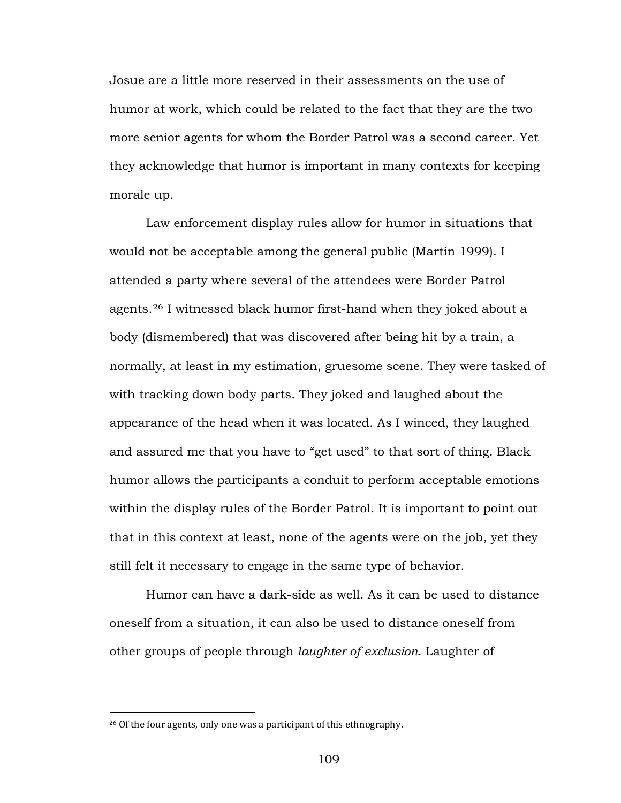Josue are a little more reserved in their assessments on the use of humor at work, which could be related to the fact that they are the two more senior agents for whom the Border Patrol was a second career. Yet they acknowledge that humor is important in many contexts for keeping morale up.

Law enforcement display rules allow for humor in situations that would not be acceptable among the general public (Martin 1999). I attended a party where several of the attendees were Border Patrol agents.[26](#page-114-0) I witnessed black humor first-hand when they joked about a body (dismembered) that was discovered after being hit by a train, a normally, at least in my estimation, gruesome scene. They were tasked of with tracking down body parts. They joked and laughed about the appearance of the head when it was located. As I winced, they laughed and assured me that you have to "get used" to that sort of thing. Black humor allows the participants a conduit to perform acceptable emotions within the display rules of the Border Patrol. It is important to point out that in this context at least, none of the agents were on the job, yet they still felt it necessary to engage in the same type of behavior.

Humor can have a dark-side as well. As it can be used to distance oneself from a situation, it can also be used to distance oneself from other groups of people through *laughter of exclusion*. Laughter of

<span id="page-114-0"></span><sup>&</sup>lt;sup>26</sup> Of the four agents, only one was a participant of this ethnography.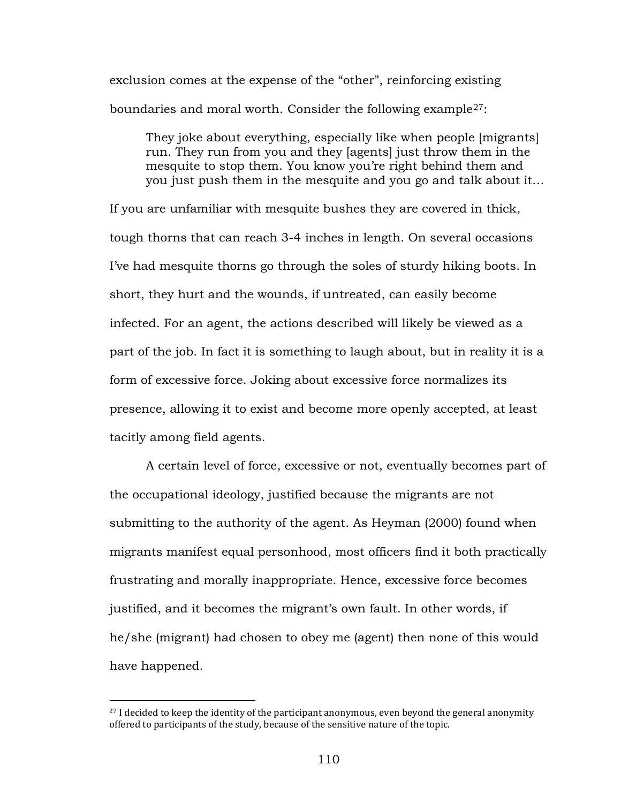exclusion comes at the expense of the "other", reinforcing existing boundaries and moral worth. Consider the following example $^{27}{:}$  $^{27}{:}$  $^{27}{:}$ 

They joke about everything, especially like when people [migrants] run. They run from you and they [agents] just throw them in the mesquite to stop them. You know you're right behind them and you just push them in the mesquite and you go and talk about it…

If you are unfamiliar with mesquite bushes they are covered in thick, tough thorns that can reach 3-4 inches in length. On several occasions I've had mesquite thorns go through the soles of sturdy hiking boots. In short, they hurt and the wounds, if untreated, can easily become infected. For an agent, the actions described will likely be viewed as a part of the job. In fact it is something to laugh about, but in reality it is a form of excessive force. Joking about excessive force normalizes its presence, allowing it to exist and become more openly accepted, at least tacitly among field agents.

A certain level of force, excessive or not, eventually becomes part of the occupational ideology, justified because the migrants are not submitting to the authority of the agent. As Heyman (2000) found when migrants manifest equal personhood, most officers find it both practically frustrating and morally inappropriate. Hence, excessive force becomes justified, and it becomes the migrant's own fault. In other words, if he/she (migrant) had chosen to obey me (agent) then none of this would have happened.

<span id="page-115-0"></span> $27$  I decided to keep the identity of the participant anonymous, even beyond the general anonymity offered to participants of the study, because of the sensitive nature of the topic.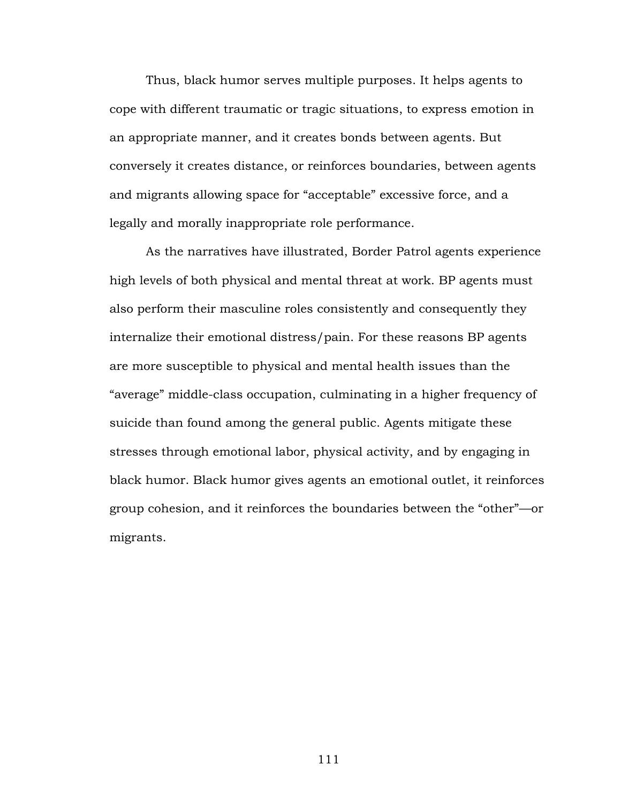Thus, black humor serves multiple purposes. It helps agents to cope with different traumatic or tragic situations, to express emotion in an appropriate manner, and it creates bonds between agents. But conversely it creates distance, or reinforces boundaries, between agents and migrants allowing space for "acceptable" excessive force, and a legally and morally inappropriate role performance.

As the narratives have illustrated, Border Patrol agents experience high levels of both physical and mental threat at work. BP agents must also perform their masculine roles consistently and consequently they internalize their emotional distress/pain. For these reasons BP agents are more susceptible to physical and mental health issues than the "average" middle-class occupation, culminating in a higher frequency of suicide than found among the general public. Agents mitigate these stresses through emotional labor, physical activity, and by engaging in black humor. Black humor gives agents an emotional outlet, it reinforces group cohesion, and it reinforces the boundaries between the "other"—or migrants.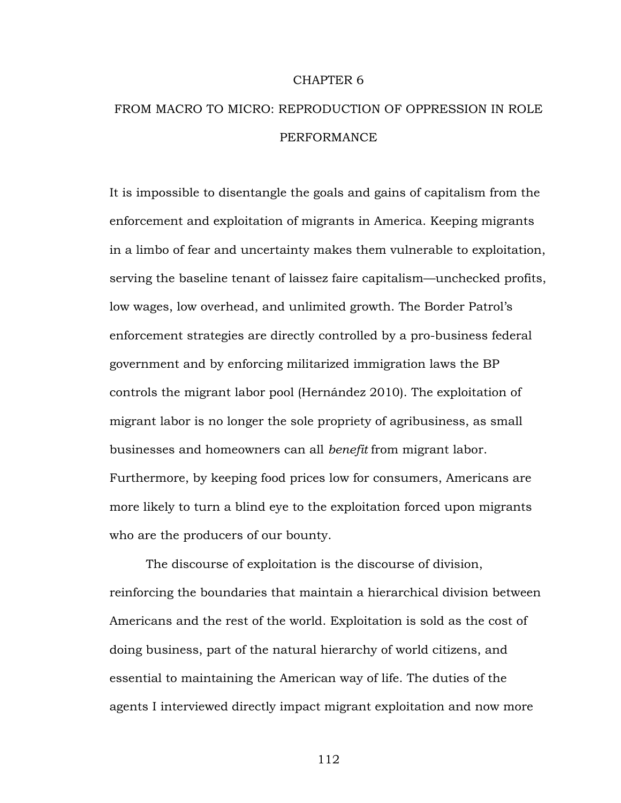#### CHAPTER 6

# FROM MACRO TO MICRO: REPRODUCTION OF OPPRESSION IN ROLE PERFORMANCE

It is impossible to disentangle the goals and gains of capitalism from the enforcement and exploitation of migrants in America. Keeping migrants in a limbo of fear and uncertainty makes them vulnerable to exploitation, serving the baseline tenant of laissez faire capitalism—unchecked profits, low wages, low overhead, and unlimited growth. The Border Patrol's enforcement strategies are directly controlled by a pro-business federal government and by enforcing militarized immigration laws the BP controls the migrant labor pool (Hernández 2010). The exploitation of migrant labor is no longer the sole propriety of agribusiness, as small businesses and homeowners can all *benefit* from migrant labor. Furthermore, by keeping food prices low for consumers, Americans are more likely to turn a blind eye to the exploitation forced upon migrants who are the producers of our bounty.

The discourse of exploitation is the discourse of division, reinforcing the boundaries that maintain a hierarchical division between Americans and the rest of the world. Exploitation is sold as the cost of doing business, part of the natural hierarchy of world citizens, and essential to maintaining the American way of life. The duties of the agents I interviewed directly impact migrant exploitation and now more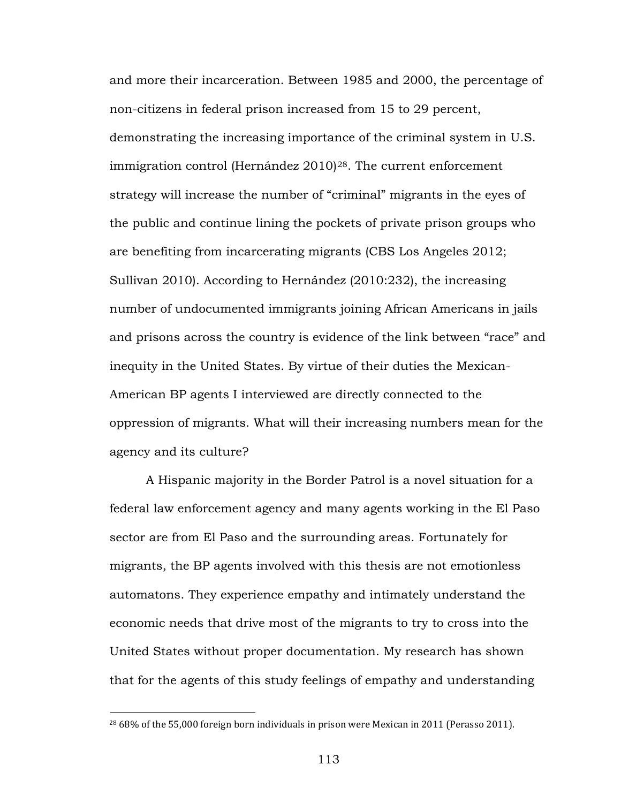and more their incarceration. Between 1985 and 2000, the percentage of non-citizens in federal prison increased from 15 to 29 percent, demonstrating the increasing importance of the criminal system in U.S. immigration control (Hernández 2010)[28](#page-118-0) . The current enforcement strategy will increase the number of "criminal" migrants in the eyes of the public and continue lining the pockets of private prison groups who are benefiting from incarcerating migrants (CBS Los Angeles 2012; Sullivan 2010). According to Hernández (2010:232), the increasing number of undocumented immigrants joining African Americans in jails and prisons across the country is evidence of the link between "race" and inequity in the United States. By virtue of their duties the Mexican-American BP agents I interviewed are directly connected to the oppression of migrants. What will their increasing numbers mean for the agency and its culture?

A Hispanic majority in the Border Patrol is a novel situation for a federal law enforcement agency and many agents working in the El Paso sector are from El Paso and the surrounding areas. Fortunately for migrants, the BP agents involved with this thesis are not emotionless automatons. They experience empathy and intimately understand the economic needs that drive most of the migrants to try to cross into the United States without proper documentation. My research has shown that for the agents of this study feelings of empathy and understanding

<span id="page-118-0"></span><sup>&</sup>lt;sup>28</sup> 68% of the 55,000 foreign born individuals in prison were Mexican in 2011 (Perasso 2011).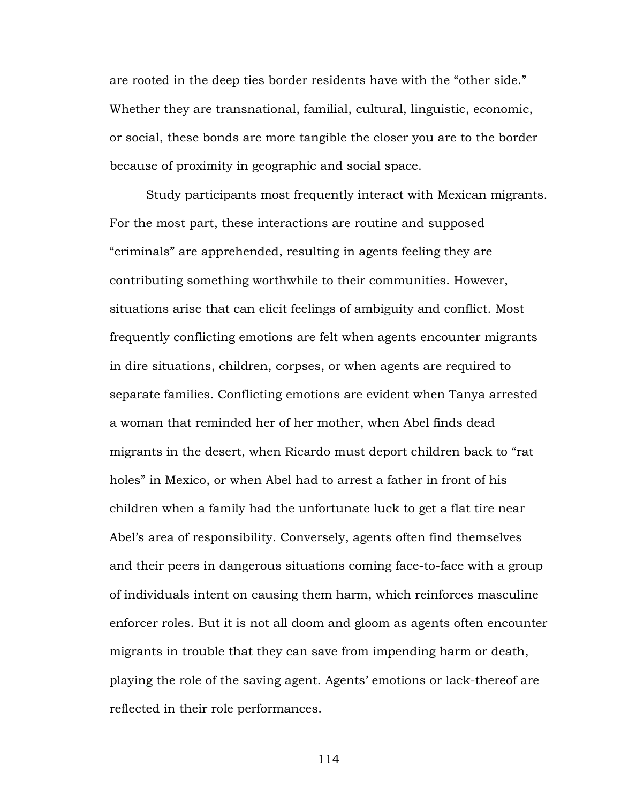are rooted in the deep ties border residents have with the "other side." Whether they are transnational, familial, cultural, linguistic, economic, or social, these bonds are more tangible the closer you are to the border because of proximity in geographic and social space.

Study participants most frequently interact with Mexican migrants. For the most part, these interactions are routine and supposed "criminals" are apprehended, resulting in agents feeling they are contributing something worthwhile to their communities. However, situations arise that can elicit feelings of ambiguity and conflict. Most frequently conflicting emotions are felt when agents encounter migrants in dire situations, children, corpses, or when agents are required to separate families. Conflicting emotions are evident when Tanya arrested a woman that reminded her of her mother, when Abel finds dead migrants in the desert, when Ricardo must deport children back to "rat holes" in Mexico, or when Abel had to arrest a father in front of his children when a family had the unfortunate luck to get a flat tire near Abel's area of responsibility. Conversely, agents often find themselves and their peers in dangerous situations coming face-to-face with a group of individuals intent on causing them harm, which reinforces masculine enforcer roles. But it is not all doom and gloom as agents often encounter migrants in trouble that they can save from impending harm or death, playing the role of the saving agent. Agents' emotions or lack-thereof are reflected in their role performances.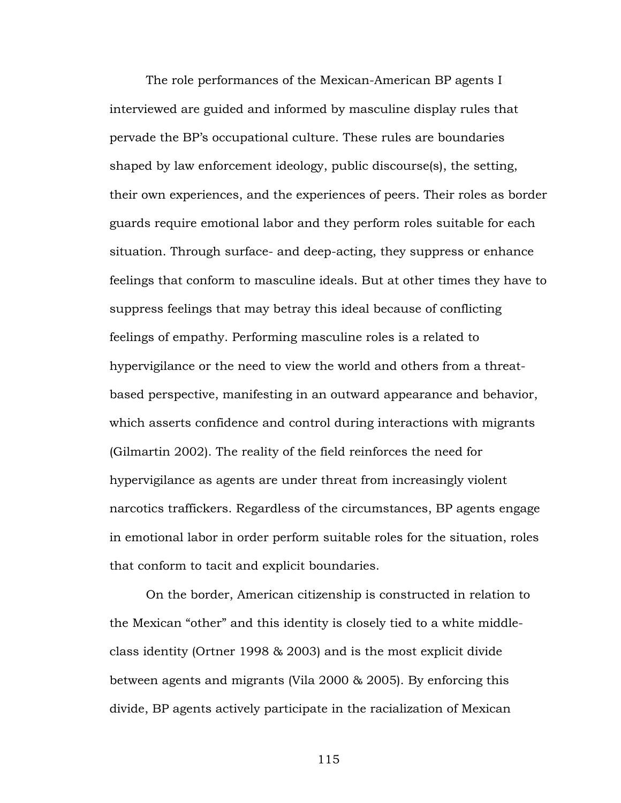The role performances of the Mexican-American BP agents I interviewed are guided and informed by masculine display rules that pervade the BP's occupational culture. These rules are boundaries shaped by law enforcement ideology, public discourse(s), the setting, their own experiences, and the experiences of peers. Their roles as border guards require emotional labor and they perform roles suitable for each situation. Through surface- and deep-acting, they suppress or enhance feelings that conform to masculine ideals. But at other times they have to suppress feelings that may betray this ideal because of conflicting feelings of empathy. Performing masculine roles is a related to hypervigilance or the need to view the world and others from a threatbased perspective, manifesting in an outward appearance and behavior, which asserts confidence and control during interactions with migrants (Gilmartin 2002). The reality of the field reinforces the need for hypervigilance as agents are under threat from increasingly violent narcotics traffickers. Regardless of the circumstances, BP agents engage in emotional labor in order perform suitable roles for the situation, roles that conform to tacit and explicit boundaries.

On the border, American citizenship is constructed in relation to the Mexican "other" and this identity is closely tied to a white middleclass identity (Ortner 1998 & 2003) and is the most explicit divide between agents and migrants (Vila 2000 & 2005). By enforcing this divide, BP agents actively participate in the racialization of Mexican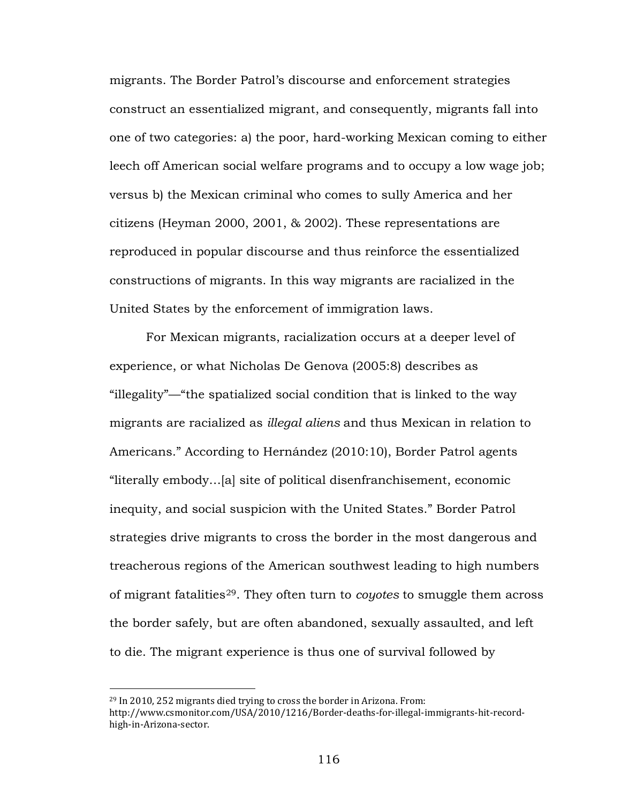migrants. The Border Patrol's discourse and enforcement strategies construct an essentialized migrant, and consequently, migrants fall into one of two categories: a) the poor, hard-working Mexican coming to either leech off American social welfare programs and to occupy a low wage job; versus b) the Mexican criminal who comes to sully America and her citizens (Heyman 2000, 2001, & 2002). These representations are reproduced in popular discourse and thus reinforce the essentialized constructions of migrants. In this way migrants are racialized in the United States by the enforcement of immigration laws.

For Mexican migrants, racialization occurs at a deeper level of experience, or what Nicholas De Genova (2005:8) describes as "illegality"—"the spatialized social condition that is linked to the way migrants are racialized as *illegal aliens* and thus Mexican in relation to Americans." According to Hernández (2010:10), Border Patrol agents "literally embody…[a] site of political disenfranchisement, economic inequity, and social suspicion with the United States." Border Patrol strategies drive migrants to cross the border in the most dangerous and treacherous regions of the American southwest leading to high numbers of migrant fatalities[29](#page-121-0) . They often turn to *coyotes* to smuggle them across the border safely, but are often abandoned, sexually assaulted, and left to die. The migrant experience is thus one of survival followed by

<span id="page-121-0"></span><sup>29</sup> In 2010, 252 migrants died trying to cross the border in Arizona. From: http://www.csmonitor.com/USA/2010/1216/Border-deaths-for-illegal-immigrants-hit-recordhigh-in-Arizona-sector.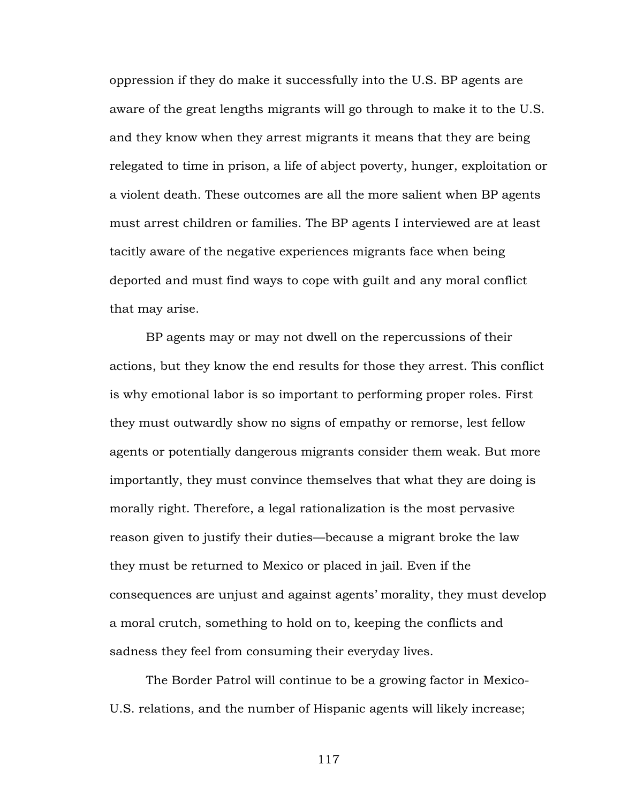oppression if they do make it successfully into the U.S. BP agents are aware of the great lengths migrants will go through to make it to the U.S. and they know when they arrest migrants it means that they are being relegated to time in prison, a life of abject poverty, hunger, exploitation or a violent death. These outcomes are all the more salient when BP agents must arrest children or families. The BP agents I interviewed are at least tacitly aware of the negative experiences migrants face when being deported and must find ways to cope with guilt and any moral conflict that may arise.

BP agents may or may not dwell on the repercussions of their actions, but they know the end results for those they arrest. This conflict is why emotional labor is so important to performing proper roles. First they must outwardly show no signs of empathy or remorse, lest fellow agents or potentially dangerous migrants consider them weak. But more importantly, they must convince themselves that what they are doing is morally right. Therefore, a legal rationalization is the most pervasive reason given to justify their duties—because a migrant broke the law they must be returned to Mexico or placed in jail. Even if the consequences are unjust and against agents' morality, they must develop a moral crutch, something to hold on to, keeping the conflicts and sadness they feel from consuming their everyday lives.

The Border Patrol will continue to be a growing factor in Mexico-U.S. relations, and the number of Hispanic agents will likely increase;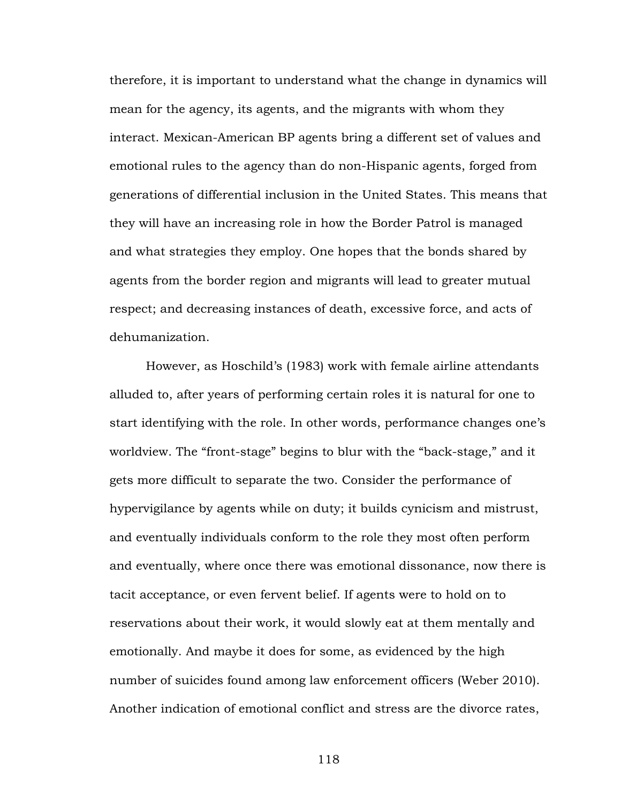therefore, it is important to understand what the change in dynamics will mean for the agency, its agents, and the migrants with whom they interact. Mexican-American BP agents bring a different set of values and emotional rules to the agency than do non-Hispanic agents, forged from generations of differential inclusion in the United States. This means that they will have an increasing role in how the Border Patrol is managed and what strategies they employ. One hopes that the bonds shared by agents from the border region and migrants will lead to greater mutual respect; and decreasing instances of death, excessive force, and acts of dehumanization.

However, as Hoschild's (1983) work with female airline attendants alluded to, after years of performing certain roles it is natural for one to start identifying with the role. In other words, performance changes one's worldview. The "front-stage" begins to blur with the "back-stage," and it gets more difficult to separate the two. Consider the performance of hypervigilance by agents while on duty; it builds cynicism and mistrust, and eventually individuals conform to the role they most often perform and eventually, where once there was emotional dissonance, now there is tacit acceptance, or even fervent belief. If agents were to hold on to reservations about their work, it would slowly eat at them mentally and emotionally. And maybe it does for some, as evidenced by the high number of suicides found among law enforcement officers (Weber 2010). Another indication of emotional conflict and stress are the divorce rates,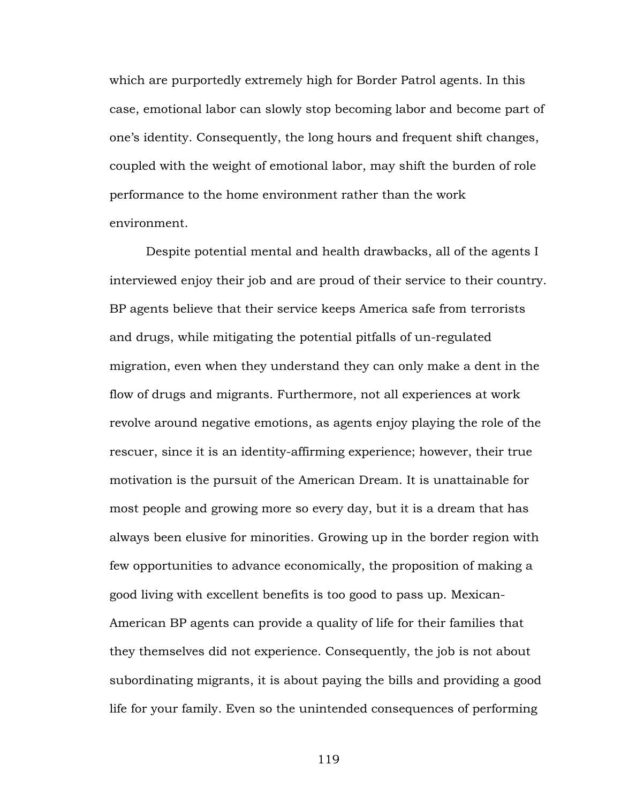which are purportedly extremely high for Border Patrol agents. In this case, emotional labor can slowly stop becoming labor and become part of one's identity. Consequently, the long hours and frequent shift changes, coupled with the weight of emotional labor, may shift the burden of role performance to the home environment rather than the work environment.

Despite potential mental and health drawbacks, all of the agents I interviewed enjoy their job and are proud of their service to their country. BP agents believe that their service keeps America safe from terrorists and drugs, while mitigating the potential pitfalls of un-regulated migration, even when they understand they can only make a dent in the flow of drugs and migrants. Furthermore, not all experiences at work revolve around negative emotions, as agents enjoy playing the role of the rescuer, since it is an identity-affirming experience; however, their true motivation is the pursuit of the American Dream. It is unattainable for most people and growing more so every day, but it is a dream that has always been elusive for minorities. Growing up in the border region with few opportunities to advance economically, the proposition of making a good living with excellent benefits is too good to pass up. Mexican-American BP agents can provide a quality of life for their families that they themselves did not experience. Consequently, the job is not about subordinating migrants, it is about paying the bills and providing a good life for your family. Even so the unintended consequences of performing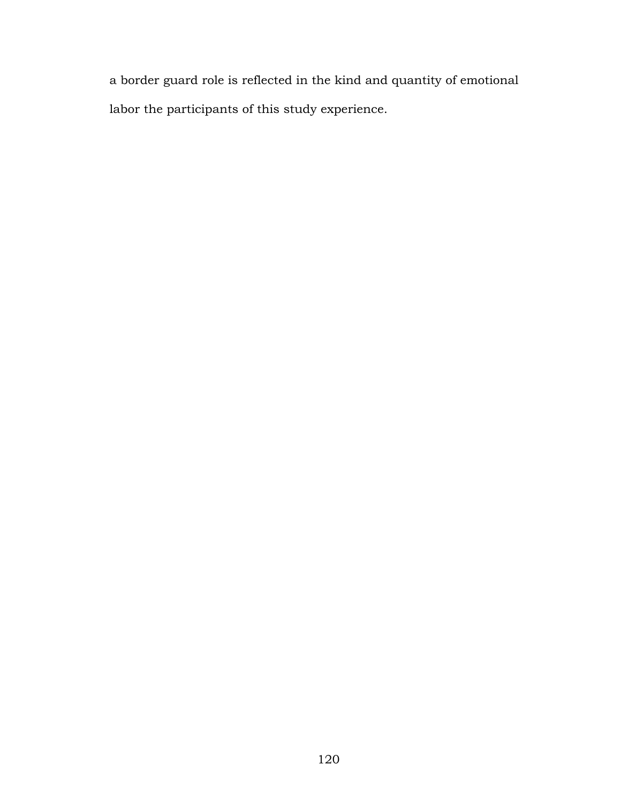a border guard role is reflected in the kind and quantity of emotional labor the participants of this study experience.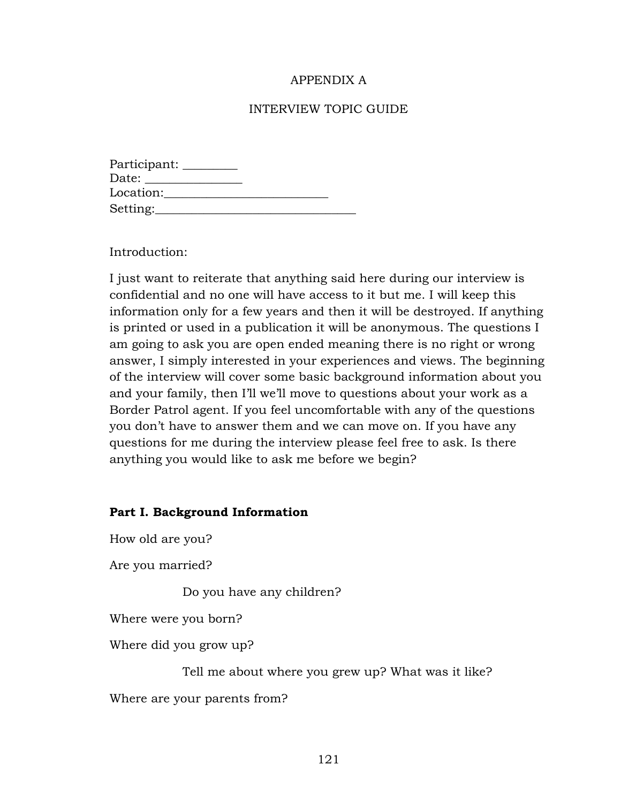# APPENDIX A

### INTERVIEW TOPIC GUIDE

| Participant: |  |
|--------------|--|
|              |  |
| Location:    |  |
| Setting:     |  |

Introduction:

I just want to reiterate that anything said here during our interview is confidential and no one will have access to it but me. I will keep this information only for a few years and then it will be destroyed. If anything is printed or used in a publication it will be anonymous. The questions I am going to ask you are open ended meaning there is no right or wrong answer, I simply interested in your experiences and views. The beginning of the interview will cover some basic background information about you and your family, then I'll we'll move to questions about your work as a Border Patrol agent. If you feel uncomfortable with any of the questions you don't have to answer them and we can move on. If you have any questions for me during the interview please feel free to ask. Is there anything you would like to ask me before we begin?

#### **Part I. Background Information**

How old are you?

Are you married?

Do you have any children?

Where were you born?

Where did you grow up?

Tell me about where you grew up? What was it like?

Where are your parents from?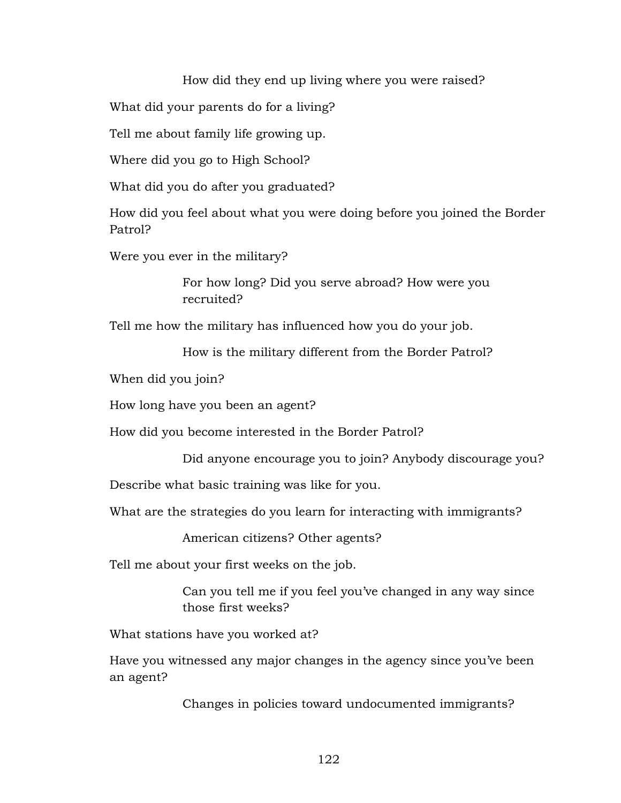How did they end up living where you were raised?

What did your parents do for a living?

Tell me about family life growing up.

Where did you go to High School?

What did you do after you graduated?

How did you feel about what you were doing before you joined the Border Patrol?

Were you ever in the military?

For how long? Did you serve abroad? How were you recruited?

Tell me how the military has influenced how you do your job.

How is the military different from the Border Patrol?

When did you join?

How long have you been an agent?

How did you become interested in the Border Patrol?

Did anyone encourage you to join? Anybody discourage you?

Describe what basic training was like for you.

What are the strategies do you learn for interacting with immigrants?

American citizens? Other agents?

Tell me about your first weeks on the job.

Can you tell me if you feel you've changed in any way since those first weeks?

What stations have you worked at?

Have you witnessed any major changes in the agency since you've been an agent?

Changes in policies toward undocumented immigrants?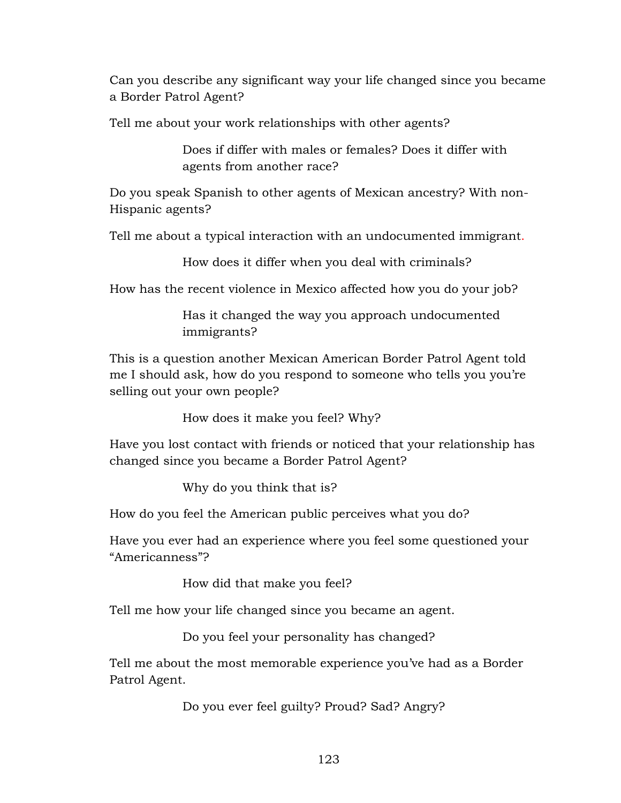Can you describe any significant way your life changed since you became a Border Patrol Agent?

Tell me about your work relationships with other agents?

Does if differ with males or females? Does it differ with agents from another race?

Do you speak Spanish to other agents of Mexican ancestry? With non-Hispanic agents?

Tell me about a typical interaction with an undocumented immigrant.

How does it differ when you deal with criminals?

How has the recent violence in Mexico affected how you do your job?

Has it changed the way you approach undocumented immigrants?

This is a question another Mexican American Border Patrol Agent told me I should ask, how do you respond to someone who tells you you're selling out your own people?

How does it make you feel? Why?

Have you lost contact with friends or noticed that your relationship has changed since you became a Border Patrol Agent?

Why do you think that is?

How do you feel the American public perceives what you do?

Have you ever had an experience where you feel some questioned your "Americanness"?

How did that make you feel?

Tell me how your life changed since you became an agent.

Do you feel your personality has changed?

Tell me about the most memorable experience you've had as a Border Patrol Agent.

Do you ever feel guilty? Proud? Sad? Angry?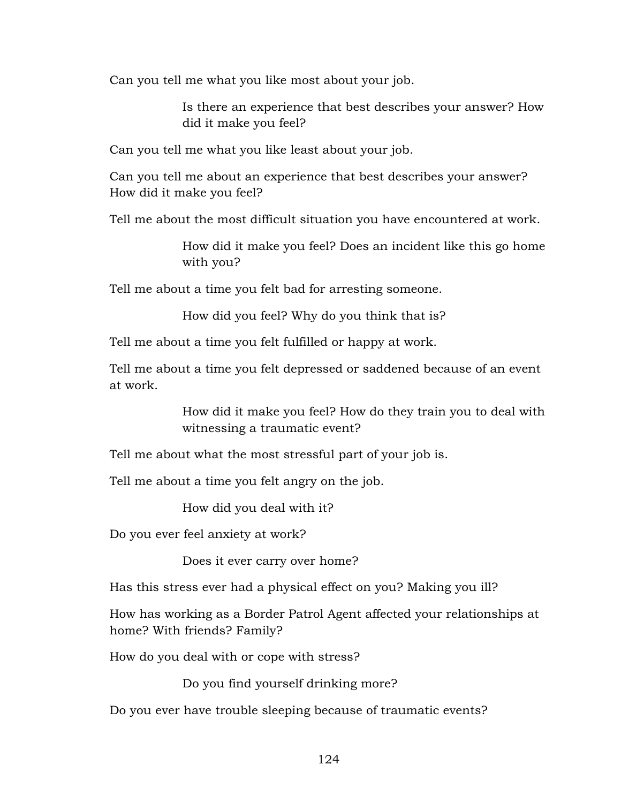Can you tell me what you like most about your job.

Is there an experience that best describes your answer? How did it make you feel?

Can you tell me what you like least about your job.

Can you tell me about an experience that best describes your answer? How did it make you feel?

Tell me about the most difficult situation you have encountered at work.

How did it make you feel? Does an incident like this go home with you?

Tell me about a time you felt bad for arresting someone.

How did you feel? Why do you think that is?

Tell me about a time you felt fulfilled or happy at work.

Tell me about a time you felt depressed or saddened because of an event at work.

> How did it make you feel? How do they train you to deal with witnessing a traumatic event?

Tell me about what the most stressful part of your job is.

Tell me about a time you felt angry on the job.

How did you deal with it?

Do you ever feel anxiety at work?

Does it ever carry over home?

Has this stress ever had a physical effect on you? Making you ill?

How has working as a Border Patrol Agent affected your relationships at home? With friends? Family?

How do you deal with or cope with stress?

Do you find yourself drinking more?

Do you ever have trouble sleeping because of traumatic events?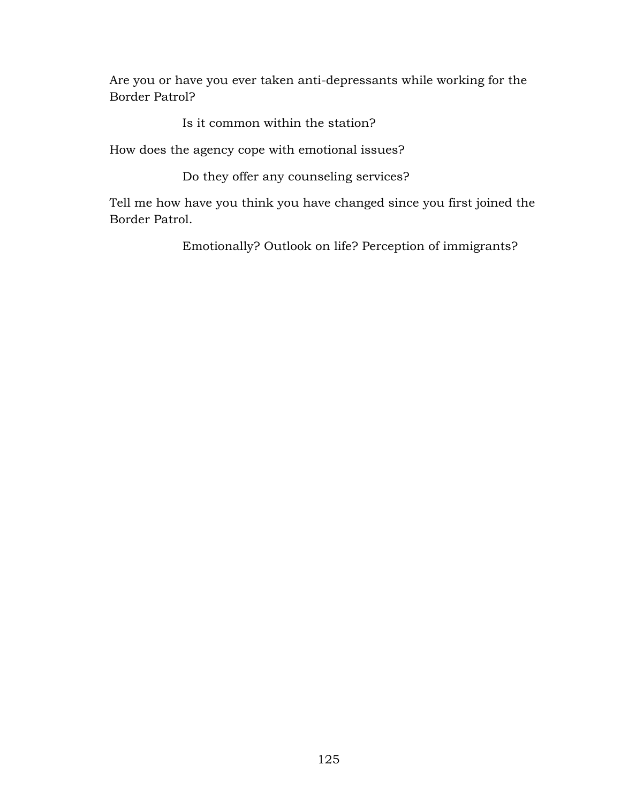Are you or have you ever taken anti-depressants while working for the Border Patrol?

Is it common within the station?

How does the agency cope with emotional issues?

Do they offer any counseling services?

Tell me how have you think you have changed since you first joined the Border Patrol.

Emotionally? Outlook on life? Perception of immigrants?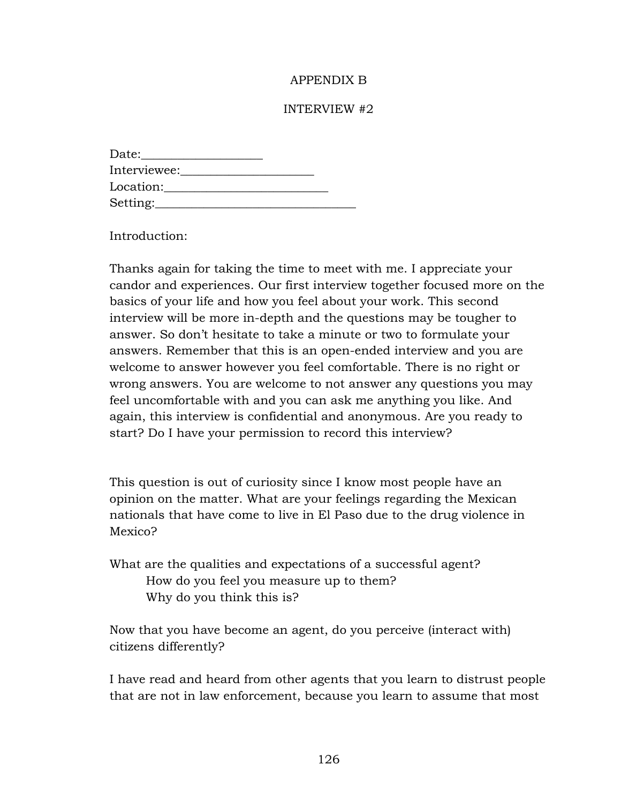## APPENDIX B

### INTERVIEW #2

| Date:        |  |
|--------------|--|
| Interviewee: |  |
| Location:    |  |
| Setting:     |  |

Introduction:

Thanks again for taking the time to meet with me. I appreciate your candor and experiences. Our first interview together focused more on the basics of your life and how you feel about your work. This second interview will be more in-depth and the questions may be tougher to answer. So don't hesitate to take a minute or two to formulate your answers. Remember that this is an open-ended interview and you are welcome to answer however you feel comfortable. There is no right or wrong answers. You are welcome to not answer any questions you may feel uncomfortable with and you can ask me anything you like. And again, this interview is confidential and anonymous. Are you ready to start? Do I have your permission to record this interview?

This question is out of curiosity since I know most people have an opinion on the matter. What are your feelings regarding the Mexican nationals that have come to live in El Paso due to the drug violence in Mexico?

What are the qualities and expectations of a successful agent? How do you feel you measure up to them? Why do you think this is?

Now that you have become an agent, do you perceive (interact with) citizens differently?

I have read and heard from other agents that you learn to distrust people that are not in law enforcement, because you learn to assume that most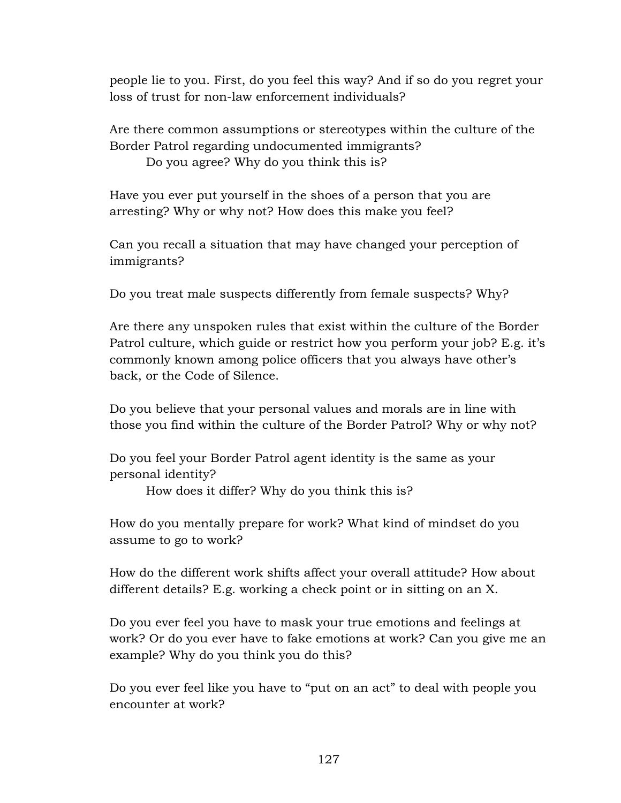people lie to you. First, do you feel this way? And if so do you regret your loss of trust for non-law enforcement individuals?

Are there common assumptions or stereotypes within the culture of the Border Patrol regarding undocumented immigrants?

Do you agree? Why do you think this is?

Have you ever put yourself in the shoes of a person that you are arresting? Why or why not? How does this make you feel?

Can you recall a situation that may have changed your perception of immigrants?

Do you treat male suspects differently from female suspects? Why?

Are there any unspoken rules that exist within the culture of the Border Patrol culture, which guide or restrict how you perform your job? E.g. it's commonly known among police officers that you always have other's back, or the Code of Silence.

Do you believe that your personal values and morals are in line with those you find within the culture of the Border Patrol? Why or why not?

Do you feel your Border Patrol agent identity is the same as your personal identity?

How does it differ? Why do you think this is?

How do you mentally prepare for work? What kind of mindset do you assume to go to work?

How do the different work shifts affect your overall attitude? How about different details? E.g. working a check point or in sitting on an X.

Do you ever feel you have to mask your true emotions and feelings at work? Or do you ever have to fake emotions at work? Can you give me an example? Why do you think you do this?

Do you ever feel like you have to "put on an act" to deal with people you encounter at work?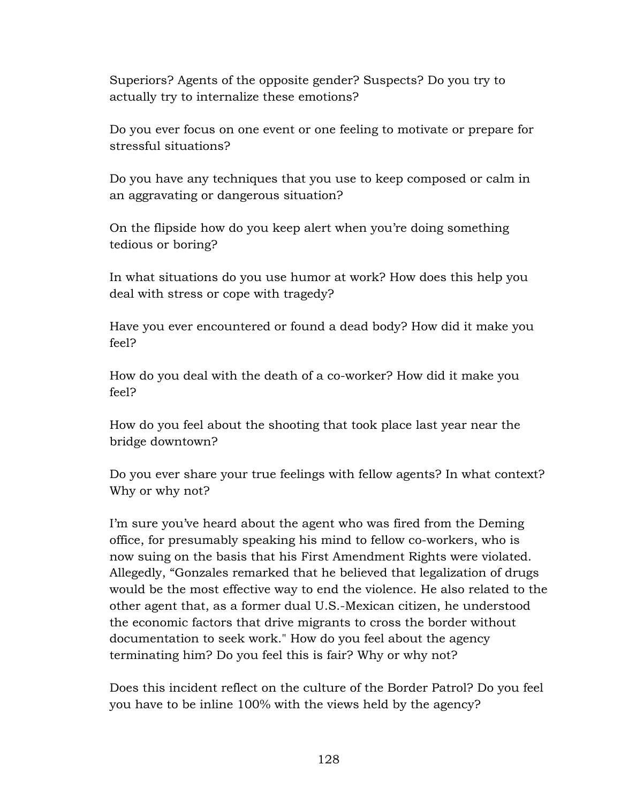Superiors? Agents of the opposite gender? Suspects? Do you try to actually try to internalize these emotions?

Do you ever focus on one event or one feeling to motivate or prepare for stressful situations?

Do you have any techniques that you use to keep composed or calm in an aggravating or dangerous situation?

On the flipside how do you keep alert when you're doing something tedious or boring?

In what situations do you use humor at work? How does this help you deal with stress or cope with tragedy?

Have you ever encountered or found a dead body? How did it make you feel?

How do you deal with the death of a co-worker? How did it make you feel?

How do you feel about the shooting that took place last year near the bridge downtown?

Do you ever share your true feelings with fellow agents? In what context? Why or why not?

I'm sure you've heard about the agent who was fired from the Deming office, for presumably speaking his mind to fellow co-workers, who is now suing on the basis that his First Amendment Rights were violated. Allegedly, "Gonzales remarked that he believed that legalization of drugs would be the most effective way to end the violence. He also related to the other agent that, as a former dual U.S.-Mexican citizen, he understood the economic factors that drive migrants to cross the border without documentation to seek work." How do you feel about the agency terminating him? Do you feel this is fair? Why or why not?

Does this incident reflect on the culture of the Border Patrol? Do you feel you have to be inline 100% with the views held by the agency?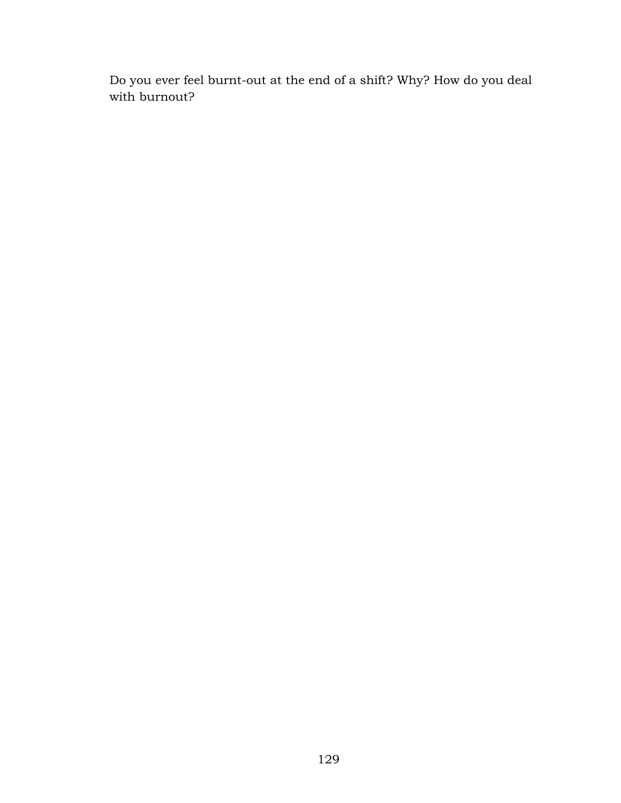Do you ever feel burnt-out at the end of a shift? Why? How do you deal with burnout?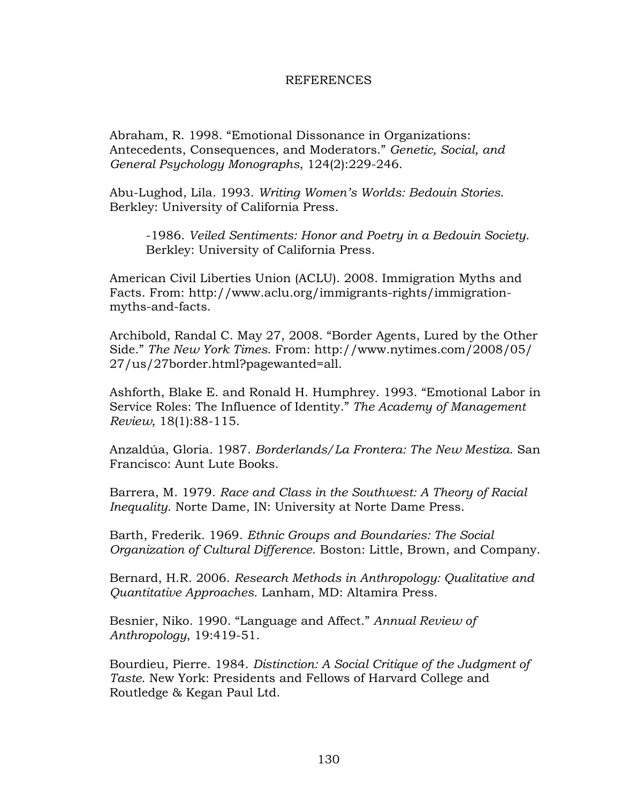#### **REFERENCES**

Abraham, R. 1998. "Emotional Dissonance in Organizations: Antecedents, Consequences, and Moderators." *Genetic, Social, and General Psychology Monographs*, 124(2):229-246.

Abu-Lughod, Lila. 1993. *Writing Women's Worlds: Bedouin Stories*. Berkley: University of California Press.

-1986. *Veiled Sentiments: Honor and Poetry in a Bedouin Society*. Berkley: University of California Press.

American Civil Liberties Union (ACLU). 2008. Immigration Myths and Facts. From: http://www.aclu.org/immigrants-rights/immigrationmyths-and-facts.

Archibold, Randal C. May 27, 2008. "Border Agents, Lured by the Other Side." *The New York Times*. From: http://www.nytimes.com/2008/05/ 27/us/27border.html?pagewanted=all.

Ashforth, Blake E. and Ronald H. Humphrey. 1993. "Emotional Labor in Service Roles: The Influence of Identity." *The Academy of Management Review*, 18(1):88-115.

Anzaldúa, Gloria. 1987. *Borderlands/La Frontera: The New Mestiza*. San Francisco: Aunt Lute Books.

Barrera, M. 1979. *Race and Class in the Southwest: A Theory of Racial Inequality*. Norte Dame, IN: University at Norte Dame Press.

Barth, Frederik. 1969. *Ethnic Groups and Boundaries: The Social Organization of Cultural Difference*. Boston: Little, Brown, and Company.

Bernard, H.R. 2006. *Research Methods in Anthropology: Qualitative and Quantitative Approaches*. Lanham, MD: Altamira Press.

Besnier, Niko. 1990. "Language and Affect." *Annual Review of Anthropology*, 19:419-51.

Bourdieu, Pierre. 1984. *Distinction: A Social Critique of the Judgment of Taste*. New York: Presidents and Fellows of Harvard College and Routledge & Kegan Paul Ltd.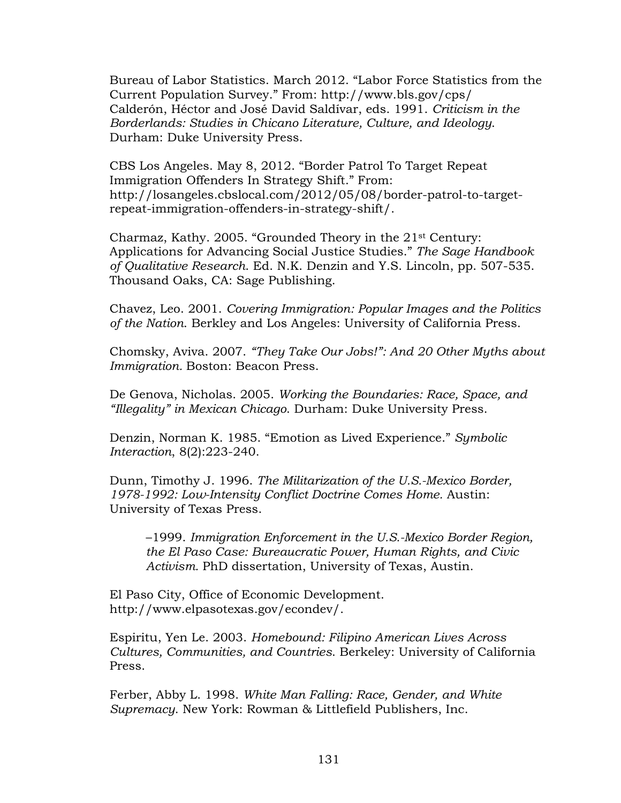Bureau of Labor Statistics. March 2012. "Labor Force Statistics from the Current Population Survey." From: http://www.bls.gov/cps/ Calderón, Héctor and José David Saldívar, eds. 1991. *Criticism in the Borderlands: Studies in Chicano Literature, Culture, and Ideology*. Durham: Duke University Press.

CBS Los Angeles. May 8, 2012. "Border Patrol To Target Repeat Immigration Offenders In Strategy Shift." From: http://losangeles.cbslocal.com/2012/05/08/border-patrol-to-targetrepeat-immigration-offenders-in-strategy-shift/.

Charmaz, Kathy. 2005. "Grounded Theory in the 21st Century: Applications for Advancing Social Justice Studies." *The Sage Handbook of Qualitative Research*. Ed. N.K. Denzin and Y.S. Lincoln, pp. 507-535. Thousand Oaks, CA: Sage Publishing.

Chavez, Leo. 2001. *Covering Immigration: Popular Images and the Politics of the Nation*. Berkley and Los Angeles: University of California Press.

Chomsky, Aviva. 2007. *"They Take Our Jobs!": And 20 Other Myths about Immigration. Boston: Beacon Press.* 

De Genova, Nicholas. 2005. *Working the Boundaries: Race, Space, and "Illegality" in Mexican Chicago*. Durham: Duke University Press.

Denzin, Norman K. 1985. "Emotion as Lived Experience." *Symbolic Interaction*, 8(2):223-240.

Dunn, Timothy J. 1996. *The Militarization of the U.S.-Mexico Border, 1978-1992: Low-Intensity Conflict Doctrine Comes Home.* Austin: University of Texas Press.

–1999. *Immigration Enforcement in the U.S.-Mexico Border Region, the El Paso Case: Bureaucratic Power, Human Rights, and Civic Activism.* PhD dissertation, University of Texas, Austin.

El Paso City, Office of Economic Development. http://www.elpasotexas.gov/econdev/.

Espiritu, Yen Le. 2003. *Homebound: Filipino American Lives Across Cultures, Communities, and Countries*. Berkeley: University of California Press.

Ferber, Abby L. 1998. *White Man Falling: Race, Gender, and White Supremacy*. New York: Rowman & Littlefield Publishers, Inc.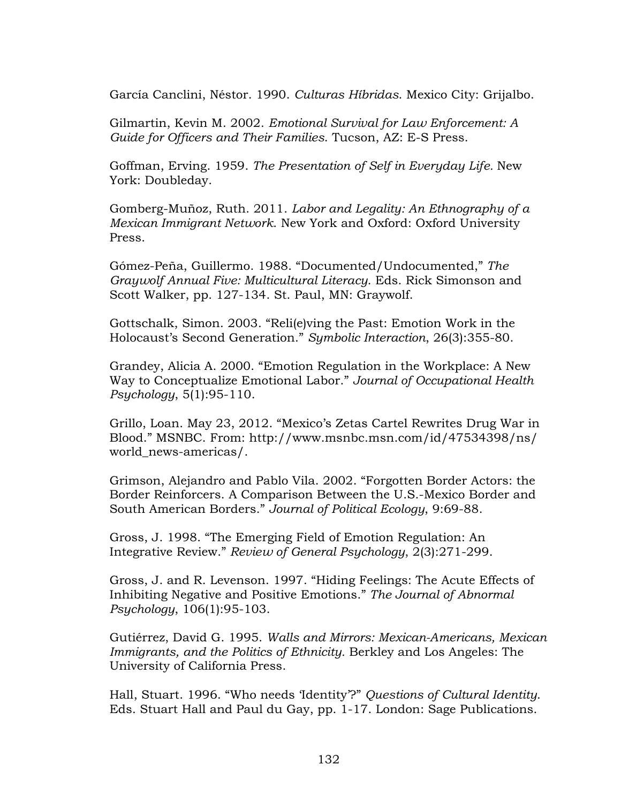García Canclini, Néstor. 1990. *Culturas Híbridas*. Mexico City: Grijalbo.

Gilmartin, Kevin M. 2002. *Emotional Survival for Law Enforcement: A Guide for Officers and Their Families*. Tucson, AZ: E-S Press.

Goffman, Erving. 1959. *The Presentation of Self in Everyday Life.* New York: Doubleday.

Gomberg-Muñoz, Ruth. 2011. *Labor and Legality: An Ethnography of a Mexican Immigrant Network*. New York and Oxford: Oxford University Press.

Gómez-Peña, Guillermo. 1988. "Documented/Undocumented," *The Graywolf Annual Five: Multicultural Literacy*. Eds. Rick Simonson and Scott Walker, pp. 127-134. St. Paul, MN: Graywolf.

Gottschalk, Simon. 2003. "Reli(e)ving the Past: Emotion Work in the Holocaust's Second Generation." *Symbolic Interaction*, 26(3):355-80.

Grandey, Alicia A. 2000. "Emotion Regulation in the Workplace: A New Way to Conceptualize Emotional Labor." *Journal of Occupational Health Psychology*, 5(1):95-110.

Grillo, Loan. May 23, 2012. "Mexico's Zetas Cartel Rewrites Drug War in Blood." MSNBC. From: http://www.msnbc.msn.com/id/47534398/ns/ world\_news-americas/.

Grimson, Alejandro and Pablo Vila. 2002. "Forgotten Border Actors: the Border Reinforcers. A Comparison Between the U.S.-Mexico Border and South American Borders." *Journal of Political Ecology*, 9:69-88.

Gross, J. 1998. "The Emerging Field of Emotion Regulation: An Integrative Review." *Review of General Psychology*, 2(3):271-299.

Gross, J. and R. Levenson. 1997. "Hiding Feelings: The Acute Effects of Inhibiting Negative and Positive Emotions." *The Journal of Abnormal Psychology*, 106(1):95-103.

Gutiérrez, David G. 1995. *Walls and Mirrors: Mexican-Americans, Mexican Immigrants, and the Politics of Ethnicity.* Berkley and Los Angeles: The University of California Press.

Hall, Stuart. 1996. "Who needs 'Identity'?" *Questions of Cultural Identity*. Eds. Stuart Hall and Paul du Gay, pp. 1-17. London: Sage Publications.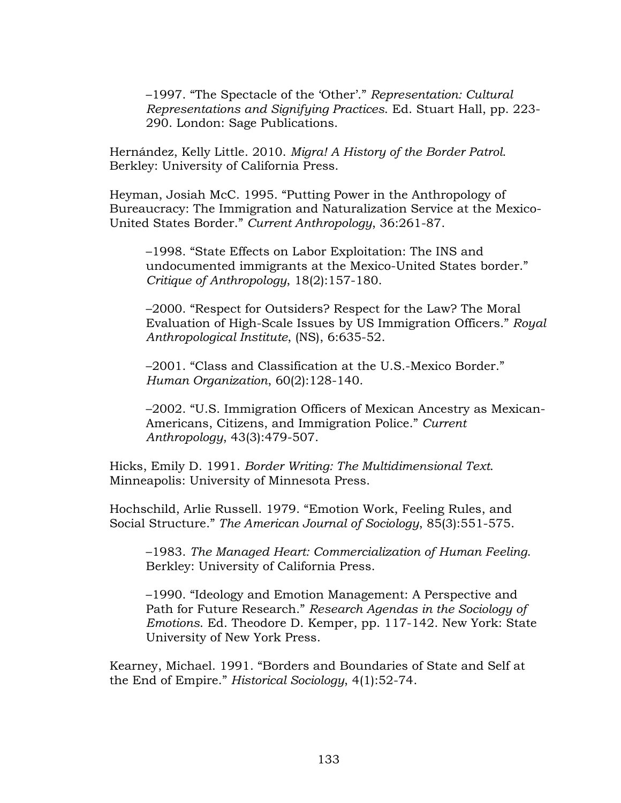–1997. "The Spectacle of the 'Other'." *Representation: Cultural Representations and Signifying Practices*. Ed. Stuart Hall, pp. 223- 290. London: Sage Publications.

Hernández, Kelly Little. 2010. *Migra! A History of the Border Patrol*. Berkley: University of California Press.

Heyman, Josiah McC. 1995. "Putting Power in the Anthropology of Bureaucracy: The Immigration and Naturalization Service at the Mexico-United States Border." *Current Anthropology*, 36:261-87.

–1998. "State Effects on Labor Exploitation: The INS and undocumented immigrants at the Mexico-United States border." *Critique of Anthropology*, 18(2):157-180.

–2000. "Respect for Outsiders? Respect for the Law? The Moral Evaluation of High-Scale Issues by US Immigration Officers." *Royal Anthropological Institute*, (NS), 6:635-52.

–2001. "Class and Classification at the U.S.-Mexico Border." *Human Organization*, 60(2):128-140.

–2002. "U.S. Immigration Officers of Mexican Ancestry as Mexican-Americans, Citizens, and Immigration Police." *Current Anthropology*, 43(3):479-507.

Hicks, Emily D. 1991. *Border Writing: The Multidimensional Text*. Minneapolis: University of Minnesota Press.

Hochschild, Arlie Russell. 1979. "Emotion Work, Feeling Rules, and Social Structure." *The American Journal of Sociology*, 85(3):551-575.

–1983. *The Managed Heart: Commercialization of Human Feeling*. Berkley: University of California Press.

–1990. "Ideology and Emotion Management: A Perspective and Path for Future Research." *Research Agendas in the Sociology of Emotions*. Ed. Theodore D. Kemper, pp. 117-142. New York: State University of New York Press.

Kearney, Michael. 1991. "Borders and Boundaries of State and Self at the End of Empire." *Historical Sociology*, 4(1):52-74.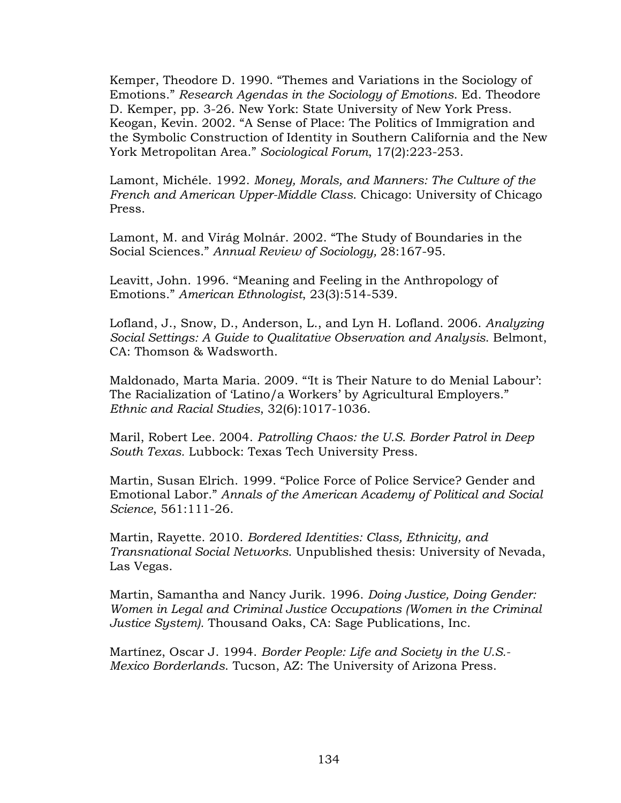Kemper, Theodore D. 1990. "Themes and Variations in the Sociology of Emotions." *Research Agendas in the Sociology of Emotions*. Ed. Theodore D. Kemper, pp. 3-26. New York: State University of New York Press. Keogan, Kevin. 2002. "A Sense of Place: The Politics of Immigration and the Symbolic Construction of Identity in Southern California and the New York Metropolitan Area." *Sociological Forum*, 17(2):223-253.

Lamont, Michéle. 1992. *Money, Morals, and Manners: The Culture of the French and American Upper-Middle Class*. Chicago: University of Chicago Press.

Lamont, M. and Virág Molnár. 2002. "The Study of Boundaries in the Social Sciences." *Annual Review of Sociology,* 28:167-95.

Leavitt, John. 1996. "Meaning and Feeling in the Anthropology of Emotions." *American Ethnologist*, 23(3):514-539.

Lofland, J., Snow, D., Anderson, L., and Lyn H. Lofland. 2006. *Analyzing Social Settings: A Guide to Qualitative Observation and Analysis*. Belmont, CA: Thomson & Wadsworth.

Maldonado, Marta Maria. 2009. "'It is Their Nature to do Menial Labour': The Racialization of 'Latino/a Workers' by Agricultural Employers." *Ethnic and Racial Studies*, 32(6):1017-1036.

Maril, Robert Lee. 2004. *Patrolling Chaos: the U.S. Border Patrol in Deep South Texas.* Lubbock: Texas Tech University Press.

Martin, Susan Elrich. 1999. "Police Force of Police Service? Gender and Emotional Labor." *Annals of the American Academy of Political and Social Science*, 561:111-26.

Martin, Rayette. 2010. *Bordered Identities: Class, Ethnicity, and Transnational Social Networks*. Unpublished thesis: University of Nevada, Las Vegas.

Martin, Samantha and Nancy Jurik. 1996. *Doing Justice, Doing Gender: Women in Legal and Criminal Justice Occupations (Women in the Criminal Justice System).* Thousand Oaks, CA: Sage Publications, Inc.

Martínez, Oscar J. 1994. *Border People: Life and Society in the U.S.- Mexico Borderlands*. Tucson, AZ: The University of Arizona Press.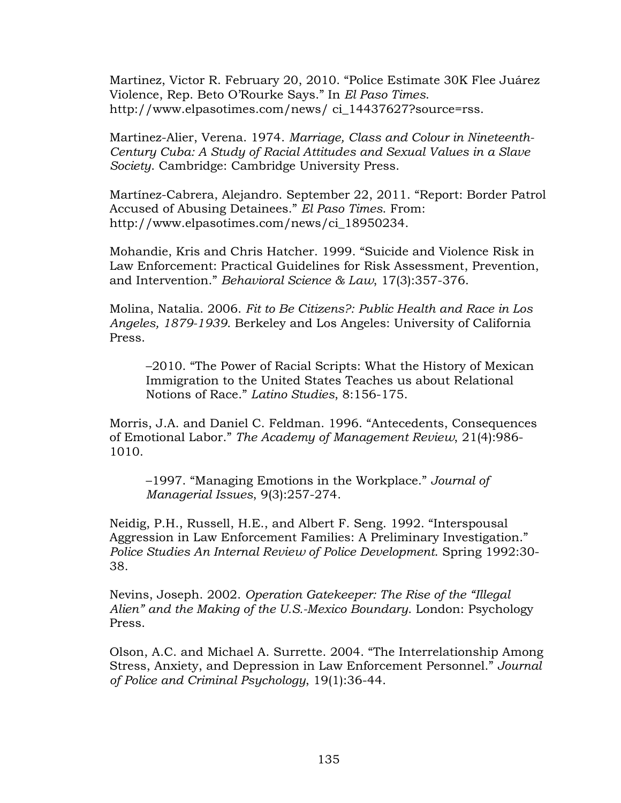Martinez, Victor R. February 20, 2010. "Police Estimate 30K Flee Juárez Violence, Rep. Beto O'Rourke Says." In *El Paso Times*. http://www.elpasotimes.com/news/ ci\_14437627?source=rss.

Martinez-Alier, Verena. 1974. *Marriage, Class and Colour in Nineteenth-Century Cuba: A Study of Racial Attitudes and Sexual Values in a Slave Society*. Cambridge: Cambridge University Press.

Martínez-Cabrera, Alejandro. September 22, 2011. "Report: Border Patrol Accused of Abusing Detainees." *El Paso Times*. From: http://www.elpasotimes.com/news/ci\_18950234.

Mohandie, Kris and Chris Hatcher. 1999. "Suicide and Violence Risk in Law Enforcement: Practical Guidelines for Risk Assessment, Prevention, and Intervention." *Behavioral Science & Law*, 17(3):357-376.

Molina, Natalia. 2006. *Fit to Be Citizens?: Public Health and Race in Los Angeles, 1879-1939*. Berkeley and Los Angeles: University of California Press.

–2010. "The Power of Racial Scripts: What the History of Mexican Immigration to the United States Teaches us about Relational Notions of Race." *Latino Studies*, 8:156-175.

Morris, J.A. and Daniel C. Feldman. 1996. "Antecedents, Consequences of Emotional Labor." *The Academy of Management Review*, 21(4):986- 1010.

–1997. "Managing Emotions in the Workplace." *Journal of Managerial Issues*, 9(3):257-274.

Neidig, P.H., Russell, H.E., and Albert F. Seng. 1992. "Interspousal Aggression in Law Enforcement Families: A Preliminary Investigation." *Police Studies An Internal Review of Police Development*. Spring 1992:30- 38.

Nevins, Joseph. 2002. *Operation Gatekeeper: The Rise of the "Illegal Alien" and the Making of the U.S.-Mexico Boundary*. London: Psychology Press.

Olson, A.C. and Michael A. Surrette. 2004. "The Interrelationship Among Stress, Anxiety, and Depression in Law Enforcement Personnel." *Journal of Police and Criminal Psychology*, 19(1):36-44.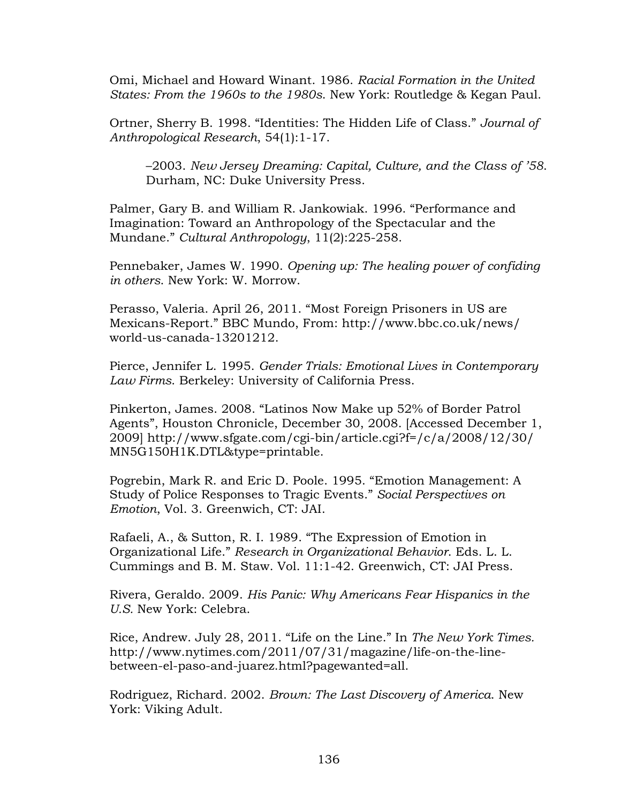Omi, Michael and Howard Winant. 1986. *Racial Formation in the United States: From the 1960s to the 1980s*. New York: Routledge & Kegan Paul.

Ortner, Sherry B. 1998. "Identities: The Hidden Life of Class." *Journal of Anthropological Research*, 54(1):1-17.

–2003. *New Jersey Dreaming: Capital, Culture, and the Class of '58*. Durham, NC: Duke University Press.

Palmer, Gary B. and William R. Jankowiak. 1996. "Performance and Imagination: Toward an Anthropology of the Spectacular and the Mundane." *Cultural Anthropology*, 11(2):225-258.

Pennebaker, James W. 1990. *Opening up: The healing power of confiding in others*. New York: W. Morrow.

Perasso, Valeria. April 26, 2011. "Most Foreign Prisoners in US are Mexicans-Report." BBC Mundo, From: http://www.bbc.co.uk/news/ world-us-canada-13201212.

Pierce, Jennifer L. 1995. *Gender Trials: Emotional Lives in Contemporary Law Firms*. Berkeley: University of California Press.

Pinkerton, James. 2008. "Latinos Now Make up 52% of Border Patrol Agents", Houston Chronicle, December 30, 2008. [Accessed December 1, 2009] http://www.sfgate.com/cgi-bin/article.cgi?f=/c/a/2008/12/30/ MN5G150H1K.DTL&type=printable.

Pogrebin, Mark R. and Eric D. Poole. 1995. "Emotion Management: A Study of Police Responses to Tragic Events." *Social Perspectives on Emotion*, Vol. 3. Greenwich, CT: JAI.

Rafaeli, A., & Sutton, R. I. 1989. "The Expression of Emotion in Organizational Life." *Research in Organizational Behavior*. Eds. L. L. Cummings and B. M. Staw. Vol. 11:1-42. Greenwich, CT: JAI Press.

Rivera, Geraldo. 2009. *His Panic: Why Americans Fear Hispanics in the U.S.* New York: Celebra.

Rice, Andrew. July 28, 2011. "Life on the Line." In *The New York Times.*  http://www.nytimes.com/2011/07/31/magazine/life-on-the-linebetween-el-paso-and-juarez.html?pagewanted=all.

Rodriguez, Richard. 2002. *Brown: The Last Discovery of America*. New York: Viking Adult.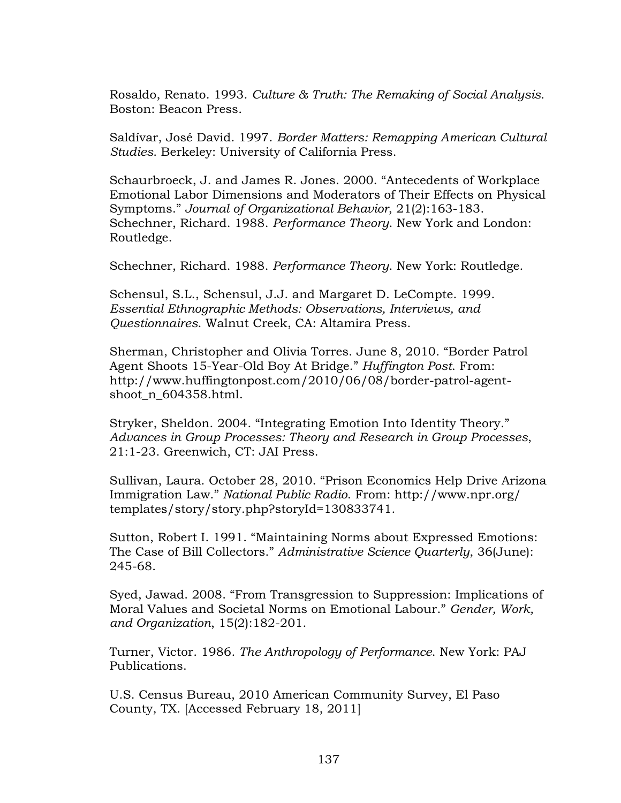Rosaldo, Renato. 1993. *Culture & Truth: The Remaking of Social Analysis*. Boston: Beacon Press.

Saldívar, José David. 1997. *Border Matters: Remapping American Cultural Studies*. Berkeley: University of California Press.

Schaurbroeck, J. and James R. Jones. 2000. "Antecedents of Workplace Emotional Labor Dimensions and Moderators of Their Effects on Physical Symptoms." *Journal of Organizational Behavior*, 21(2):163-183. Schechner, Richard. 1988. *Performance Theory*. New York and London: Routledge.

Schechner, Richard. 1988. *Performance Theory*. New York: Routledge.

Schensul, S.L., Schensul, J.J. and Margaret D. LeCompte. 1999. *Essential Ethnographic Methods: Observations, Interviews, and Questionnaires*. Walnut Creek, CA: Altamira Press.

Sherman, Christopher and Olivia Torres. June 8, 2010. "Border Patrol Agent Shoots 15-Year-Old Boy At Bridge." *Huffington Post*. From: http://www.huffingtonpost.com/2010/06/08/border-patrol-agentshoot\_n\_604358.html.

Stryker, Sheldon. 2004. "Integrating Emotion Into Identity Theory." *Advances in Group Processes: Theory and Research in Group Processes*, 21:1-23. Greenwich, CT: JAI Press.

Sullivan, Laura. October 28, 2010. "Prison Economics Help Drive Arizona Immigration Law." *National Public Radio*. From: http://www.npr.org/ templates/story/story.php?storyId=130833741.

Sutton, Robert I. 1991. "Maintaining Norms about Expressed Emotions: The Case of Bill Collectors." *Administrative Science Quarterly*, 36(June): 245-68.

Syed, Jawad. 2008. "From Transgression to Suppression: Implications of Moral Values and Societal Norms on Emotional Labour." *Gender, Work, and Organization*, 15(2):182-201.

Turner, Victor. 1986. *The Anthropology of Performance*. New York: PAJ Publications.

U.S. Census Bureau, 2010 American Community Survey, El Paso County, TX. [Accessed February 18, 2011]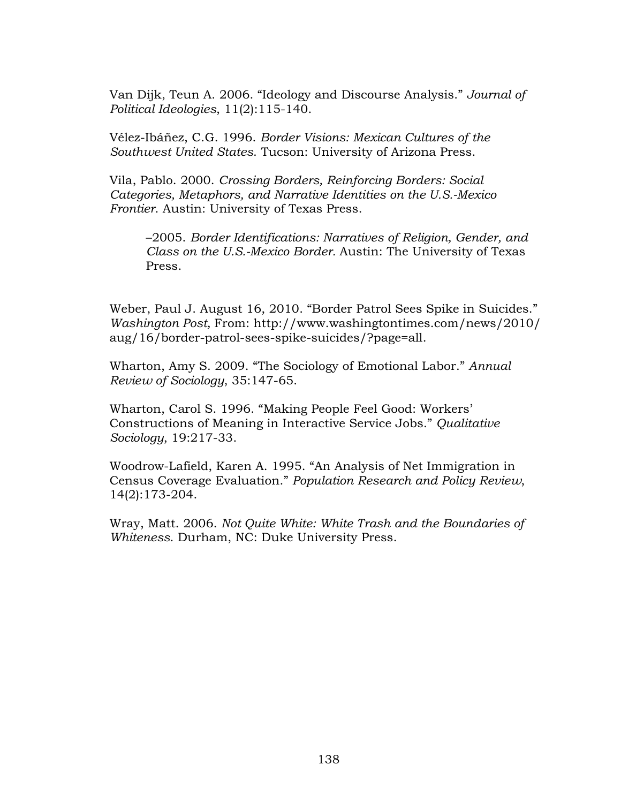Van Dijk, Teun A. 2006. "Ideology and Discourse Analysis." *Journal of Political Ideologies*, 11(2):115-140.

Vélez-Ibáñez, C.G. 1996. *Border Visions: Mexican Cultures of the Southwest United States*. Tucson: University of Arizona Press.

Vila, Pablo. 2000. *Crossing Borders, Reinforcing Borders: Social Categories, Metaphors, and Narrative Identities on the U.S.-Mexico Frontier*. Austin: University of Texas Press.

–2005. *Border Identifications: Narratives of Religion, Gender, and Class on the U.S.-Mexico Border.* Austin: The University of Texas Press.

Weber, Paul J. August 16, 2010. "Border Patrol Sees Spike in Suicides." *Washington Post,* From: http://www.washingtontimes.com/news/2010/ aug/16/border-patrol-sees-spike-suicides/?page=all.

Wharton, Amy S. 2009. "The Sociology of Emotional Labor." *Annual Review of Sociology*, 35:147-65.

Wharton, Carol S. 1996. "Making People Feel Good: Workers' Constructions of Meaning in Interactive Service Jobs." *Qualitative Sociology*, 19:217-33.

Woodrow-Lafield, Karen A. 1995. "An Analysis of Net Immigration in Census Coverage Evaluation." *Population Research and Policy Review*, 14(2):173-204.

Wray, Matt. 2006. *Not Quite White: White Trash and the Boundaries of Whiteness*. Durham, NC: Duke University Press.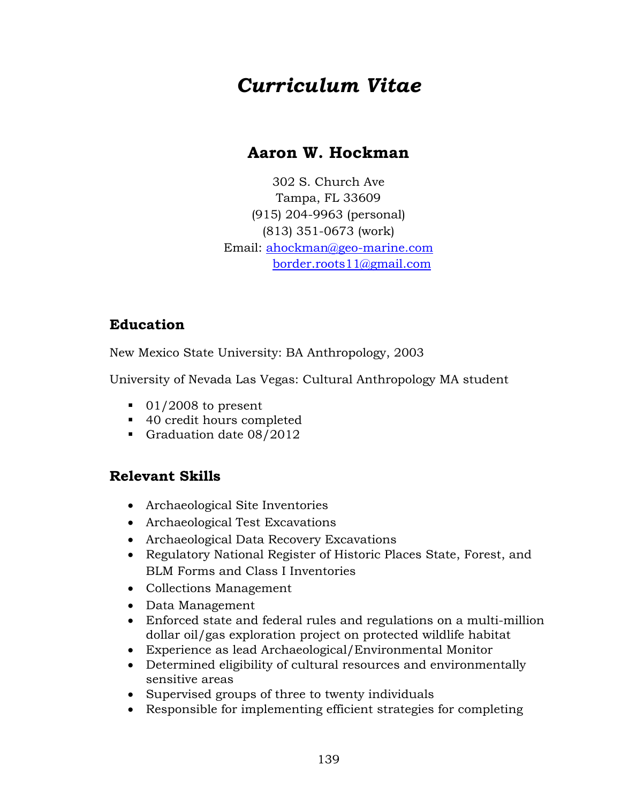# *Curriculum Vitae*

## **Aaron W. Hockman**

302 S. Church Ave Tampa, FL 33609 (915) 204-9963 (personal) (813) 351-0673 (work) Email: [ahockman@geo-marine.com](mailto:ahockman@geo-marine.com) [border.roots11@gmail.com](mailto:border.roots11@gmail.com)

## **Education**

New Mexico State University: BA Anthropology, 2003

University of Nevada Las Vegas: Cultural Anthropology MA student

- $\blacksquare$  01/2008 to present
- 40 credit hours completed
- Graduation date 08/2012

## **Relevant Skills**

- Archaeological Site Inventories
- Archaeological Test Excavations
- Archaeological Data Recovery Excavations
- Regulatory National Register of Historic Places State, Forest, and BLM Forms and Class I Inventories
- Collections Management
- Data Management
- Enforced state and federal rules and regulations on a multi-million dollar oil/gas exploration project on protected wildlife habitat
- Experience as lead Archaeological/Environmental Monitor
- Determined eligibility of cultural resources and environmentally sensitive areas
- Supervised groups of three to twenty individuals
- Responsible for implementing efficient strategies for completing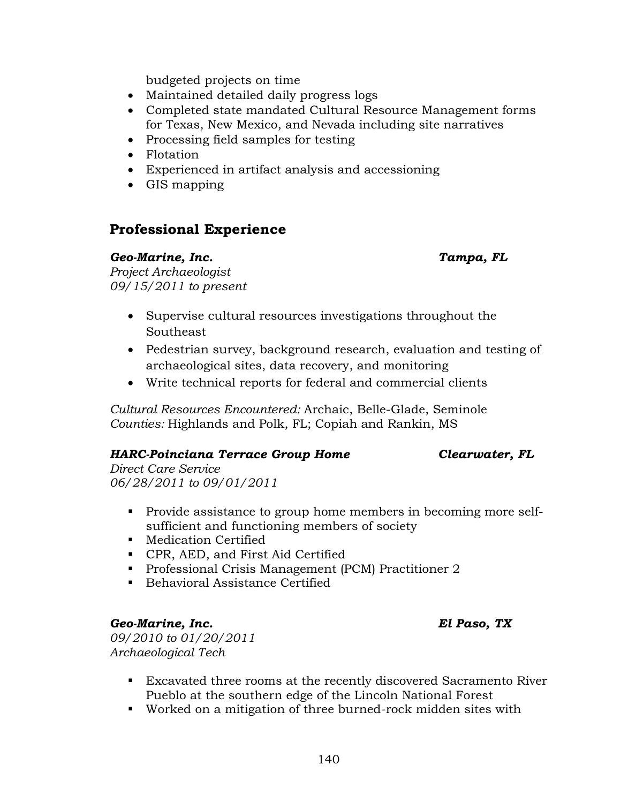budgeted projects on time

- Maintained detailed daily progress logs
- Completed state mandated Cultural Resource Management forms for Texas, New Mexico, and Nevada including site narratives
- Processing field samples for testing
- Flotation
- Experienced in artifact analysis and accessioning
- GIS mapping

## **Professional Experience**

#### *Geo-Marine, Inc. Tampa, FL*

*Project Archaeologist 09/15/2011 to present*

- Supervise cultural resources investigations throughout the Southeast
- Pedestrian survey, background research, evaluation and testing of archaeological sites, data recovery, and monitoring
- Write technical reports for federal and commercial clients

*Cultural Resources Encountered:* Archaic, Belle-Glade, Seminole *Counties:* Highlands and Polk, FL; Copiah and Rankin, MS

### *HARC-Poinciana Terrace Group Home Clearwater, FL*

*Direct Care Service 06/28/2011 to 09/01/2011*

- Provide assistance to group home members in becoming more selfsufficient and functioning members of society
- **Medication Certified**
- **CPR, AED, and First Aid Certified**
- **Professional Crisis Management (PCM) Practitioner 2**
- Behavioral Assistance Certified

#### *Geo-Marine, Inc. El Paso, TX*

*09/2010 to 01/20/2011 Archaeological Tech* 

- Excavated three rooms at the recently discovered Sacramento River Pueblo at the southern edge of the Lincoln National Forest
- Worked on a mitigation of three burned-rock midden sites with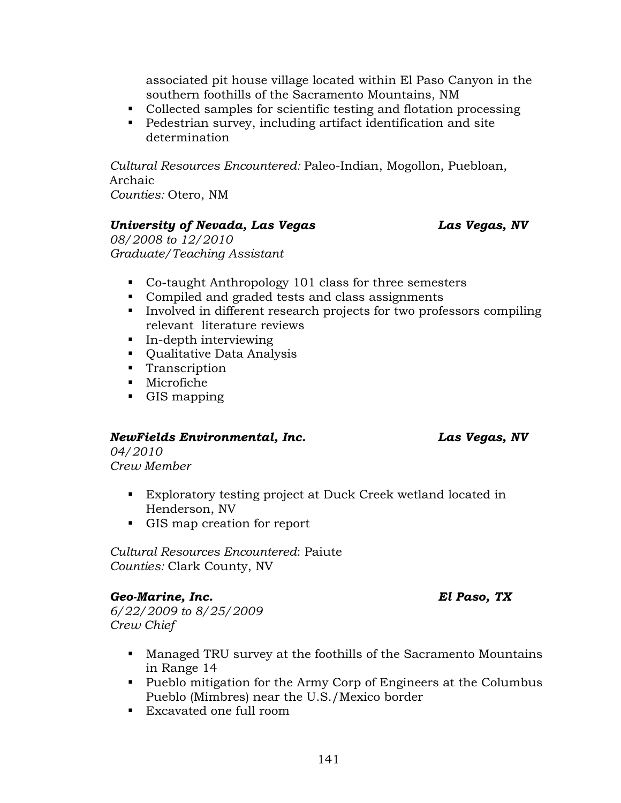associated pit house village located within El Paso Canyon in the southern foothills of the Sacramento Mountains, NM

- Collected samples for scientific testing and flotation processing
- Pedestrian survey, including artifact identification and site determination

*Cultural Resources Encountered:* Paleo-Indian, Mogollon, Puebloan, Archaic *Counties:* Otero, NM

#### *University of Nevada, Las Vegas Las Vegas, NV*

*08/2008 to 12/2010 Graduate/Teaching Assistant*

- Co-taught Anthropology 101 class for three semesters
- Compiled and graded tests and class assignments
- Involved in different research projects for two professors compiling relevant literature reviews
- **In-depth interviewing**
- Qualitative Data Analysis
- **Transcription**
- Microfiche
- **GIS** mapping

#### *NewFields Environmental, Inc. Las Vegas, NV*

*04/2010 Crew Member*

- Exploratory testing project at Duck Creek wetland located in Henderson, NV
- GIS map creation for report

*Cultural Resources Encountered*: Paiute *Counties:* Clark County, NV

#### *Geo-Marine, Inc. El Paso, TX*

*6/22/2009 to 8/25/2009 Crew Chief*

- Managed TRU survey at the foothills of the Sacramento Mountains in Range 14
- Pueblo mitigation for the Army Corp of Engineers at the Columbus Pueblo (Mimbres) near the U.S./Mexico border
- Excavated one full room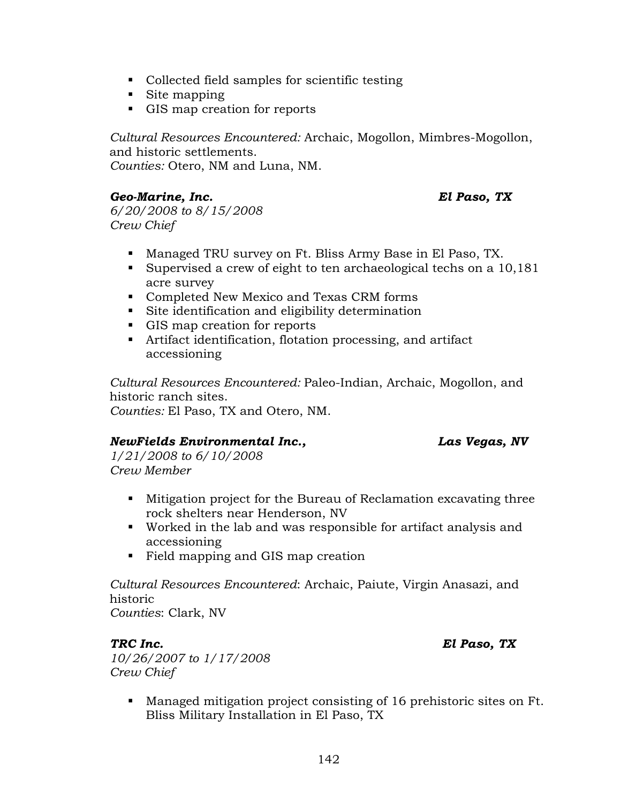- Collected field samples for scientific testing
- Site mapping
- GIS map creation for reports

*Cultural Resources Encountered:* Archaic, Mogollon, Mimbres-Mogollon, and historic settlements. *Counties:* Otero, NM and Luna, NM.

#### *Geo-Marine, Inc. El Paso, TX*

*6/20/2008 to 8/15/2008 Crew Chief*

- Managed TRU survey on Ft. Bliss Army Base in El Paso, TX.
- Supervised a crew of eight to ten archaeological techs on a 10,181 acre survey
- Completed New Mexico and Texas CRM forms
- Site identification and eligibility determination
- GIS map creation for reports
- Artifact identification, flotation processing, and artifact accessioning

*Cultural Resources Encountered:* Paleo-Indian, Archaic, Mogollon, and historic ranch sites.

*Counties:* El Paso, TX and Otero, NM.

#### *NewFields Environmental Inc., Las Vegas, NV*

*1/21/2008 to 6/10/2008 Crew Member*

- Mitigation project for the Bureau of Reclamation excavating three rock shelters near Henderson, NV
- Worked in the lab and was responsible for artifact analysis and accessioning
- Field mapping and GIS map creation

*Cultural Resources Encountered*: Archaic, Paiute, Virgin Anasazi, and historic

*Counties*: Clark, NV

#### *TRC Inc. El Paso, TX*

*10/26/2007 to 1/17/2008 Crew Chief*

> Managed mitigation project consisting of 16 prehistoric sites on Ft. Bliss Military Installation in El Paso, TX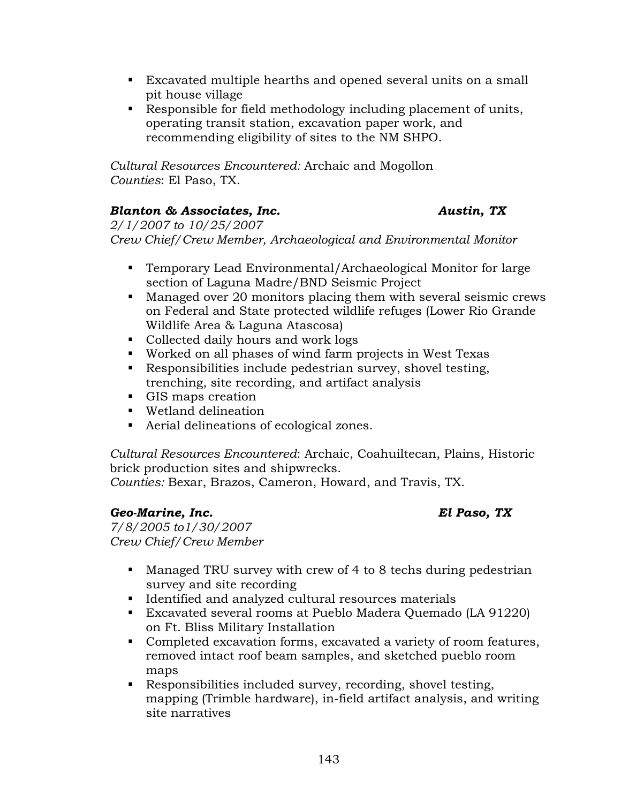- Excavated multiple hearths and opened several units on a small pit house village
- Responsible for field methodology including placement of units, operating transit station, excavation paper work, and recommending eligibility of sites to the NM SHPO.

*Cultural Resources Encountered:* Archaic and Mogollon *Counties*: El Paso, TX.

### *Blanton & Associates, Inc. Austin, TX*

*2/1/2007 to 10/25/2007 Crew Chief/Crew Member, Archaeological and Environmental Monitor*

- Temporary Lead Environmental/Archaeological Monitor for large section of Laguna Madre/BND Seismic Project
- Managed over 20 monitors placing them with several seismic crews on Federal and State protected wildlife refuges (Lower Rio Grande Wildlife Area & Laguna Atascosa)
- Collected daily hours and work logs
- Worked on all phases of wind farm projects in West Texas
- Responsibilities include pedestrian survey, shovel testing, trenching, site recording, and artifact analysis
- GIS maps creation
- Wetland delineation
- Aerial delineations of ecological zones.

*Cultural Resources Encountered*: Archaic, Coahuiltecan, Plains, Historic brick production sites and shipwrecks.

*Counties:* Bexar, Brazos, Cameron, Howard, and Travis, TX.

### *Geo-Marine, Inc. El Paso, TX*

*7/8/2005 to1/30/2007 Crew Chief/Crew Member*

- Managed TRU survey with crew of 4 to 8 techs during pedestrian survey and site recording
- **IDENTIFIED 19 Inc.** Identified and analyzed cultural resources materials
- Excavated several rooms at Pueblo Madera Quemado (LA 91220) on Ft. Bliss Military Installation
- Completed excavation forms, excavated a variety of room features, removed intact roof beam samples, and sketched pueblo room maps
- Responsibilities included survey, recording, shovel testing, mapping (Trimble hardware), in-field artifact analysis, and writing site narratives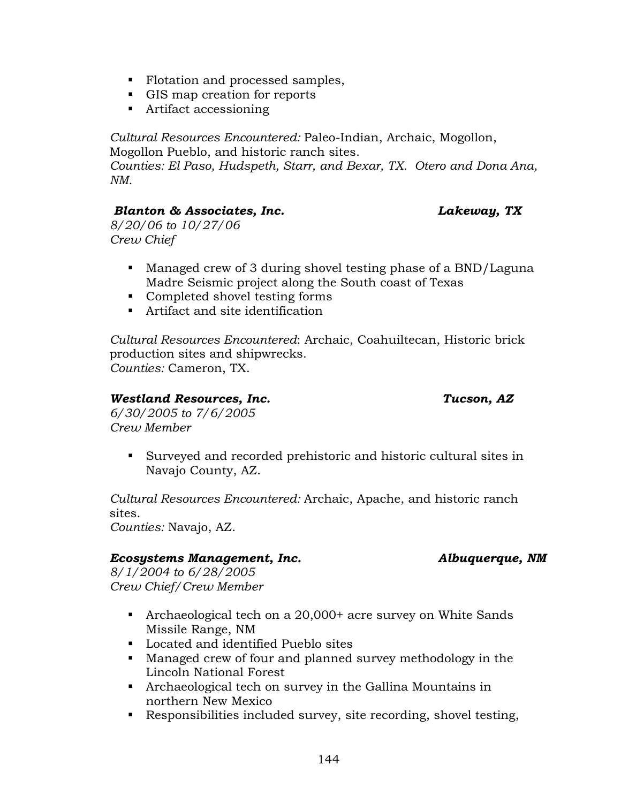- Flotation and processed samples,
- GIS map creation for reports
- Artifact accessioning

*Cultural Resources Encountered:* Paleo-Indian, Archaic, Mogollon, Mogollon Pueblo, and historic ranch sites.

*Counties: El Paso, Hudspeth, Starr, and Bexar, TX. Otero and Dona Ana, NM.*

#### *Blanton & Associates, Inc.**Lakeway, TX*

*8/20/06 to 10/27/06 Crew Chief*

- Managed crew of 3 during shovel testing phase of a BND/Laguna Madre Seismic project along the South coast of Texas
- Completed shovel testing forms
- Artifact and site identification

*Cultural Resources Encountered*: Archaic, Coahuiltecan, Historic brick production sites and shipwrecks. *Counties:* Cameron, TX.

#### *Westland Resources, Inc. Tucson, AZ*

*6/30/2005 to 7/6/2005 Crew Member*

> Surveyed and recorded prehistoric and historic cultural sites in Navajo County, AZ.

*Cultural Resources Encountered:* Archaic, Apache, and historic ranch sites.

*Counties:* Navajo, AZ.

### *Ecosystems Management, Inc. Albuquerque, NM*

*8/1/2004 to 6/28/2005 Crew Chief/Crew Member*

- Archaeological tech on a 20,000+ acre survey on White Sands Missile Range, NM
- Located and identified Pueblo sites
- Managed crew of four and planned survey methodology in the Lincoln National Forest
- Archaeological tech on survey in the Gallina Mountains in northern New Mexico
- Responsibilities included survey, site recording, shovel testing,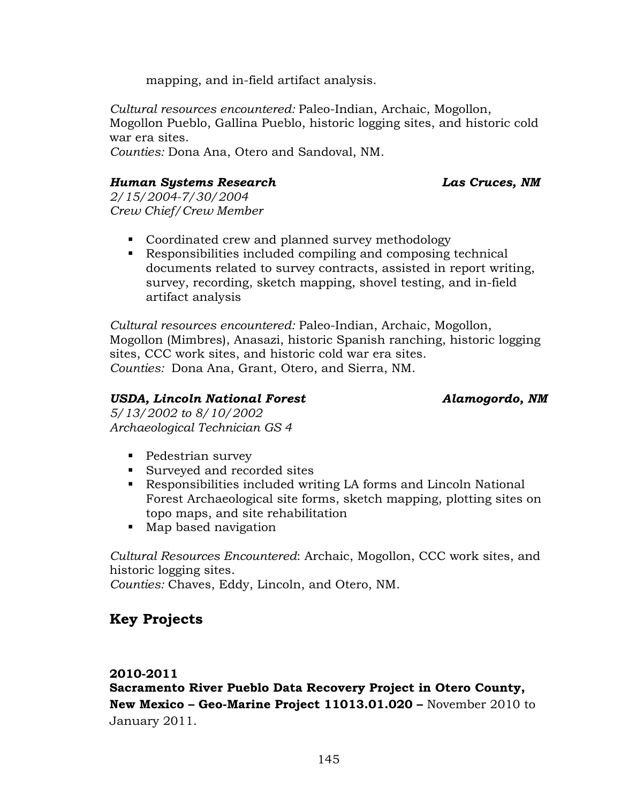mapping, and in-field artifact analysis.

*Cultural resources encountered:* Paleo-Indian, Archaic, Mogollon, Mogollon Pueblo, Gallina Pueblo, historic logging sites, and historic cold war era sites.

*Counties:* Dona Ana, Otero and Sandoval, NM.

#### *Human Systems Research Las Cruces, NM*

*2/15/2004-7/30/2004 Crew Chief/Crew Member*

- Coordinated crew and planned survey methodology
- Responsibilities included compiling and composing technical documents related to survey contracts, assisted in report writing, survey, recording, sketch mapping, shovel testing, and in-field artifact analysis

*Cultural resources encountered:* Paleo-Indian, Archaic, Mogollon, Mogollon (Mimbres), Anasazi, historic Spanish ranching, historic logging sites, CCC work sites, and historic cold war era sites. *Counties:* Dona Ana, Grant, Otero, and Sierra, NM.

#### *USDA, Lincoln National Forest Alamogordo, NM*

*5/13/2002 to 8/10/2002 Archaeological Technician GS 4*

- Pedestrian survey
- Surveyed and recorded sites
- Responsibilities included writing LA forms and Lincoln National Forest Archaeological site forms, sketch mapping, plotting sites on topo maps, and site rehabilitation
- Map based navigation

*Cultural Resources Encountered*: Archaic, Mogollon, CCC work sites, and historic logging sites.

*Counties:* Chaves, Eddy, Lincoln, and Otero, NM.

## **Key Projects**

### **2010-2011**

**Sacramento River Pueblo Data Recovery Project in Otero County, New Mexico – Geo-Marine Project 11013.01.020 –** November 2010 to January 2011.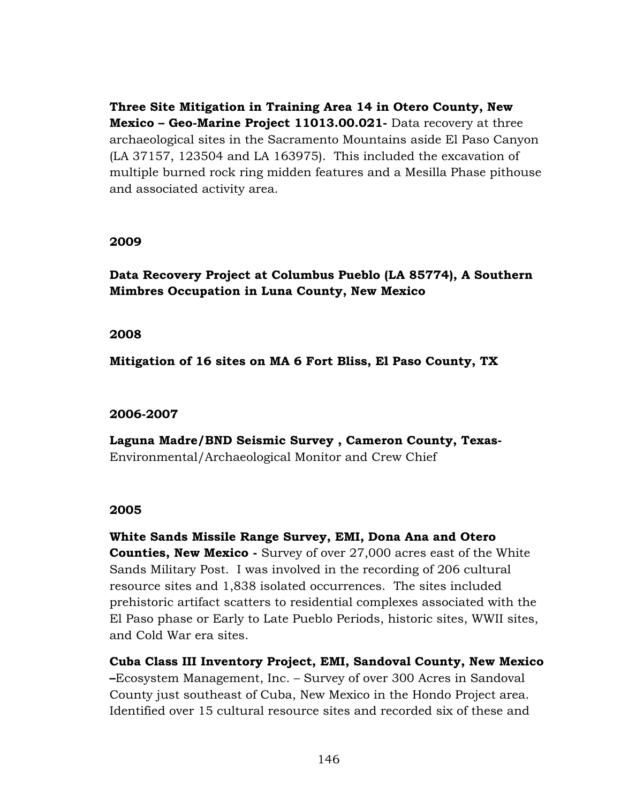**Three Site Mitigation in Training Area 14 in Otero County, New Mexico – Geo-Marine Project 11013.00.021-** Data recovery at three archaeological sites in the Sacramento Mountains aside El Paso Canyon (LA 37157, 123504 and LA 163975). This included the excavation of multiple burned rock ring midden features and a Mesilla Phase pithouse and associated activity area.

#### **2009**

**Data Recovery Project at Columbus Pueblo (LA 85774), A Southern Mimbres Occupation in Luna County, New Mexico**

#### **2008**

**Mitigation of 16 sites on MA 6 Fort Bliss, El Paso County, TX**

#### **2006-2007**

**Laguna Madre/BND Seismic Survey , Cameron County, Texas-**Environmental/Archaeological Monitor and Crew Chief

### **2005**

**White Sands Missile Range Survey, EMI, Dona Ana and Otero Counties, New Mexico -** Survey of over 27,000 acres east of the White Sands Military Post. I was involved in the recording of 206 cultural resource sites and 1,838 isolated occurrences. The sites included prehistoric artifact scatters to residential complexes associated with the El Paso phase or Early to Late Pueblo Periods, historic sites, WWII sites, and Cold War era sites.

**Cuba Class III Inventory Project, EMI, Sandoval County, New Mexico –**Ecosystem Management, Inc. – Survey of over 300 Acres in Sandoval County just southeast of Cuba, New Mexico in the Hondo Project area. Identified over 15 cultural resource sites and recorded six of these and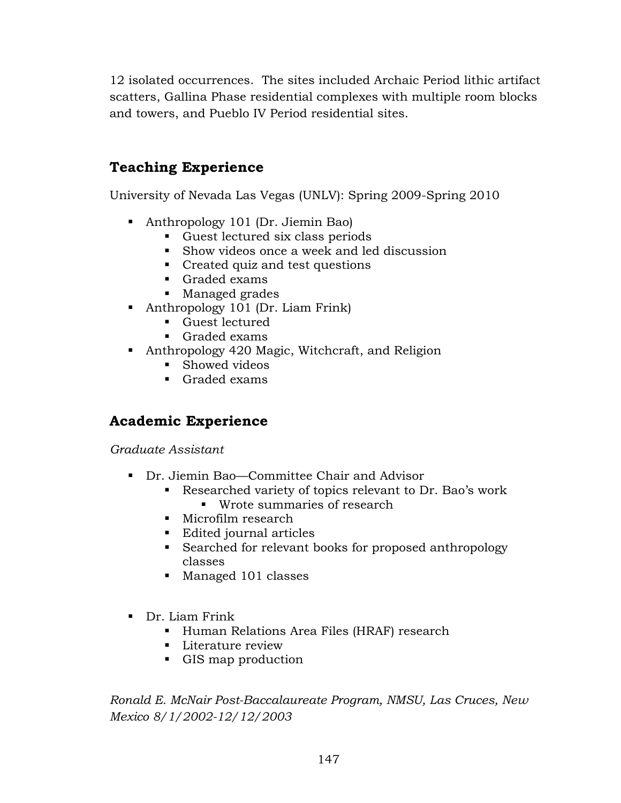12 isolated occurrences. The sites included Archaic Period lithic artifact scatters, Gallina Phase residential complexes with multiple room blocks and towers, and Pueblo IV Period residential sites.

## **Teaching Experience**

University of Nevada Las Vegas (UNLV): Spring 2009-Spring 2010

- Anthropology 101 (Dr. Jiemin Bao)
	- Guest lectured six class periods
	- Show videos once a week and led discussion
	- Created quiz and test questions
	- Graded exams
	- **Managed grades**
- Anthropology 101 (Dr. Liam Frink)
	- Guest lectured
	- Graded exams
- Anthropology 420 Magic, Witchcraft, and Religion
	- Showed videos
	- Graded exams

## **Academic Experience**

*Graduate Assistant*

- Dr. Jiemin Bao—Committee Chair and Advisor
	- Researched variety of topics relevant to Dr. Bao's work
		- **Wrote summaries of research**
	- **Microfilm research**
	- Edited journal articles
	- Searched for relevant books for proposed anthropology classes
	- Managed 101 classes
- Dr. Liam Frink
	- Human Relations Area Files (HRAF) research
	- **Literature review**
	- GIS map production

*Ronald E. McNair Post-Baccalaureate Program, NMSU, Las Cruces, New Mexico 8/1/2002-12/12/2003*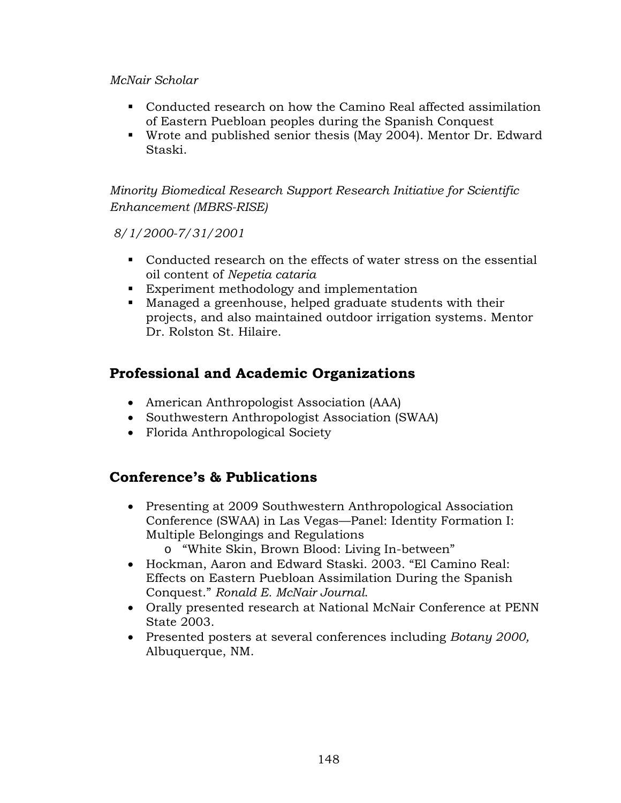#### *McNair Scholar*

- Conducted research on how the Camino Real affected assimilation of Eastern Puebloan peoples during the Spanish Conquest
- Wrote and published senior thesis (May 2004). Mentor Dr. Edward Staski.

*Minority Biomedical Research Support Research Initiative for Scientific Enhancement (MBRS-RISE)*

*8/1/2000-7/31/2001*

- Conducted research on the effects of water stress on the essential oil content of *Nepetia cataria*
- Experiment methodology and implementation
- Managed a greenhouse, helped graduate students with their projects, and also maintained outdoor irrigation systems. Mentor Dr. Rolston St. Hilaire.

## **Professional and Academic Organizations**

- American Anthropologist Association (AAA)
- Southwestern Anthropologist Association (SWAA)
- Florida Anthropological Society

## **Conference's & Publications**

- Presenting at 2009 Southwestern Anthropological Association Conference (SWAA) in Las Vegas—Panel: Identity Formation I: Multiple Belongings and Regulations o "White Skin, Brown Blood: Living In-between"
- Hockman, Aaron and Edward Staski. 2003. "El Camino Real: Effects on Eastern Puebloan Assimilation During the Spanish Conquest." *Ronald E. McNair Journal*.
- Orally presented research at National McNair Conference at PENN State 2003.
- Presented posters at several conferences including *Botany 2000,* Albuquerque, NM.